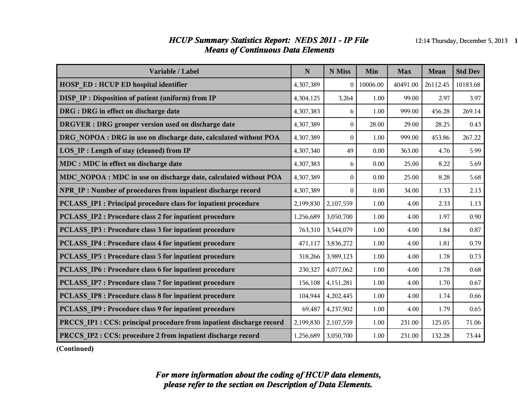#### *HCUP Summary Statistics Report: NEDS 2011 - IP File* 12:14 Thursday, December 5, 2013 1 *Means of Continuous Data Elements*

| Variable / Label                                                     | $\mathbf N$ | N Miss           | Min      | <b>Max</b> | Mean     | <b>Std Dev</b> |
|----------------------------------------------------------------------|-------------|------------------|----------|------------|----------|----------------|
| HOSP_ED : HCUP ED hospital identifier                                | 4,307,389   | $\theta$         | 10006.00 | 40491.00   | 26112.45 | 10183.68       |
| DISP IP: Disposition of patient (uniform) from IP                    | 4,304,125   | 3,264            | 1.00     | 99.00      | 2.97     | 3.97           |
| DRG : DRG in effect on discharge date                                | 4,307,383   | 6                | 1.00     | 999.00     | 456.28   | 269.14         |
| DRGVER : DRG grouper version used on discharge date                  | 4,307,389   | $\theta$         | 28.00    | 29.00      | 28.25    | 0.43           |
| DRG NOPOA : DRG in use on discharge date, calculated without POA     | 4,307,389   | $\theta$         | 1.00     | 999.00     | 453.86   | 267.22         |
| LOS IP : Length of stay (cleaned) from IP                            | 4,307,340   | 49               | 0.00     | 363.00     | 4.76     | 5.99           |
| MDC : MDC in effect on discharge date                                | 4,307,383   | 6                | 0.00     | 25.00      | 8.22     | 5.69           |
| MDC NOPOA : MDC in use on discharge date, calculated without POA     | 4,307,389   | $\theta$         | 0.00     | 25.00      | 8.28     | 5.68           |
| NPR IP: Number of procedures from inpatient discharge record         | 4,307,389   | $\boldsymbol{0}$ | 0.00     | 34.00      | 1.33     | 2.13           |
| PCLASS IP1 : Principal procedure class for inpatient procedure       | 2,199,830   | 2,107,559        | 1.00     | 4.00       | 2.33     | 1.13           |
| PCLASS IP2 : Procedure class 2 for inpatient procedure               | 1,256,689   | 3,050,700        | 1.00     | 4.00       | 1.97     | 0.90           |
| PCLASS IP3 : Procedure class 3 for inpatient procedure               | 763,310     | 3,544,079        | 1.00     | 4.00       | 1.84     | 0.87           |
| PCLASS IP4 : Procedure class 4 for inpatient procedure               | 471,117     | 3,836,272        | 1.00     | 4.00       | 1.81     | 0.79           |
| PCLASS IP5 : Procedure class 5 for inpatient procedure               | 318,266     | 3,989,123        | 1.00     | 4.00       | 1.78     | 0.73           |
| PCLASS IP6 : Procedure class 6 for inpatient procedure               | 230,327     | 4,077,062        | 1.00     | 4.00       | 1.78     | 0.68           |
| PCLASS IP7 : Procedure class 7 for inpatient procedure               | 156,108     | 4,151,281        | 1.00     | 4.00       | 1.70     | 0.67           |
| PCLASS IP8 : Procedure class 8 for inpatient procedure               | 104,944     | 4,202,445        | 1.00     | 4.00       | 1.74     | 0.66           |
| PCLASS_IP9: Procedure class 9 for inpatient procedure                | 69,487      | 4,237,902        | 1.00     | 4.00       | 1.79     | 0.65           |
| PRCCS IP1 : CCS: principal procedure from inpatient discharge record | 2,199,830   | 2,107,559        | 1.00     | 231.00     | 125.05   | 71.06          |
| PRCCS IP2 : CCS: procedure 2 from inpatient discharge record         | 1,256,689   | 3,050,700        | 1.00     | 231.00     | 132.28   | 73.44          |

**(Continued)**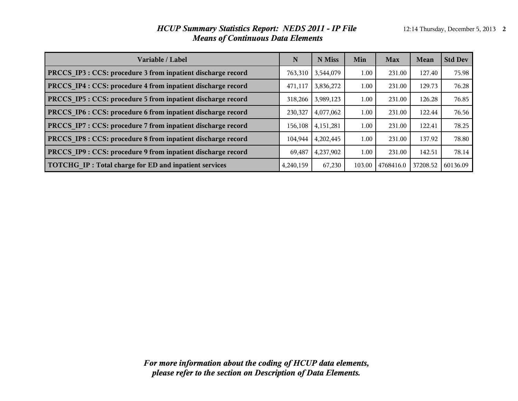#### *HCUP Summary Statistics Report: NEDS 2011 - IP File* 12:14 Thursday, December 5, 2013 2 *Means of Continuous Data Elements*

| Variable / Label                                             | N         | N Miss      | Min    | <b>Max</b> | Mean     | <b>Std Dev</b> |
|--------------------------------------------------------------|-----------|-------------|--------|------------|----------|----------------|
| PRCCS IP3 : CCS: procedure 3 from inpatient discharge record | 763,310   | 3,544,079   | 1.00   | 231.00     | 127.40   | 75.98          |
| PRCCS IP4 : CCS: procedure 4 from inpatient discharge record | 471,117   | 3,836,272   | 1.00   | 231.00     | 129.73   | 76.28          |
| PRCCS IP5 : CCS: procedure 5 from inpatient discharge record | 318,266   | 3,989,123   | 1.00   | 231.00     | 126.28   | 76.85          |
| PRCCS IP6 : CCS: procedure 6 from inpatient discharge record | 230,327   | 4,077,062   | 1.00   | 231.00     | 122.44   | 76.56          |
| PRCCS IP7 : CCS: procedure 7 from inpatient discharge record | 156,108   | 4, 151, 281 | 1.00   | 231.00     | 122.41   | 78.25          |
| PRCCS IP8 : CCS: procedure 8 from inpatient discharge record | 104,944   | 4,202,445   | 1.00   | 231.00     | 137.92   | 78.80          |
| PRCCS IP9 : CCS: procedure 9 from inpatient discharge record | 69.487    | 4,237,902   | 1.00   | 231.00     | 142.51   | 78.14          |
| TOTCHG IP: Total charge for ED and inpatient services        | 4,240,159 | 67,230      | 103.00 | 4768416.0  | 37208.52 | 60136.09       |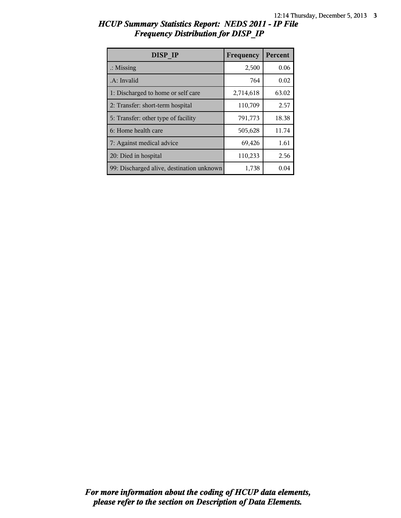| HCUP Summary Statistics Report: NEDS 2011 - IP File |  |  |
|-----------------------------------------------------|--|--|
| <b>Frequency Distribution for DISP IP</b>           |  |  |

| DISP IP                                   | Frequency | <b>Percent</b> |
|-------------------------------------------|-----------|----------------|
| $\therefore$ Missing                      | 2,500     | 0.06           |
| .A: Invalid                               | 764       | 0.02           |
| 1: Discharged to home or self care        | 2,714,618 | 63.02          |
| 2: Transfer: short-term hospital          | 110,709   | 2.57           |
| 5: Transfer: other type of facility       | 791,773   | 18.38          |
| 6: Home health care                       | 505,628   | 11.74          |
| 7: Against medical advice                 | 69,426    | 1.61           |
| 20: Died in hospital                      | 110,233   | 2.56           |
| 99: Discharged alive, destination unknown | 1,738     | 0.04           |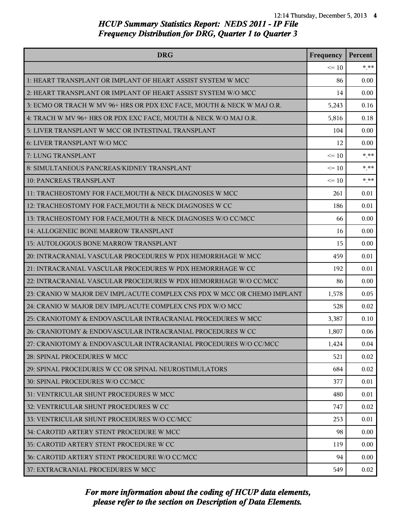| <b>DRG</b>                                                               | Frequency | Percent |
|--------------------------------------------------------------------------|-----------|---------|
|                                                                          | $\leq 10$ | $*$ **  |
| 1: HEART TRANSPLANT OR IMPLANT OF HEART ASSIST SYSTEM W MCC              | 86        | 0.00    |
| 2: HEART TRANSPLANT OR IMPLANT OF HEART ASSIST SYSTEM W/O MCC            | 14        | 0.00    |
| 3: ECMO OR TRACH W MV 96+ HRS OR PDX EXC FACE, MOUTH & NECK W MAJ O.R.   | 5,243     | 0.16    |
| 4: TRACH W MV 96+ HRS OR PDX EXC FACE, MOUTH & NECK W/O MAJ O.R.         | 5,816     | 0.18    |
| 5: LIVER TRANSPLANT W MCC OR INTESTINAL TRANSPLANT                       | 104       | 0.00    |
| 6: LIVER TRANSPLANT W/O MCC                                              | 12        | 0.00    |
| 7: LUNG TRANSPLANT                                                       | $\leq 10$ | $* * *$ |
| 8: SIMULTANEOUS PANCREAS/KIDNEY TRANSPLANT                               | $\leq 10$ | $* * *$ |
| <b>10: PANCREAS TRANSPLANT</b>                                           | $\leq 10$ | $* * *$ |
| 11: TRACHEOSTOMY FOR FACE, MOUTH & NECK DIAGNOSES W MCC                  | 261       | 0.01    |
| 12: TRACHEOSTOMY FOR FACE, MOUTH & NECK DIAGNOSES W CC                   | 186       | 0.01    |
| 13: TRACHEOSTOMY FOR FACE, MOUTH & NECK DIAGNOSES W/O CC/MCC             | 66        | 0.00    |
| 14: ALLOGENEIC BONE MARROW TRANSPLANT                                    | 16        | 0.00    |
| 15: AUTOLOGOUS BONE MARROW TRANSPLANT                                    | 15        | 0.00    |
| 20: INTRACRANIAL VASCULAR PROCEDURES W PDX HEMORRHAGE W MCC              | 459       | 0.01    |
| 21: INTRACRANIAL VASCULAR PROCEDURES W PDX HEMORRHAGE W CC               | 192       | 0.01    |
| 22: INTRACRANIAL VASCULAR PROCEDURES W PDX HEMORRHAGE W/O CC/MCC         | 86        | 0.00    |
| 23: CRANIO W MAJOR DEV IMPL/ACUTE COMPLEX CNS PDX W MCC OR CHEMO IMPLANT | 1,578     | 0.05    |
| 24: CRANIO W MAJOR DEV IMPL/ACUTE COMPLEX CNS PDX W/O MCC                | 528       | 0.02    |
| 25: CRANIOTOMY & ENDOVASCULAR INTRACRANIAL PROCEDURES W MCC              | 3,387     | 0.10    |
| 26: CRANIOTOMY & ENDOVASCULAR INTRACRANIAL PROCEDURES W CC               | 1,807     | 0.06    |
| 27: CRANIOTOMY & ENDOVASCULAR INTRACRANIAL PROCEDURES W/O CC/MCC         | 1,424     | 0.04    |
| 28: SPINAL PROCEDURES W MCC                                              | 521       | 0.02    |
| 29: SPINAL PROCEDURES W CC OR SPINAL NEUROSTIMULATORS                    | 684       | 0.02    |
| 30: SPINAL PROCEDURES W/O CC/MCC                                         | 377       | 0.01    |
| 31: VENTRICULAR SHUNT PROCEDURES W MCC                                   | 480       | 0.01    |
| 32: VENTRICULAR SHUNT PROCEDURES W CC                                    | 747       | 0.02    |
| 33: VENTRICULAR SHUNT PROCEDURES W/O CC/MCC                              | 253       | 0.01    |
| 34: CAROTID ARTERY STENT PROCEDURE W MCC                                 | 98        | 0.00    |
| 35: CAROTID ARTERY STENT PROCEDURE W CC                                  | 119       | 0.00    |
| 36: CAROTID ARTERY STENT PROCEDURE W/O CC/MCC                            | 94        | 0.00    |
| 37: EXTRACRANIAL PROCEDURES W MCC                                        | 549       | 0.02    |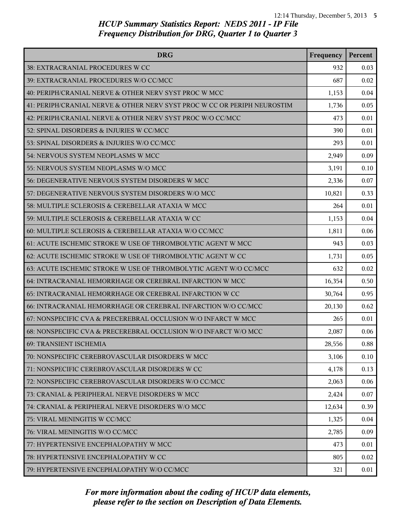| <b>DRG</b>                                                               | Frequency | Percent |
|--------------------------------------------------------------------------|-----------|---------|
| 38: EXTRACRANIAL PROCEDURES W CC                                         | 932       | 0.03    |
| 39: EXTRACRANIAL PROCEDURES W/O CC/MCC                                   | 687       | 0.02    |
| 40: PERIPH/CRANIAL NERVE & OTHER NERV SYST PROC W MCC                    | 1,153     | 0.04    |
| 41: PERIPH/CRANIAL NERVE & OTHER NERV SYST PROC W CC OR PERIPH NEUROSTIM | 1,736     | 0.05    |
| 42: PERIPH/CRANIAL NERVE & OTHER NERV SYST PROC W/O CC/MCC               | 473       | 0.01    |
| 52: SPINAL DISORDERS & INJURIES W CC/MCC                                 | 390       | 0.01    |
| 53: SPINAL DISORDERS & INJURIES W/O CC/MCC                               | 293       | 0.01    |
| 54: NERVOUS SYSTEM NEOPLASMS W MCC                                       | 2,949     | 0.09    |
| 55: NERVOUS SYSTEM NEOPLASMS W/O MCC                                     | 3,191     | 0.10    |
| 56: DEGENERATIVE NERVOUS SYSTEM DISORDERS W MCC                          | 2,336     | 0.07    |
| 57: DEGENERATIVE NERVOUS SYSTEM DISORDERS W/O MCC                        | 10,821    | 0.33    |
| 58: MULTIPLE SCLEROSIS & CEREBELLAR ATAXIA W MCC                         | 264       | 0.01    |
| 59: MULTIPLE SCLEROSIS & CEREBELLAR ATAXIA W CC                          | 1,153     | 0.04    |
| 60: MULTIPLE SCLEROSIS & CEREBELLAR ATAXIA W/O CC/MCC                    | 1,811     | 0.06    |
| 61: ACUTE ISCHEMIC STROKE W USE OF THROMBOLYTIC AGENT W MCC              | 943       | 0.03    |
| 62: ACUTE ISCHEMIC STROKE W USE OF THROMBOLYTIC AGENT W CC               | 1,731     | 0.05    |
| 63: ACUTE ISCHEMIC STROKE W USE OF THROMBOLYTIC AGENT W/O CC/MCC         | 632       | 0.02    |
| 64: INTRACRANIAL HEMORRHAGE OR CEREBRAL INFARCTION W MCC                 | 16,354    | 0.50    |
| 65: INTRACRANIAL HEMORRHAGE OR CEREBRAL INFARCTION W CC                  | 30,764    | 0.95    |
| 66: INTRACRANIAL HEMORRHAGE OR CEREBRAL INFARCTION W/O CC/MCC            | 20,130    | 0.62    |
| 67: NONSPECIFIC CVA & PRECEREBRAL OCCLUSION W/O INFARCT W MCC            | 265       | 0.01    |
| 68: NONSPECIFIC CVA & PRECEREBRAL OCCLUSION W/O INFARCT W/O MCC          | 2,087     | 0.06    |
| 69: TRANSIENT ISCHEMIA                                                   | 28,556    | 0.88    |
| 70: NONSPECIFIC CEREBROVASCULAR DISORDERS W MCC                          | 3,106     | 0.10    |
| 71: NONSPECIFIC CEREBROVASCULAR DISORDERS W CC                           | 4,178     | 0.13    |
| 72: NONSPECIFIC CEREBROVASCULAR DISORDERS W/O CC/MCC                     | 2,063     | 0.06    |
| 73: CRANIAL & PERIPHERAL NERVE DISORDERS W MCC                           | 2,424     | 0.07    |
| 74: CRANIAL & PERIPHERAL NERVE DISORDERS W/O MCC                         | 12,634    | 0.39    |
| 75: VIRAL MENINGITIS W CC/MCC                                            | 1,325     | 0.04    |
| 76: VIRAL MENINGITIS W/O CC/MCC                                          | 2,785     | 0.09    |
| 77: HYPERTENSIVE ENCEPHALOPATHY W MCC                                    | 473       | 0.01    |
| 78: HYPERTENSIVE ENCEPHALOPATHY W CC                                     | 805       | 0.02    |
| 79: HYPERTENSIVE ENCEPHALOPATHY W/O CC/MCC                               | 321       | 0.01    |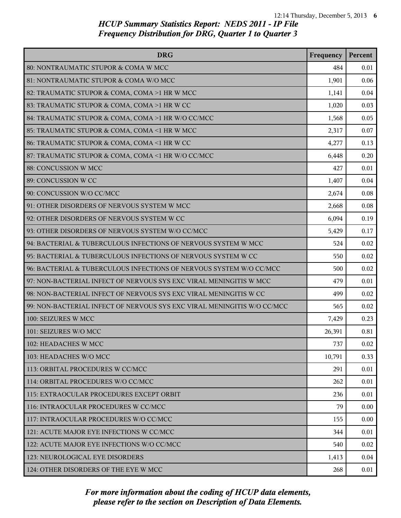| <b>DRG</b>                                                              | Frequency | Percent |
|-------------------------------------------------------------------------|-----------|---------|
| 80: NONTRAUMATIC STUPOR & COMA W MCC                                    | 484       | 0.01    |
| 81: NONTRAUMATIC STUPOR & COMA W/O MCC                                  | 1,901     | 0.06    |
| 82: TRAUMATIC STUPOR & COMA, COMA >1 HR W MCC                           | 1,141     | 0.04    |
| 83: TRAUMATIC STUPOR & COMA, COMA >1 HR W CC                            | 1,020     | 0.03    |
| 84: TRAUMATIC STUPOR & COMA, COMA >1 HR W/O CC/MCC                      | 1,568     | 0.05    |
| 85: TRAUMATIC STUPOR & COMA, COMA <1 HR W MCC                           | 2,317     | 0.07    |
| 86: TRAUMATIC STUPOR & COMA, COMA <1 HR W CC                            | 4,277     | 0.13    |
| 87: TRAUMATIC STUPOR & COMA, COMA <1 HR W/O CC/MCC                      | 6,448     | 0.20    |
| 88: CONCUSSION W MCC                                                    | 427       | 0.01    |
| 89: CONCUSSION W CC                                                     | 1,407     | 0.04    |
| 90: CONCUSSION W/O CC/MCC                                               | 2,674     | 0.08    |
| 91: OTHER DISORDERS OF NERVOUS SYSTEM W MCC                             | 2,668     | 0.08    |
| 92: OTHER DISORDERS OF NERVOUS SYSTEM W CC                              | 6,094     | 0.19    |
| 93: OTHER DISORDERS OF NERVOUS SYSTEM W/O CC/MCC                        | 5,429     | 0.17    |
| 94: BACTERIAL & TUBERCULOUS INFECTIONS OF NERVOUS SYSTEM W MCC          | 524       | 0.02    |
| 95: BACTERIAL & TUBERCULOUS INFECTIONS OF NERVOUS SYSTEM W CC           | 550       | 0.02    |
| 96: BACTERIAL & TUBERCULOUS INFECTIONS OF NERVOUS SYSTEM W/O CC/MCC     | 500       | 0.02    |
| 97: NON-BACTERIAL INFECT OF NERVOUS SYS EXC VIRAL MENINGITIS W MCC      | 479       | 0.01    |
| 98: NON-BACTERIAL INFECT OF NERVOUS SYS EXC VIRAL MENINGITIS W CC       | 499       | 0.02    |
| 99: NON-BACTERIAL INFECT OF NERVOUS SYS EXC VIRAL MENINGITIS W/O CC/MCC | 565       | 0.02    |
| 100: SEIZURES W MCC                                                     | 7,429     | 0.23    |
| 101: SEIZURES W/O MCC                                                   | 26,391    | 0.81    |
| 102: HEADACHES W MCC                                                    | 737       | 0.02    |
| 103: HEADACHES W/O MCC                                                  | 10,791    | 0.33    |
| 113: ORBITAL PROCEDURES W CC/MCC                                        | 291       | 0.01    |
| 114: ORBITAL PROCEDURES W/O CC/MCC                                      | 262       | 0.01    |
| 115: EXTRAOCULAR PROCEDURES EXCEPT ORBIT                                | 236       | 0.01    |
| 116: INTRAOCULAR PROCEDURES W CC/MCC                                    | 79        | 0.00    |
| 117: INTRAOCULAR PROCEDURES W/O CC/MCC                                  | 155       | 0.00    |
| 121: ACUTE MAJOR EYE INFECTIONS W CC/MCC                                | 344       | 0.01    |
| 122: ACUTE MAJOR EYE INFECTIONS W/O CC/MCC                              | 540       | 0.02    |
| 123: NEUROLOGICAL EYE DISORDERS                                         | 1,413     | 0.04    |
| 124: OTHER DISORDERS OF THE EYE W MCC                                   | 268       | 0.01    |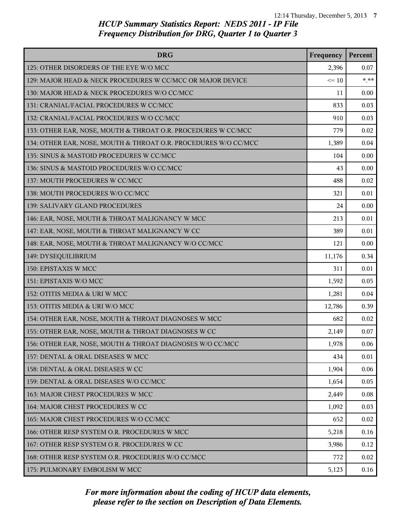| <b>DRG</b>                                                      | Frequency | Percent |
|-----------------------------------------------------------------|-----------|---------|
| 125: OTHER DISORDERS OF THE EYE W/O MCC                         | 2,396     | 0.07    |
| 129: MAJOR HEAD & NECK PROCEDURES W CC/MCC OR MAJOR DEVICE      | $\leq 10$ | $* * *$ |
| 130: MAJOR HEAD & NECK PROCEDURES W/O CC/MCC                    | 11        | 0.00    |
| 131: CRANIAL/FACIAL PROCEDURES W CC/MCC                         | 833       | 0.03    |
| 132: CRANIAL/FACIAL PROCEDURES W/O CC/MCC                       | 910       | 0.03    |
| 133: OTHER EAR, NOSE, MOUTH & THROAT O.R. PROCEDURES W CC/MCC   | 779       | 0.02    |
| 134: OTHER EAR, NOSE, MOUTH & THROAT O.R. PROCEDURES W/O CC/MCC | 1,389     | 0.04    |
| 135: SINUS & MASTOID PROCEDURES W CC/MCC                        | 104       | 0.00    |
| 136: SINUS & MASTOID PROCEDURES W/O CC/MCC                      | 43        | 0.00    |
| 137: MOUTH PROCEDURES W CC/MCC                                  | 488       | 0.02    |
| 138: MOUTH PROCEDURES W/O CC/MCC                                | 321       | 0.01    |
| <b>139: SALIVARY GLAND PROCEDURES</b>                           | 24        | 0.00    |
| 146: EAR, NOSE, MOUTH & THROAT MALIGNANCY W MCC                 | 213       | 0.01    |
| 147: EAR, NOSE, MOUTH & THROAT MALIGNANCY W CC                  | 389       | 0.01    |
| 148: EAR, NOSE, MOUTH & THROAT MALIGNANCY W/O CC/MCC            | 121       | 0.00    |
| 149: DYSEQUILIBRIUM                                             | 11,176    | 0.34    |
| 150: EPISTAXIS W MCC                                            | 311       | 0.01    |
| 151: EPISTAXIS W/O MCC                                          | 1,592     | 0.05    |
| 152: OTITIS MEDIA & URI W MCC                                   | 1,281     | 0.04    |
| 153: OTITIS MEDIA & URI W/O MCC                                 | 12,786    | 0.39    |
| 154: OTHER EAR, NOSE, MOUTH & THROAT DIAGNOSES W MCC            | 682       | 0.02    |
| 155: OTHER EAR, NOSE, MOUTH & THROAT DIAGNOSES W CC             | 2,149     | 0.07    |
| 156: OTHER EAR, NOSE, MOUTH & THROAT DIAGNOSES W/O CC/MCC       | 1,978     | 0.06    |
| 157: DENTAL & ORAL DISEASES W MCC                               | 434       | 0.01    |
| 158: DENTAL & ORAL DISEASES W CC                                | 1,904     | 0.06    |
| 159: DENTAL & ORAL DISEASES W/O CC/MCC                          | 1,654     | 0.05    |
| 163: MAJOR CHEST PROCEDURES W MCC                               | 2,449     | 0.08    |
| 164: MAJOR CHEST PROCEDURES W CC                                | 1,092     | 0.03    |
| 165: MAJOR CHEST PROCEDURES W/O CC/MCC                          | 652       | 0.02    |
| 166: OTHER RESP SYSTEM O.R. PROCEDURES W MCC                    | 5,218     | 0.16    |
| 167: OTHER RESP SYSTEM O.R. PROCEDURES W CC                     | 3,986     | 0.12    |
| 168: OTHER RESP SYSTEM O.R. PROCEDURES W/O CC/MCC               | 772       | 0.02    |
| 175: PULMONARY EMBOLISM W MCC                                   | 5,123     | 0.16    |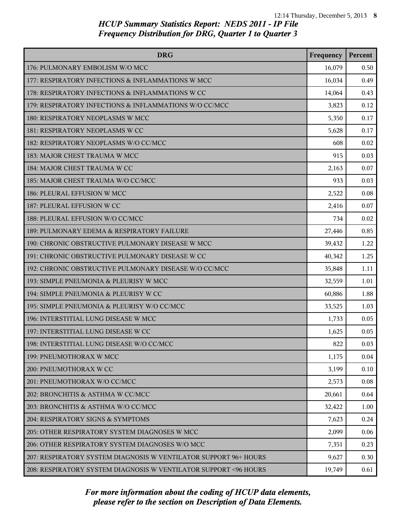| <b>DRG</b>                                                        | Frequency | Percent |
|-------------------------------------------------------------------|-----------|---------|
| 176: PULMONARY EMBOLISM W/O MCC                                   | 16,079    | 0.50    |
| 177: RESPIRATORY INFECTIONS & INFLAMMATIONS W MCC                 | 16,034    | 0.49    |
| 178: RESPIRATORY INFECTIONS & INFLAMMATIONS W CC                  | 14,064    | 0.43    |
| 179: RESPIRATORY INFECTIONS & INFLAMMATIONS W/O CC/MCC            | 3,823     | 0.12    |
| 180: RESPIRATORY NEOPLASMS W MCC                                  | 5,350     | 0.17    |
| 181: RESPIRATORY NEOPLASMS W CC                                   | 5,628     | 0.17    |
| 182: RESPIRATORY NEOPLASMS W/O CC/MCC                             | 608       | 0.02    |
| 183: MAJOR CHEST TRAUMA W MCC                                     | 915       | 0.03    |
| 184: MAJOR CHEST TRAUMA W CC                                      | 2,163     | 0.07    |
| 185: MAJOR CHEST TRAUMA W/O CC/MCC                                | 933       | 0.03    |
| 186: PLEURAL EFFUSION W MCC                                       | 2,522     | 0.08    |
| 187: PLEURAL EFFUSION W CC                                        | 2,416     | 0.07    |
| 188: PLEURAL EFFUSION W/O CC/MCC                                  | 734       | 0.02    |
| 189: PULMONARY EDEMA & RESPIRATORY FAILURE                        | 27,446    | 0.85    |
| 190: CHRONIC OBSTRUCTIVE PULMONARY DISEASE W MCC                  | 39,432    | 1.22    |
| 191: CHRONIC OBSTRUCTIVE PULMONARY DISEASE W CC                   | 40,342    | 1.25    |
| 192: CHRONIC OBSTRUCTIVE PULMONARY DISEASE W/O CC/MCC             | 35,848    | 1.11    |
| 193: SIMPLE PNEUMONIA & PLEURISY W MCC                            | 32,559    | 1.01    |
| 194: SIMPLE PNEUMONIA & PLEURISY W CC                             | 60,886    | 1.88    |
| 195: SIMPLE PNEUMONIA & PLEURISY W/O CC/MCC                       | 33,525    | 1.03    |
| 196: INTERSTITIAL LUNG DISEASE W MCC                              | 1,733     | 0.05    |
| 197: INTERSTITIAL LUNG DISEASE W CC                               | 1,625     | 0.05    |
| 198: INTERSTITIAL LUNG DISEASE W/O CC/MCC                         | 822       | 0.03    |
| 199: PNEUMOTHORAX W MCC                                           | 1,175     | 0.04    |
| 200: PNEUMOTHORAX W CC                                            | 3,199     | 0.10    |
| 201: PNEUMOTHORAX W/O CC/MCC                                      | 2,573     | 0.08    |
| 202: BRONCHITIS & ASTHMA W CC/MCC                                 | 20,661    | 0.64    |
| 203: BRONCHITIS & ASTHMA W/O CC/MCC                               | 32,422    | 1.00    |
| 204: RESPIRATORY SIGNS & SYMPTOMS                                 | 7,623     | 0.24    |
| 205: OTHER RESPIRATORY SYSTEM DIAGNOSES W MCC                     | 2,099     | 0.06    |
| 206: OTHER RESPIRATORY SYSTEM DIAGNOSES W/O MCC                   | 7,351     | 0.23    |
| 207: RESPIRATORY SYSTEM DIAGNOSIS W VENTILATOR SUPPORT 96+ HOURS  | 9,627     | 0.30    |
| 208: RESPIRATORY SYSTEM DIAGNOSIS W VENTILATOR SUPPORT < 96 HOURS | 19,749    | 0.61    |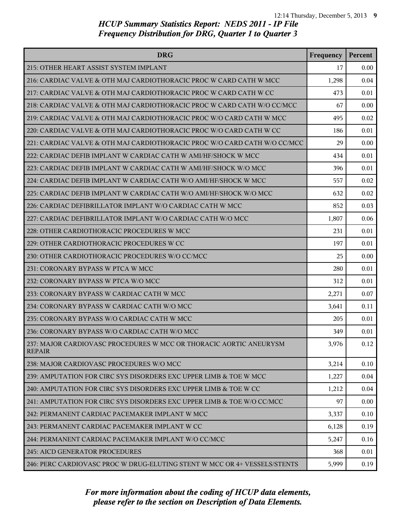| <b>DRG</b>                                                                          | Frequency | Percent |
|-------------------------------------------------------------------------------------|-----------|---------|
| 215: OTHER HEART ASSIST SYSTEM IMPLANT                                              | 17        | 0.00    |
| 216: CARDIAC VALVE & OTH MAJ CARDIOTHORACIC PROC W CARD CATH W MCC                  | 1,298     | 0.04    |
| 217: CARDIAC VALVE & OTH MAJ CARDIOTHORACIC PROC W CARD CATH W CC                   | 473       | 0.01    |
| 218: CARDIAC VALVE & OTH MAJ CARDIOTHORACIC PROC W CARD CATH W/O CC/MCC             | 67        | 0.00    |
| 219: CARDIAC VALVE & OTH MAJ CARDIOTHORACIC PROC W/O CARD CATH W MCC                | 495       | 0.02    |
| 220: CARDIAC VALVE & OTH MAJ CARDIOTHORACIC PROC W/O CARD CATH W CC                 | 186       | 0.01    |
| 221: CARDIAC VALVE & OTH MAJ CARDIOTHORACIC PROC W/O CARD CATH W/O CC/MCC           | 29        | 0.00    |
| 222: CARDIAC DEFIB IMPLANT W CARDIAC CATH W AMI/HF/SHOCK W MCC                      | 434       | 0.01    |
| 223: CARDIAC DEFIB IMPLANT W CARDIAC CATH W AMI/HF/SHOCK W/O MCC                    | 396       | 0.01    |
| 224: CARDIAC DEFIB IMPLANT W CARDIAC CATH W/O AMI/HF/SHOCK W MCC                    | 557       | 0.02    |
| 225: CARDIAC DEFIB IMPLANT W CARDIAC CATH W/O AMI/HF/SHOCK W/O MCC                  | 632       | 0.02    |
| 226: CARDIAC DEFIBRILLATOR IMPLANT W/O CARDIAC CATH W MCC                           | 852       | 0.03    |
| 227: CARDIAC DEFIBRILLATOR IMPLANT W/O CARDIAC CATH W/O MCC                         | 1,807     | 0.06    |
| 228: OTHER CARDIOTHORACIC PROCEDURES W MCC                                          | 231       | 0.01    |
| 229: OTHER CARDIOTHORACIC PROCEDURES W CC                                           | 197       | 0.01    |
| 230: OTHER CARDIOTHORACIC PROCEDURES W/O CC/MCC                                     | 25        | 0.00    |
| 231: CORONARY BYPASS W PTCA W MCC                                                   | 280       | 0.01    |
| 232: CORONARY BYPASS W PTCA W/O MCC                                                 | 312       | 0.01    |
| 233: CORONARY BYPASS W CARDIAC CATH W MCC                                           | 2,271     | 0.07    |
| 234: CORONARY BYPASS W CARDIAC CATH W/O MCC                                         | 3,641     | 0.11    |
| 235: CORONARY BYPASS W/O CARDIAC CATH W MCC                                         | 205       | 0.01    |
| 236: CORONARY BYPASS W/O CARDIAC CATH W/O MCC                                       | 349       | 0.01    |
| 237: MAJOR CARDIOVASC PROCEDURES W MCC OR THORACIC AORTIC ANEURYSM<br><b>REPAIR</b> | 3,976     | 0.12    |
| 238: MAJOR CARDIOVASC PROCEDURES W/O MCC                                            | 3,214     | 0.10    |
| 239: AMPUTATION FOR CIRC SYS DISORDERS EXC UPPER LIMB & TOE W MCC                   | 1,227     | 0.04    |
| 240: AMPUTATION FOR CIRC SYS DISORDERS EXC UPPER LIMB & TOE W CC                    | 1,212     | 0.04    |
| 241: AMPUTATION FOR CIRC SYS DISORDERS EXC UPPER LIMB & TOE W/O CC/MCC              | 97        | 0.00    |
| 242: PERMANENT CARDIAC PACEMAKER IMPLANT W MCC                                      | 3,337     | 0.10    |
| 243: PERMANENT CARDIAC PACEMAKER IMPLANT W CC                                       | 6,128     | 0.19    |
| 244: PERMANENT CARDIAC PACEMAKER IMPLANT W/O CC/MCC                                 | 5,247     | 0.16    |
| 245: AICD GENERATOR PROCEDURES                                                      | 368       | 0.01    |
| 246: PERC CARDIOVASC PROC W DRUG-ELUTING STENT W MCC OR 4+ VESSELS/STENTS           | 5,999     | 0.19    |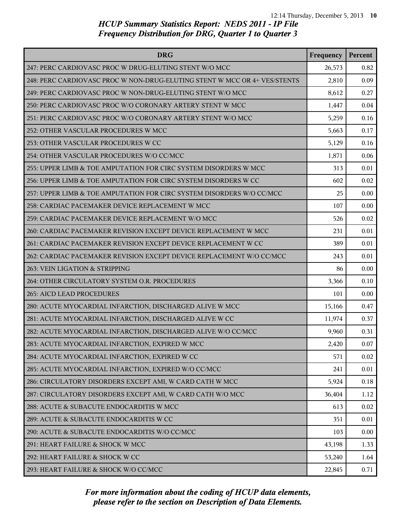| <b>DRG</b>                                                                | Frequency | Percent |
|---------------------------------------------------------------------------|-----------|---------|
| 247: PERC CARDIOVASC PROC W DRUG-ELUTING STENT W/O MCC                    | 26,573    | 0.82    |
| 248: PERC CARDIOVASC PROC W NON-DRUG-ELUTING STENT W MCC OR 4+ VES/STENTS | 2,810     | 0.09    |
| 249: PERC CARDIOVASC PROC W NON-DRUG-ELUTING STENT W/O MCC                | 8,612     | 0.27    |
| 250: PERC CARDIOVASC PROC W/O CORONARY ARTERY STENT W MCC                 | 1,447     | 0.04    |
| 251: PERC CARDIOVASC PROC W/O CORONARY ARTERY STENT W/O MCC               | 5,259     | 0.16    |
| 252: OTHER VASCULAR PROCEDURES W MCC                                      | 5,663     | 0.17    |
| 253: OTHER VASCULAR PROCEDURES W CC                                       | 5,129     | 0.16    |
| 254: OTHER VASCULAR PROCEDURES W/O CC/MCC                                 | 1,871     | 0.06    |
| 255: UPPER LIMB & TOE AMPUTATION FOR CIRC SYSTEM DISORDERS W MCC          | 313       | 0.01    |
| 256: UPPER LIMB & TOE AMPUTATION FOR CIRC SYSTEM DISORDERS W CC           | 602       | 0.02    |
| 257: UPPER LIMB & TOE AMPUTATION FOR CIRC SYSTEM DISORDERS W/O CC/MCC     | 25        | 0.00    |
| 258: CARDIAC PACEMAKER DEVICE REPLACEMENT W MCC                           | 107       | 0.00    |
| 259: CARDIAC PACEMAKER DEVICE REPLACEMENT W/O MCC                         | 526       | 0.02    |
| 260: CARDIAC PACEMAKER REVISION EXCEPT DEVICE REPLACEMENT W MCC           | 231       | 0.01    |
| 261: CARDIAC PACEMAKER REVISION EXCEPT DEVICE REPLACEMENT W CC            | 389       | 0.01    |
| 262: CARDIAC PACEMAKER REVISION EXCEPT DEVICE REPLACEMENT W/O CC/MCC      | 243       | 0.01    |
| 263: VEIN LIGATION & STRIPPING                                            | 86        | 0.00    |
| 264: OTHER CIRCULATORY SYSTEM O.R. PROCEDURES                             | 3,366     | 0.10    |
| 265: AICD LEAD PROCEDURES                                                 | 101       | 0.00    |
| 280: ACUTE MYOCARDIAL INFARCTION, DISCHARGED ALIVE W MCC                  | 15,166    | 0.47    |
| 281: ACUTE MYOCARDIAL INFARCTION, DISCHARGED ALIVE W CC                   | 11,974    | 0.37    |
| 282: ACUTE MYOCARDIAL INFARCTION, DISCHARGED ALIVE W/O CC/MCC             | 9,960     | 0.31    |
| 283: ACUTE MYOCARDIAL INFARCTION, EXPIRED W MCC                           | 2,420     | 0.07    |
| 284: ACUTE MYOCARDIAL INFARCTION, EXPIRED W CC                            | 571       | 0.02    |
| 285: ACUTE MYOCARDIAL INFARCTION, EXPIRED W/O CC/MCC                      | 241       | 0.01    |
| 286: CIRCULATORY DISORDERS EXCEPT AMI, W CARD CATH W MCC                  | 5,924     | 0.18    |
| 287: CIRCULATORY DISORDERS EXCEPT AMI, W CARD CATH W/O MCC                | 36,404    | 1.12    |
| 288: ACUTE & SUBACUTE ENDOCARDITIS W MCC                                  | 613       | 0.02    |
| 289: ACUTE & SUBACUTE ENDOCARDITIS W CC                                   | 351       | 0.01    |
| 290: ACUTE & SUBACUTE ENDOCARDITIS W/O CC/MCC                             | 103       | 0.00    |
| 291: HEART FAILURE & SHOCK W MCC                                          | 43,198    | 1.33    |
| 292: HEART FAILURE & SHOCK W CC                                           | 53,240    | 1.64    |
| 293: HEART FAILURE & SHOCK W/O CC/MCC                                     | 22,845    | 0.71    |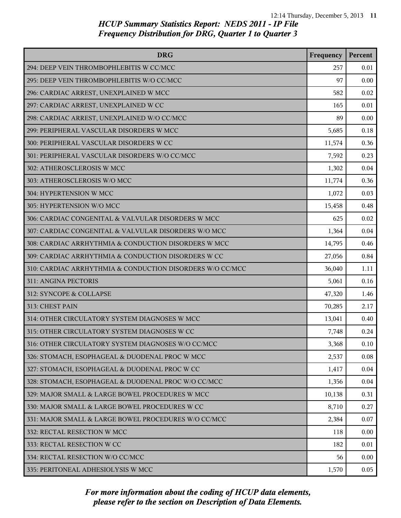| <b>DRG</b>                                                | Frequency | Percent |
|-----------------------------------------------------------|-----------|---------|
| 294: DEEP VEIN THROMBOPHLEBITIS W CC/MCC                  | 257       | 0.01    |
| 295: DEEP VEIN THROMBOPHLEBITIS W/O CC/MCC                | 97        | 0.00    |
| 296: CARDIAC ARREST, UNEXPLAINED W MCC                    | 582       | 0.02    |
| 297: CARDIAC ARREST, UNEXPLAINED W CC                     | 165       | 0.01    |
| 298: CARDIAC ARREST, UNEXPLAINED W/O CC/MCC               | 89        | 0.00    |
| 299: PERIPHERAL VASCULAR DISORDERS W MCC                  | 5,685     | 0.18    |
| 300: PERIPHERAL VASCULAR DISORDERS W CC                   | 11,574    | 0.36    |
| 301: PERIPHERAL VASCULAR DISORDERS W/O CC/MCC             | 7,592     | 0.23    |
| 302: ATHEROSCLEROSIS W MCC                                | 1,302     | 0.04    |
| 303: ATHEROSCLEROSIS W/O MCC                              | 11,774    | 0.36    |
| 304: HYPERTENSION W MCC                                   | 1,072     | 0.03    |
| 305: HYPERTENSION W/O MCC                                 | 15,458    | 0.48    |
| 306: CARDIAC CONGENITAL & VALVULAR DISORDERS W MCC        | 625       | 0.02    |
| 307: CARDIAC CONGENITAL & VALVULAR DISORDERS W/O MCC      | 1,364     | 0.04    |
| 308: CARDIAC ARRHYTHMIA & CONDUCTION DISORDERS W MCC      | 14,795    | 0.46    |
| 309: CARDIAC ARRHYTHMIA & CONDUCTION DISORDERS W CC       | 27,056    | 0.84    |
| 310: CARDIAC ARRHYTHMIA & CONDUCTION DISORDERS W/O CC/MCC | 36,040    | 1.11    |
| 311: ANGINA PECTORIS                                      | 5,061     | 0.16    |
| 312: SYNCOPE & COLLAPSE                                   | 47,320    | 1.46    |
| 313: CHEST PAIN                                           | 70,285    | 2.17    |
| 314: OTHER CIRCULATORY SYSTEM DIAGNOSES W MCC             | 13,041    | 0.40    |
| 315: OTHER CIRCULATORY SYSTEM DIAGNOSES W CC              | 7,748     | 0.24    |
| 316: OTHER CIRCULATORY SYSTEM DIAGNOSES W/O CC/MCC        | 3,368     | 0.10    |
| 326: STOMACH, ESOPHAGEAL & DUODENAL PROC W MCC            | 2,537     | 0.08    |
| 327: STOMACH, ESOPHAGEAL & DUODENAL PROC W CC             | 1,417     | 0.04    |
| 328: STOMACH, ESOPHAGEAL & DUODENAL PROC W/O CC/MCC       | 1,356     | 0.04    |
| 329: MAJOR SMALL & LARGE BOWEL PROCEDURES W MCC           | 10,138    | 0.31    |
| 330: MAJOR SMALL & LARGE BOWEL PROCEDURES W CC            | 8,710     | 0.27    |
| 331: MAJOR SMALL & LARGE BOWEL PROCEDURES W/O CC/MCC      | 2,384     | 0.07    |
| 332: RECTAL RESECTION W MCC                               | 118       | 0.00    |
| 333: RECTAL RESECTION W CC                                | 182       | 0.01    |
| 334: RECTAL RESECTION W/O CC/MCC                          | 56        | 0.00    |
| 335: PERITONEAL ADHESIOLYSIS W MCC                        | 1,570     | 0.05    |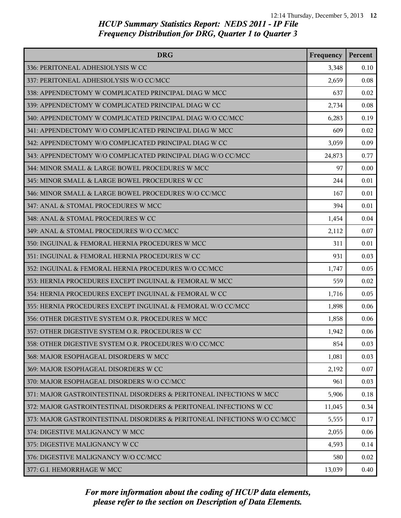| <b>DRG</b>                                                               | Frequency | Percent |
|--------------------------------------------------------------------------|-----------|---------|
| 336: PERITONEAL ADHESIOLYSIS W CC                                        | 3,348     | 0.10    |
| 337: PERITONEAL ADHESIOLYSIS W/O CC/MCC                                  | 2,659     | 0.08    |
| 338: APPENDECTOMY W COMPLICATED PRINCIPAL DIAG W MCC                     | 637       | 0.02    |
| 339: APPENDECTOMY W COMPLICATED PRINCIPAL DIAG W CC                      | 2,734     | 0.08    |
| 340: APPENDECTOMY W COMPLICATED PRINCIPAL DIAG W/O CC/MCC                | 6,283     | 0.19    |
| 341: APPENDECTOMY W/O COMPLICATED PRINCIPAL DIAG W MCC                   | 609       | 0.02    |
| 342: APPENDECTOMY W/O COMPLICATED PRINCIPAL DIAG W CC                    | 3,059     | 0.09    |
| 343: APPENDECTOMY W/O COMPLICATED PRINCIPAL DIAG W/O CC/MCC              | 24,873    | 0.77    |
| 344: MINOR SMALL & LARGE BOWEL PROCEDURES W MCC                          | 97        | 0.00    |
| 345: MINOR SMALL & LARGE BOWEL PROCEDURES W CC                           | 244       | 0.01    |
| 346: MINOR SMALL & LARGE BOWEL PROCEDURES W/O CC/MCC                     | 167       | 0.01    |
| 347: ANAL & STOMAL PROCEDURES W MCC                                      | 394       | 0.01    |
| 348: ANAL & STOMAL PROCEDURES W CC                                       | 1,454     | 0.04    |
| 349: ANAL & STOMAL PROCEDURES W/O CC/MCC                                 | 2,112     | 0.07    |
| 350: INGUINAL & FEMORAL HERNIA PROCEDURES W MCC                          | 311       | 0.01    |
| 351: INGUINAL & FEMORAL HERNIA PROCEDURES W CC                           | 931       | 0.03    |
| 352: INGUINAL & FEMORAL HERNIA PROCEDURES W/O CC/MCC                     | 1,747     | 0.05    |
| 353: HERNIA PROCEDURES EXCEPT INGUINAL & FEMORAL W MCC                   | 559       | 0.02    |
| 354: HERNIA PROCEDURES EXCEPT INGUINAL & FEMORAL W CC                    | 1,716     | 0.05    |
| 355: HERNIA PROCEDURES EXCEPT INGUINAL & FEMORAL W/O CC/MCC              | 1,898     | 0.06    |
| 356: OTHER DIGESTIVE SYSTEM O.R. PROCEDURES W MCC                        | 1,858     | 0.06    |
| 357: OTHER DIGESTIVE SYSTEM O.R. PROCEDURES W CC                         | 1,942     | 0.06    |
| 358: OTHER DIGESTIVE SYSTEM O.R. PROCEDURES W/O CC/MCC                   | 854       | 0.03    |
| 368: MAJOR ESOPHAGEAL DISORDERS W MCC                                    | 1,081     | 0.03    |
| 369: MAJOR ESOPHAGEAL DISORDERS W CC                                     | 2,192     | 0.07    |
| 370: MAJOR ESOPHAGEAL DISORDERS W/O CC/MCC                               | 961       | 0.03    |
| 371: MAJOR GASTROINTESTINAL DISORDERS & PERITONEAL INFECTIONS W MCC      | 5,906     | 0.18    |
| 372: MAJOR GASTROINTESTINAL DISORDERS & PERITONEAL INFECTIONS W CC       | 11,045    | 0.34    |
| 373: MAJOR GASTROINTESTINAL DISORDERS & PERITONEAL INFECTIONS W/O CC/MCC | 5,555     | 0.17    |
| 374: DIGESTIVE MALIGNANCY W MCC                                          | 2,055     | 0.06    |
| 375: DIGESTIVE MALIGNANCY W CC                                           | 4,593     | 0.14    |
| 376: DIGESTIVE MALIGNANCY W/O CC/MCC                                     | 580       | 0.02    |
| 377: G.I. HEMORRHAGE W MCC                                               | 13,039    | 0.40    |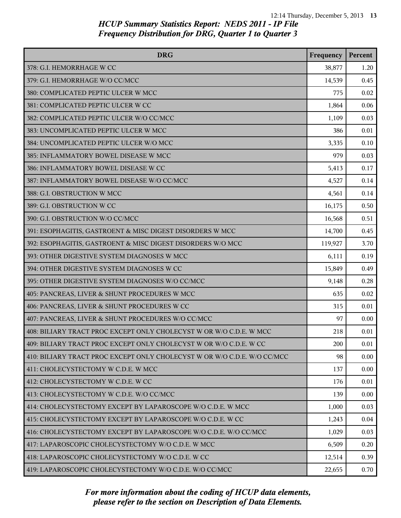| <b>DRG</b>                                                               | Frequency | Percent |
|--------------------------------------------------------------------------|-----------|---------|
| 378: G.I. HEMORRHAGE W CC                                                | 38,877    | 1.20    |
| 379: G.I. HEMORRHAGE W/O CC/MCC                                          | 14,539    | 0.45    |
| 380: COMPLICATED PEPTIC ULCER W MCC                                      | 775       | 0.02    |
| 381: COMPLICATED PEPTIC ULCER W CC                                       | 1,864     | 0.06    |
| 382: COMPLICATED PEPTIC ULCER W/O CC/MCC                                 | 1,109     | 0.03    |
| 383: UNCOMPLICATED PEPTIC ULCER W MCC                                    | 386       | 0.01    |
| 384: UNCOMPLICATED PEPTIC ULCER W/O MCC                                  | 3,335     | 0.10    |
| 385: INFLAMMATORY BOWEL DISEASE W MCC                                    | 979       | 0.03    |
| 386: INFLAMMATORY BOWEL DISEASE W CC                                     | 5,413     | 0.17    |
| 387: INFLAMMATORY BOWEL DISEASE W/O CC/MCC                               | 4,527     | 0.14    |
| 388: G.I. OBSTRUCTION W MCC                                              | 4,561     | 0.14    |
| 389: G.I. OBSTRUCTION W CC                                               | 16,175    | 0.50    |
| 390: G.I. OBSTRUCTION W/O CC/MCC                                         | 16,568    | 0.51    |
| 391: ESOPHAGITIS, GASTROENT & MISC DIGEST DISORDERS W MCC                | 14,700    | 0.45    |
| 392: ESOPHAGITIS, GASTROENT & MISC DIGEST DISORDERS W/O MCC              | 119,927   | 3.70    |
| 393: OTHER DIGESTIVE SYSTEM DIAGNOSES W MCC                              | 6,111     | 0.19    |
| 394: OTHER DIGESTIVE SYSTEM DIAGNOSES W CC                               | 15,849    | 0.49    |
| 395: OTHER DIGESTIVE SYSTEM DIAGNOSES W/O CC/MCC                         | 9,148     | 0.28    |
| 405: PANCREAS, LIVER & SHUNT PROCEDURES W MCC                            | 635       | 0.02    |
| 406: PANCREAS, LIVER & SHUNT PROCEDURES W CC                             | 315       | 0.01    |
| 407: PANCREAS, LIVER & SHUNT PROCEDURES W/O CC/MCC                       | 97        | 0.00    |
| 408: BILIARY TRACT PROC EXCEPT ONLY CHOLECYST W OR W/O C.D.E. W MCC      | 218       | 0.01    |
| 409: BILIARY TRACT PROC EXCEPT ONLY CHOLECYST W OR W/O C.D.E. W CC       | 200       | 0.01    |
| 410: BILIARY TRACT PROC EXCEPT ONLY CHOLECYST W OR W/O C.D.E. W/O CC/MCC | 98        | 0.00    |
| 411: CHOLECYSTECTOMY W C.D.E. W MCC                                      | 137       | 0.00    |
| 412: CHOLECYSTECTOMY W C.D.E. W CC                                       | 176       | 0.01    |
| 413: CHOLECYSTECTOMY W C.D.E. W/O CC/MCC                                 | 139       | 0.00    |
| 414: CHOLECYSTECTOMY EXCEPT BY LAPAROSCOPE W/O C.D.E. W MCC              | 1,000     | 0.03    |
| 415: CHOLECYSTECTOMY EXCEPT BY LAPAROSCOPE W/O C.D.E. W CC               | 1,243     | 0.04    |
| 416: CHOLECYSTECTOMY EXCEPT BY LAPAROSCOPE W/O C.D.E. W/O CC/MCC         | 1,029     | 0.03    |
| 417: LAPAROSCOPIC CHOLECYSTECTOMY W/O C.D.E. W MCC                       | 6,509     | 0.20    |
| 418: LAPAROSCOPIC CHOLECYSTECTOMY W/O C.D.E. W CC                        | 12,514    | 0.39    |
| 419: LAPAROSCOPIC CHOLECYSTECTOMY W/O C.D.E. W/O CC/MCC                  | 22,655    | 0.70    |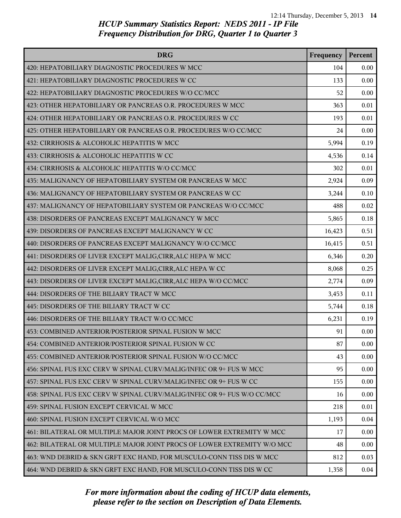| <b>DRG</b>                                                              | Frequency | Percent |
|-------------------------------------------------------------------------|-----------|---------|
| 420: HEPATOBILIARY DIAGNOSTIC PROCEDURES W MCC                          | 104       | 0.00    |
| 421: HEPATOBILIARY DIAGNOSTIC PROCEDURES W CC                           | 133       | 0.00    |
| 422: HEPATOBILIARY DIAGNOSTIC PROCEDURES W/O CC/MCC                     | 52        | 0.00    |
| 423: OTHER HEPATOBILIARY OR PANCREAS O.R. PROCEDURES W MCC              | 363       | 0.01    |
| 424: OTHER HEPATOBILIARY OR PANCREAS O.R. PROCEDURES W CC               | 193       | 0.01    |
| 425: OTHER HEPATOBILIARY OR PANCREAS O.R. PROCEDURES W/O CC/MCC         | 24        | 0.00    |
| 432: CIRRHOSIS & ALCOHOLIC HEPATITIS W MCC                              | 5,994     | 0.19    |
| 433: CIRRHOSIS & ALCOHOLIC HEPATITIS W CC                               | 4,536     | 0.14    |
| 434: CIRRHOSIS & ALCOHOLIC HEPATITIS W/O CC/MCC                         | 302       | 0.01    |
| 435: MALIGNANCY OF HEPATOBILIARY SYSTEM OR PANCREAS W MCC               | 2,924     | 0.09    |
| 436: MALIGNANCY OF HEPATOBILIARY SYSTEM OR PANCREAS W CC                | 3,244     | 0.10    |
| 437: MALIGNANCY OF HEPATOBILIARY SYSTEM OR PANCREAS W/O CC/MCC          | 488       | 0.02    |
| 438: DISORDERS OF PANCREAS EXCEPT MALIGNANCY W MCC                      | 5,865     | 0.18    |
| 439: DISORDERS OF PANCREAS EXCEPT MALIGNANCY W CC                       | 16,423    | 0.51    |
| 440: DISORDERS OF PANCREAS EXCEPT MALIGNANCY W/O CC/MCC                 | 16,415    | 0.51    |
| 441: DISORDERS OF LIVER EXCEPT MALIG, CIRR, ALC HEPA W MCC              | 6,346     | 0.20    |
| 442: DISORDERS OF LIVER EXCEPT MALIG, CIRR, ALC HEPA W CC               | 8,068     | 0.25    |
| 443: DISORDERS OF LIVER EXCEPT MALIG, CIRR, ALC HEPA W/O CC/MCC         | 2,774     | 0.09    |
| 444: DISORDERS OF THE BILIARY TRACT W MCC                               | 3,453     | 0.11    |
| 445: DISORDERS OF THE BILIARY TRACT W CC                                | 5,744     | 0.18    |
| 446: DISORDERS OF THE BILIARY TRACT W/O CC/MCC                          | 6,231     | 0.19    |
| 453: COMBINED ANTERIOR/POSTERIOR SPINAL FUSION W MCC                    | 91        | 0.00    |
| 454: COMBINED ANTERIOR/POSTERIOR SPINAL FUSION W CC                     | 87        | 0.00    |
| 455: COMBINED ANTERIOR/POSTERIOR SPINAL FUSION W/O CC/MCC               | 43        | 0.00    |
| 456: SPINAL FUS EXC CERV W SPINAL CURV/MALIG/INFEC OR 9+ FUS W MCC      | 95        | 0.00    |
| 457: SPINAL FUS EXC CERV W SPINAL CURV/MALIG/INFEC OR 9+ FUS W CC       | 155       | 0.00    |
| 458: SPINAL FUS EXC CERV W SPINAL CURV/MALIG/INFEC OR 9+ FUS W/O CC/MCC | 16        | 0.00    |
| 459: SPINAL FUSION EXCEPT CERVICAL W MCC                                | 218       | 0.01    |
| 460: SPINAL FUSION EXCEPT CERVICAL W/O MCC                              | 1,193     | 0.04    |
| 461: BILATERAL OR MULTIPLE MAJOR JOINT PROCS OF LOWER EXTREMITY W MCC   | 17        | 0.00    |
| 462: BILATERAL OR MULTIPLE MAJOR JOINT PROCS OF LOWER EXTREMITY W/O MCC | 48        | 0.00    |
| 463: WND DEBRID & SKN GRFT EXC HAND, FOR MUSCULO-CONN TISS DIS W MCC    | 812       | 0.03    |
| 464: WND DEBRID & SKN GRFT EXC HAND, FOR MUSCULO-CONN TISS DIS W CC     | 1,358     | 0.04    |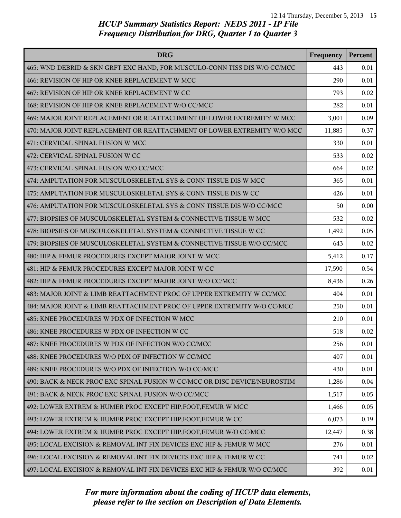| <b>DRG</b>                                                                | Frequency | Percent |
|---------------------------------------------------------------------------|-----------|---------|
| 465: WND DEBRID & SKN GRFT EXC HAND, FOR MUSCULO-CONN TISS DIS W/O CC/MCC | 443       | 0.01    |
| 466: REVISION OF HIP OR KNEE REPLACEMENT W MCC                            | 290       | 0.01    |
| 467: REVISION OF HIP OR KNEE REPLACEMENT W CC                             | 793       | 0.02    |
| 468: REVISION OF HIP OR KNEE REPLACEMENT W/O CC/MCC                       | 282       | 0.01    |
| 469: MAJOR JOINT REPLACEMENT OR REATTACHMENT OF LOWER EXTREMITY W MCC     | 3,001     | 0.09    |
| 470: MAJOR JOINT REPLACEMENT OR REATTACHMENT OF LOWER EXTREMITY W/O MCC   | 11,885    | 0.37    |
| 471: CERVICAL SPINAL FUSION W MCC                                         | 330       | 0.01    |
| 472: CERVICAL SPINAL FUSION W CC                                          | 533       | 0.02    |
| 473: CERVICAL SPINAL FUSION W/O CC/MCC                                    | 664       | 0.02    |
| 474: AMPUTATION FOR MUSCULOSKELETAL SYS & CONN TISSUE DIS W MCC           | 365       | 0.01    |
| 475: AMPUTATION FOR MUSCULOSKELETAL SYS & CONN TISSUE DIS W CC            | 426       | 0.01    |
| 476: AMPUTATION FOR MUSCULOSKELETAL SYS & CONN TISSUE DIS W/O CC/MCC      | 50        | 0.00    |
| 477: BIOPSIES OF MUSCULOSKELETAL SYSTEM & CONNECTIVE TISSUE W MCC         | 532       | 0.02    |
| 478: BIOPSIES OF MUSCULOSKELETAL SYSTEM & CONNECTIVE TISSUE W CC          | 1,492     | 0.05    |
| 479: BIOPSIES OF MUSCULOSKELETAL SYSTEM & CONNECTIVE TISSUE W/O CC/MCC    | 643       | 0.02    |
| 480: HIP & FEMUR PROCEDURES EXCEPT MAJOR JOINT W MCC                      | 5,412     | 0.17    |
| 481: HIP & FEMUR PROCEDURES EXCEPT MAJOR JOINT W CC                       | 17,590    | 0.54    |
| 482: HIP & FEMUR PROCEDURES EXCEPT MAJOR JOINT W/O CC/MCC                 | 8,436     | 0.26    |
| 483: MAJOR JOINT & LIMB REATTACHMENT PROC OF UPPER EXTREMITY W CC/MCC     | 404       | 0.01    |
| 484: MAJOR JOINT & LIMB REATTACHMENT PROC OF UPPER EXTREMITY W/O CC/MCC   | 250       | 0.01    |
| 485: KNEE PROCEDURES W PDX OF INFECTION W MCC                             | 210       | 0.01    |
| 486: KNEE PROCEDURES W PDX OF INFECTION W CC                              | 518       | 0.02    |
| 487: KNEE PROCEDURES W PDX OF INFECTION W/O CC/MCC                        | 256       | 0.01    |
| 488: KNEE PROCEDURES W/O PDX OF INFECTION W CC/MCC                        | 407       | 0.01    |
| 489: KNEE PROCEDURES W/O PDX OF INFECTION W/O CC/MCC                      | 430       | 0.01    |
| 490: BACK & NECK PROC EXC SPINAL FUSION W CC/MCC OR DISC DEVICE/NEUROSTIM | 1,286     | 0.04    |
| 491: BACK & NECK PROC EXC SPINAL FUSION W/O CC/MCC                        | 1,517     | 0.05    |
| 492: LOWER EXTREM & HUMER PROC EXCEPT HIP, FOOT, FEMUR W MCC              | 1,466     | 0.05    |
| 493: LOWER EXTREM & HUMER PROC EXCEPT HIP, FOOT, FEMUR W CC               | 6,073     | 0.19    |
| 494: LOWER EXTREM & HUMER PROC EXCEPT HIP, FOOT, FEMUR W/O CC/MCC         | 12,447    | 0.38    |
| 495: LOCAL EXCISION & REMOVAL INT FIX DEVICES EXC HIP & FEMUR W MCC       | 276       | 0.01    |
| 496: LOCAL EXCISION & REMOVAL INT FIX DEVICES EXC HIP & FEMUR W CC        | 741       | 0.02    |
| 497: LOCAL EXCISION & REMOVAL INT FIX DEVICES EXC HIP & FEMUR W/O CC/MCC  | 392       | 0.01    |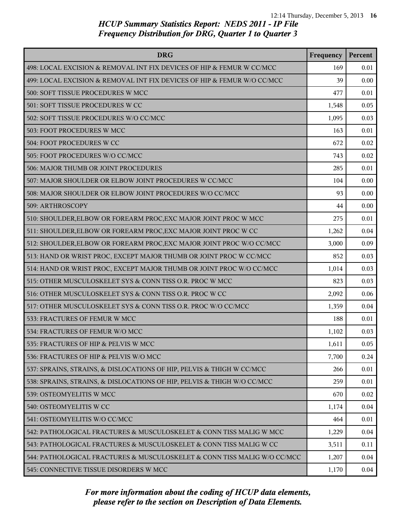| <b>DRG</b>                                                               | Frequency | Percent |
|--------------------------------------------------------------------------|-----------|---------|
| 498: LOCAL EXCISION & REMOVAL INT FIX DEVICES OF HIP & FEMUR W CC/MCC    | 169       | 0.01    |
| 499: LOCAL EXCISION & REMOVAL INT FIX DEVICES OF HIP & FEMUR W/O CC/MCC  | 39        | 0.00    |
| 500: SOFT TISSUE PROCEDURES W MCC                                        | 477       | 0.01    |
| 501: SOFT TISSUE PROCEDURES W CC                                         | 1,548     | 0.05    |
| 502: SOFT TISSUE PROCEDURES W/O CC/MCC                                   | 1,095     | 0.03    |
| 503: FOOT PROCEDURES W MCC                                               | 163       | 0.01    |
| 504: FOOT PROCEDURES W CC                                                | 672       | 0.02    |
| 505: FOOT PROCEDURES W/O CC/MCC                                          | 743       | 0.02    |
| 506: MAJOR THUMB OR JOINT PROCEDURES                                     | 285       | 0.01    |
| 507: MAJOR SHOULDER OR ELBOW JOINT PROCEDURES W CC/MCC                   | 104       | 0.00    |
| 508: MAJOR SHOULDER OR ELBOW JOINT PROCEDURES W/O CC/MCC                 | 93        | 0.00    |
| 509: ARTHROSCOPY                                                         | 44        | 0.00    |
| 510: SHOULDER, ELBOW OR FOREARM PROC, EXC MAJOR JOINT PROC W MCC         | 275       | 0.01    |
| 511: SHOULDER, ELBOW OR FOREARM PROC, EXC MAJOR JOINT PROC W CC          | 1,262     | 0.04    |
| 512: SHOULDER, ELBOW OR FOREARM PROC, EXC MAJOR JOINT PROC W/O CC/MCC    | 3,000     | 0.09    |
| 513: HAND OR WRIST PROC, EXCEPT MAJOR THUMB OR JOINT PROC W CC/MCC       | 852       | 0.03    |
| 514: HAND OR WRIST PROC, EXCEPT MAJOR THUMB OR JOINT PROC W/O CC/MCC     | 1,014     | 0.03    |
| 515: OTHER MUSCULOSKELET SYS & CONN TISS O.R. PROC W MCC                 | 823       | 0.03    |
| 516: OTHER MUSCULOSKELET SYS & CONN TISS O.R. PROC W CC                  | 2,092     | 0.06    |
| 517: OTHER MUSCULOSKELET SYS & CONN TISS O.R. PROC W/O CC/MCC            | 1,359     | 0.04    |
| 533: FRACTURES OF FEMUR W MCC                                            | 188       | 0.01    |
| 534: FRACTURES OF FEMUR W/O MCC                                          | 1,102     | 0.03    |
| 535: FRACTURES OF HIP & PELVIS W MCC                                     | 1,611     | 0.05    |
| 536: FRACTURES OF HIP & PELVIS W/O MCC                                   | 7,700     | 0.24    |
| 537: SPRAINS, STRAINS, & DISLOCATIONS OF HIP, PELVIS & THIGH W CC/MCC    | 266       | 0.01    |
| 538: SPRAINS, STRAINS, & DISLOCATIONS OF HIP, PELVIS & THIGH W/O CC/MCC  | 259       | 0.01    |
| 539: OSTEOMYELITIS W MCC                                                 | 670       | 0.02    |
| 540: OSTEOMYELITIS W CC                                                  | 1,174     | 0.04    |
| 541: OSTEOMYELITIS W/O CC/MCC                                            | 464       | 0.01    |
| 542: PATHOLOGICAL FRACTURES & MUSCULOSKELET & CONN TISS MALIG W MCC      | 1,229     | 0.04    |
| 543: PATHOLOGICAL FRACTURES & MUSCULOSKELET & CONN TISS MALIG W CC       | 3,511     | 0.11    |
| 544: PATHOLOGICAL FRACTURES & MUSCULOSKELET & CONN TISS MALIG W/O CC/MCC | 1,207     | 0.04    |
| 545: CONNECTIVE TISSUE DISORDERS W MCC                                   | 1,170     | 0.04    |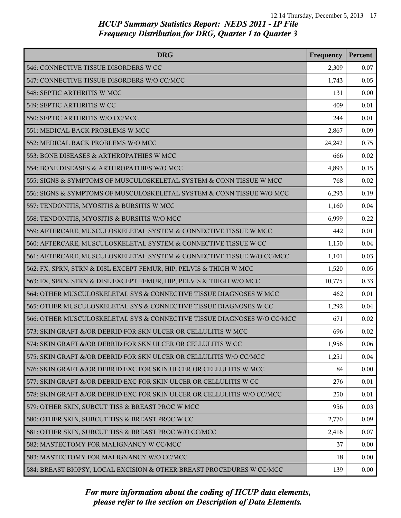| <b>DRG</b>                                                              | Frequency | Percent |
|-------------------------------------------------------------------------|-----------|---------|
| 546: CONNECTIVE TISSUE DISORDERS W CC                                   | 2,309     | 0.07    |
| 547: CONNECTIVE TISSUE DISORDERS W/O CC/MCC                             | 1,743     | 0.05    |
| 548: SEPTIC ARTHRITIS W MCC                                             | 131       | 0.00    |
| 549: SEPTIC ARTHRITIS W CC                                              | 409       | 0.01    |
| 550: SEPTIC ARTHRITIS W/O CC/MCC                                        | 244       | 0.01    |
| 551: MEDICAL BACK PROBLEMS W MCC                                        | 2,867     | 0.09    |
| 552: MEDICAL BACK PROBLEMS W/O MCC                                      | 24,242    | 0.75    |
| 553: BONE DISEASES & ARTHROPATHIES W MCC                                | 666       | 0.02    |
| 554: BONE DISEASES & ARTHROPATHIES W/O MCC                              | 4,893     | 0.15    |
| 555: SIGNS & SYMPTOMS OF MUSCULOSKELETAL SYSTEM & CONN TISSUE W MCC     | 768       | 0.02    |
| 556: SIGNS & SYMPTOMS OF MUSCULOSKELETAL SYSTEM & CONN TISSUE W/O MCC   | 6,293     | 0.19    |
| 557: TENDONITIS, MYOSITIS & BURSITIS W MCC                              | 1,160     | 0.04    |
| 558: TENDONITIS, MYOSITIS & BURSITIS W/O MCC                            | 6,999     | 0.22    |
| 559: AFTERCARE, MUSCULOSKELETAL SYSTEM & CONNECTIVE TISSUE W MCC        | 442       | 0.01    |
| 560: AFTERCARE, MUSCULOSKELETAL SYSTEM & CONNECTIVE TISSUE W CC         | 1,150     | 0.04    |
| 561: AFTERCARE, MUSCULOSKELETAL SYSTEM & CONNECTIVE TISSUE W/O CC/MCC   | 1,101     | 0.03    |
| 562: FX, SPRN, STRN & DISL EXCEPT FEMUR, HIP, PELVIS & THIGH W MCC      | 1,520     | 0.05    |
| 563: FX, SPRN, STRN & DISL EXCEPT FEMUR, HIP, PELVIS & THIGH W/O MCC    | 10,775    | 0.33    |
| 564: OTHER MUSCULOSKELETAL SYS & CONNECTIVE TISSUE DIAGNOSES W MCC      | 462       | 0.01    |
| 565: OTHER MUSCULOSKELETAL SYS & CONNECTIVE TISSUE DIAGNOSES W CC       | 1,292     | 0.04    |
| 566: OTHER MUSCULOSKELETAL SYS & CONNECTIVE TISSUE DIAGNOSES W/O CC/MCC | 671       | 0.02    |
| 573: SKIN GRAFT &/OR DEBRID FOR SKN ULCER OR CELLULITIS W MCC           | 696       | 0.02    |
| 574: SKIN GRAFT &/OR DEBRID FOR SKN ULCER OR CELLULITIS W CC            | 1,956     | 0.06    |
| 575: SKIN GRAFT &/OR DEBRID FOR SKN ULCER OR CELLULITIS W/O CC/MCC      | 1,251     | 0.04    |
| 576: SKIN GRAFT &/OR DEBRID EXC FOR SKIN ULCER OR CELLULITIS W MCC      | 84        | 0.00    |
| 577: SKIN GRAFT &/OR DEBRID EXC FOR SKIN ULCER OR CELLULITIS W CC       | 276       | 0.01    |
| 578: SKIN GRAFT &/OR DEBRID EXC FOR SKIN ULCER OR CELLULITIS W/O CC/MCC | 250       | 0.01    |
| 579: OTHER SKIN, SUBCUT TISS & BREAST PROC W MCC                        | 956       | 0.03    |
| 580: OTHER SKIN, SUBCUT TISS & BREAST PROC W CC                         | 2,770     | 0.09    |
| 581: OTHER SKIN, SUBCUT TISS & BREAST PROC W/O CC/MCC                   | 2,416     | 0.07    |
| 582: MASTECTOMY FOR MALIGNANCY W CC/MCC                                 | 37        | 0.00    |
| 583: MASTECTOMY FOR MALIGNANCY W/O CC/MCC                               | 18        | 0.00    |
| 584: BREAST BIOPSY, LOCAL EXCISION & OTHER BREAST PROCEDURES W CC/MCC   | 139       | 0.00    |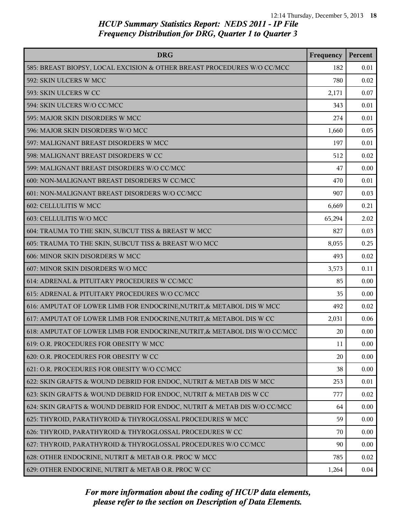| <b>DRG</b>                                                                 | Frequency | Percent |
|----------------------------------------------------------------------------|-----------|---------|
| 585: BREAST BIOPSY, LOCAL EXCISION & OTHER BREAST PROCEDURES W/O CC/MCC    | 182       | 0.01    |
| 592: SKIN ULCERS W MCC                                                     | 780       | 0.02    |
| 593: SKIN ULCERS W CC                                                      | 2,171     | 0.07    |
| 594: SKIN ULCERS W/O CC/MCC                                                | 343       | 0.01    |
| 595: MAJOR SKIN DISORDERS W MCC                                            | 274       | 0.01    |
| 596: MAJOR SKIN DISORDERS W/O MCC                                          | 1,660     | 0.05    |
| 597: MALIGNANT BREAST DISORDERS W MCC                                      | 197       | 0.01    |
| 598: MALIGNANT BREAST DISORDERS W CC                                       | 512       | 0.02    |
| 599: MALIGNANT BREAST DISORDERS W/O CC/MCC                                 | 47        | 0.00    |
| 600: NON-MALIGNANT BREAST DISORDERS W CC/MCC                               | 470       | 0.01    |
| 601: NON-MALIGNANT BREAST DISORDERS W/O CC/MCC                             | 907       | 0.03    |
| 602: CELLULITIS W MCC                                                      | 6,669     | 0.21    |
| 603: CELLULITIS W/O MCC                                                    | 65,294    | 2.02    |
| 604: TRAUMA TO THE SKIN, SUBCUT TISS & BREAST W MCC                        | 827       | 0.03    |
| 605: TRAUMA TO THE SKIN, SUBCUT TISS & BREAST W/O MCC                      | 8,055     | 0.25    |
| 606: MINOR SKIN DISORDERS W MCC                                            | 493       | 0.02    |
| 607: MINOR SKIN DISORDERS W/O MCC                                          | 3,573     | 0.11    |
| 614: ADRENAL & PITUITARY PROCEDURES W CC/MCC                               | 85        | 0.00    |
| 615: ADRENAL & PITUITARY PROCEDURES W/O CC/MCC                             | 35        | 0.00    |
| 616: AMPUTAT OF LOWER LIMB FOR ENDOCRINE, NUTRIT, & METABOL DIS W MCC      | 492       | 0.02    |
| 617: AMPUTAT OF LOWER LIMB FOR ENDOCRINE, NUTRIT, & METABOL DIS W CC       | 2,031     | 0.06    |
| 618: AMPUTAT OF LOWER LIMB FOR ENDOCRINE, NUTRIT, & METABOL DIS W/O CC/MCC | 20        | 0.00    |
| 619: O.R. PROCEDURES FOR OBESITY W MCC                                     | 11        | 0.00    |
| 620: O.R. PROCEDURES FOR OBESITY W CC                                      | 20        | 0.00    |
| 621: O.R. PROCEDURES FOR OBESITY W/O CC/MCC                                | 38        | 0.00    |
| 622: SKIN GRAFTS & WOUND DEBRID FOR ENDOC, NUTRIT & METAB DIS W MCC        | 253       | 0.01    |
| 623: SKIN GRAFTS & WOUND DEBRID FOR ENDOC, NUTRIT & METAB DIS W CC         | 777       | 0.02    |
| 624: SKIN GRAFTS & WOUND DEBRID FOR ENDOC, NUTRIT & METAB DIS W/O CC/MCC   | 64        | 0.00    |
| 625: THYROID, PARATHYROID & THYROGLOSSAL PROCEDURES W MCC                  | 59        | 0.00    |
| 626: THYROID, PARATHYROID & THYROGLOSSAL PROCEDURES W CC                   | 70        | 0.00    |
| 627: THYROID, PARATHYROID & THYROGLOSSAL PROCEDURES W/O CC/MCC             | 90        | 0.00    |
| 628: OTHER ENDOCRINE, NUTRIT & METAB O.R. PROC W MCC                       | 785       | 0.02    |
| 629: OTHER ENDOCRINE, NUTRIT & METAB O.R. PROC W CC                        | 1,264     | 0.04    |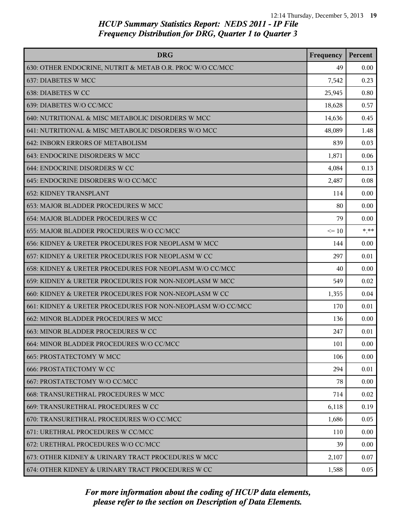| <b>DRG</b>                                                  | Frequency | Percent |
|-------------------------------------------------------------|-----------|---------|
| 630: OTHER ENDOCRINE, NUTRIT & METAB O.R. PROC W/O CC/MCC   | 49        | 0.00    |
| 637: DIABETES W MCC                                         | 7,542     | 0.23    |
| 638: DIABETES W CC                                          | 25,945    | 0.80    |
| 639: DIABETES W/O CC/MCC                                    | 18,628    | 0.57    |
| 640: NUTRITIONAL & MISC METABOLIC DISORDERS W MCC           | 14,636    | 0.45    |
| 641: NUTRITIONAL & MISC METABOLIC DISORDERS W/O MCC         | 48,089    | 1.48    |
| 642: INBORN ERRORS OF METABOLISM                            | 839       | 0.03    |
| 643: ENDOCRINE DISORDERS W MCC                              | 1,871     | 0.06    |
| 644: ENDOCRINE DISORDERS W CC                               | 4,084     | 0.13    |
| 645: ENDOCRINE DISORDERS W/O CC/MCC                         | 2,487     | 0.08    |
| <b>652: KIDNEY TRANSPLANT</b>                               | 114       | 0.00    |
| 653: MAJOR BLADDER PROCEDURES W MCC                         | 80        | 0.00    |
| 654: MAJOR BLADDER PROCEDURES W CC                          | 79        | 0.00    |
| 655: MAJOR BLADDER PROCEDURES W/O CC/MCC                    | $\leq 10$ | $* * *$ |
| 656: KIDNEY & URETER PROCEDURES FOR NEOPLASM W MCC          | 144       | 0.00    |
| 657: KIDNEY & URETER PROCEDURES FOR NEOPLASM W CC           | 297       | 0.01    |
| 658: KIDNEY & URETER PROCEDURES FOR NEOPLASM W/O CC/MCC     | 40        | 0.00    |
| 659: KIDNEY & URETER PROCEDURES FOR NON-NEOPLASM W MCC      | 549       | 0.02    |
| 660: KIDNEY & URETER PROCEDURES FOR NON-NEOPLASM W CC       | 1,355     | 0.04    |
| 661: KIDNEY & URETER PROCEDURES FOR NON-NEOPLASM W/O CC/MCC | 170       | 0.01    |
| 662: MINOR BLADDER PROCEDURES W MCC                         | 136       | 0.00    |
| 663: MINOR BLADDER PROCEDURES W CC                          | 247       | 0.01    |
| 664: MINOR BLADDER PROCEDURES W/O CC/MCC                    | 101       | 0.00    |
| <b>665: PROSTATECTOMY W MCC</b>                             | 106       | 0.00    |
| <b>666: PROSTATECTOMY W CC</b>                              | 294       | 0.01    |
| 667: PROSTATECTOMY W/O CC/MCC                               | 78        | 0.00    |
| 668: TRANSURETHRAL PROCEDURES W MCC                         | 714       | 0.02    |
| 669: TRANSURETHRAL PROCEDURES W CC                          | 6,118     | 0.19    |
| 670: TRANSURETHRAL PROCEDURES W/O CC/MCC                    | 1,686     | 0.05    |
| 671: URETHRAL PROCEDURES W CC/MCC                           | 110       | 0.00    |
| 672: URETHRAL PROCEDURES W/O CC/MCC                         | 39        | 0.00    |
| 673: OTHER KIDNEY & URINARY TRACT PROCEDURES W MCC          | 2,107     | 0.07    |
| 674: OTHER KIDNEY & URINARY TRACT PROCEDURES W CC           | 1,588     | 0.05    |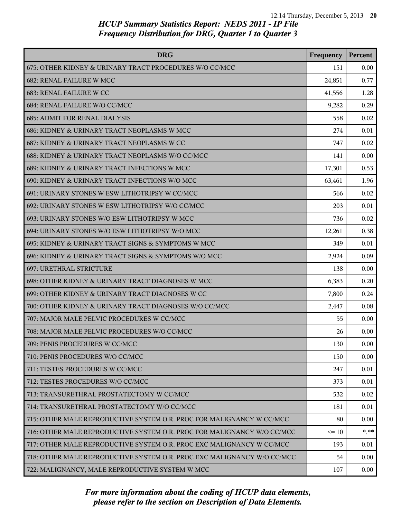| <b>DRG</b>                                                              | Frequency | Percent |
|-------------------------------------------------------------------------|-----------|---------|
| 675: OTHER KIDNEY & URINARY TRACT PROCEDURES W/O CC/MCC                 | 151       | 0.00    |
| <b>682: RENAL FAILURE W MCC</b>                                         | 24,851    | 0.77    |
| 683: RENAL FAILURE W CC                                                 | 41,556    | 1.28    |
| 684: RENAL FAILURE W/O CC/MCC                                           | 9,282     | 0.29    |
| <b>685: ADMIT FOR RENAL DIALYSIS</b>                                    | 558       | 0.02    |
| 686: KIDNEY & URINARY TRACT NEOPLASMS W MCC                             | 274       | 0.01    |
| 687: KIDNEY & URINARY TRACT NEOPLASMS W CC                              | 747       | 0.02    |
| 688: KIDNEY & URINARY TRACT NEOPLASMS W/O CC/MCC                        | 141       | 0.00    |
| 689: KIDNEY & URINARY TRACT INFECTIONS W MCC                            | 17,301    | 0.53    |
| 690: KIDNEY & URINARY TRACT INFECTIONS W/O MCC                          | 63,461    | 1.96    |
| 691: URINARY STONES W ESW LITHOTRIPSY W CC/MCC                          | 566       | 0.02    |
| 692: URINARY STONES W ESW LITHOTRIPSY W/O CC/MCC                        | 203       | 0.01    |
| 693: URINARY STONES W/O ESW LITHOTRIPSY W MCC                           | 736       | 0.02    |
| 694: URINARY STONES W/O ESW LITHOTRIPSY W/O MCC                         | 12,261    | 0.38    |
| 695: KIDNEY & URINARY TRACT SIGNS & SYMPTOMS W MCC                      | 349       | 0.01    |
| 696: KIDNEY & URINARY TRACT SIGNS & SYMPTOMS W/O MCC                    | 2,924     | 0.09    |
| <b>697: URETHRAL STRICTURE</b>                                          | 138       | 0.00    |
| 698: OTHER KIDNEY & URINARY TRACT DIAGNOSES W MCC                       | 6,383     | 0.20    |
| 699: OTHER KIDNEY & URINARY TRACT DIAGNOSES W CC                        | 7,800     | 0.24    |
| 700: OTHER KIDNEY & URINARY TRACT DIAGNOSES W/O CC/MCC                  | 2,447     | 0.08    |
| 707: MAJOR MALE PELVIC PROCEDURES W CC/MCC                              | 55        | 0.00    |
| 708: MAJOR MALE PELVIC PROCEDURES W/O CC/MCC                            | 26        | 0.00    |
| 709: PENIS PROCEDURES W CC/MCC                                          | 130       | 0.00    |
| 710: PENIS PROCEDURES W/O CC/MCC                                        | 150       | 0.00    |
| 711: TESTES PROCEDURES W CC/MCC                                         | 247       | 0.01    |
| 712: TESTES PROCEDURES W/O CC/MCC                                       | 373       | 0.01    |
| 713: TRANSURETHRAL PROSTATECTOMY W CC/MCC                               | 532       | 0.02    |
| 714: TRANSURETHRAL PROSTATECTOMY W/O CC/MCC                             | 181       | 0.01    |
| 715: OTHER MALE REPRODUCTIVE SYSTEM O.R. PROC FOR MALIGNANCY W CC/MCC   | 80        | 0.00    |
| 716: OTHER MALE REPRODUCTIVE SYSTEM O.R. PROC FOR MALIGNANCY W/O CC/MCC | $\leq 10$ | * **    |
| 717: OTHER MALE REPRODUCTIVE SYSTEM O.R. PROC EXC MALIGNANCY W CC/MCC   | 193       | 0.01    |
| 718: OTHER MALE REPRODUCTIVE SYSTEM O.R. PROC EXC MALIGNANCY W/O CC/MCC | 54        | 0.00    |
| 722: MALIGNANCY, MALE REPRODUCTIVE SYSTEM W MCC                         | 107       | 0.00    |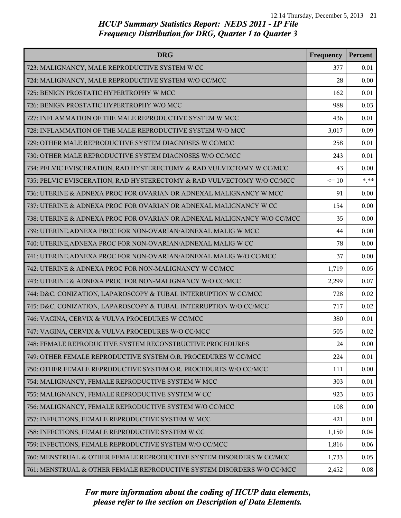| <b>DRG</b>                                                              | Frequency | Percent |
|-------------------------------------------------------------------------|-----------|---------|
| 723: MALIGNANCY, MALE REPRODUCTIVE SYSTEM W CC                          | 377       | 0.01    |
| 724: MALIGNANCY, MALE REPRODUCTIVE SYSTEM W/O CC/MCC                    | 28        | 0.00    |
| 725: BENIGN PROSTATIC HYPERTROPHY W MCC                                 | 162       | 0.01    |
| 726: BENIGN PROSTATIC HYPERTROPHY W/O MCC                               | 988       | 0.03    |
| 727: INFLAMMATION OF THE MALE REPRODUCTIVE SYSTEM W MCC                 | 436       | 0.01    |
| 728: INFLAMMATION OF THE MALE REPRODUCTIVE SYSTEM W/O MCC               | 3,017     | 0.09    |
| 729: OTHER MALE REPRODUCTIVE SYSTEM DIAGNOSES W CC/MCC                  | 258       | 0.01    |
| 730: OTHER MALE REPRODUCTIVE SYSTEM DIAGNOSES W/O CC/MCC                | 243       | 0.01    |
| 734: PELVIC EVISCERATION, RAD HYSTERECTOMY & RAD VULVECTOMY W CC/MCC    | 43        | 0.00    |
| 735: PELVIC EVISCERATION, RAD HYSTERECTOMY & RAD VULVECTOMY W/O CC/MCC  | $\leq 10$ | $* * *$ |
| 736: UTERINE & ADNEXA PROC FOR OVARIAN OR ADNEXAL MALIGNANCY W MCC      | 91        | 0.00    |
| 737: UTERINE & ADNEXA PROC FOR OVARIAN OR ADNEXAL MALIGNANCY W CC       | 154       | 0.00    |
| 738: UTERINE & ADNEXA PROC FOR OVARIAN OR ADNEXAL MALIGNANCY W/O CC/MCC | 35        | 0.00    |
| 739: UTERINE, ADNEXA PROC FOR NON-OVARIAN/ADNEXAL MALIG W MCC           | 44        | 0.00    |
| 740: UTERINE, ADNEXA PROC FOR NON-OVARIAN/ADNEXAL MALIG W CC            | 78        | 0.00    |
| 741: UTERINE, ADNEXA PROC FOR NON-OVARIAN/ADNEXAL MALIG W/O CC/MCC      | 37        | 0.00    |
| 742: UTERINE & ADNEXA PROC FOR NON-MALIGNANCY W CC/MCC                  | 1,719     | 0.05    |
| 743: UTERINE & ADNEXA PROC FOR NON-MALIGNANCY W/O CC/MCC                | 2,299     | 0.07    |
| 744: D&C, CONIZATION, LAPAROSCOPY & TUBAL INTERRUPTION W CC/MCC         | 728       | 0.02    |
| 745: D&C, CONIZATION, LAPAROSCOPY & TUBAL INTERRUPTION W/O CC/MCC       | 717       | 0.02    |
| 746: VAGINA, CERVIX & VULVA PROCEDURES W CC/MCC                         | 380       | 0.01    |
| 747: VAGINA, CERVIX & VULVA PROCEDURES W/O CC/MCC                       | 505       | 0.02    |
| 748: FEMALE REPRODUCTIVE SYSTEM RECONSTRUCTIVE PROCEDURES               | 24        | 0.00    |
| 749: OTHER FEMALE REPRODUCTIVE SYSTEM O.R. PROCEDURES W CC/MCC          | 224       | 0.01    |
| 750: OTHER FEMALE REPRODUCTIVE SYSTEM O.R. PROCEDURES W/O CC/MCC        | 111       | 0.00    |
| 754: MALIGNANCY, FEMALE REPRODUCTIVE SYSTEM W MCC                       | 303       | 0.01    |
| 755: MALIGNANCY, FEMALE REPRODUCTIVE SYSTEM W CC                        | 923       | 0.03    |
| 756: MALIGNANCY, FEMALE REPRODUCTIVE SYSTEM W/O CC/MCC                  | 108       | 0.00    |
| 757: INFECTIONS, FEMALE REPRODUCTIVE SYSTEM W MCC                       | 421       | 0.01    |
| 758: INFECTIONS, FEMALE REPRODUCTIVE SYSTEM W CC                        | 1,150     | 0.04    |
| 759: INFECTIONS, FEMALE REPRODUCTIVE SYSTEM W/O CC/MCC                  | 1,816     | 0.06    |
| 760: MENSTRUAL & OTHER FEMALE REPRODUCTIVE SYSTEM DISORDERS W CC/MCC    | 1,733     | 0.05    |
| 761: MENSTRUAL & OTHER FEMALE REPRODUCTIVE SYSTEM DISORDERS W/O CC/MCC  | 2,452     | 0.08    |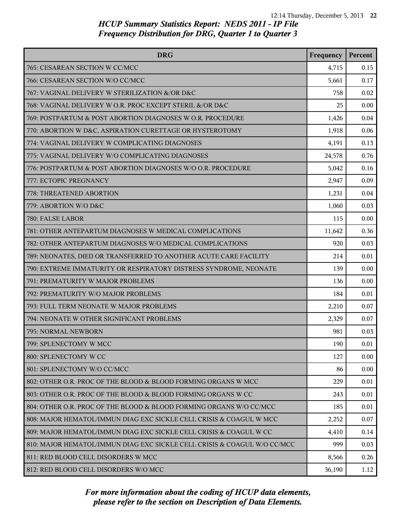| <b>DRG</b>                                                               | Frequency | Percent |
|--------------------------------------------------------------------------|-----------|---------|
| 765: CESAREAN SECTION W CC/MCC                                           | 4,715     | 0.15    |
| 766: CESAREAN SECTION W/O CC/MCC                                         | 5,661     | 0.17    |
| 767: VAGINAL DELIVERY W STERILIZATION &/OR D&C                           | 758       | 0.02    |
| 768: VAGINAL DELIVERY W O.R. PROC EXCEPT STERIL &/OR D&C                 | 25        | 0.00    |
| 769: POSTPARTUM & POST ABORTION DIAGNOSES W O.R. PROCEDURE               | 1,426     | 0.04    |
| 770: ABORTION W D&C, ASPIRATION CURETTAGE OR HYSTEROTOMY                 | 1,918     | 0.06    |
| 774: VAGINAL DELIVERY W COMPLICATING DIAGNOSES                           | 4,191     | 0.13    |
| 775: VAGINAL DELIVERY W/O COMPLICATING DIAGNOSES                         | 24,578    | 0.76    |
| 776: POSTPARTUM & POST ABORTION DIAGNOSES W/O O.R. PROCEDURE             | 5,042     | 0.16    |
| 777: ECTOPIC PREGNANCY                                                   | 2,947     | 0.09    |
| 778: THREATENED ABORTION                                                 | 1,231     | 0.04    |
| 779: ABORTION W/O D&C                                                    | 1,060     | 0.03    |
| 780: FALSE LABOR                                                         | 115       | 0.00    |
| 781: OTHER ANTEPARTUM DIAGNOSES W MEDICAL COMPLICATIONS                  | 11,642    | 0.36    |
| 782: OTHER ANTEPARTUM DIAGNOSES W/O MEDICAL COMPLICATIONS                | 920       | 0.03    |
| 789: NEONATES, DIED OR TRANSFERRED TO ANOTHER ACUTE CARE FACILITY        | 214       | 0.01    |
| 790: EXTREME IMMATURITY OR RESPIRATORY DISTRESS SYNDROME, NEONATE        | 139       | 0.00    |
| 791: PREMATURITY W MAJOR PROBLEMS                                        | 136       | 0.00    |
| 792: PREMATURITY W/O MAJOR PROBLEMS                                      | 184       | 0.01    |
| 793: FULL TERM NEONATE W MAJOR PROBLEMS                                  | 2,210     | 0.07    |
| 794: NEONATE W OTHER SIGNIFICANT PROBLEMS                                | 2,329     | 0.07    |
| 795: NORMAL NEWBORN                                                      | 981       | 0.03    |
| 799: SPLENECTOMY W MCC                                                   | 190       | 0.01    |
| 800: SPLENECTOMY W CC                                                    | 127       | 0.00    |
| 801: SPLENECTOMY W/O CC/MCC                                              | 86        | 0.00    |
| 802: OTHER O.R. PROC OF THE BLOOD & BLOOD FORMING ORGANS W MCC           | 229       | 0.01    |
| 803: OTHER O.R. PROC OF THE BLOOD & BLOOD FORMING ORGANS W CC            | 243       | 0.01    |
| 804: OTHER O.R. PROC OF THE BLOOD & BLOOD FORMING ORGANS W/O CC/MCC      | 185       | 0.01    |
| 808: MAJOR HEMATOL/IMMUN DIAG EXC SICKLE CELL CRISIS & COAGUL W MCC      | 2,252     | 0.07    |
| 809: MAJOR HEMATOL/IMMUN DIAG EXC SICKLE CELL CRISIS & COAGUL W CC       | 4,410     | 0.14    |
| 810: MAJOR HEMATOL/IMMUN DIAG EXC SICKLE CELL CRISIS & COAGUL W/O CC/MCC | 999       | 0.03    |
| 811: RED BLOOD CELL DISORDERS W MCC                                      | 8,566     | 0.26    |
| 812: RED BLOOD CELL DISORDERS W/O MCC                                    | 36,190    | 1.12    |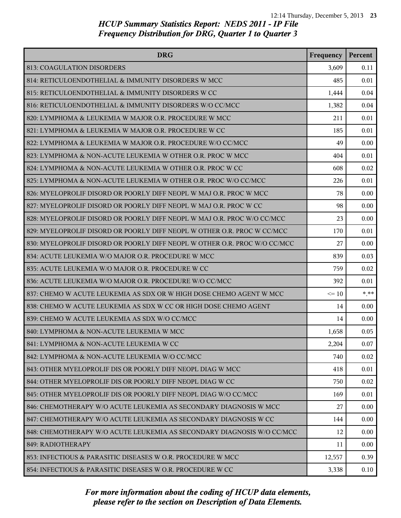| <b>DRG</b>                                                                | Frequency | Percent |
|---------------------------------------------------------------------------|-----------|---------|
| 813: COAGULATION DISORDERS                                                | 3,609     | 0.11    |
| 814: RETICULOENDOTHELIAL & IMMUNITY DISORDERS W MCC                       | 485       | 0.01    |
| 815: RETICULOENDOTHELIAL & IMMUNITY DISORDERS W CC                        | 1,444     | 0.04    |
| 816: RETICULOENDOTHELIAL & IMMUNITY DISORDERS W/O CC/MCC                  | 1,382     | 0.04    |
| 820: LYMPHOMA & LEUKEMIA W MAJOR O.R. PROCEDURE W MCC                     | 211       | 0.01    |
| 821: LYMPHOMA & LEUKEMIA W MAJOR O.R. PROCEDURE W CC                      | 185       | 0.01    |
| 822: LYMPHOMA & LEUKEMIA W MAJOR O.R. PROCEDURE W/O CC/MCC                | 49        | 0.00    |
| 823: LYMPHOMA & NON-ACUTE LEUKEMIA W OTHER O.R. PROC W MCC                | 404       | 0.01    |
| 824: LYMPHOMA & NON-ACUTE LEUKEMIA W OTHER O.R. PROC W CC                 | 608       | 0.02    |
| 825: LYMPHOMA & NON-ACUTE LEUKEMIA W OTHER O.R. PROC W/O CC/MCC           | 226       | 0.01    |
| 826: MYELOPROLIF DISORD OR POORLY DIFF NEOPL W MAJ O.R. PROC W MCC        | 78        | 0.00    |
| 827: MYELOPROLIF DISORD OR POORLY DIFF NEOPL W MAJ O.R. PROC W CC         | 98        | 0.00    |
| 828: MYELOPROLIF DISORD OR POORLY DIFF NEOPL W MAJ O.R. PROC W/O CC/MCC   | 23        | 0.00    |
| 829: MYELOPROLIF DISORD OR POORLY DIFF NEOPL W OTHER O.R. PROC W CC/MCC   | 170       | 0.01    |
| 830: MYELOPROLIF DISORD OR POORLY DIFF NEOPL W OTHER O.R. PROC W/O CC/MCC | 27        | 0.00    |
| 834: ACUTE LEUKEMIA W/O MAJOR O.R. PROCEDURE W MCC                        | 839       | 0.03    |
| 835: ACUTE LEUKEMIA W/O MAJOR O.R. PROCEDURE W CC                         | 759       | 0.02    |
| 836: ACUTE LEUKEMIA W/O MAJOR O.R. PROCEDURE W/O CC/MCC                   | 392       | 0.01    |
| 837: CHEMO W ACUTE LEUKEMIA AS SDX OR W HIGH DOSE CHEMO AGENT W MCC       | $\leq 10$ | $* * *$ |
| 838: CHEMO W ACUTE LEUKEMIA AS SDX W CC OR HIGH DOSE CHEMO AGENT          | 14        | 0.00    |
| 839: CHEMO W ACUTE LEUKEMIA AS SDX W/O CC/MCC                             | 14        | 0.00    |
| 840: LYMPHOMA & NON-ACUTE LEUKEMIA W MCC                                  | 1,658     | 0.05    |
| 841: LYMPHOMA & NON-ACUTE LEUKEMIA W CC                                   | 2,204     | 0.07    |
| 842: LYMPHOMA & NON-ACUTE LEUKEMIA W/O CC/MCC                             | 740       | 0.02    |
| 843: OTHER MYELOPROLIF DIS OR POORLY DIFF NEOPL DIAG W MCC                | 418       | 0.01    |
| 844: OTHER MYELOPROLIF DIS OR POORLY DIFF NEOPL DIAG W CC                 | 750       | 0.02    |
| 845: OTHER MYELOPROLIF DIS OR POORLY DIFF NEOPL DIAG W/O CC/MCC           | 169       | 0.01    |
| 846: CHEMOTHERAPY W/O ACUTE LEUKEMIA AS SECONDARY DIAGNOSIS W MCC         | 27        | 0.00    |
| 847: CHEMOTHERAPY W/O ACUTE LEUKEMIA AS SECONDARY DIAGNOSIS W CC          | 144       | 0.00    |
| 848: CHEMOTHERAPY W/O ACUTE LEUKEMIA AS SECONDARY DIAGNOSIS W/O CC/MCC    | 12        | 0.00    |
| 849: RADIOTHERAPY                                                         | 11        | 0.00    |
| 853: INFECTIOUS & PARASITIC DISEASES W O.R. PROCEDURE W MCC               | 12,557    | 0.39    |
| 854: INFECTIOUS & PARASITIC DISEASES W O.R. PROCEDURE W CC                | 3,338     | 0.10    |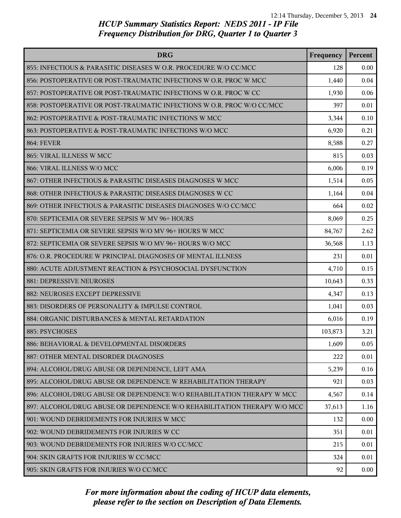| <b>DRG</b>                                                               | Frequency | Percent |
|--------------------------------------------------------------------------|-----------|---------|
| 855: INFECTIOUS & PARASITIC DISEASES W O.R. PROCEDURE W/O CC/MCC         | 128       | 0.00    |
| 856: POSTOPERATIVE OR POST-TRAUMATIC INFECTIONS W O.R. PROC W MCC        | 1,440     | 0.04    |
| 857: POSTOPERATIVE OR POST-TRAUMATIC INFECTIONS W O.R. PROC W CC         | 1,930     | 0.06    |
| 858: POSTOPERATIVE OR POST-TRAUMATIC INFECTIONS W O.R. PROC W/O CC/MCC   | 397       | 0.01    |
| 862: POSTOPERATIVE & POST-TRAUMATIC INFECTIONS W MCC                     | 3,344     | 0.10    |
| 863: POSTOPERATIVE & POST-TRAUMATIC INFECTIONS W/O MCC                   | 6,920     | 0.21    |
| <b>864: FEVER</b>                                                        | 8,588     | 0.27    |
| 865: VIRAL ILLNESS W MCC                                                 | 815       | 0.03    |
| 866: VIRAL ILLNESS W/O MCC                                               | 6,006     | 0.19    |
| 867: OTHER INFECTIOUS & PARASITIC DISEASES DIAGNOSES W MCC               | 1,514     | 0.05    |
| 868: OTHER INFECTIOUS & PARASITIC DISEASES DIAGNOSES W CC                | 1,164     | 0.04    |
| 869: OTHER INFECTIOUS & PARASITIC DISEASES DIAGNOSES W/O CC/MCC          | 664       | 0.02    |
| 870: SEPTICEMIA OR SEVERE SEPSIS W MV 96+ HOURS                          | 8,069     | 0.25    |
| 871: SEPTICEMIA OR SEVERE SEPSIS W/O MV 96+ HOURS W MCC                  | 84,767    | 2.62    |
| 872: SEPTICEMIA OR SEVERE SEPSIS W/O MV 96+ HOURS W/O MCC                | 36,568    | 1.13    |
| 876: O.R. PROCEDURE W PRINCIPAL DIAGNOSES OF MENTAL ILLNESS              | 231       | 0.01    |
| 880: ACUTE ADJUSTMENT REACTION & PSYCHOSOCIAL DYSFUNCTION                | 4,710     | 0.15    |
| 881: DEPRESSIVE NEUROSES                                                 | 10,643    | 0.33    |
| 882: NEUROSES EXCEPT DEPRESSIVE                                          | 4,347     | 0.13    |
| 883: DISORDERS OF PERSONALITY & IMPULSE CONTROL                          | 1,041     | 0.03    |
| 884: ORGANIC DISTURBANCES & MENTAL RETARDATION                           | 6,016     | 0.19    |
| 885: PSYCHOSES                                                           | 103,873   | 3.21    |
| 886: BEHAVIORAL & DEVELOPMENTAL DISORDERS                                | 1,609     | 0.05    |
| 887: OTHER MENTAL DISORDER DIAGNOSES                                     | 222       | 0.01    |
| 894: ALCOHOL/DRUG ABUSE OR DEPENDENCE, LEFT AMA                          | 5,239     | 0.16    |
| 895: ALCOHOL/DRUG ABUSE OR DEPENDENCE W REHABILITATION THERAPY           | 921       | 0.03    |
| 896: ALCOHOL/DRUG ABUSE OR DEPENDENCE W/O REHABILITATION THERAPY W MCC   | 4,567     | 0.14    |
| 897: ALCOHOL/DRUG ABUSE OR DEPENDENCE W/O REHABILITATION THERAPY W/O MCC | 37,613    | 1.16    |
| 901: WOUND DEBRIDEMENTS FOR INJURIES W MCC                               | 132       | 0.00    |
| 902: WOUND DEBRIDEMENTS FOR INJURIES W CC                                | 351       | 0.01    |
| 903: WOUND DEBRIDEMENTS FOR INJURIES W/O CC/MCC                          | 215       | 0.01    |
| 904: SKIN GRAFTS FOR INJURIES W CC/MCC                                   | 324       | 0.01    |
| 905: SKIN GRAFTS FOR INJURIES W/O CC/MCC                                 | 92        | 0.00    |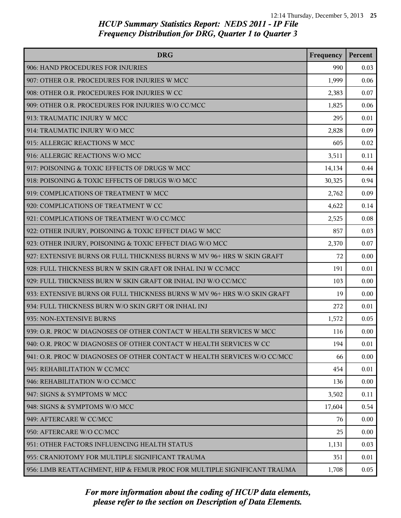| <b>DRG</b>                                                               | Frequency | Percent |
|--------------------------------------------------------------------------|-----------|---------|
| 906: HAND PROCEDURES FOR INJURIES                                        | 990       | 0.03    |
| 907: OTHER O.R. PROCEDURES FOR INJURIES W MCC                            | 1,999     | 0.06    |
| 908: OTHER O.R. PROCEDURES FOR INJURIES W CC                             | 2,383     | 0.07    |
| 909: OTHER O.R. PROCEDURES FOR INJURIES W/O CC/MCC                       | 1,825     | 0.06    |
| 913: TRAUMATIC INJURY W MCC                                              | 295       | 0.01    |
| 914: TRAUMATIC INJURY W/O MCC                                            | 2,828     | 0.09    |
| 915: ALLERGIC REACTIONS W MCC                                            | 605       | 0.02    |
| 916: ALLERGIC REACTIONS W/O MCC                                          | 3,511     | 0.11    |
| 917: POISONING & TOXIC EFFECTS OF DRUGS W MCC                            | 14,134    | 0.44    |
| 918: POISONING & TOXIC EFFECTS OF DRUGS W/O MCC                          | 30,325    | 0.94    |
| 919: COMPLICATIONS OF TREATMENT W MCC                                    | 2,762     | 0.09    |
| 920: COMPLICATIONS OF TREATMENT W CC                                     | 4,622     | 0.14    |
| 921: COMPLICATIONS OF TREATMENT W/O CC/MCC                               | 2,525     | 0.08    |
| 922: OTHER INJURY, POISONING & TOXIC EFFECT DIAG W MCC                   | 857       | 0.03    |
| 923: OTHER INJURY, POISONING & TOXIC EFFECT DIAG W/O MCC                 | 2,370     | 0.07    |
| 927: EXTENSIVE BURNS OR FULL THICKNESS BURNS W MV 96+ HRS W SKIN GRAFT   | 72        | 0.00    |
| 928: FULL THICKNESS BURN W SKIN GRAFT OR INHAL INJ W CC/MCC              | 191       | 0.01    |
| 929: FULL THICKNESS BURN W SKIN GRAFT OR INHAL INJ W/O CC/MCC            | 103       | 0.00    |
| 933: EXTENSIVE BURNS OR FULL THICKNESS BURNS W MV 96+ HRS W/O SKIN GRAFT | 19        | 0.00    |
| 934: FULL THICKNESS BURN W/O SKIN GRFT OR INHAL INJ                      | 272       | 0.01    |
| 935: NON-EXTENSIVE BURNS                                                 | 1,572     | 0.05    |
| 939: O.R. PROC W DIAGNOSES OF OTHER CONTACT W HEALTH SERVICES W MCC      | 116       | 0.00    |
| 940: O.R. PROC W DIAGNOSES OF OTHER CONTACT W HEALTH SERVICES W CC       | 194       | 0.01    |
| 941: O.R. PROC W DIAGNOSES OF OTHER CONTACT W HEALTH SERVICES W/O CC/MCC | 66        | 0.00    |
| 945: REHABILITATION W CC/MCC                                             | 454       | 0.01    |
| 946: REHABILITATION W/O CC/MCC                                           | 136       | 0.00    |
| 947: SIGNS & SYMPTOMS W MCC                                              | 3,502     | 0.11    |
| 948: SIGNS & SYMPTOMS W/O MCC                                            | 17,604    | 0.54    |
| 949: AFTERCARE W CC/MCC                                                  | 76        | 0.00    |
| 950: AFTERCARE W/O CC/MCC                                                | 25        | 0.00    |
| 951: OTHER FACTORS INFLUENCING HEALTH STATUS                             | 1,131     | 0.03    |
| 955: CRANIOTOMY FOR MULTIPLE SIGNIFICANT TRAUMA                          | 351       | 0.01    |
| 956: LIMB REATTACHMENT, HIP & FEMUR PROC FOR MULTIPLE SIGNIFICANT TRAUMA | 1,708     | 0.05    |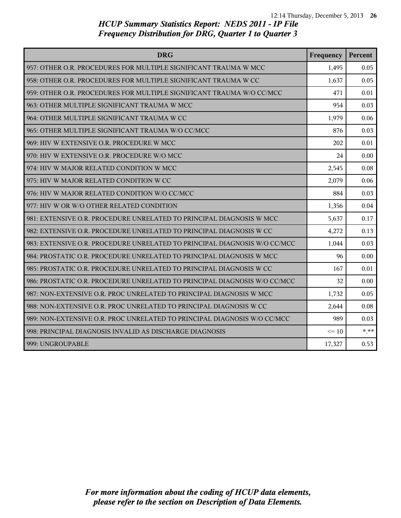| <b>DRG</b>                                                                | Frequency | Percent |
|---------------------------------------------------------------------------|-----------|---------|
| 957: OTHER O.R. PROCEDURES FOR MULTIPLE SIGNIFICANT TRAUMA W MCC          | 1,495     | 0.05    |
| 958: OTHER O.R. PROCEDURES FOR MULTIPLE SIGNIFICANT TRAUMA W CC           | 1,637     | 0.05    |
| 959: OTHER O.R. PROCEDURES FOR MULTIPLE SIGNIFICANT TRAUMA W/O CC/MCC     | 471       | 0.01    |
| 963: OTHER MULTIPLE SIGNIFICANT TRAUMA W MCC                              | 954       | 0.03    |
| 964: OTHER MULTIPLE SIGNIFICANT TRAUMA W CC                               | 1,979     | 0.06    |
| 965: OTHER MULTIPLE SIGNIFICANT TRAUMA W/O CC/MCC                         | 876       | 0.03    |
| 969: HIV W EXTENSIVE O.R. PROCEDURE W MCC                                 | 202       | 0.01    |
| 970: HIV W EXTENSIVE O.R. PROCEDURE W/O MCC                               | 24        | 0.00    |
| 974: HIV W MAJOR RELATED CONDITION W MCC                                  | 2,545     | 0.08    |
| 975: HIV W MAJOR RELATED CONDITION W CC                                   | 2,079     | 0.06    |
| 976: HIV W MAJOR RELATED CONDITION W/O CC/MCC                             | 884       | 0.03    |
| 977: HIV W OR W/O OTHER RELATED CONDITION                                 | 1,356     | 0.04    |
| 981: EXTENSIVE O.R. PROCEDURE UNRELATED TO PRINCIPAL DIAGNOSIS W MCC      | 5,637     | 0.17    |
| 982: EXTENSIVE O.R. PROCEDURE UNRELATED TO PRINCIPAL DIAGNOSIS W CC       | 4,272     | 0.13    |
| 983: EXTENSIVE O.R. PROCEDURE UNRELATED TO PRINCIPAL DIAGNOSIS W/O CC/MCC | 1,044     | 0.03    |
| 984: PROSTATIC O.R. PROCEDURE UNRELATED TO PRINCIPAL DIAGNOSIS W MCC      | 96        | 0.00    |
| 985: PROSTATIC O.R. PROCEDURE UNRELATED TO PRINCIPAL DIAGNOSIS W CC       | 167       | 0.01    |
| 986: PROSTATIC O.R. PROCEDURE UNRELATED TO PRINCIPAL DIAGNOSIS W/O CC/MCC | 32        | 0.00    |
| 987: NON-EXTENSIVE O.R. PROC UNRELATED TO PRINCIPAL DIAGNOSIS W MCC       | 1,732     | 0.05    |
| 988: NON-EXTENSIVE O.R. PROC UNRELATED TO PRINCIPAL DIAGNOSIS W CC        | 2,644     | 0.08    |
| 989: NON-EXTENSIVE O.R. PROC UNRELATED TO PRINCIPAL DIAGNOSIS W/O CC/MCC  | 989       | 0.03    |
| 998: PRINCIPAL DIAGNOSIS INVALID AS DISCHARGE DIAGNOSIS                   | $\leq 10$ | $***$   |
| 999: UNGROUPABLE                                                          | 17,327    | 0.53    |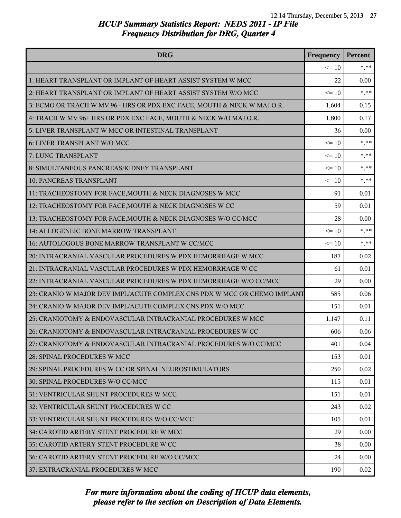| <b>DRG</b>                                                               | Frequency | Percent |
|--------------------------------------------------------------------------|-----------|---------|
|                                                                          | $\leq 10$ | $* * *$ |
| 1: HEART TRANSPLANT OR IMPLANT OF HEART ASSIST SYSTEM W MCC              | 22        | 0.00    |
| 2: HEART TRANSPLANT OR IMPLANT OF HEART ASSIST SYSTEM W/O MCC            | $\leq 10$ | $***$   |
| 3: ECMO OR TRACH W MV 96+ HRS OR PDX EXC FACE, MOUTH & NECK W MAJ O.R.   | 1,604     | 0.15    |
| 4: TRACH W MV 96+ HRS OR PDX EXC FACE, MOUTH & NECK W/O MAJ O.R.         | 1,800     | 0.17    |
| 5: LIVER TRANSPLANT W MCC OR INTESTINAL TRANSPLANT                       | 36        | 0.00    |
| 6: LIVER TRANSPLANT W/O MCC                                              | $\leq 10$ | $***$   |
| 7: LUNG TRANSPLANT                                                       | $\leq 10$ | $***$   |
| 8: SIMULTANEOUS PANCREAS/KIDNEY TRANSPLANT                               | $\leq 10$ | $* * *$ |
| <b>10: PANCREAS TRANSPLANT</b>                                           | $\leq 10$ | $***$   |
| 11: TRACHEOSTOMY FOR FACE, MOUTH & NECK DIAGNOSES W MCC                  | 91        | 0.01    |
| 12: TRACHEOSTOMY FOR FACE, MOUTH & NECK DIAGNOSES W CC                   | 59        | 0.01    |
| 13: TRACHEOSTOMY FOR FACE, MOUTH & NECK DIAGNOSES W/O CC/MCC             | 28        | 0.00    |
| 14: ALLOGENEIC BONE MARROW TRANSPLANT                                    | $\leq 10$ | $* * *$ |
| 16: AUTOLOGOUS BONE MARROW TRANSPLANT W CC/MCC                           | $\leq 10$ | $***$   |
| 20: INTRACRANIAL VASCULAR PROCEDURES W PDX HEMORRHAGE W MCC              | 187       | 0.02    |
| 21: INTRACRANIAL VASCULAR PROCEDURES W PDX HEMORRHAGE W CC               | 61        | 0.01    |
| 22: INTRACRANIAL VASCULAR PROCEDURES W PDX HEMORRHAGE W/O CC/MCC         | 29        | 0.00    |
| 23: CRANIO W MAJOR DEV IMPL/ACUTE COMPLEX CNS PDX W MCC OR CHEMO IMPLANT | 585       | 0.06    |
| 24: CRANIO W MAJOR DEV IMPL/ACUTE COMPLEX CNS PDX W/O MCC                | 151       | 0.01    |
| 25: CRANIOTOMY & ENDOVASCULAR INTRACRANIAL PROCEDURES W MCC              | 1,147     | 0.11    |
| 26: CRANIOTOMY & ENDOVASCULAR INTRACRANIAL PROCEDURES W CC               | 606       | 0.06    |
| 27: CRANIOTOMY & ENDOVASCULAR INTRACRANIAL PROCEDURES W/O CC/MCC         | 401       | 0.04    |
| 28: SPINAL PROCEDURES W MCC                                              | 153       | 0.01    |
| 29: SPINAL PROCEDURES W CC OR SPINAL NEUROSTIMULATORS                    | 250       | 0.02    |
| 30: SPINAL PROCEDURES W/O CC/MCC                                         | 115       | 0.01    |
| 31: VENTRICULAR SHUNT PROCEDURES W MCC                                   | 151       | 0.01    |
| 32: VENTRICULAR SHUNT PROCEDURES W CC                                    | 243       | 0.02    |
| 33: VENTRICULAR SHUNT PROCEDURES W/O CC/MCC                              | 105       | 0.01    |
| 34: CAROTID ARTERY STENT PROCEDURE W MCC                                 | 29        | 0.00    |
| 35: CAROTID ARTERY STENT PROCEDURE W CC                                  | 38        | 0.00    |
| 36: CAROTID ARTERY STENT PROCEDURE W/O CC/MCC                            | 24        | 0.00    |
| 37: EXTRACRANIAL PROCEDURES W MCC                                        | 190       | 0.02    |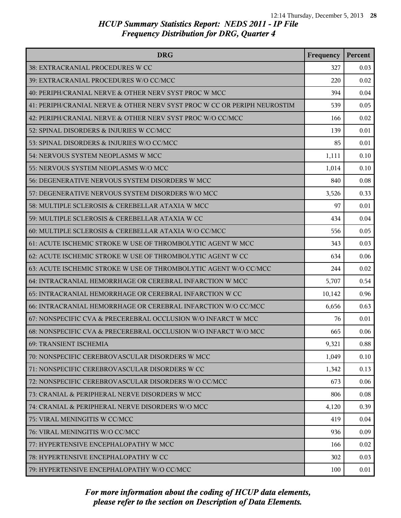| <b>DRG</b>                                                               | Frequency | Percent |
|--------------------------------------------------------------------------|-----------|---------|
| 38: EXTRACRANIAL PROCEDURES W CC                                         | 327       | 0.03    |
| 39: EXTRACRANIAL PROCEDURES W/O CC/MCC                                   | 220       | 0.02    |
| 40: PERIPH/CRANIAL NERVE & OTHER NERV SYST PROC W MCC                    | 394       | 0.04    |
| 41: PERIPH/CRANIAL NERVE & OTHER NERV SYST PROC W CC OR PERIPH NEUROSTIM | 539       | 0.05    |
| 42: PERIPH/CRANIAL NERVE & OTHER NERV SYST PROC W/O CC/MCC               | 166       | 0.02    |
| 52: SPINAL DISORDERS & INJURIES W CC/MCC                                 | 139       | 0.01    |
| 53: SPINAL DISORDERS & INJURIES W/O CC/MCC                               | 85        | 0.01    |
| 54: NERVOUS SYSTEM NEOPLASMS W MCC                                       | 1,111     | 0.10    |
| 55: NERVOUS SYSTEM NEOPLASMS W/O MCC                                     | 1,014     | 0.10    |
| 56: DEGENERATIVE NERVOUS SYSTEM DISORDERS W MCC                          | 840       | 0.08    |
| 57: DEGENERATIVE NERVOUS SYSTEM DISORDERS W/O MCC                        | 3,526     | 0.33    |
| 58: MULTIPLE SCLEROSIS & CEREBELLAR ATAXIA W MCC                         | 97        | 0.01    |
| 59: MULTIPLE SCLEROSIS & CEREBELLAR ATAXIA W CC                          | 434       | 0.04    |
| 60: MULTIPLE SCLEROSIS & CEREBELLAR ATAXIA W/O CC/MCC                    | 556       | 0.05    |
| 61: ACUTE ISCHEMIC STROKE W USE OF THROMBOLYTIC AGENT W MCC              | 343       | 0.03    |
| 62: ACUTE ISCHEMIC STROKE W USE OF THROMBOLYTIC AGENT W CC               | 634       | 0.06    |
| 63: ACUTE ISCHEMIC STROKE W USE OF THROMBOLYTIC AGENT W/O CC/MCC         | 244       | 0.02    |
| 64: INTRACRANIAL HEMORRHAGE OR CEREBRAL INFARCTION W MCC                 | 5,707     | 0.54    |
| 65: INTRACRANIAL HEMORRHAGE OR CEREBRAL INFARCTION W CC                  | 10,142    | 0.96    |
| 66: INTRACRANIAL HEMORRHAGE OR CEREBRAL INFARCTION W/O CC/MCC            | 6,656     | 0.63    |
| 67: NONSPECIFIC CVA & PRECEREBRAL OCCLUSION W/O INFARCT W MCC            | 76        | 0.01    |
| 68: NONSPECIFIC CVA & PRECEREBRAL OCCLUSION W/O INFARCT W/O MCC          | 665       | 0.06    |
| <b>69: TRANSIENT ISCHEMIA</b>                                            | 9,321     | 0.88    |
| 70: NONSPECIFIC CEREBROVASCULAR DISORDERS W MCC                          | 1,049     | 0.10    |
| 71: NONSPECIFIC CEREBROVASCULAR DISORDERS W CC                           | 1,342     | 0.13    |
| 72: NONSPECIFIC CEREBROVASCULAR DISORDERS W/O CC/MCC                     | 673       | 0.06    |
| 73: CRANIAL & PERIPHERAL NERVE DISORDERS W MCC                           | 806       | 0.08    |
| 74: CRANIAL & PERIPHERAL NERVE DISORDERS W/O MCC                         | 4,120     | 0.39    |
| 75: VIRAL MENINGITIS W CC/MCC                                            | 419       | 0.04    |
| 76: VIRAL MENINGITIS W/O CC/MCC                                          | 936       | 0.09    |
| 77: HYPERTENSIVE ENCEPHALOPATHY W MCC                                    | 166       | 0.02    |
| 78: HYPERTENSIVE ENCEPHALOPATHY W CC                                     | 302       | 0.03    |
| 79: HYPERTENSIVE ENCEPHALOPATHY W/O CC/MCC                               | 100       | 0.01    |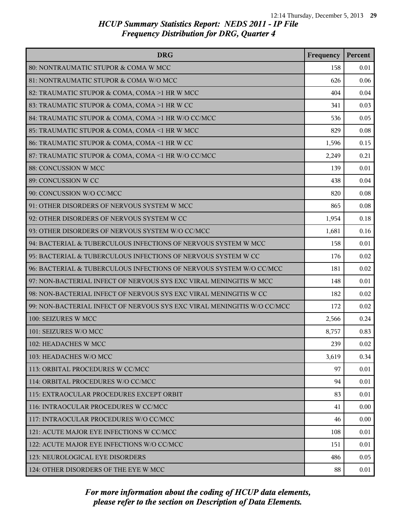| <b>DRG</b>                                                              | Frequency | Percent |
|-------------------------------------------------------------------------|-----------|---------|
| 80: NONTRAUMATIC STUPOR & COMA W MCC                                    | 158       | 0.01    |
| 81: NONTRAUMATIC STUPOR & COMA W/O MCC                                  | 626       | 0.06    |
| 82: TRAUMATIC STUPOR & COMA, COMA >1 HR W MCC                           | 404       | 0.04    |
| 83: TRAUMATIC STUPOR & COMA, COMA >1 HR W CC                            | 341       | 0.03    |
| 84: TRAUMATIC STUPOR & COMA, COMA >1 HR W/O CC/MCC                      | 536       | 0.05    |
| 85: TRAUMATIC STUPOR & COMA, COMA <1 HR W MCC                           | 829       | 0.08    |
| 86: TRAUMATIC STUPOR & COMA, COMA <1 HR W CC                            | 1,596     | 0.15    |
| 87: TRAUMATIC STUPOR & COMA, COMA <1 HR W/O CC/MCC                      | 2,249     | 0.21    |
| 88: CONCUSSION W MCC                                                    | 139       | 0.01    |
| 89: CONCUSSION W CC                                                     | 438       | 0.04    |
| 90: CONCUSSION W/O CC/MCC                                               | 820       | 0.08    |
| 91: OTHER DISORDERS OF NERVOUS SYSTEM W MCC                             | 865       | 0.08    |
| 92: OTHER DISORDERS OF NERVOUS SYSTEM W CC                              | 1,954     | 0.18    |
| 93: OTHER DISORDERS OF NERVOUS SYSTEM W/O CC/MCC                        | 1,681     | 0.16    |
| 94: BACTERIAL & TUBERCULOUS INFECTIONS OF NERVOUS SYSTEM W MCC          | 158       | 0.01    |
| 95: BACTERIAL & TUBERCULOUS INFECTIONS OF NERVOUS SYSTEM W CC           | 176       | 0.02    |
| 96: BACTERIAL & TUBERCULOUS INFECTIONS OF NERVOUS SYSTEM W/O CC/MCC     | 181       | 0.02    |
| 97: NON-BACTERIAL INFECT OF NERVOUS SYS EXC VIRAL MENINGITIS W MCC      | 148       | 0.01    |
| 98: NON-BACTERIAL INFECT OF NERVOUS SYS EXC VIRAL MENINGITIS W CC       | 182       | 0.02    |
| 99: NON-BACTERIAL INFECT OF NERVOUS SYS EXC VIRAL MENINGITIS W/O CC/MCC | 172       | 0.02    |
| 100: SEIZURES W MCC                                                     | 2,566     | 0.24    |
| 101: SEIZURES W/O MCC                                                   | 8,757     | 0.83    |
| 102: HEADACHES W MCC                                                    | 239       | 0.02    |
| 103: HEADACHES W/O MCC                                                  | 3,619     | 0.34    |
| 113: ORBITAL PROCEDURES W CC/MCC                                        | 97        | 0.01    |
| 114: ORBITAL PROCEDURES W/O CC/MCC                                      | 94        | 0.01    |
| l 115: EXTRAOCULAR PROCEDURES EXCEPT ORBIT                              | 83        | 0.01    |
| 116: INTRAOCULAR PROCEDURES W CC/MCC                                    | 41        | 0.00    |
| 117: INTRAOCULAR PROCEDURES W/O CC/MCC                                  | 46        | 0.00    |
| 121: ACUTE MAJOR EYE INFECTIONS W CC/MCC                                | 108       | 0.01    |
| 122: ACUTE MAJOR EYE INFECTIONS W/O CC/MCC                              | 151       | 0.01    |
| 123: NEUROLOGICAL EYE DISORDERS                                         | 486       | 0.05    |
| 124: OTHER DISORDERS OF THE EYE W MCC                                   | 88        | 0.01    |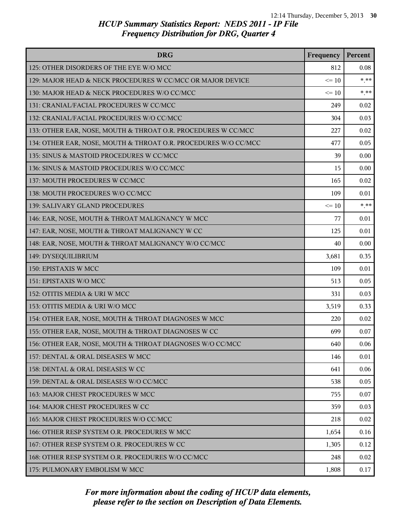| <b>DRG</b>                                                      | Frequency | Percent |
|-----------------------------------------------------------------|-----------|---------|
| 125: OTHER DISORDERS OF THE EYE W/O MCC                         | 812       | 0.08    |
| 129: MAJOR HEAD & NECK PROCEDURES W CC/MCC OR MAJOR DEVICE      | $\leq 10$ | $* * *$ |
| 130: MAJOR HEAD & NECK PROCEDURES W/O CC/MCC                    | $\leq 10$ | $***$   |
| 131: CRANIAL/FACIAL PROCEDURES W CC/MCC                         | 249       | 0.02    |
| 132: CRANIAL/FACIAL PROCEDURES W/O CC/MCC                       | 304       | 0.03    |
| 133: OTHER EAR, NOSE, MOUTH & THROAT O.R. PROCEDURES W CC/MCC   | 227       | 0.02    |
| 134: OTHER EAR, NOSE, MOUTH & THROAT O.R. PROCEDURES W/O CC/MCC | 477       | 0.05    |
| 135: SINUS & MASTOID PROCEDURES W CC/MCC                        | 39        | 0.00    |
| 136: SINUS & MASTOID PROCEDURES W/O CC/MCC                      | 15        | 0.00    |
| 137: MOUTH PROCEDURES W CC/MCC                                  | 165       | 0.02    |
| 138: MOUTH PROCEDURES W/O CC/MCC                                | 109       | 0.01    |
| 139: SALIVARY GLAND PROCEDURES                                  | $\leq 10$ | $***$   |
| 146: EAR, NOSE, MOUTH & THROAT MALIGNANCY W MCC                 | 77        | 0.01    |
| 147: EAR, NOSE, MOUTH & THROAT MALIGNANCY W CC                  | 125       | 0.01    |
| 148: EAR, NOSE, MOUTH & THROAT MALIGNANCY W/O CC/MCC            | 40        | 0.00    |
| 149: DYSEQUILIBRIUM                                             | 3,681     | 0.35    |
| 150: EPISTAXIS W MCC                                            | 109       | 0.01    |
| 151: EPISTAXIS W/O MCC                                          | 513       | 0.05    |
| 152: OTITIS MEDIA & URI W MCC                                   | 331       | 0.03    |
| 153: OTITIS MEDIA & URI W/O MCC                                 | 3,519     | 0.33    |
| 154: OTHER EAR, NOSE, MOUTH & THROAT DIAGNOSES W MCC            | 220       | 0.02    |
| 155: OTHER EAR, NOSE, MOUTH & THROAT DIAGNOSES W CC             | 699       | 0.07    |
| 156: OTHER EAR, NOSE, MOUTH & THROAT DIAGNOSES W/O CC/MCC       | 640       | 0.06    |
| 157: DENTAL & ORAL DISEASES W MCC                               | 146       | 0.01    |
| 158: DENTAL & ORAL DISEASES W CC                                | 641       | 0.06    |
| 159: DENTAL & ORAL DISEASES W/O CC/MCC                          | 538       | 0.05    |
| 163: MAJOR CHEST PROCEDURES W MCC                               | 755       | 0.07    |
| 164: MAJOR CHEST PROCEDURES W CC                                | 359       | 0.03    |
| 165: MAJOR CHEST PROCEDURES W/O CC/MCC                          | 218       | 0.02    |
| 166: OTHER RESP SYSTEM O.R. PROCEDURES W MCC                    | 1,654     | 0.16    |
| 167: OTHER RESP SYSTEM O.R. PROCEDURES W CC                     | 1,305     | 0.12    |
| 168: OTHER RESP SYSTEM O.R. PROCEDURES W/O CC/MCC               | 248       | 0.02    |
| 175: PULMONARY EMBOLISM W MCC                                   | 1,808     | 0.17    |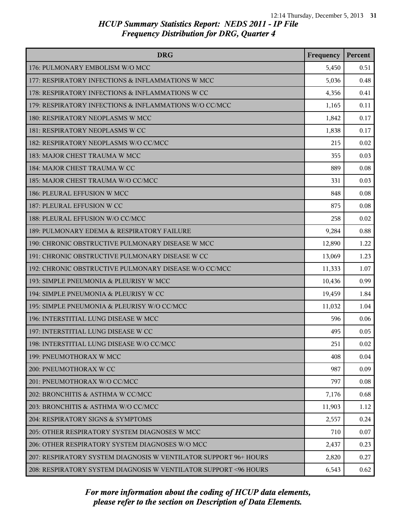| <b>DRG</b>                                                        | Frequency | Percent |
|-------------------------------------------------------------------|-----------|---------|
| 176: PULMONARY EMBOLISM W/O MCC                                   | 5,450     | 0.51    |
| 177: RESPIRATORY INFECTIONS & INFLAMMATIONS W MCC                 | 5,036     | 0.48    |
| 178: RESPIRATORY INFECTIONS & INFLAMMATIONS W CC                  | 4,356     | 0.41    |
| 179: RESPIRATORY INFECTIONS & INFLAMMATIONS W/O CC/MCC            | 1,165     | 0.11    |
| 180: RESPIRATORY NEOPLASMS W MCC                                  | 1,842     | 0.17    |
| 181: RESPIRATORY NEOPLASMS W CC                                   | 1,838     | 0.17    |
| 182: RESPIRATORY NEOPLASMS W/O CC/MCC                             | 215       | 0.02    |
| 183: MAJOR CHEST TRAUMA W MCC                                     | 355       | 0.03    |
| 184: MAJOR CHEST TRAUMA W CC                                      | 889       | 0.08    |
| 185: MAJOR CHEST TRAUMA W/O CC/MCC                                | 331       | 0.03    |
| 186: PLEURAL EFFUSION W MCC                                       | 848       | 0.08    |
| 187: PLEURAL EFFUSION W CC                                        | 875       | 0.08    |
| 188: PLEURAL EFFUSION W/O CC/MCC                                  | 258       | 0.02    |
| 189: PULMONARY EDEMA & RESPIRATORY FAILURE                        | 9,284     | 0.88    |
| 190: CHRONIC OBSTRUCTIVE PULMONARY DISEASE W MCC                  | 12,890    | 1.22    |
| 191: CHRONIC OBSTRUCTIVE PULMONARY DISEASE W CC                   | 13,069    | 1.23    |
| 192: CHRONIC OBSTRUCTIVE PULMONARY DISEASE W/O CC/MCC             | 11,333    | 1.07    |
| 193: SIMPLE PNEUMONIA & PLEURISY W MCC                            | 10,436    | 0.99    |
| 194: SIMPLE PNEUMONIA & PLEURISY W CC                             | 19,459    | 1.84    |
| 195: SIMPLE PNEUMONIA & PLEURISY W/O CC/MCC                       | 11,032    | 1.04    |
| 196: INTERSTITIAL LUNG DISEASE W MCC                              | 596       | 0.06    |
| 197: INTERSTITIAL LUNG DISEASE W CC                               | 495       | 0.05    |
| 198: INTERSTITIAL LUNG DISEASE W/O CC/MCC                         | 251       | 0.02    |
| 199: PNEUMOTHORAX W MCC                                           | 408       | 0.04    |
| 200: PNEUMOTHORAX W CC                                            | 987       | 0.09    |
| 201: PNEUMOTHORAX W/O CC/MCC                                      | 797       | 0.08    |
| 202: BRONCHITIS & ASTHMA W CC/MCC                                 | 7,176     | 0.68    |
| 203: BRONCHITIS & ASTHMA W/O CC/MCC                               | 11,903    | 1.12    |
| 204: RESPIRATORY SIGNS & SYMPTOMS                                 | 2,557     | 0.24    |
| 205: OTHER RESPIRATORY SYSTEM DIAGNOSES W MCC                     | 710       | 0.07    |
| 206: OTHER RESPIRATORY SYSTEM DIAGNOSES W/O MCC                   | 2,437     | 0.23    |
| 207: RESPIRATORY SYSTEM DIAGNOSIS W VENTILATOR SUPPORT 96+ HOURS  | 2,820     | 0.27    |
| 208: RESPIRATORY SYSTEM DIAGNOSIS W VENTILATOR SUPPORT < 96 HOURS | 6,543     | 0.62    |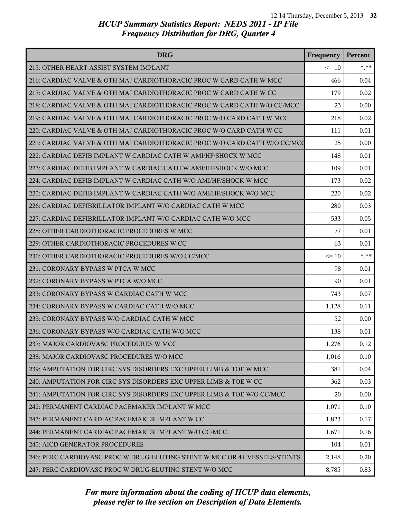| <b>DRG</b>                                                                | Frequency | Percent  |
|---------------------------------------------------------------------------|-----------|----------|
| 215: OTHER HEART ASSIST SYSTEM IMPLANT                                    | $\leq 10$ | $*$ $**$ |
| 216: CARDIAC VALVE & OTH MAJ CARDIOTHORACIC PROC W CARD CATH W MCC        | 466       | 0.04     |
| 217: CARDIAC VALVE & OTH MAJ CARDIOTHORACIC PROC W CARD CATH W CC         | 179       | 0.02     |
| 218: CARDIAC VALVE & OTH MAJ CARDIOTHORACIC PROC W CARD CATH W/O CC/MCC   | 23        | 0.00     |
| 219: CARDIAC VALVE & OTH MAJ CARDIOTHORACIC PROC W/O CARD CATH W MCC      | 218       | 0.02     |
| 220: CARDIAC VALVE & OTH MAJ CARDIOTHORACIC PROC W/O CARD CATH W CC       | 111       | 0.01     |
| 221: CARDIAC VALVE & OTH MAJ CARDIOTHORACIC PROC W/O CARD CATH W/O CC/MCQ | 25        | 0.00     |
| 222: CARDIAC DEFIB IMPLANT W CARDIAC CATH W AMI/HF/SHOCK W MCC            | 148       | 0.01     |
| 223: CARDIAC DEFIB IMPLANT W CARDIAC CATH W AMI/HF/SHOCK W/O MCC          | 109       | 0.01     |
| 224: CARDIAC DEFIB IMPLANT W CARDIAC CATH W/O AMI/HF/SHOCK W MCC          | 173       | 0.02     |
| 225: CARDIAC DEFIB IMPLANT W CARDIAC CATH W/O AMI/HF/SHOCK W/O MCC        | 220       | 0.02     |
| 226: CARDIAC DEFIBRILLATOR IMPLANT W/O CARDIAC CATH W MCC                 | 280       | 0.03     |
| 227: CARDIAC DEFIBRILLATOR IMPLANT W/O CARDIAC CATH W/O MCC               | 533       | 0.05     |
| 228: OTHER CARDIOTHORACIC PROCEDURES W MCC                                | 77        | 0.01     |
| 229: OTHER CARDIOTHORACIC PROCEDURES W CC                                 | 63        | 0.01     |
| 230: OTHER CARDIOTHORACIC PROCEDURES W/O CC/MCC                           | $\leq 10$ | $*$ **   |
| 231: CORONARY BYPASS W PTCA W MCC                                         | 98        | 0.01     |
| 232: CORONARY BYPASS W PTCA W/O MCC                                       | 90        | 0.01     |
| 233: CORONARY BYPASS W CARDIAC CATH W MCC                                 | 743       | 0.07     |
| 234: CORONARY BYPASS W CARDIAC CATH W/O MCC                               | 1,128     | 0.11     |
| 235: CORONARY BYPASS W/O CARDIAC CATH W MCC                               | 52        | 0.00     |
| 236: CORONARY BYPASS W/O CARDIAC CATH W/O MCC                             | 138       | 0.01     |
| 237: MAJOR CARDIOVASC PROCEDURES W MCC                                    | 1,276     | 0.12     |
| 238: MAJOR CARDIOVASC PROCEDURES W/O MCC                                  | 1,016     | 0.10     |
| 239: AMPUTATION FOR CIRC SYS DISORDERS EXC UPPER LIMB & TOE W MCC         | 381       | 0.04     |
| 240: AMPUTATION FOR CIRC SYS DISORDERS EXC UPPER LIMB & TOE W CC          | 362       | 0.03     |
| 241: AMPUTATION FOR CIRC SYS DISORDERS EXC UPPER LIMB & TOE W/O CC/MCC    | 20        | 0.00     |
| 242: PERMANENT CARDIAC PACEMAKER IMPLANT W MCC                            | 1,071     | 0.10     |
| 243: PERMANENT CARDIAC PACEMAKER IMPLANT W CC                             | 1,823     | 0.17     |
| 244: PERMANENT CARDIAC PACEMAKER IMPLANT W/O CC/MCC                       | 1,671     | 0.16     |
| 245: AICD GENERATOR PROCEDURES                                            | 104       | 0.01     |
| 246: PERC CARDIOVASC PROC W DRUG-ELUTING STENT W MCC OR 4+ VESSELS/STENTS | 2,148     | 0.20     |
| 247: PERC CARDIOVASC PROC W DRUG-ELUTING STENT W/O MCC                    | 8,785     | 0.83     |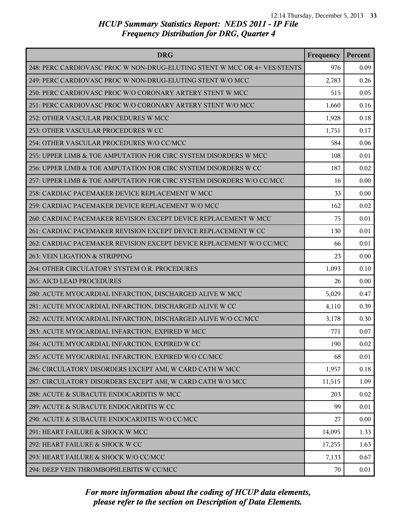| <b>DRG</b>                                                                | Frequency | Percent |
|---------------------------------------------------------------------------|-----------|---------|
| 248: PERC CARDIOVASC PROC W NON-DRUG-ELUTING STENT W MCC OR 4+ VES/STENTS | 976       | 0.09    |
| 249: PERC CARDIOVASC PROC W NON-DRUG-ELUTING STENT W/O MCC                | 2,783     | 0.26    |
| 250: PERC CARDIOVASC PROC W/O CORONARY ARTERY STENT W MCC                 | 515       | 0.05    |
| 251: PERC CARDIOVASC PROC W/O CORONARY ARTERY STENT W/O MCC               | 1,660     | 0.16    |
| 252: OTHER VASCULAR PROCEDURES W MCC                                      | 1,928     | 0.18    |
| 253: OTHER VASCULAR PROCEDURES W CC                                       | 1,751     | 0.17    |
| 254: OTHER VASCULAR PROCEDURES W/O CC/MCC                                 | 584       | 0.06    |
| 255: UPPER LIMB & TOE AMPUTATION FOR CIRC SYSTEM DISORDERS W MCC          | 108       | 0.01    |
| 256: UPPER LIMB & TOE AMPUTATION FOR CIRC SYSTEM DISORDERS W CC           | 187       | 0.02    |
| 257: UPPER LIMB & TOE AMPUTATION FOR CIRC SYSTEM DISORDERS W/O CC/MCC     | 16        | 0.00    |
| 258: CARDIAC PACEMAKER DEVICE REPLACEMENT W MCC                           | 33        | 0.00    |
| 259: CARDIAC PACEMAKER DEVICE REPLACEMENT W/O MCC                         | 162       | 0.02    |
| 260: CARDIAC PACEMAKER REVISION EXCEPT DEVICE REPLACEMENT W MCC           | 75        | 0.01    |
| 261: CARDIAC PACEMAKER REVISION EXCEPT DEVICE REPLACEMENT W CC            | 130       | 0.01    |
| 262: CARDIAC PACEMAKER REVISION EXCEPT DEVICE REPLACEMENT W/O CC/MCC      | 66        | 0.01    |
| 263: VEIN LIGATION & STRIPPING                                            | 23        | 0.00    |
| 264: OTHER CIRCULATORY SYSTEM O.R. PROCEDURES                             | 1,093     | 0.10    |
| 265: AICD LEAD PROCEDURES                                                 | 26        | 0.00    |
| 280: ACUTE MYOCARDIAL INFARCTION, DISCHARGED ALIVE W MCC                  | 5,029     | 0.47    |
| 281: ACUTE MYOCARDIAL INFARCTION, DISCHARGED ALIVE W CC                   | 4,110     | 0.39    |
| 282: ACUTE MYOCARDIAL INFARCTION, DISCHARGED ALIVE W/O CC/MCC             | 3,178     | 0.30    |
| 283: ACUTE MYOCARDIAL INFARCTION, EXPIRED W MCC                           | 771       | 0.07    |
| 284: ACUTE MYOCARDIAL INFARCTION, EXPIRED W CC                            | 190       | 0.02    |
| 285: ACUTE MYOCARDIAL INFARCTION, EXPIRED W/O CC/MCC                      | 68        | 0.01    |
| 286: CIRCULATORY DISORDERS EXCEPT AMI, W CARD CATH W MCC                  | 1,957     | 0.18    |
| 287: CIRCULATORY DISORDERS EXCEPT AMI, W CARD CATH W/O MCC                | 11,515    | 1.09    |
| 288: ACUTE & SUBACUTE ENDOCARDITIS W MCC                                  | 203       | 0.02    |
| 289: ACUTE & SUBACUTE ENDOCARDITIS W CC                                   | 99        | 0.01    |
| 290: ACUTE & SUBACUTE ENDOCARDITIS W/O CC/MCC                             | 27        | 0.00    |
| 291: HEART FAILURE & SHOCK W MCC                                          | 14,095    | 1.33    |
| 292: HEART FAILURE & SHOCK W CC                                           | 17,255    | 1.63    |
| 293: HEART FAILURE & SHOCK W/O CC/MCC                                     | 7,133     | 0.67    |
| 294: DEEP VEIN THROMBOPHLEBITIS W CC/MCC                                  | 70        | 0.01    |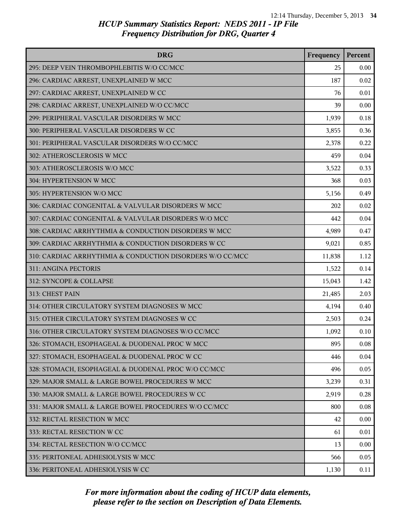| <b>DRG</b>                                                | Frequency | Percent |
|-----------------------------------------------------------|-----------|---------|
| 295: DEEP VEIN THROMBOPHLEBITIS W/O CC/MCC                | 25        | 0.00    |
| 296: CARDIAC ARREST, UNEXPLAINED W MCC                    | 187       | 0.02    |
| 297: CARDIAC ARREST, UNEXPLAINED W CC                     | 76        | 0.01    |
| 298: CARDIAC ARREST, UNEXPLAINED W/O CC/MCC               | 39        | 0.00    |
| 299: PERIPHERAL VASCULAR DISORDERS W MCC                  | 1,939     | 0.18    |
| 300: PERIPHERAL VASCULAR DISORDERS W CC                   | 3,855     | 0.36    |
| 301: PERIPHERAL VASCULAR DISORDERS W/O CC/MCC             | 2,378     | 0.22    |
| 302: ATHEROSCLEROSIS W MCC                                | 459       | 0.04    |
| 303: ATHEROSCLEROSIS W/O MCC                              | 3,522     | 0.33    |
| 304: HYPERTENSION W MCC                                   | 368       | 0.03    |
| 305: HYPERTENSION W/O MCC                                 | 5,156     | 0.49    |
| 306: CARDIAC CONGENITAL & VALVULAR DISORDERS W MCC        | 202       | 0.02    |
| 307: CARDIAC CONGENITAL & VALVULAR DISORDERS W/O MCC      | 442       | 0.04    |
| 308: CARDIAC ARRHYTHMIA & CONDUCTION DISORDERS W MCC      | 4,989     | 0.47    |
| 309: CARDIAC ARRHYTHMIA & CONDUCTION DISORDERS W CC       | 9,021     | 0.85    |
| 310: CARDIAC ARRHYTHMIA & CONDUCTION DISORDERS W/O CC/MCC | 11,838    | 1.12    |
| 311: ANGINA PECTORIS                                      | 1,522     | 0.14    |
| 312: SYNCOPE & COLLAPSE                                   | 15,043    | 1.42    |
| 313: CHEST PAIN                                           | 21,485    | 2.03    |
| 314: OTHER CIRCULATORY SYSTEM DIAGNOSES W MCC             | 4,194     | 0.40    |
| 315: OTHER CIRCULATORY SYSTEM DIAGNOSES W CC              | 2,503     | 0.24    |
| 316: OTHER CIRCULATORY SYSTEM DIAGNOSES W/O CC/MCC        | 1,092     | 0.10    |
| 326: STOMACH, ESOPHAGEAL & DUODENAL PROC W MCC            | 895       | 0.08    |
| 327: STOMACH, ESOPHAGEAL & DUODENAL PROC W CC             | 446       | 0.04    |
| 328: STOMACH, ESOPHAGEAL & DUODENAL PROC W/O CC/MCC       | 496       | 0.05    |
| 329: MAJOR SMALL & LARGE BOWEL PROCEDURES W MCC           | 3,239     | 0.31    |
| 330: MAJOR SMALL & LARGE BOWEL PROCEDURES W CC            | 2,919     | 0.28    |
| 331: MAJOR SMALL & LARGE BOWEL PROCEDURES W/O CC/MCC      | 800       | 0.08    |
| 332: RECTAL RESECTION W MCC                               | 42        | 0.00    |
| 333: RECTAL RESECTION W CC                                | 61        | 0.01    |
| 334: RECTAL RESECTION W/O CC/MCC                          | 13        | 0.00    |
| 335: PERITONEAL ADHESIOLYSIS W MCC                        | 566       | 0.05    |
| 336: PERITONEAL ADHESIOLYSIS W CC                         | 1,130     | 0.11    |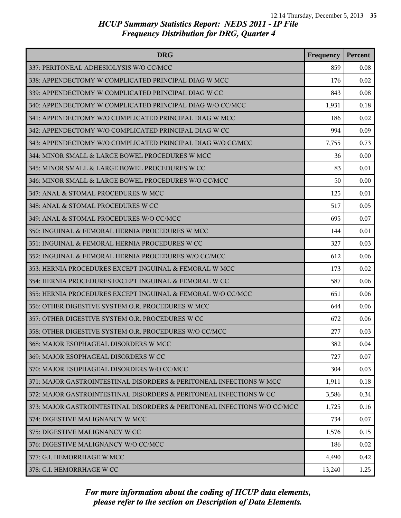| <b>DRG</b>                                                               | Frequency | Percent |
|--------------------------------------------------------------------------|-----------|---------|
| 337: PERITONEAL ADHESIOLYSIS W/O CC/MCC                                  | 859       | 0.08    |
| 338: APPENDECTOMY W COMPLICATED PRINCIPAL DIAG W MCC                     | 176       | 0.02    |
| 339: APPENDECTOMY W COMPLICATED PRINCIPAL DIAG W CC                      | 843       | 0.08    |
| 340: APPENDECTOMY W COMPLICATED PRINCIPAL DIAG W/O CC/MCC                | 1,931     | 0.18    |
| 341: APPENDECTOMY W/O COMPLICATED PRINCIPAL DIAG W MCC                   | 186       | 0.02    |
| 342: APPENDECTOMY W/O COMPLICATED PRINCIPAL DIAG W CC                    | 994       | 0.09    |
| 343: APPENDECTOMY W/O COMPLICATED PRINCIPAL DIAG W/O CC/MCC              | 7,755     | 0.73    |
| 344: MINOR SMALL & LARGE BOWEL PROCEDURES W MCC                          | 36        | 0.00    |
| 345: MINOR SMALL & LARGE BOWEL PROCEDURES W CC                           | 83        | 0.01    |
| 346: MINOR SMALL & LARGE BOWEL PROCEDURES W/O CC/MCC                     | 50        | 0.00    |
| 347: ANAL & STOMAL PROCEDURES W MCC                                      | 125       | 0.01    |
| 348: ANAL & STOMAL PROCEDURES W CC                                       | 517       | 0.05    |
| 349: ANAL & STOMAL PROCEDURES W/O CC/MCC                                 | 695       | 0.07    |
| 350: INGUINAL & FEMORAL HERNIA PROCEDURES W MCC                          | 144       | 0.01    |
| 351: INGUINAL & FEMORAL HERNIA PROCEDURES W CC                           | 327       | 0.03    |
| 352: INGUINAL & FEMORAL HERNIA PROCEDURES W/O CC/MCC                     | 612       | 0.06    |
| 353: HERNIA PROCEDURES EXCEPT INGUINAL & FEMORAL W MCC                   | 173       | 0.02    |
| 354: HERNIA PROCEDURES EXCEPT INGUINAL & FEMORAL W CC                    | 587       | 0.06    |
| 355: HERNIA PROCEDURES EXCEPT INGUINAL & FEMORAL W/O CC/MCC              | 651       | 0.06    |
| 356: OTHER DIGESTIVE SYSTEM O.R. PROCEDURES W MCC                        | 644       | 0.06    |
| 357: OTHER DIGESTIVE SYSTEM O.R. PROCEDURES W CC                         | 672       | 0.06    |
| 358: OTHER DIGESTIVE SYSTEM O.R. PROCEDURES W/O CC/MCC                   | 277       | 0.03    |
| 368: MAJOR ESOPHAGEAL DISORDERS W MCC                                    | 382       | 0.04    |
| 369: MAJOR ESOPHAGEAL DISORDERS W CC                                     | 727       | 0.07    |
| 370: MAJOR ESOPHAGEAL DISORDERS W/O CC/MCC                               | 304       | 0.03    |
| 371: MAJOR GASTROINTESTINAL DISORDERS & PERITONEAL INFECTIONS W MCC      | 1,911     | 0.18    |
| 372: MAJOR GASTROINTESTINAL DISORDERS & PERITONEAL INFECTIONS W CC       | 3,586     | 0.34    |
| 373: MAJOR GASTROINTESTINAL DISORDERS & PERITONEAL INFECTIONS W/O CC/MCC | 1,725     | 0.16    |
| 374: DIGESTIVE MALIGNANCY W MCC                                          | 734       | 0.07    |
| 375: DIGESTIVE MALIGNANCY W CC                                           | 1,576     | 0.15    |
| 376: DIGESTIVE MALIGNANCY W/O CC/MCC                                     | 186       | 0.02    |
| 377: G.I. HEMORRHAGE W MCC                                               | 4,490     | 0.42    |
| 378: G.I. HEMORRHAGE W CC                                                | 13,240    | 1.25    |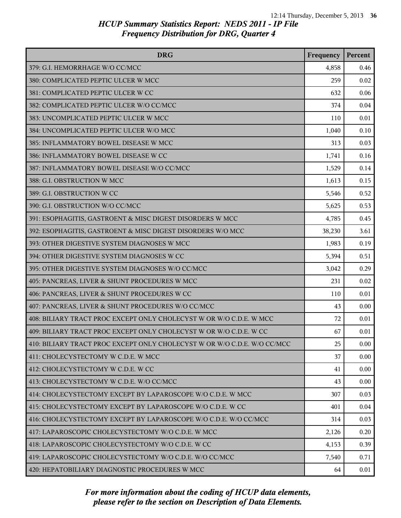| <b>DRG</b>                                                               | Frequency | Percent  |
|--------------------------------------------------------------------------|-----------|----------|
| 379: G.I. HEMORRHAGE W/O CC/MCC                                          | 4,858     | 0.46     |
| 380: COMPLICATED PEPTIC ULCER W MCC                                      | 259       | 0.02     |
| 381: COMPLICATED PEPTIC ULCER W CC                                       | 632       | 0.06     |
| 382: COMPLICATED PEPTIC ULCER W/O CC/MCC                                 | 374       | 0.04     |
| 383: UNCOMPLICATED PEPTIC ULCER W MCC                                    | 110       | 0.01     |
| 384: UNCOMPLICATED PEPTIC ULCER W/O MCC                                  | 1,040     | 0.10     |
| 385: INFLAMMATORY BOWEL DISEASE W MCC                                    | 313       | 0.03     |
| 386: INFLAMMATORY BOWEL DISEASE W CC                                     | 1,741     | 0.16     |
| 387: INFLAMMATORY BOWEL DISEASE W/O CC/MCC                               | 1,529     | 0.14     |
| 388: G.I. OBSTRUCTION W MCC                                              | 1,613     | 0.15     |
| 389: G.I. OBSTRUCTION W CC                                               | 5,546     | 0.52     |
| 390: G.I. OBSTRUCTION W/O CC/MCC                                         | 5,625     | 0.53     |
| 391: ESOPHAGITIS, GASTROENT & MISC DIGEST DISORDERS W MCC                | 4,785     | 0.45     |
| 392: ESOPHAGITIS, GASTROENT & MISC DIGEST DISORDERS W/O MCC              | 38,230    | 3.61     |
| 393: OTHER DIGESTIVE SYSTEM DIAGNOSES W MCC                              | 1,983     | 0.19     |
| 394: OTHER DIGESTIVE SYSTEM DIAGNOSES W CC                               | 5,394     | 0.51     |
| 395: OTHER DIGESTIVE SYSTEM DIAGNOSES W/O CC/MCC                         | 3,042     | 0.29     |
| 405: PANCREAS, LIVER & SHUNT PROCEDURES W MCC                            | 231       | 0.02     |
| 406: PANCREAS, LIVER & SHUNT PROCEDURES W CC                             | 110       | 0.01     |
| 407: PANCREAS, LIVER & SHUNT PROCEDURES W/O CC/MCC                       | 43        | 0.00     |
| 408: BILIARY TRACT PROC EXCEPT ONLY CHOLECYST W OR W/O C.D.E. W MCC      | 72        | 0.01     |
| 409: BILIARY TRACT PROC EXCEPT ONLY CHOLECYST W OR W/O C.D.E. W CC       | 67        | 0.01     |
| 410: BILIARY TRACT PROC EXCEPT ONLY CHOLECYST W OR W/O C.D.E. W/O CC/MCC | 25        | 0.00     |
| 411: CHOLECYSTECTOMY W C.D.E. W MCC                                      | 37        | $0.00\,$ |
| 412: CHOLECYSTECTOMY W C.D.E. W CC                                       | 41        | 0.00     |
| 413: CHOLECYSTECTOMY W C.D.E. W/O CC/MCC                                 | 43        | 0.00     |
| 414: CHOLECYSTECTOMY EXCEPT BY LAPAROSCOPE W/O C.D.E. W MCC              | 307       | 0.03     |
| 415: CHOLECYSTECTOMY EXCEPT BY LAPAROSCOPE W/O C.D.E. W CC               | 401       | 0.04     |
| 416: CHOLECYSTECTOMY EXCEPT BY LAPAROSCOPE W/O C.D.E. W/O CC/MCC         | 314       | 0.03     |
| 417: LAPAROSCOPIC CHOLECYSTECTOMY W/O C.D.E. W MCC                       | 2,126     | 0.20     |
| 418: LAPAROSCOPIC CHOLECYSTECTOMY W/O C.D.E. W CC                        | 4,153     | 0.39     |
| 419: LAPAROSCOPIC CHOLECYSTECTOMY W/O C.D.E. W/O CC/MCC                  | 7,540     | 0.71     |
| 420: HEPATOBILIARY DIAGNOSTIC PROCEDURES W MCC                           | 64        | 0.01     |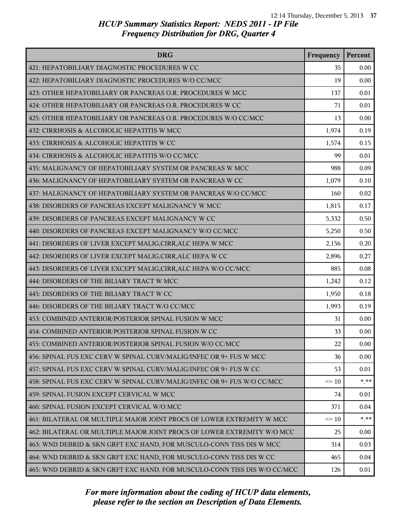| <b>DRG</b>                                                                | Frequency | Percent |
|---------------------------------------------------------------------------|-----------|---------|
| 421: HEPATOBILIARY DIAGNOSTIC PROCEDURES W CC                             | 35        | 0.00    |
| 422: HEPATOBILIARY DIAGNOSTIC PROCEDURES W/O CC/MCC                       | 19        | 0.00    |
| 423: OTHER HEPATOBILIARY OR PANCREAS O.R. PROCEDURES W MCC                | 137       | 0.01    |
| 424: OTHER HEPATOBILIARY OR PANCREAS O.R. PROCEDURES W CC                 | 71        | 0.01    |
| 425: OTHER HEPATOBILIARY OR PANCREAS O.R. PROCEDURES W/O CC/MCC           | 13        | 0.00    |
| 432: CIRRHOSIS & ALCOHOLIC HEPATITIS W MCC                                | 1,974     | 0.19    |
| 433: CIRRHOSIS & ALCOHOLIC HEPATITIS W CC                                 | 1,574     | 0.15    |
| 434: CIRRHOSIS & ALCOHOLIC HEPATITIS W/O CC/MCC                           | 99        | 0.01    |
| 435: MALIGNANCY OF HEPATOBILIARY SYSTEM OR PANCREAS W MCC                 | 988       | 0.09    |
| 436: MALIGNANCY OF HEPATOBILIARY SYSTEM OR PANCREAS W CC                  | 1,079     | 0.10    |
| 437: MALIGNANCY OF HEPATOBILIARY SYSTEM OR PANCREAS W/O CC/MCC            | 160       | 0.02    |
| 438: DISORDERS OF PANCREAS EXCEPT MALIGNANCY W MCC                        | 1,815     | 0.17    |
| 439: DISORDERS OF PANCREAS EXCEPT MALIGNANCY W CC                         | 5,332     | 0.50    |
| 440: DISORDERS OF PANCREAS EXCEPT MALIGNANCY W/O CC/MCC                   | 5,250     | 0.50    |
| 441: DISORDERS OF LIVER EXCEPT MALIG, CIRR, ALC HEPA W MCC                | 2,156     | 0.20    |
| 442: DISORDERS OF LIVER EXCEPT MALIG, CIRR, ALC HEPA W CC                 | 2,896     | 0.27    |
| 443: DISORDERS OF LIVER EXCEPT MALIG, CIRR, ALC HEPA W/O CC/MCC           | 885       | 0.08    |
| 444: DISORDERS OF THE BILIARY TRACT W MCC                                 | 1,242     | 0.12    |
| 445: DISORDERS OF THE BILIARY TRACT W CC                                  | 1,950     | 0.18    |
| 446: DISORDERS OF THE BILIARY TRACT W/O CC/MCC                            | 1,993     | 0.19    |
| 453: COMBINED ANTERIOR/POSTERIOR SPINAL FUSION W MCC                      | 31        | 0.00    |
| 454: COMBINED ANTERIOR/POSTERIOR SPINAL FUSION W CC                       | 33        | 0.00    |
| 455: COMBINED ANTERIOR/POSTERIOR SPINAL FUSION W/O CC/MCC                 | 22        | 0.00    |
| 456: SPINAL FUS EXC CERV W SPINAL CURV/MALIG/INFEC OR 9+ FUS W MCC        | 36        | 0.00    |
| 457: SPINAL FUS EXC CERV W SPINAL CURV/MALIG/INFEC OR 9+ FUS W CC         | 53        | 0.01    |
| 458: SPINAL FUS EXC CERV W SPINAL CURV/MALIG/INFEC OR 9+ FUS W/O CC/MCC   | $\leq 10$ | $* * *$ |
| 459: SPINAL FUSION EXCEPT CERVICAL W MCC                                  | 74        | 0.01    |
| 460: SPINAL FUSION EXCEPT CERVICAL W/O MCC                                | 371       | 0.04    |
| 461: BILATERAL OR MULTIPLE MAJOR JOINT PROCS OF LOWER EXTREMITY W MCC     | $\leq 10$ | $* * *$ |
| 462: BILATERAL OR MULTIPLE MAJOR JOINT PROCS OF LOWER EXTREMITY W/O MCC   | 25        | 0.00    |
| 463: WND DEBRID & SKN GRFT EXC HAND, FOR MUSCULO-CONN TISS DIS W MCC      | 314       | 0.03    |
| 464: WND DEBRID & SKN GRFT EXC HAND, FOR MUSCULO-CONN TISS DIS W CC       | 465       | 0.04    |
| 465: WND DEBRID & SKN GRFT EXC HAND, FOR MUSCULO-CONN TISS DIS W/O CC/MCC | 126       | 0.01    |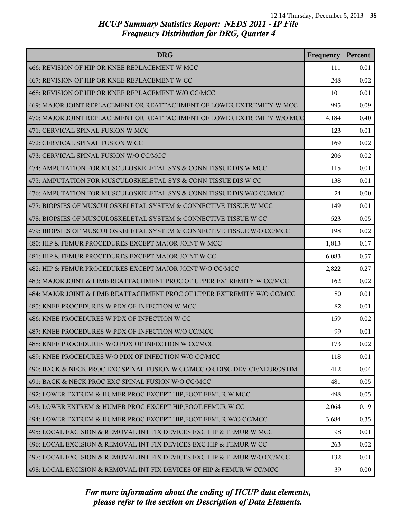| <b>DRG</b>                                                                | Frequency | Percent |
|---------------------------------------------------------------------------|-----------|---------|
| 466: REVISION OF HIP OR KNEE REPLACEMENT W MCC                            | 111       | 0.01    |
| 467: REVISION OF HIP OR KNEE REPLACEMENT W CC                             | 248       | 0.02    |
| 468: REVISION OF HIP OR KNEE REPLACEMENT W/O CC/MCC                       | 101       | 0.01    |
| 469: MAJOR JOINT REPLACEMENT OR REATTACHMENT OF LOWER EXTREMITY W MCC     | 995       | 0.09    |
| 470: MAJOR JOINT REPLACEMENT OR REATTACHMENT OF LOWER EXTREMITY W/O MCC   | 4,184     | 0.40    |
| 471: CERVICAL SPINAL FUSION W MCC                                         | 123       | 0.01    |
| 472: CERVICAL SPINAL FUSION W CC                                          | 169       | 0.02    |
| 473: CERVICAL SPINAL FUSION W/O CC/MCC                                    | 206       | 0.02    |
| 474: AMPUTATION FOR MUSCULOSKELETAL SYS & CONN TISSUE DIS W MCC           | 115       | 0.01    |
| 475: AMPUTATION FOR MUSCULOSKELETAL SYS & CONN TISSUE DIS W CC            | 138       | 0.01    |
| 476: AMPUTATION FOR MUSCULOSKELETAL SYS & CONN TISSUE DIS W/O CC/MCC      | 24        | 0.00    |
| 477: BIOPSIES OF MUSCULOSKELETAL SYSTEM & CONNECTIVE TISSUE W MCC         | 149       | 0.01    |
| 478: BIOPSIES OF MUSCULOSKELETAL SYSTEM & CONNECTIVE TISSUE W CC          | 523       | 0.05    |
| 479: BIOPSIES OF MUSCULOSKELETAL SYSTEM & CONNECTIVE TISSUE W/O CC/MCC    | 198       | 0.02    |
| 480: HIP & FEMUR PROCEDURES EXCEPT MAJOR JOINT W MCC                      | 1,813     | 0.17    |
| 481: HIP & FEMUR PROCEDURES EXCEPT MAJOR JOINT W CC                       | 6,083     | 0.57    |
| 482: HIP & FEMUR PROCEDURES EXCEPT MAJOR JOINT W/O CC/MCC                 | 2,822     | 0.27    |
| 483: MAJOR JOINT & LIMB REATTACHMENT PROC OF UPPER EXTREMITY W CC/MCC     | 162       | 0.02    |
| 484: MAJOR JOINT & LIMB REATTACHMENT PROC OF UPPER EXTREMITY W/O CC/MCC   | 80        | 0.01    |
| 485: KNEE PROCEDURES W PDX OF INFECTION W MCC                             | 82        | 0.01    |
| 486: KNEE PROCEDURES W PDX OF INFECTION W CC                              | 159       | 0.02    |
| 487: KNEE PROCEDURES W PDX OF INFECTION W/O CC/MCC                        | 99        | 0.01    |
| 488: KNEE PROCEDURES W/O PDX OF INFECTION W CC/MCC                        | 173       | 0.02    |
| 489: KNEE PROCEDURES W/O PDX OF INFECTION W/O CC/MCC                      | 118       | 0.01    |
| 490: BACK & NECK PROC EXC SPINAL FUSION W CC/MCC OR DISC DEVICE/NEUROSTIM | 412       | 0.04    |
| 491: BACK & NECK PROC EXC SPINAL FUSION W/O CC/MCC                        | 481       | 0.05    |
| 492: LOWER EXTREM & HUMER PROC EXCEPT HIP, FOOT, FEMUR W MCC              | 498       | 0.05    |
| 493: LOWER EXTREM & HUMER PROC EXCEPT HIP, FOOT, FEMUR W CC               | 2,064     | 0.19    |
| 494: LOWER EXTREM & HUMER PROC EXCEPT HIP, FOOT, FEMUR W/O CC/MCC         | 3,684     | 0.35    |
| 495: LOCAL EXCISION & REMOVAL INT FIX DEVICES EXC HIP & FEMUR W MCC       | 98        | 0.01    |
| 496: LOCAL EXCISION & REMOVAL INT FIX DEVICES EXC HIP & FEMUR W CC        | 263       | 0.02    |
| 497: LOCAL EXCISION & REMOVAL INT FIX DEVICES EXC HIP & FEMUR W/O CC/MCC  | 132       | 0.01    |
| 498: LOCAL EXCISION & REMOVAL INT FIX DEVICES OF HIP & FEMUR W CC/MCC     | 39        | 0.00    |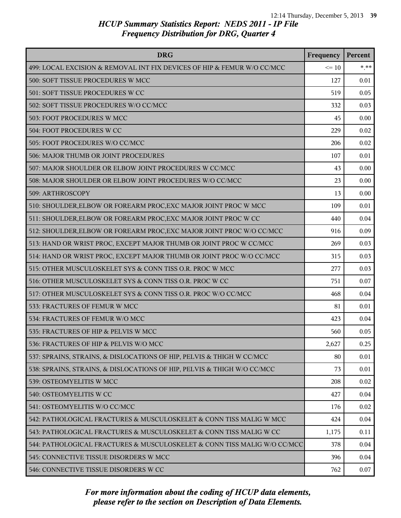| <b>DRG</b>                                                               | Frequency | Percent |
|--------------------------------------------------------------------------|-----------|---------|
| 499: LOCAL EXCISION & REMOVAL INT FIX DEVICES OF HIP & FEMUR W/O CC/MCC  | $\leq 10$ | $*$ **  |
| 500: SOFT TISSUE PROCEDURES W MCC                                        | 127       | 0.01    |
| 501: SOFT TISSUE PROCEDURES W CC                                         | 519       | 0.05    |
| 502: SOFT TISSUE PROCEDURES W/O CC/MCC                                   | 332       | 0.03    |
| 503: FOOT PROCEDURES W MCC                                               | 45        | 0.00    |
| 504: FOOT PROCEDURES W CC                                                | 229       | 0.02    |
| 505: FOOT PROCEDURES W/O CC/MCC                                          | 206       | 0.02    |
| 506: MAJOR THUMB OR JOINT PROCEDURES                                     | 107       | 0.01    |
| 507: MAJOR SHOULDER OR ELBOW JOINT PROCEDURES W CC/MCC                   | 43        | 0.00    |
| 508: MAJOR SHOULDER OR ELBOW JOINT PROCEDURES W/O CC/MCC                 | 23        | 0.00    |
| 509: ARTHROSCOPY                                                         | 13        | 0.00    |
| 510: SHOULDER, ELBOW OR FOREARM PROC, EXC MAJOR JOINT PROC W MCC         | 109       | 0.01    |
| 511: SHOULDER, ELBOW OR FOREARM PROC, EXC MAJOR JOINT PROC W CC          | 440       | 0.04    |
| 512: SHOULDER, ELBOW OR FOREARM PROC, EXC MAJOR JOINT PROC W/O CC/MCC    | 916       | 0.09    |
| 513: HAND OR WRIST PROC, EXCEPT MAJOR THUMB OR JOINT PROC W CC/MCC       | 269       | 0.03    |
| 514: HAND OR WRIST PROC, EXCEPT MAJOR THUMB OR JOINT PROC W/O CC/MCC     | 315       | 0.03    |
| 515: OTHER MUSCULOSKELET SYS & CONN TISS O.R. PROC W MCC                 | 277       | 0.03    |
| 516: OTHER MUSCULOSKELET SYS & CONN TISS O.R. PROC W CC                  | 751       | 0.07    |
| 517: OTHER MUSCULOSKELET SYS & CONN TISS O.R. PROC W/O CC/MCC            | 468       | 0.04    |
| 533: FRACTURES OF FEMUR W MCC                                            | 81        | 0.01    |
| 534: FRACTURES OF FEMUR W/O MCC                                          | 423       | 0.04    |
| 535: FRACTURES OF HIP & PELVIS W MCC                                     | 560       | 0.05    |
| 536: FRACTURES OF HIP & PELVIS W/O MCC                                   | 2,627     | 0.25    |
| 537: SPRAINS, STRAINS, & DISLOCATIONS OF HIP, PELVIS & THIGH W CC/MCC    | 80        | 0.01    |
| 538: SPRAINS, STRAINS, & DISLOCATIONS OF HIP, PELVIS & THIGH W/O CC/MCC  | 73        | 0.01    |
| 539: OSTEOMYELITIS W MCC                                                 | 208       | 0.02    |
| 540: OSTEOMYELITIS W CC                                                  | 427       | 0.04    |
| 541: OSTEOMYELITIS W/O CC/MCC                                            | 176       | 0.02    |
| 542: PATHOLOGICAL FRACTURES & MUSCULOSKELET & CONN TISS MALIG W MCC      | 424       | 0.04    |
| 543: PATHOLOGICAL FRACTURES & MUSCULOSKELET & CONN TISS MALIG W CC       | 1,175     | 0.11    |
| 544: PATHOLOGICAL FRACTURES & MUSCULOSKELET & CONN TISS MALIG W/O CC/MCC | 378       | 0.04    |
| 545: CONNECTIVE TISSUE DISORDERS W MCC                                   | 396       | 0.04    |
| 546: CONNECTIVE TISSUE DISORDERS W CC                                    | 762       | 0.07    |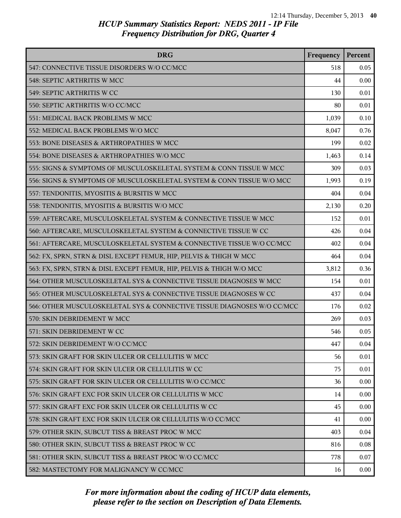| <b>DRG</b>                                                              | Frequency | Percent |
|-------------------------------------------------------------------------|-----------|---------|
| 547: CONNECTIVE TISSUE DISORDERS W/O CC/MCC                             | 518       | 0.05    |
| 548: SEPTIC ARTHRITIS W MCC                                             | 44        | 0.00    |
| 549: SEPTIC ARTHRITIS W CC                                              | 130       | 0.01    |
| 550: SEPTIC ARTHRITIS W/O CC/MCC                                        | 80        | 0.01    |
| 551: MEDICAL BACK PROBLEMS W MCC                                        | 1,039     | 0.10    |
| 552: MEDICAL BACK PROBLEMS W/O MCC                                      | 8,047     | 0.76    |
| 553: BONE DISEASES & ARTHROPATHIES W MCC                                | 199       | 0.02    |
| 554: BONE DISEASES & ARTHROPATHIES W/O MCC                              | 1,463     | 0.14    |
| 555: SIGNS & SYMPTOMS OF MUSCULOSKELETAL SYSTEM & CONN TISSUE W MCC     | 309       | 0.03    |
| 556: SIGNS & SYMPTOMS OF MUSCULOSKELETAL SYSTEM & CONN TISSUE W/O MCC   | 1,993     | 0.19    |
| 557: TENDONITIS, MYOSITIS & BURSITIS W MCC                              | 404       | 0.04    |
| 558: TENDONITIS, MYOSITIS & BURSITIS W/O MCC                            | 2,130     | 0.20    |
| 559: AFTERCARE, MUSCULOSKELETAL SYSTEM & CONNECTIVE TISSUE W MCC        | 152       | 0.01    |
| 560: AFTERCARE, MUSCULOSKELETAL SYSTEM & CONNECTIVE TISSUE W CC         | 426       | 0.04    |
| 561: AFTERCARE, MUSCULOSKELETAL SYSTEM & CONNECTIVE TISSUE W/O CC/MCC   | 402       | 0.04    |
| 562: FX, SPRN, STRN & DISL EXCEPT FEMUR, HIP, PELVIS & THIGH W MCC      | 464       | 0.04    |
| 563: FX, SPRN, STRN & DISL EXCEPT FEMUR, HIP, PELVIS & THIGH W/O MCC    | 3,812     | 0.36    |
| 564: OTHER MUSCULOSKELETAL SYS & CONNECTIVE TISSUE DIAGNOSES W MCC      | 154       | 0.01    |
| 565: OTHER MUSCULOSKELETAL SYS & CONNECTIVE TISSUE DIAGNOSES W CC       | 437       | 0.04    |
| 566: OTHER MUSCULOSKELETAL SYS & CONNECTIVE TISSUE DIAGNOSES W/O CC/MCC | 176       | 0.02    |
| 570: SKIN DEBRIDEMENT W MCC                                             | 269       | 0.03    |
| 571: SKIN DEBRIDEMENT W CC                                              | 546       | 0.05    |
| 572: SKIN DEBRIDEMENT W/O CC/MCC                                        | 447       | 0.04    |
| 573: SKIN GRAFT FOR SKIN ULCER OR CELLULITIS W MCC                      | 56        | 0.01    |
| 574: SKIN GRAFT FOR SKIN ULCER OR CELLULITIS W CC                       | 75        | 0.01    |
| 575: SKIN GRAFT FOR SKIN ULCER OR CELLULITIS W/O CC/MCC                 | 36        | 0.00    |
| 576: SKIN GRAFT EXC FOR SKIN ULCER OR CELLULITIS W MCC                  | 14        | 0.00    |
| 577: SKIN GRAFT EXC FOR SKIN ULCER OR CELLULITIS W CC                   | 45        | 0.00    |
| 578: SKIN GRAFT EXC FOR SKIN ULCER OR CELLULITIS W/O CC/MCC             | 41        | 0.00    |
| 579: OTHER SKIN, SUBCUT TISS & BREAST PROC W MCC                        | 403       | 0.04    |
| 580: OTHER SKIN, SUBCUT TISS & BREAST PROC W CC                         | 816       | 0.08    |
| 581: OTHER SKIN, SUBCUT TISS & BREAST PROC W/O CC/MCC                   | 778       | 0.07    |
| 582: MASTECTOMY FOR MALIGNANCY W CC/MCC                                 | 16        | 0.00    |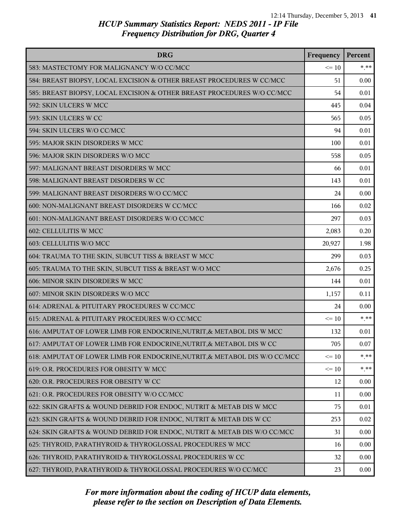| <b>DRG</b>                                                                 | Frequency | Percent |
|----------------------------------------------------------------------------|-----------|---------|
| 583: MASTECTOMY FOR MALIGNANCY W/O CC/MCC                                  | $\leq 10$ | $* * *$ |
| 584: BREAST BIOPSY, LOCAL EXCISION & OTHER BREAST PROCEDURES W CC/MCC      | 51        | 0.00    |
| 585: BREAST BIOPSY, LOCAL EXCISION & OTHER BREAST PROCEDURES W/O CC/MCC    | 54        | 0.01    |
| 592: SKIN ULCERS W MCC                                                     | 445       | 0.04    |
| 593: SKIN ULCERS W CC                                                      | 565       | 0.05    |
| 594: SKIN ULCERS W/O CC/MCC                                                | 94        | 0.01    |
| 595: MAJOR SKIN DISORDERS W MCC                                            | 100       | 0.01    |
| 596: MAJOR SKIN DISORDERS W/O MCC                                          | 558       | 0.05    |
| 597: MALIGNANT BREAST DISORDERS W MCC                                      | 66        | 0.01    |
| 598: MALIGNANT BREAST DISORDERS W CC                                       | 143       | 0.01    |
| 599: MALIGNANT BREAST DISORDERS W/O CC/MCC                                 | 24        | 0.00    |
| 600: NON-MALIGNANT BREAST DISORDERS W CC/MCC                               | 166       | 0.02    |
| 601: NON-MALIGNANT BREAST DISORDERS W/O CC/MCC                             | 297       | 0.03    |
| 602: CELLULITIS W MCC                                                      | 2,083     | 0.20    |
| 603: CELLULITIS W/O MCC                                                    | 20,927    | 1.98    |
| 604: TRAUMA TO THE SKIN, SUBCUT TISS & BREAST W MCC                        | 299       | 0.03    |
| 605: TRAUMA TO THE SKIN, SUBCUT TISS & BREAST W/O MCC                      | 2,676     | 0.25    |
| 606: MINOR SKIN DISORDERS W MCC                                            | 144       | 0.01    |
| 607: MINOR SKIN DISORDERS W/O MCC                                          | 1,157     | 0.11    |
| 614: ADRENAL & PITUITARY PROCEDURES W CC/MCC                               | 24        | 0.00    |
| 615: ADRENAL & PITUITARY PROCEDURES W/O CC/MCC                             | $\leq 10$ | $*$ **  |
| 616: AMPUTAT OF LOWER LIMB FOR ENDOCRINE, NUTRIT, & METABOL DIS W MCC      | 132       | 0.01    |
| 617: AMPUTAT OF LOWER LIMB FOR ENDOCRINE, NUTRIT, & METABOL DIS W CC       | 705       | 0.07    |
| 618: AMPUTAT OF LOWER LIMB FOR ENDOCRINE, NUTRIT, & METABOL DIS W/O CC/MCC | $\leq 10$ | $* * *$ |
| 619: O.R. PROCEDURES FOR OBESITY W MCC                                     | $\leq 10$ | * **    |
| 620: O.R. PROCEDURES FOR OBESITY W CC                                      | 12        | 0.00    |
| 621: O.R. PROCEDURES FOR OBESITY W/O CC/MCC                                | 11        | 0.00    |
| 622: SKIN GRAFTS & WOUND DEBRID FOR ENDOC, NUTRIT & METAB DIS W MCC        | 75        | 0.01    |
| 623: SKIN GRAFTS & WOUND DEBRID FOR ENDOC, NUTRIT & METAB DIS W CC         | 253       | 0.02    |
| 624: SKIN GRAFTS & WOUND DEBRID FOR ENDOC, NUTRIT & METAB DIS W/O CC/MCC   | 31        | 0.00    |
| 625: THYROID, PARATHYROID & THYROGLOSSAL PROCEDURES W MCC                  | 16        | 0.00    |
| 626: THYROID, PARATHYROID & THYROGLOSSAL PROCEDURES W CC                   | 32        | 0.00    |
| 627: THYROID, PARATHYROID & THYROGLOSSAL PROCEDURES W/O CC/MCC             | 23        | 0.00    |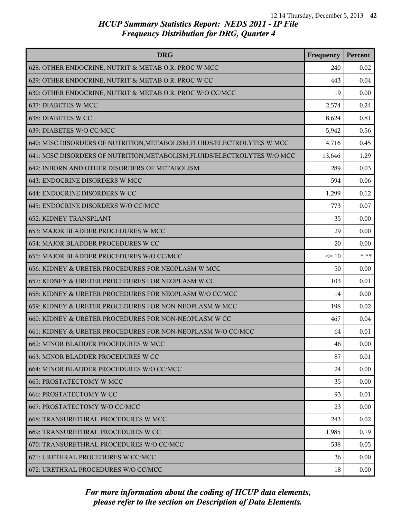| <b>DRG</b>                                                                | Frequency | Percent  |
|---------------------------------------------------------------------------|-----------|----------|
| 628: OTHER ENDOCRINE, NUTRIT & METAB O.R. PROC W MCC                      | 240       | 0.02     |
| 629: OTHER ENDOCRINE, NUTRIT & METAB O.R. PROC W CC                       | 443       | 0.04     |
| 630: OTHER ENDOCRINE, NUTRIT & METAB O.R. PROC W/O CC/MCC                 | 19        | 0.00     |
| 637: DIABETES W MCC                                                       | 2,574     | 0.24     |
| 638: DIABETES W CC                                                        | 8,624     | 0.81     |
| 639: DIABETES W/O CC/MCC                                                  | 5,942     | 0.56     |
| 640: MISC DISORDERS OF NUTRITION, METABOLISM, FLUIDS/ELECTROLYTES W MCC   | 4,716     | 0.45     |
| 641: MISC DISORDERS OF NUTRITION, METABOLISM, FLUIDS/ELECTROLYTES W/O MCC | 13,646    | 1.29     |
| 642: INBORN AND OTHER DISORDERS OF METABOLISM                             | 289       | 0.03     |
| 643: ENDOCRINE DISORDERS W MCC                                            | 594       | 0.06     |
| 644: ENDOCRINE DISORDERS W CC                                             | 1,299     | 0.12     |
| 645: ENDOCRINE DISORDERS W/O CC/MCC                                       | 773       | 0.07     |
| <b>652: KIDNEY TRANSPLANT</b>                                             | 35        | 0.00     |
| 653: MAJOR BLADDER PROCEDURES W MCC                                       | 29        | 0.00     |
| 654: MAJOR BLADDER PROCEDURES W CC                                        | 20        | 0.00     |
| 655: MAJOR BLADDER PROCEDURES W/O CC/MCC                                  | $\leq 10$ | $***$    |
| 656: KIDNEY & URETER PROCEDURES FOR NEOPLASM W MCC                        | 50        | 0.00     |
| 657: KIDNEY & URETER PROCEDURES FOR NEOPLASM W CC                         | 103       | 0.01     |
| 658: KIDNEY & URETER PROCEDURES FOR NEOPLASM W/O CC/MCC                   | 14        | 0.00     |
| 659: KIDNEY & URETER PROCEDURES FOR NON-NEOPLASM W MCC                    | 198       | 0.02     |
| 660: KIDNEY & URETER PROCEDURES FOR NON-NEOPLASM W CC                     | 467       | 0.04     |
| 661: KIDNEY & URETER PROCEDURES FOR NON-NEOPLASM W/O CC/MCC               | 64        | 0.01     |
| 662: MINOR BLADDER PROCEDURES W MCC                                       | 46        | 0.00     |
| 663: MINOR BLADDER PROCEDURES W CC                                        | 87        | 0.01     |
| 664: MINOR BLADDER PROCEDURES W/O CC/MCC                                  | 24        | 0.00     |
| <b>665: PROSTATECTOMY W MCC</b>                                           | 35        | 0.00     |
| <b>666: PROSTATECTOMY W CC</b>                                            | 93        | 0.01     |
| 667: PROSTATECTOMY W/O CC/MCC                                             | 23        | 0.00     |
| 668: TRANSURETHRAL PROCEDURES W MCC                                       | 243       | 0.02     |
| 669: TRANSURETHRAL PROCEDURES W CC                                        | 1,985     | 0.19     |
| 670: TRANSURETHRAL PROCEDURES W/O CC/MCC                                  | 538       | 0.05     |
| 671: URETHRAL PROCEDURES W CC/MCC                                         | 36        | 0.00     |
| 672: URETHRAL PROCEDURES W/O CC/MCC                                       | 18        | $0.00\,$ |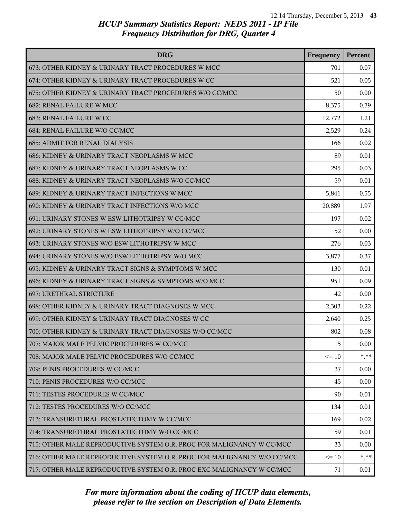| <b>DRG</b>                                                              | Frequency | Percent |
|-------------------------------------------------------------------------|-----------|---------|
| 673: OTHER KIDNEY & URINARY TRACT PROCEDURES W MCC                      | 701       | 0.07    |
| 674: OTHER KIDNEY & URINARY TRACT PROCEDURES W CC                       | 521       | 0.05    |
| 675: OTHER KIDNEY & URINARY TRACT PROCEDURES W/O CC/MCC                 | 50        | 0.00    |
| <b>682: RENAL FAILURE W MCC</b>                                         | 8,375     | 0.79    |
| <b>683: RENAL FAILURE W CC</b>                                          | 12,772    | 1.21    |
| 684: RENAL FAILURE W/O CC/MCC                                           | 2,529     | 0.24    |
| <b>685: ADMIT FOR RENAL DIALYSIS</b>                                    | 166       | 0.02    |
| 686: KIDNEY & URINARY TRACT NEOPLASMS W MCC                             | 89        | 0.01    |
| 687: KIDNEY & URINARY TRACT NEOPLASMS W CC                              | 295       | 0.03    |
| 688: KIDNEY & URINARY TRACT NEOPLASMS W/O CC/MCC                        | 59        | 0.01    |
| 689: KIDNEY & URINARY TRACT INFECTIONS W MCC                            | 5,841     | 0.55    |
| 690: KIDNEY & URINARY TRACT INFECTIONS W/O MCC                          | 20,889    | 1.97    |
| 691: URINARY STONES W ESW LITHOTRIPSY W CC/MCC                          | 197       | 0.02    |
| 692: URINARY STONES W ESW LITHOTRIPSY W/O CC/MCC                        | 52        | 0.00    |
| 693: URINARY STONES W/O ESW LITHOTRIPSY W MCC                           | 276       | 0.03    |
| 694: URINARY STONES W/O ESW LITHOTRIPSY W/O MCC                         | 3,877     | 0.37    |
| 695: KIDNEY & URINARY TRACT SIGNS & SYMPTOMS W MCC                      | 130       | 0.01    |
| 696: KIDNEY & URINARY TRACT SIGNS & SYMPTOMS W/O MCC                    | 951       | 0.09    |
| 697: URETHRAL STRICTURE                                                 | 42        | 0.00    |
| 698: OTHER KIDNEY & URINARY TRACT DIAGNOSES W MCC                       | 2,303     | 0.22    |
| 699: OTHER KIDNEY & URINARY TRACT DIAGNOSES W CC                        | 2,640     | 0.25    |
| 700: OTHER KIDNEY & URINARY TRACT DIAGNOSES W/O CC/MCC                  | 802       | 0.08    |
| 707: MAJOR MALE PELVIC PROCEDURES W CC/MCC                              | 15        | 0.00    |
| 708: MAJOR MALE PELVIC PROCEDURES W/O CC/MCC                            | $\leq 10$ | $* * *$ |
| 709: PENIS PROCEDURES W CC/MCC                                          | 37        | 0.00    |
| 710: PENIS PROCEDURES W/O CC/MCC                                        | 45        | 0.00    |
| 711: TESTES PROCEDURES W CC/MCC                                         | 90        | 0.01    |
| 712: TESTES PROCEDURES W/O CC/MCC                                       | 134       | 0.01    |
| 713: TRANSURETHRAL PROSTATECTOMY W CC/MCC                               | 169       | 0.02    |
| 714: TRANSURETHRAL PROSTATECTOMY W/O CC/MCC                             | 59        | 0.01    |
| 715: OTHER MALE REPRODUCTIVE SYSTEM O.R. PROC FOR MALIGNANCY W CC/MCC   | 33        | 0.00    |
| 716: OTHER MALE REPRODUCTIVE SYSTEM O.R. PROC FOR MALIGNANCY W/O CC/MCC | $\leq 10$ | $***$   |
| 717: OTHER MALE REPRODUCTIVE SYSTEM O.R. PROC EXC MALIGNANCY W CC/MCC   | 71        | 0.01    |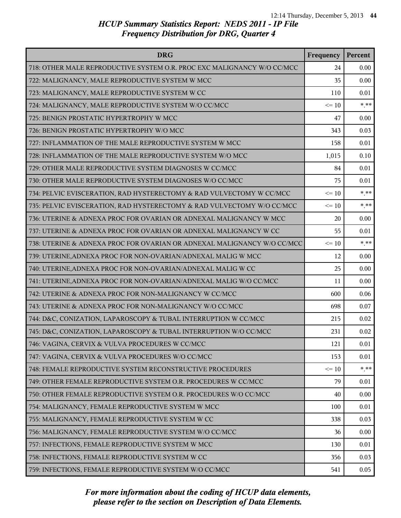| <b>DRG</b>                                                              | Frequency | Percent |
|-------------------------------------------------------------------------|-----------|---------|
| 718: OTHER MALE REPRODUCTIVE SYSTEM O.R. PROC EXC MALIGNANCY W/O CC/MCC | 24        | 0.00    |
| 722: MALIGNANCY, MALE REPRODUCTIVE SYSTEM W MCC                         | 35        | 0.00    |
| 723: MALIGNANCY, MALE REPRODUCTIVE SYSTEM W CC                          | 110       | 0.01    |
| 724: MALIGNANCY, MALE REPRODUCTIVE SYSTEM W/O CC/MCC                    | $\leq 10$ | $* * *$ |
| 725: BENIGN PROSTATIC HYPERTROPHY W MCC                                 | 47        | 0.00    |
| 726: BENIGN PROSTATIC HYPERTROPHY W/O MCC                               | 343       | 0.03    |
| 727: INFLAMMATION OF THE MALE REPRODUCTIVE SYSTEM W MCC                 | 158       | 0.01    |
| 728: INFLAMMATION OF THE MALE REPRODUCTIVE SYSTEM W/O MCC               | 1,015     | 0.10    |
| 729: OTHER MALE REPRODUCTIVE SYSTEM DIAGNOSES W CC/MCC                  | 84        | 0.01    |
| 730: OTHER MALE REPRODUCTIVE SYSTEM DIAGNOSES W/O CC/MCC                | 75        | 0.01    |
| 734: PELVIC EVISCERATION, RAD HYSTERECTOMY & RAD VULVECTOMY W CC/MCC    | $\leq 10$ | $***$   |
| 735: PELVIC EVISCERATION, RAD HYSTERECTOMY & RAD VULVECTOMY W/O CC/MCC  | $\leq 10$ | $* * *$ |
| 736: UTERINE & ADNEXA PROC FOR OVARIAN OR ADNEXAL MALIGNANCY W MCC      | 20        | 0.00    |
| 737: UTERINE & ADNEXA PROC FOR OVARIAN OR ADNEXAL MALIGNANCY W CC       | 55        | 0.01    |
| 738: UTERINE & ADNEXA PROC FOR OVARIAN OR ADNEXAL MALIGNANCY W/O CC/MCC | $\leq 10$ | $* * *$ |
| 739: UTERINE, ADNEXA PROC FOR NON-OVARIAN/ADNEXAL MALIG W MCC           | 12        | 0.00    |
| 740: UTERINE, ADNEXA PROC FOR NON-OVARIAN/ADNEXAL MALIG W CC            | 25        | 0.00    |
| 741: UTERINE, ADNEXA PROC FOR NON-OVARIAN/ADNEXAL MALIG W/O CC/MCC      | 11        | 0.00    |
| 742: UTERINE & ADNEXA PROC FOR NON-MALIGNANCY W CC/MCC                  | 600       | 0.06    |
| 743: UTERINE & ADNEXA PROC FOR NON-MALIGNANCY W/O CC/MCC                | 698       | 0.07    |
| 744: D&C, CONIZATION, LAPAROSCOPY & TUBAL INTERRUPTION W CC/MCC         | 215       | 0.02    |
| 745: D&C, CONIZATION, LAPAROSCOPY & TUBAL INTERRUPTION W/O CC/MCC       | 231       | 0.02    |
| 746: VAGINA, CERVIX & VULVA PROCEDURES W CC/MCC                         | 121       | 0.01    |
| 747: VAGINA, CERVIX & VULVA PROCEDURES W/O CC/MCC                       | 153       | 0.01    |
| 748: FEMALE REPRODUCTIVE SYSTEM RECONSTRUCTIVE PROCEDURES               | $\leq 10$ | $* * *$ |
| 749: OTHER FEMALE REPRODUCTIVE SYSTEM O.R. PROCEDURES W CC/MCC          | 79        | 0.01    |
| 750: OTHER FEMALE REPRODUCTIVE SYSTEM O.R. PROCEDURES W/O CC/MCC        | 40        | 0.00    |
| 754: MALIGNANCY, FEMALE REPRODUCTIVE SYSTEM W MCC                       | 100       | 0.01    |
| 755: MALIGNANCY, FEMALE REPRODUCTIVE SYSTEM W CC                        | 338       | 0.03    |
| 756: MALIGNANCY, FEMALE REPRODUCTIVE SYSTEM W/O CC/MCC                  | 36        | 0.00    |
| 757: INFECTIONS, FEMALE REPRODUCTIVE SYSTEM W MCC                       | 130       | 0.01    |
| 758: INFECTIONS, FEMALE REPRODUCTIVE SYSTEM W CC                        | 356       | 0.03    |
| 759: INFECTIONS, FEMALE REPRODUCTIVE SYSTEM W/O CC/MCC                  | 541       | 0.05    |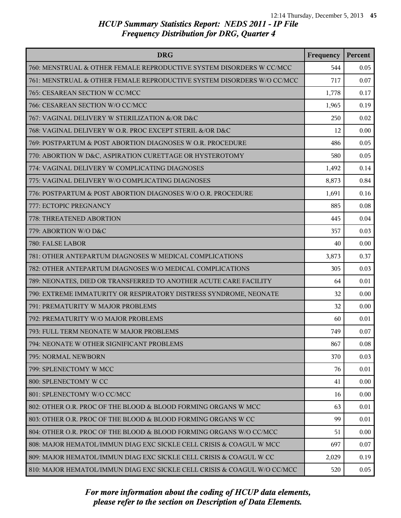| <b>DRG</b>                                                               | Frequency | Percent |
|--------------------------------------------------------------------------|-----------|---------|
| 760: MENSTRUAL & OTHER FEMALE REPRODUCTIVE SYSTEM DISORDERS W CC/MCC     | 544       | 0.05    |
| 761: MENSTRUAL & OTHER FEMALE REPRODUCTIVE SYSTEM DISORDERS W/O CC/MCC   | 717       | 0.07    |
| 765: CESAREAN SECTION W CC/MCC                                           | 1,778     | 0.17    |
| 766: CESAREAN SECTION W/O CC/MCC                                         | 1,965     | 0.19    |
| 767: VAGINAL DELIVERY W STERILIZATION &/OR D&C                           | 250       | 0.02    |
| 768: VAGINAL DELIVERY W O.R. PROC EXCEPT STERIL &/OR D&C                 | 12        | 0.00    |
| 769: POSTPARTUM & POST ABORTION DIAGNOSES W O.R. PROCEDURE               | 486       | 0.05    |
| 770: ABORTION W D&C, ASPIRATION CURETTAGE OR HYSTEROTOMY                 | 580       | 0.05    |
| 774: VAGINAL DELIVERY W COMPLICATING DIAGNOSES                           | 1,492     | 0.14    |
| 775: VAGINAL DELIVERY W/O COMPLICATING DIAGNOSES                         | 8,873     | 0.84    |
| 776: POSTPARTUM & POST ABORTION DIAGNOSES W/O O.R. PROCEDURE             | 1,691     | 0.16    |
| 777: ECTOPIC PREGNANCY                                                   | 885       | 0.08    |
| 778: THREATENED ABORTION                                                 | 445       | 0.04    |
| 779: ABORTION W/O D&C                                                    | 357       | 0.03    |
| 780: FALSE LABOR                                                         | 40        | 0.00    |
| 781: OTHER ANTEPARTUM DIAGNOSES W MEDICAL COMPLICATIONS                  | 3,873     | 0.37    |
| 782: OTHER ANTEPARTUM DIAGNOSES W/O MEDICAL COMPLICATIONS                | 305       | 0.03    |
| 789: NEONATES, DIED OR TRANSFERRED TO ANOTHER ACUTE CARE FACILITY        | 64        | 0.01    |
| 790: EXTREME IMMATURITY OR RESPIRATORY DISTRESS SYNDROME, NEONATE        | 32        | 0.00    |
| 791: PREMATURITY W MAJOR PROBLEMS                                        | 32        | 0.00    |
| 792: PREMATURITY W/O MAJOR PROBLEMS                                      | 60        | 0.01    |
| 793: FULL TERM NEONATE W MAJOR PROBLEMS                                  | 749       | 0.07    |
| 794: NEONATE W OTHER SIGNIFICANT PROBLEMS                                | 867       | 0.08    |
| 795: NORMAL NEWBORN                                                      | 370       | 0.03    |
| 799: SPLENECTOMY W MCC                                                   | 76        | 0.01    |
| 800: SPLENECTOMY W CC                                                    | 41        | 0.00    |
| 801: SPLENECTOMY W/O CC/MCC                                              | 16        | 0.00    |
| 802: OTHER O.R. PROC OF THE BLOOD & BLOOD FORMING ORGANS W MCC           | 63        | 0.01    |
| 803: OTHER O.R. PROC OF THE BLOOD & BLOOD FORMING ORGANS W CC            | 99        | 0.01    |
| 804: OTHER O.R. PROC OF THE BLOOD & BLOOD FORMING ORGANS W/O CC/MCC      | 51        | 0.00    |
| 808: MAJOR HEMATOL/IMMUN DIAG EXC SICKLE CELL CRISIS & COAGUL W MCC      | 697       | 0.07    |
| 809: MAJOR HEMATOL/IMMUN DIAG EXC SICKLE CELL CRISIS & COAGUL W CC       | 2,029     | 0.19    |
| 810: MAJOR HEMATOL/IMMUN DIAG EXC SICKLE CELL CRISIS & COAGUL W/O CC/MCC | 520       | 0.05    |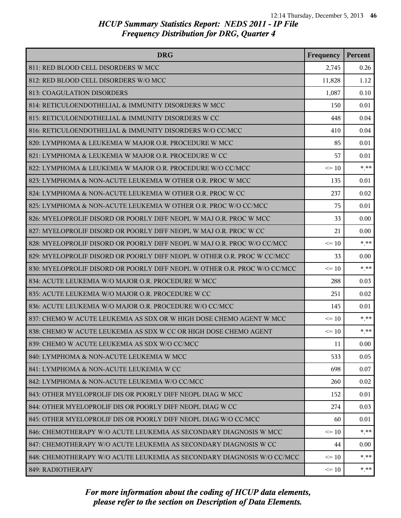| <b>DRG</b>                                                                | Frequency | Percent |
|---------------------------------------------------------------------------|-----------|---------|
| 811: RED BLOOD CELL DISORDERS W MCC                                       | 2,745     | 0.26    |
| 812: RED BLOOD CELL DISORDERS W/O MCC                                     | 11,828    | 1.12    |
| 813: COAGULATION DISORDERS                                                | 1,087     | 0.10    |
| 814: RETICULOENDOTHELIAL & IMMUNITY DISORDERS W MCC                       | 150       | 0.01    |
| 815: RETICULOENDOTHELIAL & IMMUNITY DISORDERS W CC                        | 448       | 0.04    |
| 816: RETICULOENDOTHELIAL & IMMUNITY DISORDERS W/O CC/MCC                  | 410       | 0.04    |
| 820: LYMPHOMA & LEUKEMIA W MAJOR O.R. PROCEDURE W MCC                     | 85        | 0.01    |
| 821: LYMPHOMA & LEUKEMIA W MAJOR O.R. PROCEDURE W CC                      | 57        | 0.01    |
| 822: LYMPHOMA & LEUKEMIA W MAJOR O.R. PROCEDURE W/O CC/MCC                | $\leq 10$ | $***$   |
| 823: LYMPHOMA & NON-ACUTE LEUKEMIA W OTHER O.R. PROC W MCC                | 135       | 0.01    |
| 824: LYMPHOMA & NON-ACUTE LEUKEMIA W OTHER O.R. PROC W CC                 | 237       | 0.02    |
| 825: LYMPHOMA & NON-ACUTE LEUKEMIA W OTHER O.R. PROC W/O CC/MCC           | 75        | 0.01    |
| 826: MYELOPROLIF DISORD OR POORLY DIFF NEOPL W MAJ O.R. PROC W MCC        | 33        | 0.00    |
| 827: MYELOPROLIF DISORD OR POORLY DIFF NEOPL W MAJ O.R. PROC W CC         | 21        | 0.00    |
| 828: MYELOPROLIF DISORD OR POORLY DIFF NEOPL W MAJ O.R. PROC W/O CC/MCC   | $\leq 10$ | $* * *$ |
| 829: MYELOPROLIF DISORD OR POORLY DIFF NEOPL W OTHER O.R. PROC W CC/MCC   | 33        | 0.00    |
| 830: MYELOPROLIF DISORD OR POORLY DIFF NEOPL W OTHER O.R. PROC W/O CC/MCC | $\leq 10$ | $***$   |
| 834: ACUTE LEUKEMIA W/O MAJOR O.R. PROCEDURE W MCC                        | 288       | 0.03    |
| 835: ACUTE LEUKEMIA W/O MAJOR O.R. PROCEDURE W CC                         | 251       | 0.02    |
| 836: ACUTE LEUKEMIA W/O MAJOR O.R. PROCEDURE W/O CC/MCC                   | 145       | 0.01    |
| 837: CHEMO W ACUTE LEUKEMIA AS SDX OR W HIGH DOSE CHEMO AGENT W MCC       | $\leq 10$ | $***$   |
| 838: CHEMO W ACUTE LEUKEMIA AS SDX W CC OR HIGH DOSE CHEMO AGENT          | $\leq 10$ | $*$ **  |
| 839: CHEMO W ACUTE LEUKEMIA AS SDX W/O CC/MCC                             | 11        | 0.00    |
| 840: LYMPHOMA & NON-ACUTE LEUKEMIA W MCC                                  | 533       | 0.05    |
| 841: LYMPHOMA & NON-ACUTE LEUKEMIA W CC                                   | 698       | 0.07    |
| 842: LYMPHOMA & NON-ACUTE LEUKEMIA W/O CC/MCC                             | 260       | 0.02    |
| 843: OTHER MYELOPROLIF DIS OR POORLY DIFF NEOPL DIAG W MCC                | 152       | 0.01    |
| 844: OTHER MYELOPROLIF DIS OR POORLY DIFF NEOPL DIAG W CC                 | 274       | 0.03    |
| 845: OTHER MYELOPROLIF DIS OR POORLY DIFF NEOPL DIAG W/O CC/MCC           | 60        | 0.01    |
| 846: CHEMOTHERAPY W/O ACUTE LEUKEMIA AS SECONDARY DIAGNOSIS W MCC         | $\leq 10$ | $* * *$ |
| 847: CHEMOTHERAPY W/O ACUTE LEUKEMIA AS SECONDARY DIAGNOSIS W CC          | 44        | 0.00    |
| 848: CHEMOTHERAPY W/O ACUTE LEUKEMIA AS SECONDARY DIAGNOSIS W/O CC/MCC    | $\leq$ 10 | $* * *$ |
| 849: RADIOTHERAPY                                                         | $\leq 10$ | * **    |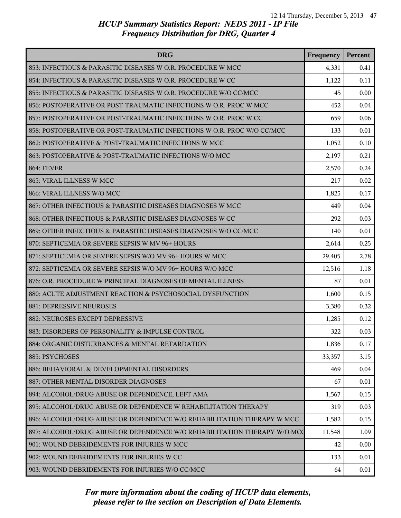| <b>DRG</b>                                                               | Frequency | Percent |
|--------------------------------------------------------------------------|-----------|---------|
| 853: INFECTIOUS & PARASITIC DISEASES W O.R. PROCEDURE W MCC              | 4,331     | 0.41    |
| 854: INFECTIOUS & PARASITIC DISEASES W O.R. PROCEDURE W CC               | 1,122     | 0.11    |
| 855: INFECTIOUS & PARASITIC DISEASES W O.R. PROCEDURE W/O CC/MCC         | 45        | 0.00    |
| 856: POSTOPERATIVE OR POST-TRAUMATIC INFECTIONS W O.R. PROC W MCC        | 452       | 0.04    |
| 857: POSTOPERATIVE OR POST-TRAUMATIC INFECTIONS W O.R. PROC W CC         | 659       | 0.06    |
| 858: POSTOPERATIVE OR POST-TRAUMATIC INFECTIONS W O.R. PROC W/O CC/MCC   | 133       | 0.01    |
| 862: POSTOPERATIVE & POST-TRAUMATIC INFECTIONS W MCC                     | 1,052     | 0.10    |
| 863: POSTOPERATIVE & POST-TRAUMATIC INFECTIONS W/O MCC                   | 2,197     | 0.21    |
| <b>864: FEVER</b>                                                        | 2,570     | 0.24    |
| 865: VIRAL ILLNESS W MCC                                                 | 217       | 0.02    |
| 866: VIRAL ILLNESS W/O MCC                                               | 1,825     | 0.17    |
| 867: OTHER INFECTIOUS & PARASITIC DISEASES DIAGNOSES W MCC               | 449       | 0.04    |
| 868: OTHER INFECTIOUS & PARASITIC DISEASES DIAGNOSES W CC                | 292       | 0.03    |
| 869: OTHER INFECTIOUS & PARASITIC DISEASES DIAGNOSES W/O CC/MCC          | 140       | 0.01    |
| 870: SEPTICEMIA OR SEVERE SEPSIS W MV 96+ HOURS                          | 2,614     | 0.25    |
| 871: SEPTICEMIA OR SEVERE SEPSIS W/O MV 96+ HOURS W MCC                  | 29,405    | 2.78    |
| 872: SEPTICEMIA OR SEVERE SEPSIS W/O MV 96+ HOURS W/O MCC                | 12,516    | 1.18    |
| 876: O.R. PROCEDURE W PRINCIPAL DIAGNOSES OF MENTAL ILLNESS              | 87        | 0.01    |
| 880: ACUTE ADJUSTMENT REACTION & PSYCHOSOCIAL DYSFUNCTION                | 1,600     | 0.15    |
| 881: DEPRESSIVE NEUROSES                                                 | 3,380     | 0.32    |
| 882: NEUROSES EXCEPT DEPRESSIVE                                          | 1,285     | 0.12    |
| 883: DISORDERS OF PERSONALITY & IMPULSE CONTROL                          | 322       | 0.03    |
| 884: ORGANIC DISTURBANCES & MENTAL RETARDATION                           | 1,836     | 0.17    |
| 885: PSYCHOSES                                                           | 33,357    | 3.15    |
| 886: BEHAVIORAL & DEVELOPMENTAL DISORDERS                                | 469       | 0.04    |
| 887: OTHER MENTAL DISORDER DIAGNOSES                                     | 67        | 0.01    |
| 894: ALCOHOL/DRUG ABUSE OR DEPENDENCE, LEFT AMA                          | 1,567     | 0.15    |
| 895: ALCOHOL/DRUG ABUSE OR DEPENDENCE W REHABILITATION THERAPY           | 319       | 0.03    |
| 896: ALCOHOL/DRUG ABUSE OR DEPENDENCE W/O REHABILITATION THERAPY W MCC   | 1,582     | 0.15    |
| 897: ALCOHOL/DRUG ABUSE OR DEPENDENCE W/O REHABILITATION THERAPY W/O MCC | 11,548    | 1.09    |
| 901: WOUND DEBRIDEMENTS FOR INJURIES W MCC                               | 42        | 0.00    |
| 902: WOUND DEBRIDEMENTS FOR INJURIES W CC                                | 133       | 0.01    |
| 903: WOUND DEBRIDEMENTS FOR INJURIES W/O CC/MCC                          | 64        | 0.01    |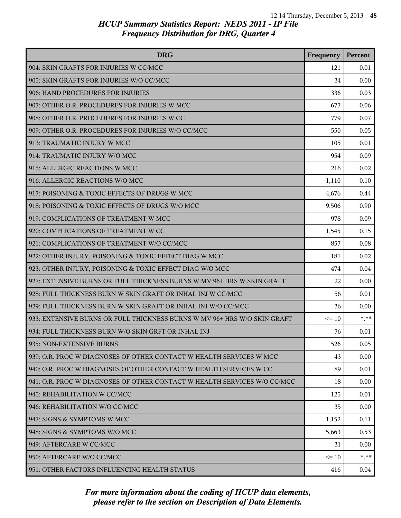| <b>DRG</b>                                                               | Frequency | Percent |
|--------------------------------------------------------------------------|-----------|---------|
| 904: SKIN GRAFTS FOR INJURIES W CC/MCC                                   | 121       | 0.01    |
| 905: SKIN GRAFTS FOR INJURIES W/O CC/MCC                                 | 34        | 0.00    |
| 906: HAND PROCEDURES FOR INJURIES                                        | 336       | 0.03    |
| 907: OTHER O.R. PROCEDURES FOR INJURIES W MCC                            | 677       | 0.06    |
| 908: OTHER O.R. PROCEDURES FOR INJURIES W CC                             | 779       | 0.07    |
| 909: OTHER O.R. PROCEDURES FOR INJURIES W/O CC/MCC                       | 550       | 0.05    |
| 913: TRAUMATIC INJURY W MCC                                              | 105       | 0.01    |
| 914: TRAUMATIC INJURY W/O MCC                                            | 954       | 0.09    |
| 915: ALLERGIC REACTIONS W MCC                                            | 216       | 0.02    |
| 916: ALLERGIC REACTIONS W/O MCC                                          | 1,110     | 0.10    |
| 917: POISONING & TOXIC EFFECTS OF DRUGS W MCC                            | 4,676     | 0.44    |
| 918: POISONING & TOXIC EFFECTS OF DRUGS W/O MCC                          | 9,506     | 0.90    |
| 919: COMPLICATIONS OF TREATMENT W MCC                                    | 978       | 0.09    |
| 920: COMPLICATIONS OF TREATMENT W CC                                     | 1,545     | 0.15    |
| 921: COMPLICATIONS OF TREATMENT W/O CC/MCC                               | 857       | 0.08    |
| 922: OTHER INJURY, POISONING & TOXIC EFFECT DIAG W MCC                   | 181       | 0.02    |
| 923: OTHER INJURY, POISONING & TOXIC EFFECT DIAG W/O MCC                 | 474       | 0.04    |
| 927: EXTENSIVE BURNS OR FULL THICKNESS BURNS W MV 96+ HRS W SKIN GRAFT   | 22        | 0.00    |
| 928: FULL THICKNESS BURN W SKIN GRAFT OR INHAL INJ W CC/MCC              | 56        | 0.01    |
| 929: FULL THICKNESS BURN W SKIN GRAFT OR INHAL INJ W/O CC/MCC            | 36        | 0.00    |
| 933: EXTENSIVE BURNS OR FULL THICKNESS BURNS W MV 96+ HRS W/O SKIN GRAFT | $\leq 10$ | $***$   |
| 934: FULL THICKNESS BURN W/O SKIN GRFT OR INHAL INJ                      | 76        | 0.01    |
| 935: NON-EXTENSIVE BURNS                                                 | 526       | 0.05    |
| 939: O.R. PROC W DIAGNOSES OF OTHER CONTACT W HEALTH SERVICES W MCC      | 43        | 0.00    |
| 940: O.R. PROC W DIAGNOSES OF OTHER CONTACT W HEALTH SERVICES W CC       | 89        | 0.01    |
| 941: O.R. PROC W DIAGNOSES OF OTHER CONTACT W HEALTH SERVICES W/O CC/MCC | 18        | 0.00    |
| 945: REHABILITATION W CC/MCC                                             | 125       | 0.01    |
| 946: REHABILITATION W/O CC/MCC                                           | 35        | 0.00    |
| 947: SIGNS & SYMPTOMS W MCC                                              | 1,152     | 0.11    |
| 948: SIGNS & SYMPTOMS W/O MCC                                            | 5,663     | 0.53    |
| 949: AFTERCARE W CC/MCC                                                  | 31        | 0.00    |
| 950: AFTERCARE W/O CC/MCC                                                | $\leq$ 10 | $* * *$ |
| 951: OTHER FACTORS INFLUENCING HEALTH STATUS                             | 416       | 0.04    |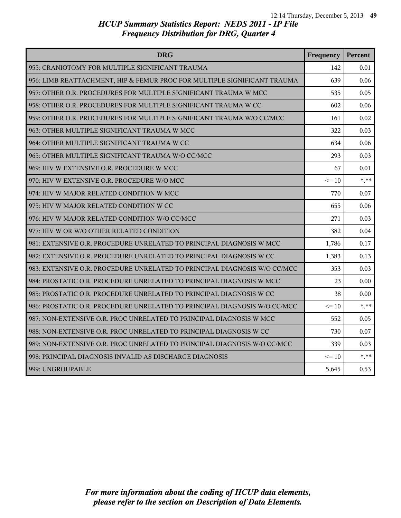| <b>DRG</b>                                                                | Frequency | Percent  |
|---------------------------------------------------------------------------|-----------|----------|
| 955: CRANIOTOMY FOR MULTIPLE SIGNIFICANT TRAUMA                           | 142       | 0.01     |
| 956: LIMB REATTACHMENT, HIP & FEMUR PROC FOR MULTIPLE SIGNIFICANT TRAUMA  | 639       | 0.06     |
| 957: OTHER O.R. PROCEDURES FOR MULTIPLE SIGNIFICANT TRAUMA W MCC          | 535       | 0.05     |
| 958: OTHER O.R. PROCEDURES FOR MULTIPLE SIGNIFICANT TRAUMA W CC           | 602       | 0.06     |
| 959: OTHER O.R. PROCEDURES FOR MULTIPLE SIGNIFICANT TRAUMA W/O CC/MCC     | 161       | 0.02     |
| 963: OTHER MULTIPLE SIGNIFICANT TRAUMA W MCC                              | 322       | 0.03     |
| 964: OTHER MULTIPLE SIGNIFICANT TRAUMA W CC                               | 634       | 0.06     |
| 965: OTHER MULTIPLE SIGNIFICANT TRAUMA W/O CC/MCC                         | 293       | 0.03     |
| 969: HIV W EXTENSIVE O.R. PROCEDURE W MCC                                 | 67        | 0.01     |
| 970: HIV W EXTENSIVE O.R. PROCEDURE W/O MCC                               | $\leq$ 10 | $* * *$  |
| 974: HIV W MAJOR RELATED CONDITION W MCC                                  | 770       | 0.07     |
| 975: HIV W MAJOR RELATED CONDITION W CC                                   | 655       | 0.06     |
| 976: HIV W MAJOR RELATED CONDITION W/O CC/MCC                             | 271       | 0.03     |
| 977: HIV W OR W/O OTHER RELATED CONDITION                                 | 382       | 0.04     |
| 981: EXTENSIVE O.R. PROCEDURE UNRELATED TO PRINCIPAL DIAGNOSIS W MCC      | 1,786     | 0.17     |
| 982: EXTENSIVE O.R. PROCEDURE UNRELATED TO PRINCIPAL DIAGNOSIS W CC       | 1,383     | 0.13     |
| 983: EXTENSIVE O.R. PROCEDURE UNRELATED TO PRINCIPAL DIAGNOSIS W/O CC/MCC | 353       | 0.03     |
| 984: PROSTATIC O.R. PROCEDURE UNRELATED TO PRINCIPAL DIAGNOSIS W MCC      | 23        | 0.00     |
| 985: PROSTATIC O.R. PROCEDURE UNRELATED TO PRINCIPAL DIAGNOSIS W CC       | 38        | 0.00     |
| 986: PROSTATIC O.R. PROCEDURE UNRELATED TO PRINCIPAL DIAGNOSIS W/O CC/MCC | $\leq 10$ | $* * *$  |
| 987: NON-EXTENSIVE O.R. PROC UNRELATED TO PRINCIPAL DIAGNOSIS W MCC       | 552       | 0.05     |
| 988: NON-EXTENSIVE O.R. PROC UNRELATED TO PRINCIPAL DIAGNOSIS W CC        | 730       | 0.07     |
| 989: NON-EXTENSIVE O.R. PROC UNRELATED TO PRINCIPAL DIAGNOSIS W/O CC/MCC  | 339       | 0.03     |
| 998: PRINCIPAL DIAGNOSIS INVALID AS DISCHARGE DIAGNOSIS                   | $\leq$ 10 | $*$ $**$ |
| 999: UNGROUPABLE                                                          | 5,645     | 0.53     |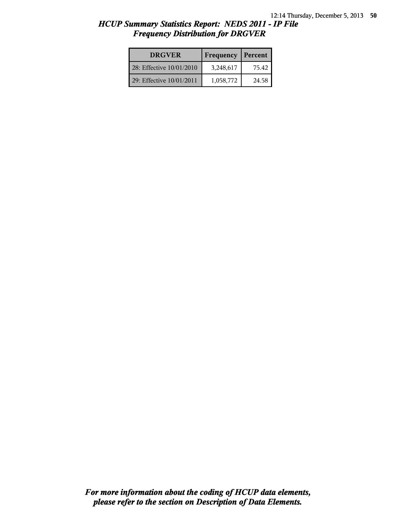| <b>DRGVER</b>            | Frequency | Percent |
|--------------------------|-----------|---------|
| 28: Effective 10/01/2010 | 3,248,617 | 75.42   |
| 29: Effective 10/01/2011 | 1,058,772 | 24.58   |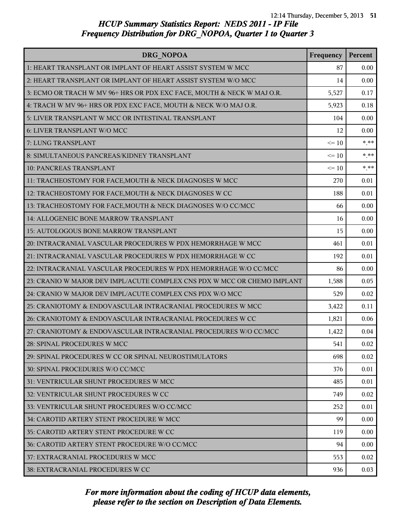| DRG NOPOA                                                                | Frequency | Percent |
|--------------------------------------------------------------------------|-----------|---------|
| 1: HEART TRANSPLANT OR IMPLANT OF HEART ASSIST SYSTEM W MCC              | 87        | 0.00    |
| 2: HEART TRANSPLANT OR IMPLANT OF HEART ASSIST SYSTEM W/O MCC            | 14        | 0.00    |
| 3: ECMO OR TRACH W MV 96+ HRS OR PDX EXC FACE, MOUTH & NECK W MAJ O.R.   | 5,527     | 0.17    |
| 4: TRACH W MV 96+ HRS OR PDX EXC FACE, MOUTH & NECK W/O MAJ O.R.         | 5,923     | 0.18    |
| 5: LIVER TRANSPLANT W MCC OR INTESTINAL TRANSPLANT                       | 104       | 0.00    |
| 6: LIVER TRANSPLANT W/O MCC                                              | 12        | 0.00    |
| 7: LUNG TRANSPLANT                                                       | $\leq 10$ | $***$   |
| 8: SIMULTANEOUS PANCREAS/KIDNEY TRANSPLANT                               | $\leq 10$ | $* * *$ |
| 10: PANCREAS TRANSPLANT                                                  | $\leq 10$ | $***$   |
| 11: TRACHEOSTOMY FOR FACE, MOUTH & NECK DIAGNOSES W MCC                  | 270       | 0.01    |
| 12: TRACHEOSTOMY FOR FACE, MOUTH & NECK DIAGNOSES W CC                   | 188       | 0.01    |
| 13: TRACHEOSTOMY FOR FACE, MOUTH & NECK DIAGNOSES W/O CC/MCC             | 66        | 0.00    |
| 14: ALLOGENEIC BONE MARROW TRANSPLANT                                    | 16        | 0.00    |
| 15: AUTOLOGOUS BONE MARROW TRANSPLANT                                    | 15        | 0.00    |
| 20: INTRACRANIAL VASCULAR PROCEDURES W PDX HEMORRHAGE W MCC              | 461       | 0.01    |
| 21: INTRACRANIAL VASCULAR PROCEDURES W PDX HEMORRHAGE W CC               | 192       | 0.01    |
| 22: INTRACRANIAL VASCULAR PROCEDURES W PDX HEMORRHAGE W/O CC/MCC         | 86        | 0.00    |
| 23: CRANIO W MAJOR DEV IMPL/ACUTE COMPLEX CNS PDX W MCC OR CHEMO IMPLANT | 1,588     | 0.05    |
| 24: CRANIO W MAJOR DEV IMPL/ACUTE COMPLEX CNS PDX W/O MCC                | 529       | 0.02    |
| 25: CRANIOTOMY & ENDOVASCULAR INTRACRANIAL PROCEDURES W MCC              | 3,422     | 0.11    |
| 26: CRANIOTOMY & ENDOVASCULAR INTRACRANIAL PROCEDURES W CC               | 1,821     | 0.06    |
| 27: CRANIOTOMY & ENDOVASCULAR INTRACRANIAL PROCEDURES W/O CC/MCC         | 1,422     | 0.04    |
| 28: SPINAL PROCEDURES W MCC                                              | 541       | 0.02    |
| 29: SPINAL PROCEDURES W CC OR SPINAL NEUROSTIMULATORS                    | 698       | 0.02    |
| 30: SPINAL PROCEDURES W/O CC/MCC                                         | 376       | 0.01    |
| 31: VENTRICULAR SHUNT PROCEDURES W MCC                                   | 485       | 0.01    |
| 32: VENTRICULAR SHUNT PROCEDURES W CC                                    | 749       | 0.02    |
| 33: VENTRICULAR SHUNT PROCEDURES W/O CC/MCC                              | 252       | 0.01    |
| 34: CAROTID ARTERY STENT PROCEDURE W MCC                                 | 99        | 0.00    |
| 35: CAROTID ARTERY STENT PROCEDURE W CC                                  | 119       | 0.00    |
| 36: CAROTID ARTERY STENT PROCEDURE W/O CC/MCC                            | 94        | 0.00    |
| 37: EXTRACRANIAL PROCEDURES W MCC                                        | 553       | 0.02    |
| <b>38: EXTRACRANIAL PROCEDURES W CC</b>                                  | 936       | 0.03    |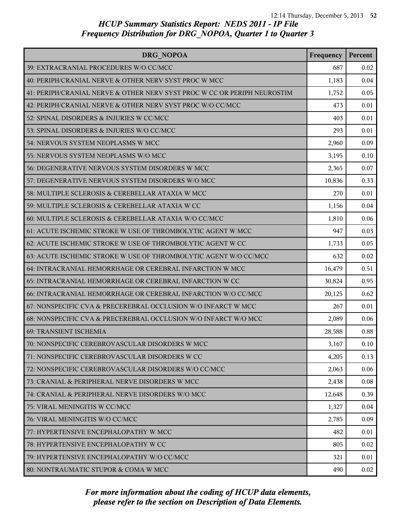| DRG NOPOA                                                                | Frequency | Percent |
|--------------------------------------------------------------------------|-----------|---------|
| 39: EXTRACRANIAL PROCEDURES W/O CC/MCC                                   | 687       | 0.02    |
| 40: PERIPH/CRANIAL NERVE & OTHER NERV SYST PROC W MCC                    | 1,183     | 0.04    |
| 41: PERIPH/CRANIAL NERVE & OTHER NERV SYST PROC W CC OR PERIPH NEUROSTIM | 1,752     | 0.05    |
| 42: PERIPH/CRANIAL NERVE & OTHER NERV SYST PROC W/O CC/MCC               | 473       | 0.01    |
| 52: SPINAL DISORDERS & INJURIES W CC/MCC                                 | 403       | 0.01    |
| 53: SPINAL DISORDERS & INJURIES W/O CC/MCC                               | 293       | 0.01    |
| 54: NERVOUS SYSTEM NEOPLASMS W MCC                                       | 2,960     | 0.09    |
| 55: NERVOUS SYSTEM NEOPLASMS W/O MCC                                     | 3,195     | 0.10    |
| 56: DEGENERATIVE NERVOUS SYSTEM DISORDERS W MCC                          | 2,365     | 0.07    |
| 57: DEGENERATIVE NERVOUS SYSTEM DISORDERS W/O MCC                        | 10,836    | 0.33    |
| 58: MULTIPLE SCLEROSIS & CEREBELLAR ATAXIA W MCC                         | 270       | 0.01    |
| 59: MULTIPLE SCLEROSIS & CEREBELLAR ATAXIA W CC                          | 1,156     | 0.04    |
| 60: MULTIPLE SCLEROSIS & CEREBELLAR ATAXIA W/O CC/MCC                    | 1,810     | 0.06    |
| 61: ACUTE ISCHEMIC STROKE W USE OF THROMBOLYTIC AGENT W MCC              | 947       | 0.03    |
| 62: ACUTE ISCHEMIC STROKE W USE OF THROMBOLYTIC AGENT W CC               | 1,733     | 0.05    |
| 63: ACUTE ISCHEMIC STROKE W USE OF THROMBOLYTIC AGENT W/O CC/MCC         | 632       | 0.02    |
| 64: INTRACRANIAL HEMORRHAGE OR CEREBRAL INFARCTION W MCC                 | 16,479    | 0.51    |
| 65: INTRACRANIAL HEMORRHAGE OR CEREBRAL INFARCTION W CC                  | 30,824    | 0.95    |
| 66: INTRACRANIAL HEMORRHAGE OR CEREBRAL INFARCTION W/O CC/MCC            | 20,125    | 0.62    |
| 67: NONSPECIFIC CVA & PRECEREBRAL OCCLUSION W/O INFARCT W MCC            | 267       | 0.01    |
| 68: NONSPECIFIC CVA & PRECEREBRAL OCCLUSION W/O INFARCT W/O MCC          | 2,089     | 0.06    |
| 69: TRANSIENT ISCHEMIA                                                   | 28,588    | 0.88    |
| 70: NONSPECIFIC CEREBROVASCULAR DISORDERS W MCC                          | 3,167     | 0.10    |
| 71: NONSPECIFIC CEREBROVASCULAR DISORDERS W CC                           | 4,205     | 0.13    |
| 72: NONSPECIFIC CEREBROVASCULAR DISORDERS W/O CC/MCC                     | 2,063     | 0.06    |
| 73: CRANIAL & PERIPHERAL NERVE DISORDERS W MCC                           | 2,438     | 0.08    |
| 74: CRANIAL & PERIPHERAL NERVE DISORDERS W/O MCC                         | 12,648    | 0.39    |
| 75: VIRAL MENINGITIS W CC/MCC                                            | 1,327     | 0.04    |
| 76: VIRAL MENINGITIS W/O CC/MCC                                          | 2,785     | 0.09    |
| 77: HYPERTENSIVE ENCEPHALOPATHY W MCC                                    | 482       | 0.01    |
| 78: HYPERTENSIVE ENCEPHALOPATHY W CC                                     | 805       | 0.02    |
| 79: HYPERTENSIVE ENCEPHALOPATHY W/O CC/MCC                               | 321       | 0.01    |
| 80: NONTRAUMATIC STUPOR & COMA W MCC                                     | 490       | 0.02    |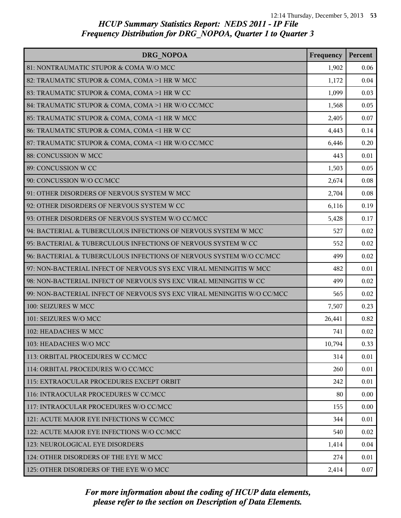| DRG NOPOA                                                               | Frequency | Percent |
|-------------------------------------------------------------------------|-----------|---------|
| 81: NONTRAUMATIC STUPOR & COMA W/O MCC                                  | 1,902     | 0.06    |
| 82: TRAUMATIC STUPOR & COMA, COMA >1 HR W MCC                           | 1,172     | 0.04    |
| 83: TRAUMATIC STUPOR & COMA, COMA >1 HR W CC                            | 1,099     | 0.03    |
| 84: TRAUMATIC STUPOR & COMA, COMA >1 HR W/O CC/MCC                      | 1,568     | 0.05    |
| 85: TRAUMATIC STUPOR & COMA, COMA <1 HR W MCC                           | 2,405     | 0.07    |
| 86: TRAUMATIC STUPOR & COMA, COMA <1 HR W CC                            | 4,443     | 0.14    |
| 87: TRAUMATIC STUPOR & COMA, COMA <1 HR W/O CC/MCC                      | 6,446     | 0.20    |
| 88: CONCUSSION W MCC                                                    | 443       | 0.01    |
| 89: CONCUSSION W CC                                                     | 1,503     | 0.05    |
| 90: CONCUSSION W/O CC/MCC                                               | 2,674     | 0.08    |
| 91: OTHER DISORDERS OF NERVOUS SYSTEM W MCC                             | 2,704     | 0.08    |
| 92: OTHER DISORDERS OF NERVOUS SYSTEM W CC                              | 6,116     | 0.19    |
| 93: OTHER DISORDERS OF NERVOUS SYSTEM W/O CC/MCC                        | 5,428     | 0.17    |
| 94: BACTERIAL & TUBERCULOUS INFECTIONS OF NERVOUS SYSTEM W MCC          | 527       | 0.02    |
| 95: BACTERIAL & TUBERCULOUS INFECTIONS OF NERVOUS SYSTEM W CC           | 552       | 0.02    |
| 96: BACTERIAL & TUBERCULOUS INFECTIONS OF NERVOUS SYSTEM W/O CC/MCC     | 499       | 0.02    |
| 97: NON-BACTERIAL INFECT OF NERVOUS SYS EXC VIRAL MENINGITIS W MCC      | 482       | 0.01    |
| 98: NON-BACTERIAL INFECT OF NERVOUS SYS EXC VIRAL MENINGITIS W CC       | 499       | 0.02    |
| 99: NON-BACTERIAL INFECT OF NERVOUS SYS EXC VIRAL MENINGITIS W/O CC/MCC | 565       | 0.02    |
| 100: SEIZURES W MCC                                                     | 7,507     | 0.23    |
| 101: SEIZURES W/O MCC                                                   | 26,441    | 0.82    |
| 102: HEADACHES W MCC                                                    | 741       | 0.02    |
| 103: HEADACHES W/O MCC                                                  | 10,794    | 0.33    |
| 113: ORBITAL PROCEDURES W CC/MCC                                        | 314       | 0.01    |
| 114: ORBITAL PROCEDURES W/O CC/MCC                                      | 260       | 0.01    |
| 115: EXTRAOCULAR PROCEDURES EXCEPT ORBIT                                | 242       | 0.01    |
| 116: INTRAOCULAR PROCEDURES W CC/MCC                                    | 80        | 0.00    |
| 117: INTRAOCULAR PROCEDURES W/O CC/MCC                                  | 155       | 0.00    |
| 121: ACUTE MAJOR EYE INFECTIONS W CC/MCC                                | 344       | 0.01    |
| 122: ACUTE MAJOR EYE INFECTIONS W/O CC/MCC                              | 540       | 0.02    |
| 123: NEUROLOGICAL EYE DISORDERS                                         | 1,414     | 0.04    |
| 124: OTHER DISORDERS OF THE EYE W MCC                                   | 274       | 0.01    |
| 125: OTHER DISORDERS OF THE EYE W/O MCC                                 | 2,414     | 0.07    |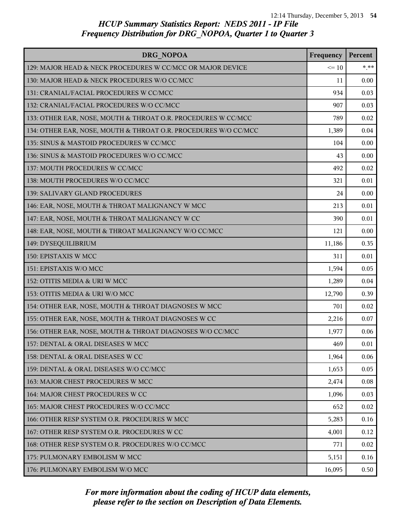| DRG NOPOA                                                       | Frequency | Percent |
|-----------------------------------------------------------------|-----------|---------|
| 129: MAJOR HEAD & NECK PROCEDURES W CC/MCC OR MAJOR DEVICE      | $\leq 10$ | $*.**$  |
| 130: MAJOR HEAD & NECK PROCEDURES W/O CC/MCC                    | 11        | 0.00    |
| 131: CRANIAL/FACIAL PROCEDURES W CC/MCC                         | 934       | 0.03    |
| 132: CRANIAL/FACIAL PROCEDURES W/O CC/MCC                       | 907       | 0.03    |
| 133: OTHER EAR, NOSE, MOUTH & THROAT O.R. PROCEDURES W CC/MCC   | 789       | 0.02    |
| 134: OTHER EAR, NOSE, MOUTH & THROAT O.R. PROCEDURES W/O CC/MCC | 1,389     | 0.04    |
| 135: SINUS & MASTOID PROCEDURES W CC/MCC                        | 104       | 0.00    |
| 136: SINUS & MASTOID PROCEDURES W/O CC/MCC                      | 43        | 0.00    |
| 137: MOUTH PROCEDURES W CC/MCC                                  | 492       | 0.02    |
| 138: MOUTH PROCEDURES W/O CC/MCC                                | 321       | 0.01    |
| 139: SALIVARY GLAND PROCEDURES                                  | 24        | 0.00    |
| 146: EAR, NOSE, MOUTH & THROAT MALIGNANCY W MCC                 | 213       | 0.01    |
| 147: EAR, NOSE, MOUTH & THROAT MALIGNANCY W CC                  | 390       | 0.01    |
| 148: EAR, NOSE, MOUTH & THROAT MALIGNANCY W/O CC/MCC            | 121       | 0.00    |
| 149: DYSEQUILIBRIUM                                             | 11,186    | 0.35    |
| 150: EPISTAXIS W MCC                                            | 311       | 0.01    |
| 151: EPISTAXIS W/O MCC                                          | 1,594     | 0.05    |
| 152: OTITIS MEDIA & URI W MCC                                   | 1,289     | 0.04    |
| 153: OTITIS MEDIA & URI W/O MCC                                 | 12,790    | 0.39    |
| 154: OTHER EAR, NOSE, MOUTH & THROAT DIAGNOSES W MCC            | 701       | 0.02    |
| 155: OTHER EAR, NOSE, MOUTH & THROAT DIAGNOSES W CC             | 2,216     | 0.07    |
| 156: OTHER EAR, NOSE, MOUTH & THROAT DIAGNOSES W/O CC/MCC       | 1,977     | 0.06    |
| 157: DENTAL & ORAL DISEASES W MCC                               | 469       | 0.01    |
| 158: DENTAL & ORAL DISEASES W CC                                | 1,964     | 0.06    |
| 159: DENTAL & ORAL DISEASES W/O CC/MCC                          | 1,653     | 0.05    |
| 163: MAJOR CHEST PROCEDURES W MCC                               | 2,474     | 0.08    |
| 164: MAJOR CHEST PROCEDURES W CC                                | 1,096     | 0.03    |
| 165: MAJOR CHEST PROCEDURES W/O CC/MCC                          | 652       | 0.02    |
| 166: OTHER RESP SYSTEM O.R. PROCEDURES W MCC                    | 5,283     | 0.16    |
| 167: OTHER RESP SYSTEM O.R. PROCEDURES W CC                     | 4,001     | 0.12    |
| 168: OTHER RESP SYSTEM O.R. PROCEDURES W/O CC/MCC               | 771       | 0.02    |
| 175: PULMONARY EMBOLISM W MCC                                   | 5,151     | 0.16    |
| 176: PULMONARY EMBOLISM W/O MCC                                 | 16,095    | 0.50    |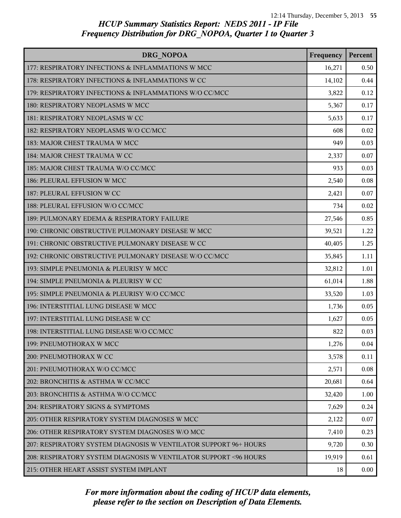| DRG NOPOA                                                         | Frequency | Percent |
|-------------------------------------------------------------------|-----------|---------|
| 177: RESPIRATORY INFECTIONS & INFLAMMATIONS W MCC                 | 16,271    | 0.50    |
| 178: RESPIRATORY INFECTIONS & INFLAMMATIONS W CC                  | 14,102    | 0.44    |
| 179: RESPIRATORY INFECTIONS & INFLAMMATIONS W/O CC/MCC            | 3,822     | 0.12    |
| 180: RESPIRATORY NEOPLASMS W MCC                                  | 5,367     | 0.17    |
| 181: RESPIRATORY NEOPLASMS W CC                                   | 5,633     | 0.17    |
| 182: RESPIRATORY NEOPLASMS W/O CC/MCC                             | 608       | 0.02    |
| 183: MAJOR CHEST TRAUMA W MCC                                     | 949       | 0.03    |
| 184: MAJOR CHEST TRAUMA W CC                                      | 2,337     | 0.07    |
| 185: MAJOR CHEST TRAUMA W/O CC/MCC                                | 933       | 0.03    |
| 186: PLEURAL EFFUSION W MCC                                       | 2,540     | 0.08    |
| 187: PLEURAL EFFUSION W CC                                        | 2,421     | 0.07    |
| 188: PLEURAL EFFUSION W/O CC/MCC                                  | 734       | 0.02    |
| 189: PULMONARY EDEMA & RESPIRATORY FAILURE                        | 27,546    | 0.85    |
| 190: CHRONIC OBSTRUCTIVE PULMONARY DISEASE W MCC                  | 39,521    | 1.22    |
| 191: CHRONIC OBSTRUCTIVE PULMONARY DISEASE W CC                   | 40,405    | 1.25    |
| 192: CHRONIC OBSTRUCTIVE PULMONARY DISEASE W/O CC/MCC             | 35,845    | 1.11    |
| 193: SIMPLE PNEUMONIA & PLEURISY W MCC                            | 32,812    | 1.01    |
| 194: SIMPLE PNEUMONIA & PLEURISY W CC                             | 61,014    | 1.88    |
| 195: SIMPLE PNEUMONIA & PLEURISY W/O CC/MCC                       | 33,520    | 1.03    |
| 196: INTERSTITIAL LUNG DISEASE W MCC                              | 1,736     | 0.05    |
| 197: INTERSTITIAL LUNG DISEASE W CC                               | 1,627     | 0.05    |
| 198: INTERSTITIAL LUNG DISEASE W/O CC/MCC                         | 822       | 0.03    |
| 199: PNEUMOTHORAX W MCC                                           | 1,276     | 0.04    |
| 200: PNEUMOTHORAX W CC                                            | 3,578     | 0.11    |
| 201: PNEUMOTHORAX W/O CC/MCC                                      | 2,571     | 0.08    |
| 202: BRONCHITIS & ASTHMA W CC/MCC                                 | 20,681    | 0.64    |
| 203: BRONCHITIS & ASTHMA W/O CC/MCC                               | 32,420    | 1.00    |
| 204: RESPIRATORY SIGNS & SYMPTOMS                                 | 7,629     | 0.24    |
| 205: OTHER RESPIRATORY SYSTEM DIAGNOSES W MCC                     | 2,122     | 0.07    |
| 206: OTHER RESPIRATORY SYSTEM DIAGNOSES W/O MCC                   | 7,410     | 0.23    |
| 207: RESPIRATORY SYSTEM DIAGNOSIS W VENTILATOR SUPPORT 96+ HOURS  | 9,720     | 0.30    |
| 208: RESPIRATORY SYSTEM DIAGNOSIS W VENTILATOR SUPPORT < 96 HOURS | 19,919    | 0.61    |
| 215: OTHER HEART ASSIST SYSTEM IMPLANT                            | 18        | 0.00    |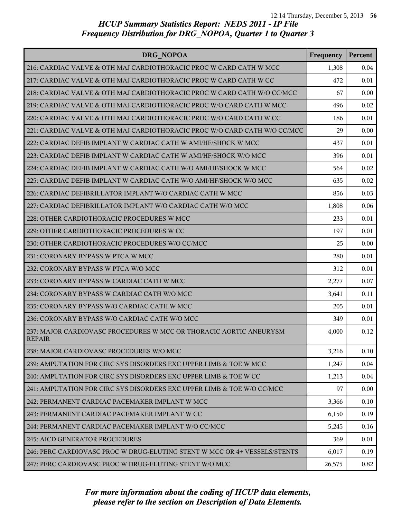| DRG NOPOA                                                                           | Frequency | Percent |
|-------------------------------------------------------------------------------------|-----------|---------|
| 216: CARDIAC VALVE & OTH MAJ CARDIOTHORACIC PROC W CARD CATH W MCC                  | 1,308     | 0.04    |
| 217: CARDIAC VALVE & OTH MAJ CARDIOTHORACIC PROC W CARD CATH W CC                   | 472       | 0.01    |
| 218: CARDIAC VALVE & OTH MAJ CARDIOTHORACIC PROC W CARD CATH W/O CC/MCC             | 67        | 0.00    |
| 219: CARDIAC VALVE & OTH MAJ CARDIOTHORACIC PROC W/O CARD CATH W MCC                | 496       | 0.02    |
| 220: CARDIAC VALVE & OTH MAJ CARDIOTHORACIC PROC W/O CARD CATH W CC                 | 186       | 0.01    |
| 221: CARDIAC VALVE & OTH MAJ CARDIOTHORACIC PROC W/O CARD CATH W/O CC/MCC           | 29        | 0.00    |
| 222: CARDIAC DEFIB IMPLANT W CARDIAC CATH W AMI/HF/SHOCK W MCC                      | 437       | 0.01    |
| 223: CARDIAC DEFIB IMPLANT W CARDIAC CATH W AMI/HF/SHOCK W/O MCC                    | 396       | 0.01    |
| 224: CARDIAC DEFIB IMPLANT W CARDIAC CATH W/O AMI/HF/SHOCK W MCC                    | 564       | 0.02    |
| 225: CARDIAC DEFIB IMPLANT W CARDIAC CATH W/O AMI/HF/SHOCK W/O MCC                  | 635       | 0.02    |
| 226: CARDIAC DEFIBRILLATOR IMPLANT W/O CARDIAC CATH W MCC                           | 856       | 0.03    |
| 227: CARDIAC DEFIBRILLATOR IMPLANT W/O CARDIAC CATH W/O MCC                         | 1,808     | 0.06    |
| 228: OTHER CARDIOTHORACIC PROCEDURES W MCC                                          | 233       | 0.01    |
| 229: OTHER CARDIOTHORACIC PROCEDURES W CC                                           | 197       | 0.01    |
| 230: OTHER CARDIOTHORACIC PROCEDURES W/O CC/MCC                                     | 25        | 0.00    |
| 231: CORONARY BYPASS W PTCA W MCC                                                   | 280       | 0.01    |
| 232: CORONARY BYPASS W PTCA W/O MCC                                                 | 312       | 0.01    |
| 233: CORONARY BYPASS W CARDIAC CATH W MCC                                           | 2,277     | 0.07    |
| 234: CORONARY BYPASS W CARDIAC CATH W/O MCC                                         | 3,641     | 0.11    |
| 235: CORONARY BYPASS W/O CARDIAC CATH W MCC                                         | 205       | 0.01    |
| 236: CORONARY BYPASS W/O CARDIAC CATH W/O MCC                                       | 349       | 0.01    |
| 237: MAJOR CARDIOVASC PROCEDURES W MCC OR THORACIC AORTIC ANEURYSM<br><b>REPAIR</b> | 4,000     | 0.12    |
| 238: MAJOR CARDIOVASC PROCEDURES W/O MCC                                            | 3,216     | 0.10    |
| 239: AMPUTATION FOR CIRC SYS DISORDERS EXC UPPER LIMB & TOE W MCC                   | 1,247     | 0.04    |
| 240: AMPUTATION FOR CIRC SYS DISORDERS EXC UPPER LIMB & TOE W CC                    | 1,213     | 0.04    |
| 241: AMPUTATION FOR CIRC SYS DISORDERS EXC UPPER LIMB & TOE W/O CC/MCC              | 97        | 0.00    |
| 242: PERMANENT CARDIAC PACEMAKER IMPLANT W MCC                                      | 3,366     | 0.10    |
| 243: PERMANENT CARDIAC PACEMAKER IMPLANT W CC                                       | 6,150     | 0.19    |
| 244: PERMANENT CARDIAC PACEMAKER IMPLANT W/O CC/MCC                                 | 5,245     | 0.16    |
| 245: AICD GENERATOR PROCEDURES                                                      | 369       | 0.01    |
| 246: PERC CARDIOVASC PROC W DRUG-ELUTING STENT W MCC OR 4+ VESSELS/STENTS           | 6,017     | 0.19    |
| 247: PERC CARDIOVASC PROC W DRUG-ELUTING STENT W/O MCC                              | 26,575    | 0.82    |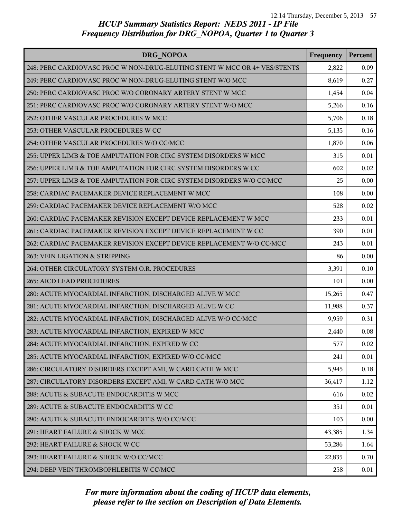| DRG NOPOA                                                                 | Frequency | Percent |
|---------------------------------------------------------------------------|-----------|---------|
| 248: PERC CARDIOVASC PROC W NON-DRUG-ELUTING STENT W MCC OR 4+ VES/STENTS | 2,822     | 0.09    |
| 249: PERC CARDIOVASC PROC W NON-DRUG-ELUTING STENT W/O MCC                | 8,619     | 0.27    |
| 250: PERC CARDIOVASC PROC W/O CORONARY ARTERY STENT W MCC                 | 1,454     | 0.04    |
| 251: PERC CARDIOVASC PROC W/O CORONARY ARTERY STENT W/O MCC               | 5,266     | 0.16    |
| 252: OTHER VASCULAR PROCEDURES W MCC                                      | 5,706     | 0.18    |
| 253: OTHER VASCULAR PROCEDURES W CC                                       | 5,135     | 0.16    |
| 254: OTHER VASCULAR PROCEDURES W/O CC/MCC                                 | 1,870     | 0.06    |
| 255: UPPER LIMB & TOE AMPUTATION FOR CIRC SYSTEM DISORDERS W MCC          | 315       | 0.01    |
| 256: UPPER LIMB & TOE AMPUTATION FOR CIRC SYSTEM DISORDERS W CC           | 602       | 0.02    |
| 257: UPPER LIMB & TOE AMPUTATION FOR CIRC SYSTEM DISORDERS W/O CC/MCC     | 25        | 0.00    |
| 258: CARDIAC PACEMAKER DEVICE REPLACEMENT W MCC                           | 108       | 0.00    |
| 259: CARDIAC PACEMAKER DEVICE REPLACEMENT W/O MCC                         | 528       | 0.02    |
| 260: CARDIAC PACEMAKER REVISION EXCEPT DEVICE REPLACEMENT W MCC           | 233       | 0.01    |
| 261: CARDIAC PACEMAKER REVISION EXCEPT DEVICE REPLACEMENT W CC            | 390       | 0.01    |
| 262: CARDIAC PACEMAKER REVISION EXCEPT DEVICE REPLACEMENT W/O CC/MCC      | 243       | 0.01    |
| 263: VEIN LIGATION & STRIPPING                                            | 86        | 0.00    |
| 264: OTHER CIRCULATORY SYSTEM O.R. PROCEDURES                             | 3,391     | 0.10    |
| 265: AICD LEAD PROCEDURES                                                 | 101       | 0.00    |
| 280: ACUTE MYOCARDIAL INFARCTION, DISCHARGED ALIVE W MCC                  | 15,265    | 0.47    |
| 281: ACUTE MYOCARDIAL INFARCTION, DISCHARGED ALIVE W CC                   | 11,988    | 0.37    |
| 282: ACUTE MYOCARDIAL INFARCTION, DISCHARGED ALIVE W/O CC/MCC             | 9,959     | 0.31    |
| 283: ACUTE MYOCARDIAL INFARCTION, EXPIRED W MCC                           | 2,440     | 0.08    |
| 284: ACUTE MYOCARDIAL INFARCTION, EXPIRED W CC                            | 577       | 0.02    |
| 285: ACUTE MYOCARDIAL INFARCTION, EXPIRED W/O CC/MCC                      | 241       | 0.01    |
| 286: CIRCULATORY DISORDERS EXCEPT AMI, W CARD CATH W MCC                  | 5,945     | 0.18    |
| 287: CIRCULATORY DISORDERS EXCEPT AMI, W CARD CATH W/O MCC                | 36,417    | 1.12    |
| 288: ACUTE & SUBACUTE ENDOCARDITIS W MCC                                  | 616       | 0.02    |
| 289: ACUTE & SUBACUTE ENDOCARDITIS W CC                                   | 351       | 0.01    |
| 290: ACUTE & SUBACUTE ENDOCARDITIS W/O CC/MCC                             | 103       | 0.00    |
| 291: HEART FAILURE & SHOCK W MCC                                          | 43,385    | 1.34    |
| 292: HEART FAILURE & SHOCK W CC                                           | 53,286    | 1.64    |
| 293: HEART FAILURE & SHOCK W/O CC/MCC                                     | 22,835    | 0.70    |
| 294: DEEP VEIN THROMBOPHLEBITIS W CC/MCC                                  | 258       | 0.01    |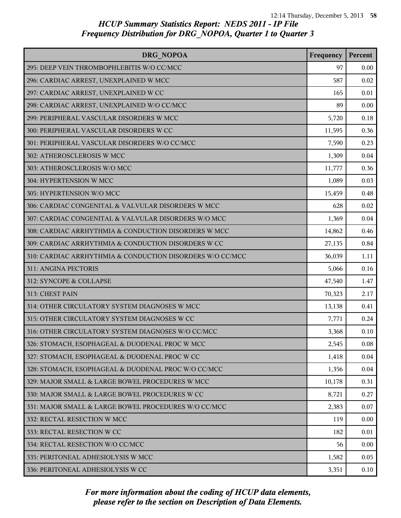| DRG NOPOA                                                 | Frequency | Percent |
|-----------------------------------------------------------|-----------|---------|
| 295: DEEP VEIN THROMBOPHLEBITIS W/O CC/MCC                | 97        | 0.00    |
| 296: CARDIAC ARREST, UNEXPLAINED W MCC                    | 587       | 0.02    |
| 297: CARDIAC ARREST, UNEXPLAINED W CC                     | 165       | 0.01    |
| 298: CARDIAC ARREST, UNEXPLAINED W/O CC/MCC               | 89        | 0.00    |
| 299: PERIPHERAL VASCULAR DISORDERS W MCC                  | 5,720     | 0.18    |
| 300: PERIPHERAL VASCULAR DISORDERS W CC                   | 11,595    | 0.36    |
| 301: PERIPHERAL VASCULAR DISORDERS W/O CC/MCC             | 7,590     | 0.23    |
| 302: ATHEROSCLEROSIS W MCC                                | 1,309     | 0.04    |
| 303: ATHEROSCLEROSIS W/O MCC                              | 11,777    | 0.36    |
| 304: HYPERTENSION W MCC                                   | 1,089     | 0.03    |
| 305: HYPERTENSION W/O MCC                                 | 15,459    | 0.48    |
| 306: CARDIAC CONGENITAL & VALVULAR DISORDERS W MCC        | 628       | 0.02    |
| 307: CARDIAC CONGENITAL & VALVULAR DISORDERS W/O MCC      | 1,369     | 0.04    |
| 308: CARDIAC ARRHYTHMIA & CONDUCTION DISORDERS W MCC      | 14,862    | 0.46    |
| 309: CARDIAC ARRHYTHMIA & CONDUCTION DISORDERS W CC       | 27,135    | 0.84    |
| 310: CARDIAC ARRHYTHMIA & CONDUCTION DISORDERS W/O CC/MCC | 36,039    | 1.11    |
| 311: ANGINA PECTORIS                                      | 5,066     | 0.16    |
| 312: SYNCOPE & COLLAPSE                                   | 47,540    | 1.47    |
| 313: CHEST PAIN                                           | 70,323    | 2.17    |
| 314: OTHER CIRCULATORY SYSTEM DIAGNOSES W MCC             | 13,138    | 0.41    |
| 315: OTHER CIRCULATORY SYSTEM DIAGNOSES W CC              | 7,771     | 0.24    |
| 316: OTHER CIRCULATORY SYSTEM DIAGNOSES W/O CC/MCC        | 3,368     | 0.10    |
| 326: STOMACH, ESOPHAGEAL & DUODENAL PROC W MCC            | 2,545     | 0.08    |
| 327: STOMACH, ESOPHAGEAL & DUODENAL PROC W CC             | 1,418     | 0.04    |
| 328: STOMACH, ESOPHAGEAL & DUODENAL PROC W/O CC/MCC       | 1,356     | 0.04    |
| 329: MAJOR SMALL & LARGE BOWEL PROCEDURES W MCC           | 10,178    | 0.31    |
| 330: MAJOR SMALL & LARGE BOWEL PROCEDURES W CC            | 8,721     | 0.27    |
| 331: MAJOR SMALL & LARGE BOWEL PROCEDURES W/O CC/MCC      | 2,383     | 0.07    |
| 332: RECTAL RESECTION W MCC                               | 119       | 0.00    |
| 333: RECTAL RESECTION W CC                                | 182       | 0.01    |
| 334: RECTAL RESECTION W/O CC/MCC                          | 56        | 0.00    |
| 335: PERITONEAL ADHESIOLYSIS W MCC                        | 1,582     | 0.05    |
| 336: PERITONEAL ADHESIOLYSIS W CC                         | 3,351     | 0.10    |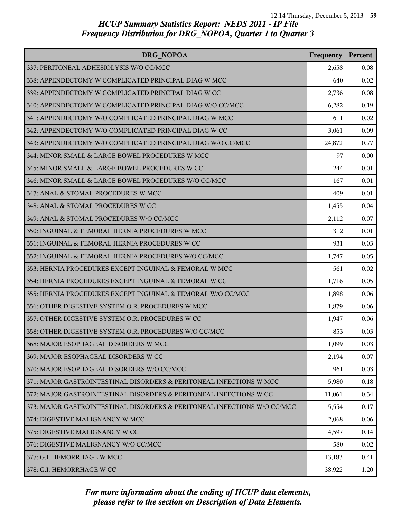| DRG NOPOA                                                                | Frequency | Percent |
|--------------------------------------------------------------------------|-----------|---------|
| 337: PERITONEAL ADHESIOLYSIS W/O CC/MCC                                  | 2,658     | 0.08    |
| 338: APPENDECTOMY W COMPLICATED PRINCIPAL DIAG W MCC                     | 640       | 0.02    |
| 339: APPENDECTOMY W COMPLICATED PRINCIPAL DIAG W CC                      | 2,736     | 0.08    |
| 340: APPENDECTOMY W COMPLICATED PRINCIPAL DIAG W/O CC/MCC                | 6,282     | 0.19    |
| 341: APPENDECTOMY W/O COMPLICATED PRINCIPAL DIAG W MCC                   | 611       | 0.02    |
| 342: APPENDECTOMY W/O COMPLICATED PRINCIPAL DIAG W CC                    | 3,061     | 0.09    |
| 343: APPENDECTOMY W/O COMPLICATED PRINCIPAL DIAG W/O CC/MCC              | 24,872    | 0.77    |
| 344: MINOR SMALL & LARGE BOWEL PROCEDURES W MCC                          | 97        | 0.00    |
| 345: MINOR SMALL & LARGE BOWEL PROCEDURES W CC                           | 244       | 0.01    |
| 346: MINOR SMALL & LARGE BOWEL PROCEDURES W/O CC/MCC                     | 167       | 0.01    |
| 347: ANAL & STOMAL PROCEDURES W MCC                                      | 409       | 0.01    |
| 348: ANAL & STOMAL PROCEDURES W CC                                       | 1,455     | 0.04    |
| 349: ANAL & STOMAL PROCEDURES W/O CC/MCC                                 | 2,112     | 0.07    |
| 350: INGUINAL & FEMORAL HERNIA PROCEDURES W MCC                          | 312       | 0.01    |
| 351: INGUINAL & FEMORAL HERNIA PROCEDURES W CC                           | 931       | 0.03    |
| 352: INGUINAL & FEMORAL HERNIA PROCEDURES W/O CC/MCC                     | 1,747     | 0.05    |
| 353: HERNIA PROCEDURES EXCEPT INGUINAL & FEMORAL W MCC                   | 561       | 0.02    |
| 354: HERNIA PROCEDURES EXCEPT INGUINAL & FEMORAL W CC                    | 1,716     | 0.05    |
| 355: HERNIA PROCEDURES EXCEPT INGUINAL & FEMORAL W/O CC/MCC              | 1,898     | 0.06    |
| 356: OTHER DIGESTIVE SYSTEM O.R. PROCEDURES W MCC                        | 1,879     | 0.06    |
| 357: OTHER DIGESTIVE SYSTEM O.R. PROCEDURES W CC                         | 1,947     | 0.06    |
| 358: OTHER DIGESTIVE SYSTEM O.R. PROCEDURES W/O CC/MCC                   | 853       | 0.03    |
| 368: MAJOR ESOPHAGEAL DISORDERS W MCC                                    | 1,099     | 0.03    |
| 369: MAJOR ESOPHAGEAL DISORDERS W CC                                     | 2,194     | 0.07    |
| 370: MAJOR ESOPHAGEAL DISORDERS W/O CC/MCC                               | 961       | 0.03    |
| 371: MAJOR GASTROINTESTINAL DISORDERS & PERITONEAL INFECTIONS W MCC      | 5,980     | 0.18    |
| 372: MAJOR GASTROINTESTINAL DISORDERS & PERITONEAL INFECTIONS W CC       | 11,061    | 0.34    |
| 373: MAJOR GASTROINTESTINAL DISORDERS & PERITONEAL INFECTIONS W/O CC/MCC | 5,554     | 0.17    |
| 374: DIGESTIVE MALIGNANCY W MCC                                          | 2,068     | 0.06    |
| 375: DIGESTIVE MALIGNANCY W CC                                           | 4,597     | 0.14    |
| 376: DIGESTIVE MALIGNANCY W/O CC/MCC                                     | 580       | 0.02    |
| 377: G.I. HEMORRHAGE W MCC                                               | 13,183    | 0.41    |
| 378: G.I. HEMORRHAGE W CC                                                | 38,922    | 1.20    |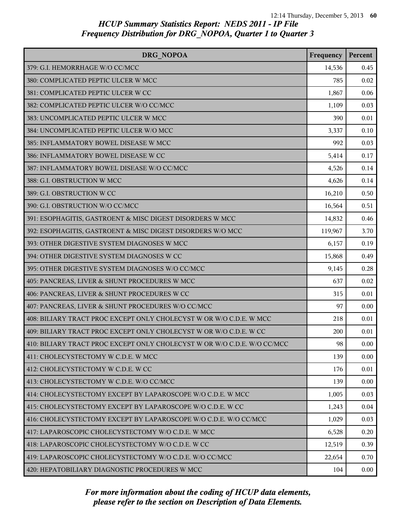| DRG NOPOA                                                                | Frequency | Percent |
|--------------------------------------------------------------------------|-----------|---------|
| 379: G.I. HEMORRHAGE W/O CC/MCC                                          | 14,536    | 0.45    |
| 380: COMPLICATED PEPTIC ULCER W MCC                                      | 785       | 0.02    |
| 381: COMPLICATED PEPTIC ULCER W CC                                       | 1,867     | 0.06    |
| 382: COMPLICATED PEPTIC ULCER W/O CC/MCC                                 | 1,109     | 0.03    |
| 383: UNCOMPLICATED PEPTIC ULCER W MCC                                    | 390       | 0.01    |
| 384: UNCOMPLICATED PEPTIC ULCER W/O MCC                                  | 3,337     | 0.10    |
| 385: INFLAMMATORY BOWEL DISEASE W MCC                                    | 992       | 0.03    |
| 386: INFLAMMATORY BOWEL DISEASE W CC                                     | 5,414     | 0.17    |
| 387: INFLAMMATORY BOWEL DISEASE W/O CC/MCC                               | 4,526     | 0.14    |
| 388: G.I. OBSTRUCTION W MCC                                              | 4,626     | 0.14    |
| 389: G.I. OBSTRUCTION W CC                                               | 16,210    | 0.50    |
| 390: G.I. OBSTRUCTION W/O CC/MCC                                         | 16,564    | 0.51    |
| 391: ESOPHAGITIS, GASTROENT & MISC DIGEST DISORDERS W MCC                | 14,832    | 0.46    |
| 392: ESOPHAGITIS, GASTROENT & MISC DIGEST DISORDERS W/O MCC              | 119,967   | 3.70    |
| 393: OTHER DIGESTIVE SYSTEM DIAGNOSES W MCC                              | 6,157     | 0.19    |
| 394: OTHER DIGESTIVE SYSTEM DIAGNOSES W CC                               | 15,868    | 0.49    |
| 395: OTHER DIGESTIVE SYSTEM DIAGNOSES W/O CC/MCC                         | 9,145     | 0.28    |
| 405: PANCREAS, LIVER & SHUNT PROCEDURES W MCC                            | 637       | 0.02    |
| 406: PANCREAS, LIVER & SHUNT PROCEDURES W CC                             | 315       | 0.01    |
| 407: PANCREAS, LIVER & SHUNT PROCEDURES W/O CC/MCC                       | 97        | 0.00    |
| 408: BILIARY TRACT PROC EXCEPT ONLY CHOLECYST W OR W/O C.D.E. W MCC      | 218       | 0.01    |
| 409: BILIARY TRACT PROC EXCEPT ONLY CHOLECYST W OR W/O C.D.E. W CC       | 200       | 0.01    |
| 410: BILIARY TRACT PROC EXCEPT ONLY CHOLECYST W OR W/O C.D.E. W/O CC/MCC | 98        | 0.00    |
| 411: CHOLECYSTECTOMY W C.D.E. W MCC                                      | 139       | 0.00    |
| 412: CHOLECYSTECTOMY W C.D.E. W CC                                       | 176       | 0.01    |
| 413: CHOLECYSTECTOMY W C.D.E. W/O CC/MCC                                 | 139       | 0.00    |
| 414: CHOLECYSTECTOMY EXCEPT BY LAPAROSCOPE W/O C.D.E. W MCC              | 1,005     | 0.03    |
| 415: CHOLECYSTECTOMY EXCEPT BY LAPAROSCOPE W/O C.D.E. W CC               | 1,243     | 0.04    |
| 416: CHOLECYSTECTOMY EXCEPT BY LAPAROSCOPE W/O C.D.E. W/O CC/MCC         | 1,029     | 0.03    |
| 417: LAPAROSCOPIC CHOLECYSTECTOMY W/O C.D.E. W MCC                       | 6,528     | 0.20    |
| 418: LAPAROSCOPIC CHOLECYSTECTOMY W/O C.D.E. W CC                        | 12,519    | 0.39    |
| 419: LAPAROSCOPIC CHOLECYSTECTOMY W/O C.D.E. W/O CC/MCC                  | 22,654    | 0.70    |
| 420: HEPATOBILIARY DIAGNOSTIC PROCEDURES W MCC                           | 104       | 0.00    |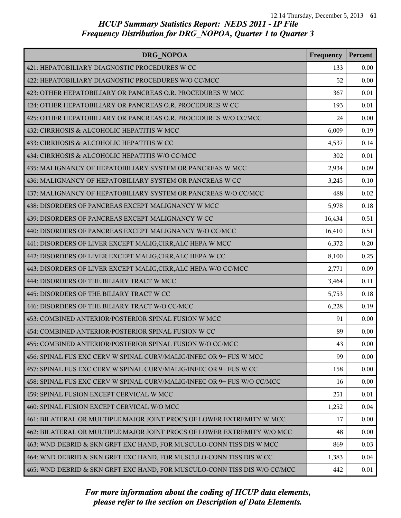| DRG NOPOA                                                                 | Frequency | Percent |
|---------------------------------------------------------------------------|-----------|---------|
| 421: HEPATOBILIARY DIAGNOSTIC PROCEDURES W CC                             | 133       | 0.00    |
| 422: HEPATOBILIARY DIAGNOSTIC PROCEDURES W/O CC/MCC                       | 52        | 0.00    |
| 423: OTHER HEPATOBILIARY OR PANCREAS O.R. PROCEDURES W MCC                | 367       | 0.01    |
| 424: OTHER HEPATOBILIARY OR PANCREAS O.R. PROCEDURES W CC                 | 193       | 0.01    |
| 425: OTHER HEPATOBILIARY OR PANCREAS O.R. PROCEDURES W/O CC/MCC           | 24        | 0.00    |
| 432: CIRRHOSIS & ALCOHOLIC HEPATITIS W MCC                                | 6,009     | 0.19    |
| 433: CIRRHOSIS & ALCOHOLIC HEPATITIS W CC                                 | 4,537     | 0.14    |
| 434: CIRRHOSIS & ALCOHOLIC HEPATITIS W/O CC/MCC                           | 302       | 0.01    |
| 435: MALIGNANCY OF HEPATOBILIARY SYSTEM OR PANCREAS W MCC                 | 2,934     | 0.09    |
| 436: MALIGNANCY OF HEPATOBILIARY SYSTEM OR PANCREAS W CC                  | 3,245     | 0.10    |
| 437: MALIGNANCY OF HEPATOBILIARY SYSTEM OR PANCREAS W/O CC/MCC            | 488       | 0.02    |
| 438: DISORDERS OF PANCREAS EXCEPT MALIGNANCY W MCC                        | 5,978     | 0.18    |
| 439: DISORDERS OF PANCREAS EXCEPT MALIGNANCY W CC                         | 16,434    | 0.51    |
| 440: DISORDERS OF PANCREAS EXCEPT MALIGNANCY W/O CC/MCC                   | 16,410    | 0.51    |
| 441: DISORDERS OF LIVER EXCEPT MALIG, CIRR, ALC HEPA W MCC                | 6,372     | 0.20    |
| 442: DISORDERS OF LIVER EXCEPT MALIG, CIRR, ALC HEPA W CC                 | 8,100     | 0.25    |
| 443: DISORDERS OF LIVER EXCEPT MALIG, CIRR, ALC HEPA W/O CC/MCC           | 2,771     | 0.09    |
| 444: DISORDERS OF THE BILIARY TRACT W MCC                                 | 3,464     | 0.11    |
| 445: DISORDERS OF THE BILIARY TRACT W CC                                  | 5,753     | 0.18    |
| 446: DISORDERS OF THE BILIARY TRACT W/O CC/MCC                            | 6,228     | 0.19    |
| 453: COMBINED ANTERIOR/POSTERIOR SPINAL FUSION W MCC                      | 91        | 0.00    |
| 454: COMBINED ANTERIOR/POSTERIOR SPINAL FUSION W CC                       | 89        | 0.00    |
| 455: COMBINED ANTERIOR/POSTERIOR SPINAL FUSION W/O CC/MCC                 | 43        | 0.00    |
| 456: SPINAL FUS EXC CERV W SPINAL CURV/MALIG/INFEC OR 9+ FUS W MCC        | 99        | 0.00    |
| 457: SPINAL FUS EXC CERV W SPINAL CURV/MALIG/INFEC OR 9+ FUS W CC         | 158       | 0.00    |
| 458: SPINAL FUS EXC CERV W SPINAL CURV/MALIG/INFEC OR 9+ FUS W/O CC/MCC   | 16        | 0.00    |
| 459: SPINAL FUSION EXCEPT CERVICAL W MCC                                  | 251       | 0.01    |
| 460: SPINAL FUSION EXCEPT CERVICAL W/O MCC                                | 1,252     | 0.04    |
| 461: BILATERAL OR MULTIPLE MAJOR JOINT PROCS OF LOWER EXTREMITY W MCC     | 17        | 0.00    |
| 462: BILATERAL OR MULTIPLE MAJOR JOINT PROCS OF LOWER EXTREMITY W/O MCC   | 48        | 0.00    |
| 463: WND DEBRID & SKN GRFT EXC HAND, FOR MUSCULO-CONN TISS DIS W MCC      | 869       | 0.03    |
| 464: WND DEBRID & SKN GRFT EXC HAND, FOR MUSCULO-CONN TISS DIS W CC       | 1,383     | 0.04    |
| 465: WND DEBRID & SKN GRFT EXC HAND, FOR MUSCULO-CONN TISS DIS W/O CC/MCC | 442       | 0.01    |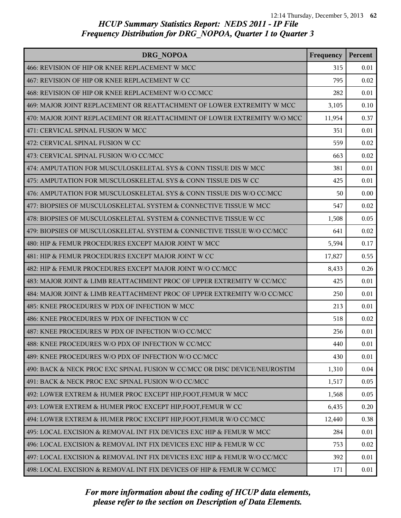| DRG NOPOA                                                                 | Frequency | Percent |
|---------------------------------------------------------------------------|-----------|---------|
| 466: REVISION OF HIP OR KNEE REPLACEMENT W MCC                            | 315       | 0.01    |
| 467: REVISION OF HIP OR KNEE REPLACEMENT W CC                             | 795       | 0.02    |
| 468: REVISION OF HIP OR KNEE REPLACEMENT W/O CC/MCC                       | 282       | 0.01    |
| 469: MAJOR JOINT REPLACEMENT OR REATTACHMENT OF LOWER EXTREMITY W MCC     | 3,105     | 0.10    |
| 470: MAJOR JOINT REPLACEMENT OR REATTACHMENT OF LOWER EXTREMITY W/O MCC   | 11,954    | 0.37    |
| 471: CERVICAL SPINAL FUSION W MCC                                         | 351       | 0.01    |
| 472: CERVICAL SPINAL FUSION W CC                                          | 559       | 0.02    |
| 473: CERVICAL SPINAL FUSION W/O CC/MCC                                    | 663       | 0.02    |
| 474: AMPUTATION FOR MUSCULOSKELETAL SYS & CONN TISSUE DIS W MCC           | 381       | 0.01    |
| 475: AMPUTATION FOR MUSCULOSKELETAL SYS & CONN TISSUE DIS W CC            | 425       | 0.01    |
| 476: AMPUTATION FOR MUSCULOSKELETAL SYS & CONN TISSUE DIS W/O CC/MCC      | 50        | 0.00    |
| 477: BIOPSIES OF MUSCULOSKELETAL SYSTEM & CONNECTIVE TISSUE W MCC         | 547       | 0.02    |
| 478: BIOPSIES OF MUSCULOSKELETAL SYSTEM & CONNECTIVE TISSUE W CC          | 1,508     | 0.05    |
| 479: BIOPSIES OF MUSCULOSKELETAL SYSTEM & CONNECTIVE TISSUE W/O CC/MCC    | 641       | 0.02    |
| 480: HIP & FEMUR PROCEDURES EXCEPT MAJOR JOINT W MCC                      | 5,594     | 0.17    |
| 481: HIP & FEMUR PROCEDURES EXCEPT MAJOR JOINT W CC                       | 17,827    | 0.55    |
| 482: HIP & FEMUR PROCEDURES EXCEPT MAJOR JOINT W/O CC/MCC                 | 8,433     | 0.26    |
| 483: MAJOR JOINT & LIMB REATTACHMENT PROC OF UPPER EXTREMITY W CC/MCC     | 425       | 0.01    |
| 484: MAJOR JOINT & LIMB REATTACHMENT PROC OF UPPER EXTREMITY W/O CC/MCC   | 250       | 0.01    |
| 485: KNEE PROCEDURES W PDX OF INFECTION W MCC                             | 213       | 0.01    |
| 486: KNEE PROCEDURES W PDX OF INFECTION W CC                              | 518       | 0.02    |
| 487: KNEE PROCEDURES W PDX OF INFECTION W/O CC/MCC                        | 256       | 0.01    |
| 488: KNEE PROCEDURES W/O PDX OF INFECTION W CC/MCC                        | 440       | 0.01    |
| 489: KNEE PROCEDURES W/O PDX OF INFECTION W/O CC/MCC                      | 430       | 0.01    |
| 490: BACK & NECK PROC EXC SPINAL FUSION W CC/MCC OR DISC DEVICE/NEUROSTIM | 1,310     | 0.04    |
| 491: BACK & NECK PROC EXC SPINAL FUSION W/O CC/MCC                        | 1,517     | 0.05    |
| 492: LOWER EXTREM & HUMER PROC EXCEPT HIP, FOOT, FEMUR W MCC              | 1,568     | 0.05    |
| 493: LOWER EXTREM & HUMER PROC EXCEPT HIP, FOOT, FEMUR W CC               | 6,435     | 0.20    |
| 494: LOWER EXTREM & HUMER PROC EXCEPT HIP, FOOT, FEMUR W/O CC/MCC         | 12,440    | 0.38    |
| 495: LOCAL EXCISION & REMOVAL INT FIX DEVICES EXC HIP & FEMUR W MCC       | 284       | 0.01    |
| 496: LOCAL EXCISION & REMOVAL INT FIX DEVICES EXC HIP & FEMUR W CC        | 753       | 0.02    |
| 497: LOCAL EXCISION & REMOVAL INT FIX DEVICES EXC HIP & FEMUR W/O CC/MCC  | 392       | 0.01    |
| 498: LOCAL EXCISION & REMOVAL INT FIX DEVICES OF HIP & FEMUR W CC/MCC     | 171       | 0.01    |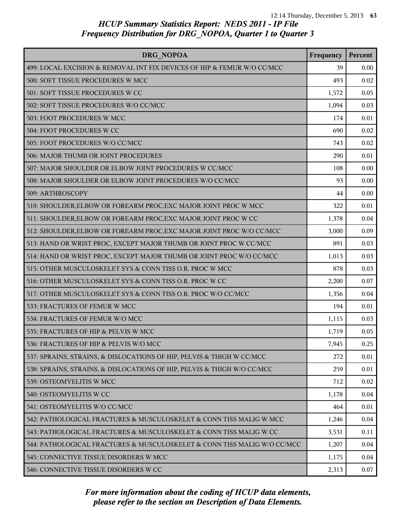| <b>DRG NOPOA</b>                                                         | Frequency | Percent |
|--------------------------------------------------------------------------|-----------|---------|
| 499: LOCAL EXCISION & REMOVAL INT FIX DEVICES OF HIP & FEMUR W/O CC/MCC  | 39        | 0.00    |
| 500: SOFT TISSUE PROCEDURES W MCC                                        | 493       | 0.02    |
| 501: SOFT TISSUE PROCEDURES W CC                                         | 1,572     | 0.05    |
| 502: SOFT TISSUE PROCEDURES W/O CC/MCC                                   | 1,094     | 0.03    |
| 503: FOOT PROCEDURES W MCC                                               | 174       | 0.01    |
| 504: FOOT PROCEDURES W CC                                                | 690       | 0.02    |
| 505: FOOT PROCEDURES W/O CC/MCC                                          | 743       | 0.02    |
| 506: MAJOR THUMB OR JOINT PROCEDURES                                     | 290       | 0.01    |
| 507: MAJOR SHOULDER OR ELBOW JOINT PROCEDURES W CC/MCC                   | 108       | 0.00    |
| 508: MAJOR SHOULDER OR ELBOW JOINT PROCEDURES W/O CC/MCC                 | 93        | 0.00    |
| 509: ARTHROSCOPY                                                         | 44        | 0.00    |
| 510: SHOULDER, ELBOW OR FOREARM PROC, EXC MAJOR JOINT PROC W MCC         | 322       | 0.01    |
| 511: SHOULDER, ELBOW OR FOREARM PROC, EXC MAJOR JOINT PROC W CC          | 1,378     | 0.04    |
| 512: SHOULDER, ELBOW OR FOREARM PROC, EXC MAJOR JOINT PROC W/O CC/MCC    | 3,000     | 0.09    |
| 513: HAND OR WRIST PROC, EXCEPT MAJOR THUMB OR JOINT PROC W CC/MCC       | 891       | 0.03    |
| 514: HAND OR WRIST PROC, EXCEPT MAJOR THUMB OR JOINT PROC W/O CC/MCC     | 1,013     | 0.03    |
| 515: OTHER MUSCULOSKELET SYS & CONN TISS O.R. PROC W MCC                 | 878       | 0.03    |
| 516: OTHER MUSCULOSKELET SYS & CONN TISS O.R. PROC W CC                  | 2,200     | 0.07    |
| 517: OTHER MUSCULOSKELET SYS & CONN TISS O.R. PROC W/O CC/MCC            | 1,356     | 0.04    |
| 533: FRACTURES OF FEMUR W MCC                                            | 194       | 0.01    |
| 534: FRACTURES OF FEMUR W/O MCC                                          | 1,115     | 0.03    |
| 535: FRACTURES OF HIP & PELVIS W MCC                                     | 1,719     | 0.05    |
| 536: FRACTURES OF HIP & PELVIS W/O MCC                                   | 7,945     | 0.25    |
| 537: SPRAINS, STRAINS, & DISLOCATIONS OF HIP, PELVIS & THIGH W CC/MCC    | 272       | 0.01    |
| 538: SPRAINS, STRAINS, & DISLOCATIONS OF HIP, PELVIS & THIGH W/O CC/MCC  | 259       | 0.01    |
| 539: OSTEOMYELITIS W MCC                                                 | 712       | 0.02    |
| 540: OSTEOMYELITIS W CC                                                  | 1,178     | 0.04    |
| 541: OSTEOMYELITIS W/O CC/MCC                                            | 464       | 0.01    |
| 542: PATHOLOGICAL FRACTURES & MUSCULOSKELET & CONN TISS MALIG W MCC      | 1,246     | 0.04    |
| 543: PATHOLOGICAL FRACTURES & MUSCULOSKELET & CONN TISS MALIG W CC       | 3,531     | 0.11    |
| 544: PATHOLOGICAL FRACTURES & MUSCULOSKELET & CONN TISS MALIG W/O CC/MCC | 1,207     | 0.04    |
| 545: CONNECTIVE TISSUE DISORDERS W MCC                                   | 1,175     | 0.04    |
| 546: CONNECTIVE TISSUE DISORDERS W CC                                    | 2,313     | 0.07    |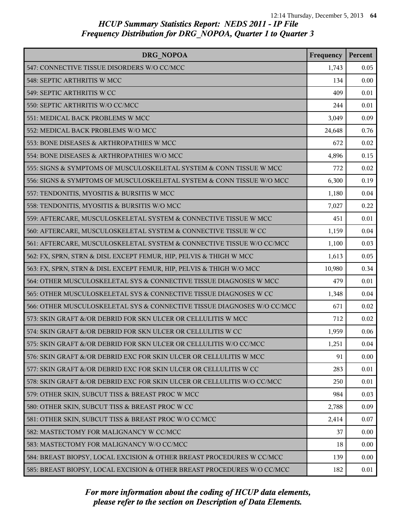| DRG NOPOA                                                               | Frequency | Percent |
|-------------------------------------------------------------------------|-----------|---------|
| 547: CONNECTIVE TISSUE DISORDERS W/O CC/MCC                             | 1,743     | 0.05    |
| 548: SEPTIC ARTHRITIS W MCC                                             | 134       | 0.00    |
| 549: SEPTIC ARTHRITIS W CC                                              | 409       | 0.01    |
| 550: SEPTIC ARTHRITIS W/O CC/MCC                                        | 244       | 0.01    |
| 551: MEDICAL BACK PROBLEMS W MCC                                        | 3,049     | 0.09    |
| 552: MEDICAL BACK PROBLEMS W/O MCC                                      | 24,648    | 0.76    |
| 553: BONE DISEASES & ARTHROPATHIES W MCC                                | 672       | 0.02    |
| 554: BONE DISEASES & ARTHROPATHIES W/O MCC                              | 4,896     | 0.15    |
| 555: SIGNS & SYMPTOMS OF MUSCULOSKELETAL SYSTEM & CONN TISSUE W MCC     | 772       | 0.02    |
| 556: SIGNS & SYMPTOMS OF MUSCULOSKELETAL SYSTEM & CONN TISSUE W/O MCC   | 6,300     | 0.19    |
| 557: TENDONITIS, MYOSITIS & BURSITIS W MCC                              | 1,180     | 0.04    |
| 558: TENDONITIS, MYOSITIS & BURSITIS W/O MCC                            | 7,027     | 0.22    |
| 559: AFTERCARE, MUSCULOSKELETAL SYSTEM & CONNECTIVE TISSUE W MCC        | 451       | 0.01    |
| 560: AFTERCARE, MUSCULOSKELETAL SYSTEM & CONNECTIVE TISSUE W CC         | 1,159     | 0.04    |
| 561: AFTERCARE, MUSCULOSKELETAL SYSTEM & CONNECTIVE TISSUE W/O CC/MCC   | 1,100     | 0.03    |
| 562: FX, SPRN, STRN & DISL EXCEPT FEMUR, HIP, PELVIS & THIGH W MCC      | 1,613     | 0.05    |
| 563: FX, SPRN, STRN & DISL EXCEPT FEMUR, HIP, PELVIS & THIGH W/O MCC    | 10,980    | 0.34    |
| 564: OTHER MUSCULOSKELETAL SYS & CONNECTIVE TISSUE DIAGNOSES W MCC      | 479       | 0.01    |
| 565: OTHER MUSCULOSKELETAL SYS & CONNECTIVE TISSUE DIAGNOSES W CC       | 1,348     | 0.04    |
| 566: OTHER MUSCULOSKELETAL SYS & CONNECTIVE TISSUE DIAGNOSES W/O CC/MCC | 671       | 0.02    |
| 573: SKIN GRAFT &/OR DEBRID FOR SKN ULCER OR CELLULITIS W MCC           | 712       | 0.02    |
| 574: SKIN GRAFT &/OR DEBRID FOR SKN ULCER OR CELLULITIS W CC            | 1,959     | 0.06    |
| 575: SKIN GRAFT &/OR DEBRID FOR SKN ULCER OR CELLULITIS W/O CC/MCC      | 1,251     | 0.04    |
| 576: SKIN GRAFT &/OR DEBRID EXC FOR SKIN ULCER OR CELLULITIS W MCC      | 91        | 0.00    |
| 577: SKIN GRAFT &/OR DEBRID EXC FOR SKIN ULCER OR CELLULITIS W CC       | 283       | 0.01    |
| 578: SKIN GRAFT &/OR DEBRID EXC FOR SKIN ULCER OR CELLULITIS W/O CC/MCC | 250       | 0.01    |
| 579: OTHER SKIN, SUBCUT TISS & BREAST PROC W MCC                        | 984       | 0.03    |
| 580: OTHER SKIN, SUBCUT TISS & BREAST PROC W CC                         | 2,788     | 0.09    |
| 581: OTHER SKIN, SUBCUT TISS & BREAST PROC W/O CC/MCC                   | 2,414     | 0.07    |
| 582: MASTECTOMY FOR MALIGNANCY W CC/MCC                                 | 37        | 0.00    |
| 583: MASTECTOMY FOR MALIGNANCY W/O CC/MCC                               | 18        | 0.00    |
| 584: BREAST BIOPSY, LOCAL EXCISION & OTHER BREAST PROCEDURES W CC/MCC   | 139       | 0.00    |
| 585: BREAST BIOPSY, LOCAL EXCISION & OTHER BREAST PROCEDURES W/O CC/MCC | 182       | 0.01    |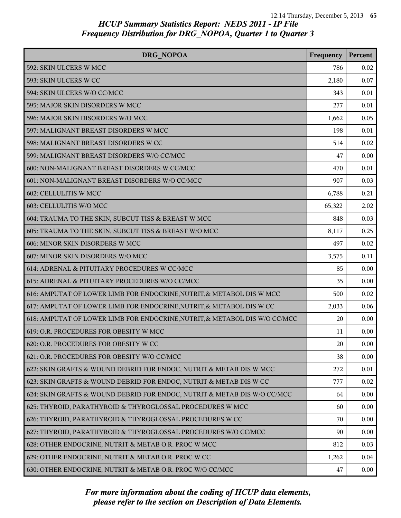| DRG NOPOA                                                                  | Frequency | Percent |
|----------------------------------------------------------------------------|-----------|---------|
| 592: SKIN ULCERS W MCC                                                     | 786       | 0.02    |
| 593: SKIN ULCERS W CC                                                      | 2,180     | 0.07    |
| 594: SKIN ULCERS W/O CC/MCC                                                | 343       | 0.01    |
| 595: MAJOR SKIN DISORDERS W MCC                                            | 277       | 0.01    |
| 596: MAJOR SKIN DISORDERS W/O MCC                                          | 1,662     | 0.05    |
| 597: MALIGNANT BREAST DISORDERS W MCC                                      | 198       | 0.01    |
| 598: MALIGNANT BREAST DISORDERS W CC                                       | 514       | 0.02    |
| 599: MALIGNANT BREAST DISORDERS W/O CC/MCC                                 | 47        | 0.00    |
| 600: NON-MALIGNANT BREAST DISORDERS W CC/MCC                               | 470       | 0.01    |
| 601: NON-MALIGNANT BREAST DISORDERS W/O CC/MCC                             | 907       | 0.03    |
| 602: CELLULITIS W MCC                                                      | 6,788     | 0.21    |
| 603: CELLULITIS W/O MCC                                                    | 65,322    | 2.02    |
| 604: TRAUMA TO THE SKIN, SUBCUT TISS & BREAST W MCC                        | 848       | 0.03    |
| 605: TRAUMA TO THE SKIN, SUBCUT TISS & BREAST W/O MCC                      | 8,117     | 0.25    |
| 606: MINOR SKIN DISORDERS W MCC                                            | 497       | 0.02    |
| 607: MINOR SKIN DISORDERS W/O MCC                                          | 3,575     | 0.11    |
| 614: ADRENAL & PITUITARY PROCEDURES W CC/MCC                               | 85        | 0.00    |
| 615: ADRENAL & PITUITARY PROCEDURES W/O CC/MCC                             | 35        | 0.00    |
| 616: AMPUTAT OF LOWER LIMB FOR ENDOCRINE, NUTRIT, & METABOL DIS W MCC      | 500       | 0.02    |
| 617: AMPUTAT OF LOWER LIMB FOR ENDOCRINE, NUTRIT, & METABOL DIS W CC       | 2,033     | 0.06    |
| 618: AMPUTAT OF LOWER LIMB FOR ENDOCRINE, NUTRIT, & METABOL DIS W/O CC/MCC | 20        | 0.00    |
| 619: O.R. PROCEDURES FOR OBESITY W MCC                                     | 11        | 0.00    |
| 620: O.R. PROCEDURES FOR OBESITY W CC                                      | 20        | 0.00    |
| 621: O.R. PROCEDURES FOR OBESITY W/O CC/MCC                                | 38        | 0.00    |
| 622: SKIN GRAFTS & WOUND DEBRID FOR ENDOC, NUTRIT & METAB DIS W MCC        | 272       | 0.01    |
| 623: SKIN GRAFTS & WOUND DEBRID FOR ENDOC, NUTRIT & METAB DIS W CC         | 777       | 0.02    |
| 624: SKIN GRAFTS & WOUND DEBRID FOR ENDOC, NUTRIT & METAB DIS W/O CC/MCC   | 64        | 0.00    |
| 625: THYROID, PARATHYROID & THYROGLOSSAL PROCEDURES W MCC                  | 60        | 0.00    |
| 626: THYROID, PARATHYROID & THYROGLOSSAL PROCEDURES W CC                   | 70        | 0.00    |
| 627: THYROID, PARATHYROID & THYROGLOSSAL PROCEDURES W/O CC/MCC             | 90        | 0.00    |
| 628: OTHER ENDOCRINE, NUTRIT & METAB O.R. PROC W MCC                       | 812       | 0.03    |
| 629: OTHER ENDOCRINE, NUTRIT & METAB O.R. PROC W CC                        | 1,262     | 0.04    |
| 630: OTHER ENDOCRINE, NUTRIT & METAB O.R. PROC W/O CC/MCC                  | 47        | 0.00    |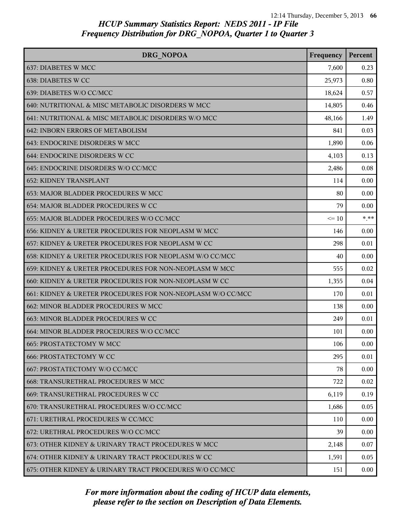| DRG NOPOA                                                   | Frequency | Percent  |
|-------------------------------------------------------------|-----------|----------|
| 637: DIABETES W MCC                                         | 7,600     | 0.23     |
| 638: DIABETES W CC                                          | 25,973    | 0.80     |
| 639: DIABETES W/O CC/MCC                                    | 18,624    | 0.57     |
| 640: NUTRITIONAL & MISC METABOLIC DISORDERS W MCC           | 14,805    | 0.46     |
| 641: NUTRITIONAL & MISC METABOLIC DISORDERS W/O MCC         | 48,166    | 1.49     |
| 642: INBORN ERRORS OF METABOLISM                            | 841       | 0.03     |
| 643: ENDOCRINE DISORDERS W MCC                              | 1,890     | 0.06     |
| 644: ENDOCRINE DISORDERS W CC                               | 4,103     | 0.13     |
| 645: ENDOCRINE DISORDERS W/O CC/MCC                         | 2,486     | 0.08     |
| <b>652: KIDNEY TRANSPLANT</b>                               | 114       | 0.00     |
| 653: MAJOR BLADDER PROCEDURES W MCC                         | 80        | 0.00     |
| 654: MAJOR BLADDER PROCEDURES W CC                          | 79        | 0.00     |
| 655: MAJOR BLADDER PROCEDURES W/O CC/MCC                    | $\leq 10$ | $* * *$  |
| 656: KIDNEY & URETER PROCEDURES FOR NEOPLASM W MCC          | 146       | 0.00     |
| 657: KIDNEY & URETER PROCEDURES FOR NEOPLASM W CC           | 298       | 0.01     |
| 658: KIDNEY & URETER PROCEDURES FOR NEOPLASM W/O CC/MCC     | 40        | 0.00     |
| 659: KIDNEY & URETER PROCEDURES FOR NON-NEOPLASM W MCC      | 555       | 0.02     |
| 660: KIDNEY & URETER PROCEDURES FOR NON-NEOPLASM W CC       | 1,355     | 0.04     |
| 661: KIDNEY & URETER PROCEDURES FOR NON-NEOPLASM W/O CC/MCC | 170       | 0.01     |
| 662: MINOR BLADDER PROCEDURES W MCC                         | 138       | 0.00     |
| 663: MINOR BLADDER PROCEDURES W CC                          | 249       | 0.01     |
| 664: MINOR BLADDER PROCEDURES W/O CC/MCC                    | 101       | 0.00     |
| 665: PROSTATECTOMY W MCC                                    | 106       | 0.00     |
| <b>666: PROSTATECTOMY W CC</b>                              | 295       | 0.01     |
| 667: PROSTATECTOMY W/O CC/MCC                               | 78        | 0.00     |
| <b>668: TRANSURETHRAL PROCEDURES W MCC</b>                  | 722       | 0.02     |
| 669: TRANSURETHRAL PROCEDURES W CC                          | 6,119     | 0.19     |
| 670: TRANSURETHRAL PROCEDURES W/O CC/MCC                    | 1,686     | 0.05     |
| 671: URETHRAL PROCEDURES W CC/MCC                           | 110       | 0.00     |
| 672: URETHRAL PROCEDURES W/O CC/MCC                         | 39        | 0.00     |
| 673: OTHER KIDNEY & URINARY TRACT PROCEDURES W MCC          | 2,148     | 0.07     |
| 674: OTHER KIDNEY & URINARY TRACT PROCEDURES W CC           | 1,591     | 0.05     |
| 675: OTHER KIDNEY & URINARY TRACT PROCEDURES W/O CC/MCC     | 151       | $0.00\,$ |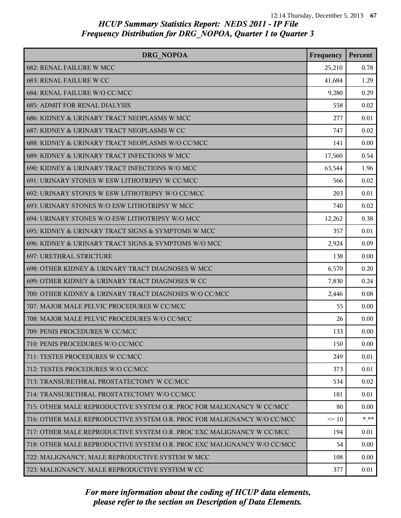| DRG NOPOA                                                               | Frequency | Percent |
|-------------------------------------------------------------------------|-----------|---------|
| <b>682: RENAL FAILURE W MCC</b>                                         | 25,210    | 0.78    |
| 683: RENAL FAILURE W CC                                                 | 41,684    | 1.29    |
| 684: RENAL FAILURE W/O CC/MCC                                           | 9,280     | 0.29    |
| <b>685: ADMIT FOR RENAL DIALYSIS</b>                                    | 558       | 0.02    |
| 686: KIDNEY & URINARY TRACT NEOPLASMS W MCC                             | 277       | 0.01    |
| 687: KIDNEY & URINARY TRACT NEOPLASMS W CC                              | 747       | 0.02    |
| 688: KIDNEY & URINARY TRACT NEOPLASMS W/O CC/MCC                        | 141       | 0.00    |
| 689: KIDNEY & URINARY TRACT INFECTIONS W MCC                            | 17,560    | 0.54    |
| 690: KIDNEY & URINARY TRACT INFECTIONS W/O MCC                          | 63,544    | 1.96    |
| 691: URINARY STONES W ESW LITHOTRIPSY W CC/MCC                          | 566       | 0.02    |
| 692: URINARY STONES W ESW LITHOTRIPSY W/O CC/MCC                        | 203       | 0.01    |
| 693: URINARY STONES W/O ESW LITHOTRIPSY W MCC                           | 740       | 0.02    |
| 694: URINARY STONES W/O ESW LITHOTRIPSY W/O MCC                         | 12,262    | 0.38    |
| 695: KIDNEY & URINARY TRACT SIGNS & SYMPTOMS W MCC                      | 357       | 0.01    |
| 696: KIDNEY & URINARY TRACT SIGNS & SYMPTOMS W/O MCC                    | 2,924     | 0.09    |
| 697: URETHRAL STRICTURE                                                 | 138       | 0.00    |
| 698: OTHER KIDNEY & URINARY TRACT DIAGNOSES W MCC                       | 6,570     | 0.20    |
| 699: OTHER KIDNEY & URINARY TRACT DIAGNOSES W CC                        | 7,830     | 0.24    |
| 700: OTHER KIDNEY & URINARY TRACT DIAGNOSES W/O CC/MCC                  | 2,446     | 0.08    |
| 707: MAJOR MALE PELVIC PROCEDURES W CC/MCC                              | 55        | 0.00    |
| 708: MAJOR MALE PELVIC PROCEDURES W/O CC/MCC                            | 26        | 0.00    |
| 709: PENIS PROCEDURES W CC/MCC                                          | 133       | 0.00    |
| 710: PENIS PROCEDURES W/O CC/MCC                                        | 150       | 0.00    |
| 711: TESTES PROCEDURES W CC/MCC                                         | 249       | 0.01    |
| 712: TESTES PROCEDURES W/O CC/MCC                                       | 373       | 0.01    |
| 713: TRANSURETHRAL PROSTATECTOMY W CC/MCC                               | 534       | 0.02    |
| 714: TRANSURETHRAL PROSTATECTOMY W/O CC/MCC                             | 181       | 0.01    |
| 715: OTHER MALE REPRODUCTIVE SYSTEM O.R. PROC FOR MALIGNANCY W CC/MCC   | 80        | 0.00    |
| 716: OTHER MALE REPRODUCTIVE SYSTEM O.R. PROC FOR MALIGNANCY W/O CC/MCC | $\leq 10$ | $* * *$ |
| 717: OTHER MALE REPRODUCTIVE SYSTEM O.R. PROC EXC MALIGNANCY W CC/MCC   | 194       | 0.01    |
| 718: OTHER MALE REPRODUCTIVE SYSTEM O.R. PROC EXC MALIGNANCY W/O CC/MCC | 54        | 0.00    |
| 722: MALIGNANCY, MALE REPRODUCTIVE SYSTEM W MCC                         | 108       | 0.00    |
| 723: MALIGNANCY, MALE REPRODUCTIVE SYSTEM W CC                          | 377       | 0.01    |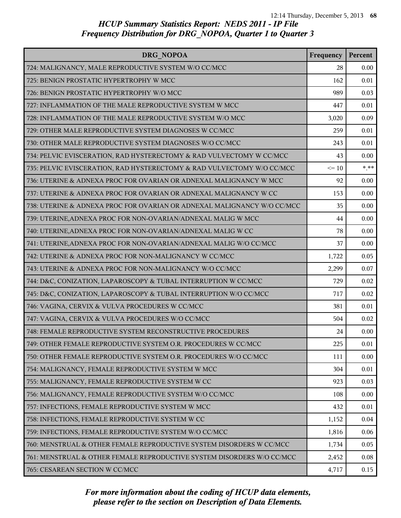| DRG NOPOA                                                               | Frequency | Percent  |
|-------------------------------------------------------------------------|-----------|----------|
| 724: MALIGNANCY, MALE REPRODUCTIVE SYSTEM W/O CC/MCC                    | 28        | 0.00     |
| 725: BENIGN PROSTATIC HYPERTROPHY W MCC                                 | 162       | 0.01     |
| 726: BENIGN PROSTATIC HYPERTROPHY W/O MCC                               | 989       | 0.03     |
| 727: INFLAMMATION OF THE MALE REPRODUCTIVE SYSTEM W MCC                 | 447       | 0.01     |
| 728: INFLAMMATION OF THE MALE REPRODUCTIVE SYSTEM W/O MCC               | 3,020     | 0.09     |
| 729: OTHER MALE REPRODUCTIVE SYSTEM DIAGNOSES W CC/MCC                  | 259       | 0.01     |
| 730: OTHER MALE REPRODUCTIVE SYSTEM DIAGNOSES W/O CC/MCC                | 243       | 0.01     |
| 734: PELVIC EVISCERATION, RAD HYSTERECTOMY & RAD VULVECTOMY W CC/MCC    | 43        | 0.00     |
| 735: PELVIC EVISCERATION, RAD HYSTERECTOMY & RAD VULVECTOMY W/O CC/MCC  | $\leq 10$ | $*$ $**$ |
| 736: UTERINE & ADNEXA PROC FOR OVARIAN OR ADNEXAL MALIGNANCY W MCC      | 92        | 0.00     |
| 737: UTERINE & ADNEXA PROC FOR OVARIAN OR ADNEXAL MALIGNANCY W CC       | 153       | 0.00     |
| 738: UTERINE & ADNEXA PROC FOR OVARIAN OR ADNEXAL MALIGNANCY W/O CC/MCC | 35        | 0.00     |
| 739: UTERINE, ADNEXA PROC FOR NON-OVARIAN/ADNEXAL MALIG W MCC           | 44        | 0.00     |
| 740: UTERINE, ADNEXA PROC FOR NON-OVARIAN/ADNEXAL MALIG W CC            | 78        | 0.00     |
| 741: UTERINE, ADNEXA PROC FOR NON-OVARIAN/ADNEXAL MALIG W/O CC/MCC      | 37        | 0.00     |
| 742: UTERINE & ADNEXA PROC FOR NON-MALIGNANCY W CC/MCC                  | 1,722     | 0.05     |
| 743: UTERINE & ADNEXA PROC FOR NON-MALIGNANCY W/O CC/MCC                | 2,299     | 0.07     |
| 744: D&C, CONIZATION, LAPAROSCOPY & TUBAL INTERRUPTION W CC/MCC         | 729       | 0.02     |
| 745: D&C, CONIZATION, LAPAROSCOPY & TUBAL INTERRUPTION W/O CC/MCC       | 717       | 0.02     |
| 746: VAGINA, CERVIX & VULVA PROCEDURES W CC/MCC                         | 381       | 0.01     |
| 747: VAGINA, CERVIX & VULVA PROCEDURES W/O CC/MCC                       | 504       | 0.02     |
| 748: FEMALE REPRODUCTIVE SYSTEM RECONSTRUCTIVE PROCEDURES               | 24        | 0.00     |
| 749: OTHER FEMALE REPRODUCTIVE SYSTEM O.R. PROCEDURES W CC/MCC          | 225       | 0.01     |
| 750: OTHER FEMALE REPRODUCTIVE SYSTEM O.R. PROCEDURES W/O CC/MCC        | 111       | 0.00     |
| 754: MALIGNANCY, FEMALE REPRODUCTIVE SYSTEM W MCC                       | 304       | 0.01     |
| 755: MALIGNANCY, FEMALE REPRODUCTIVE SYSTEM W CC                        | 923       | 0.03     |
| 756: MALIGNANCY, FEMALE REPRODUCTIVE SYSTEM W/O CC/MCC                  | 108       | 0.00     |
| 757: INFECTIONS, FEMALE REPRODUCTIVE SYSTEM W MCC                       | 432       | 0.01     |
| 758: INFECTIONS, FEMALE REPRODUCTIVE SYSTEM W CC                        | 1,152     | 0.04     |
| 759: INFECTIONS, FEMALE REPRODUCTIVE SYSTEM W/O CC/MCC                  | 1,816     | 0.06     |
| 760: MENSTRUAL & OTHER FEMALE REPRODUCTIVE SYSTEM DISORDERS W CC/MCC    | 1,734     | 0.05     |
| 761: MENSTRUAL & OTHER FEMALE REPRODUCTIVE SYSTEM DISORDERS W/O CC/MCC  | 2,452     | 0.08     |
| 765: CESAREAN SECTION W CC/MCC                                          | 4,717     | 0.15     |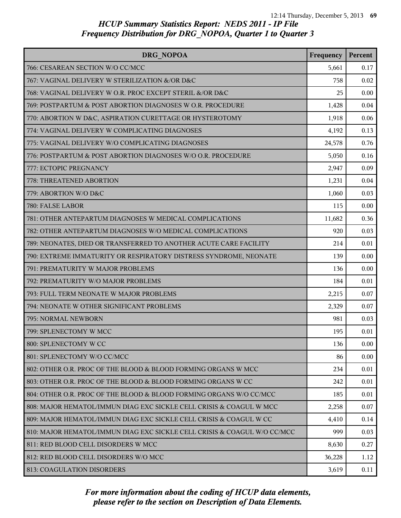| DRG NOPOA                                                                | Frequency | Percent |
|--------------------------------------------------------------------------|-----------|---------|
| 766: CESAREAN SECTION W/O CC/MCC                                         | 5,661     | 0.17    |
| 767: VAGINAL DELIVERY W STERILIZATION &/OR D&C                           | 758       | 0.02    |
| 768: VAGINAL DELIVERY W O.R. PROC EXCEPT STERIL &/OR D&C                 | 25        | 0.00    |
| 769: POSTPARTUM & POST ABORTION DIAGNOSES W O.R. PROCEDURE               | 1,428     | 0.04    |
| 770: ABORTION W D&C, ASPIRATION CURETTAGE OR HYSTEROTOMY                 | 1,918     | 0.06    |
| 774: VAGINAL DELIVERY W COMPLICATING DIAGNOSES                           | 4,192     | 0.13    |
| 775: VAGINAL DELIVERY W/O COMPLICATING DIAGNOSES                         | 24,578    | 0.76    |
| 776: POSTPARTUM & POST ABORTION DIAGNOSES W/O O.R. PROCEDURE             | 5,050     | 0.16    |
| 777: ECTOPIC PREGNANCY                                                   | 2,947     | 0.09    |
| 778: THREATENED ABORTION                                                 | 1,231     | 0.04    |
| 779: ABORTION W/O D&C                                                    | 1,060     | 0.03    |
| 780: FALSE LABOR                                                         | 115       | 0.00    |
| 781: OTHER ANTEPARTUM DIAGNOSES W MEDICAL COMPLICATIONS                  | 11,682    | 0.36    |
| 782: OTHER ANTEPARTUM DIAGNOSES W/O MEDICAL COMPLICATIONS                | 920       | 0.03    |
| 789: NEONATES, DIED OR TRANSFERRED TO ANOTHER ACUTE CARE FACILITY        | 214       | 0.01    |
| 790: EXTREME IMMATURITY OR RESPIRATORY DISTRESS SYNDROME, NEONATE        | 139       | 0.00    |
| 791: PREMATURITY W MAJOR PROBLEMS                                        | 136       | 0.00    |
| 792: PREMATURITY W/O MAJOR PROBLEMS                                      | 184       | 0.01    |
| 793: FULL TERM NEONATE W MAJOR PROBLEMS                                  | 2,215     | 0.07    |
| 794: NEONATE W OTHER SIGNIFICANT PROBLEMS                                | 2,329     | 0.07    |
| 795: NORMAL NEWBORN                                                      | 981       | 0.03    |
| 799: SPLENECTOMY W MCC                                                   | 195       | 0.01    |
| 800: SPLENECTOMY W CC                                                    | 136       | 0.00    |
| 801: SPLENECTOMY W/O CC/MCC                                              | 86        | 0.00    |
| 802: OTHER O.R. PROC OF THE BLOOD & BLOOD FORMING ORGANS W MCC           | 234       | 0.01    |
| 803: OTHER O.R. PROC OF THE BLOOD & BLOOD FORMING ORGANS W CC            | 242       | 0.01    |
| 804: OTHER O.R. PROC OF THE BLOOD & BLOOD FORMING ORGANS W/O CC/MCC      | 185       | 0.01    |
| 808: MAJOR HEMATOL/IMMUN DIAG EXC SICKLE CELL CRISIS & COAGUL W MCC      | 2,258     | 0.07    |
| 809: MAJOR HEMATOL/IMMUN DIAG EXC SICKLE CELL CRISIS & COAGUL W CC       | 4,410     | 0.14    |
| 810: MAJOR HEMATOL/IMMUN DIAG EXC SICKLE CELL CRISIS & COAGUL W/O CC/MCC | 999       | 0.03    |
| 811: RED BLOOD CELL DISORDERS W MCC                                      | 8,630     | 0.27    |
| 812: RED BLOOD CELL DISORDERS W/O MCC                                    | 36,228    | 1.12    |
| 813: COAGULATION DISORDERS                                               | 3,619     | 0.11    |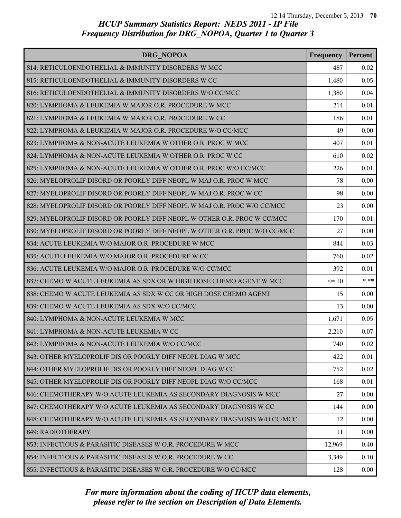| DRG NOPOA                                                                 | Frequency | Percent |
|---------------------------------------------------------------------------|-----------|---------|
| 814: RETICULOENDOTHELIAL & IMMUNITY DISORDERS W MCC                       | 487       | 0.02    |
| 815: RETICULOENDOTHELIAL & IMMUNITY DISORDERS W CC                        | 1,480     | 0.05    |
| 816: RETICULOENDOTHELIAL & IMMUNITY DISORDERS W/O CC/MCC                  | 1,380     | 0.04    |
| 820: LYMPHOMA & LEUKEMIA W MAJOR O.R. PROCEDURE W MCC                     | 214       | 0.01    |
| 821: LYMPHOMA & LEUKEMIA W MAJOR O.R. PROCEDURE W CC                      | 186       | 0.01    |
| 822: LYMPHOMA & LEUKEMIA W MAJOR O.R. PROCEDURE W/O CC/MCC                | 49        | 0.00    |
| 823: LYMPHOMA & NON-ACUTE LEUKEMIA W OTHER O.R. PROC W MCC                | 407       | 0.01    |
| 824: LYMPHOMA & NON-ACUTE LEUKEMIA W OTHER O.R. PROC W CC                 | 610       | 0.02    |
| 825: LYMPHOMA & NON-ACUTE LEUKEMIA W OTHER O.R. PROC W/O CC/MCC           | 226       | 0.01    |
| 826: MYELOPROLIF DISORD OR POORLY DIFF NEOPL W MAJ O.R. PROC W MCC        | 78        | 0.00    |
| 827: MYELOPROLIF DISORD OR POORLY DIFF NEOPL W MAJ O.R. PROC W CC         | 98        | 0.00    |
| 828: MYELOPROLIF DISORD OR POORLY DIFF NEOPL W MAJ O.R. PROC W/O CC/MCC   | 23        | 0.00    |
| 829: MYELOPROLIF DISORD OR POORLY DIFF NEOPL W OTHER O.R. PROC W CC/MCC   | 170       | 0.01    |
| 830: MYELOPROLIF DISORD OR POORLY DIFF NEOPL W OTHER O.R. PROC W/O CC/MCC | 27        | 0.00    |
| 834: ACUTE LEUKEMIA W/O MAJOR O.R. PROCEDURE W MCC                        | 844       | 0.03    |
| 835: ACUTE LEUKEMIA W/O MAJOR O.R. PROCEDURE W CC                         | 760       | 0.02    |
| 836: ACUTE LEUKEMIA W/O MAJOR O.R. PROCEDURE W/O CC/MCC                   | 392       | 0.01    |
| 837: CHEMO W ACUTE LEUKEMIA AS SDX OR W HIGH DOSE CHEMO AGENT W MCC       | $\leq 10$ | $* * *$ |
| 838: CHEMO W ACUTE LEUKEMIA AS SDX W CC OR HIGH DOSE CHEMO AGENT          | 15        | 0.00    |
| 839: CHEMO W ACUTE LEUKEMIA AS SDX W/O CC/MCC                             | 13        | 0.00    |
| 840: LYMPHOMA & NON-ACUTE LEUKEMIA W MCC                                  | 1,671     | 0.05    |
| 841: LYMPHOMA & NON-ACUTE LEUKEMIA W CC                                   | 2,210     | 0.07    |
| 842: LYMPHOMA & NON-ACUTE LEUKEMIA W/O CC/MCC                             | 740       | 0.02    |
| 843: OTHER MYELOPROLIF DIS OR POORLY DIFF NEOPL DIAG W MCC                | 422       | 0.01    |
| 844: OTHER MYELOPROLIF DIS OR POORLY DIFF NEOPL DIAG W CC                 | 752       | 0.02    |
| 845: OTHER MYELOPROLIF DIS OR POORLY DIFF NEOPL DIAG W/O CC/MCC           | 168       | 0.01    |
| 846: CHEMOTHERAPY W/O ACUTE LEUKEMIA AS SECONDARY DIAGNOSIS W MCC         | 27        | 0.00    |
| 847: CHEMOTHERAPY W/O ACUTE LEUKEMIA AS SECONDARY DIAGNOSIS W CC          | 144       | 0.00    |
| 848: CHEMOTHERAPY W/O ACUTE LEUKEMIA AS SECONDARY DIAGNOSIS W/O CC/MCC    | 12        | 0.00    |
| 849: RADIOTHERAPY                                                         | 11        | 0.00    |
| 853: INFECTIOUS & PARASITIC DISEASES W O.R. PROCEDURE W MCC               | 12,969    | 0.40    |
| 854: INFECTIOUS & PARASITIC DISEASES W O.R. PROCEDURE W CC                | 3,349     | 0.10    |
| 855: INFECTIOUS & PARASITIC DISEASES W O.R. PROCEDURE W/O CC/MCC          | 128       | 0.00    |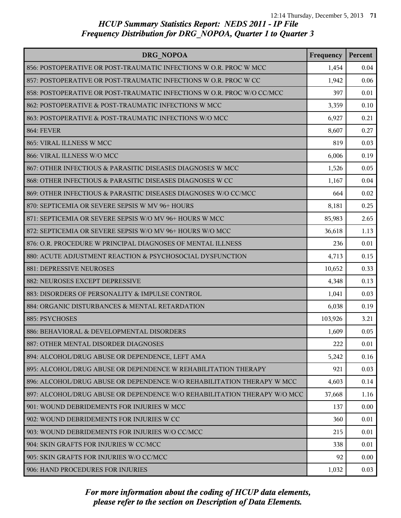| DRG NOPOA                                                                | Frequency | Percent |
|--------------------------------------------------------------------------|-----------|---------|
| 856: POSTOPERATIVE OR POST-TRAUMATIC INFECTIONS W O.R. PROC W MCC        | 1,454     | 0.04    |
| 857: POSTOPERATIVE OR POST-TRAUMATIC INFECTIONS W O.R. PROC W CC         | 1,942     | 0.06    |
| 858: POSTOPERATIVE OR POST-TRAUMATIC INFECTIONS W O.R. PROC W/O CC/MCC   | 397       | 0.01    |
| 862: POSTOPERATIVE & POST-TRAUMATIC INFECTIONS W MCC                     | 3,359     | 0.10    |
| 863: POSTOPERATIVE & POST-TRAUMATIC INFECTIONS W/O MCC                   | 6,927     | 0.21    |
| <b>864: FEVER</b>                                                        | 8,607     | 0.27    |
| 865: VIRAL ILLNESS W MCC                                                 | 819       | 0.03    |
| 866: VIRAL ILLNESS W/O MCC                                               | 6,006     | 0.19    |
| 867: OTHER INFECTIOUS & PARASITIC DISEASES DIAGNOSES W MCC               | 1,526     | 0.05    |
| 868: OTHER INFECTIOUS & PARASITIC DISEASES DIAGNOSES W CC                | 1,167     | 0.04    |
| 869: OTHER INFECTIOUS & PARASITIC DISEASES DIAGNOSES W/O CC/MCC          | 664       | 0.02    |
| 870: SEPTICEMIA OR SEVERE SEPSIS W MV 96+ HOURS                          | 8,181     | 0.25    |
| 871: SEPTICEMIA OR SEVERE SEPSIS W/O MV 96+ HOURS W MCC                  | 85,983    | 2.65    |
| 872: SEPTICEMIA OR SEVERE SEPSIS W/O MV 96+ HOURS W/O MCC                | 36,618    | 1.13    |
| 876: O.R. PROCEDURE W PRINCIPAL DIAGNOSES OF MENTAL ILLNESS              | 236       | 0.01    |
| 880: ACUTE ADJUSTMENT REACTION & PSYCHOSOCIAL DYSFUNCTION                | 4,713     | 0.15    |
| 881: DEPRESSIVE NEUROSES                                                 | 10,652    | 0.33    |
| 882: NEUROSES EXCEPT DEPRESSIVE                                          | 4,348     | 0.13    |
| 883: DISORDERS OF PERSONALITY & IMPULSE CONTROL                          | 1,041     | 0.03    |
| 884: ORGANIC DISTURBANCES & MENTAL RETARDATION                           | 6,038     | 0.19    |
| 885: PSYCHOSES                                                           | 103,926   | 3.21    |
| 886: BEHAVIORAL & DEVELOPMENTAL DISORDERS                                | 1,609     | 0.05    |
| 887: OTHER MENTAL DISORDER DIAGNOSES                                     | 222       | 0.01    |
| 894: ALCOHOL/DRUG ABUSE OR DEPENDENCE, LEFT AMA                          | 5,242     | 0.16    |
| 895: ALCOHOL/DRUG ABUSE OR DEPENDENCE W REHABILITATION THERAPY           | 921       | 0.03    |
| 896: ALCOHOL/DRUG ABUSE OR DEPENDENCE W/O REHABILITATION THERAPY W MCC   | 4,603     | 0.14    |
| 897: ALCOHOL/DRUG ABUSE OR DEPENDENCE W/O REHABILITATION THERAPY W/O MCC | 37,668    | 1.16    |
| 901: WOUND DEBRIDEMENTS FOR INJURIES W MCC                               | 137       | 0.00    |
| 902: WOUND DEBRIDEMENTS FOR INJURIES W CC                                | 360       | 0.01    |
| 903: WOUND DEBRIDEMENTS FOR INJURIES W/O CC/MCC                          | 215       | 0.01    |
| 904: SKIN GRAFTS FOR INJURIES W CC/MCC                                   | 338       | 0.01    |
| 905: SKIN GRAFTS FOR INJURIES W/O CC/MCC                                 | 92        | 0.00    |
| 906: HAND PROCEDURES FOR INJURIES                                        | 1,032     | 0.03    |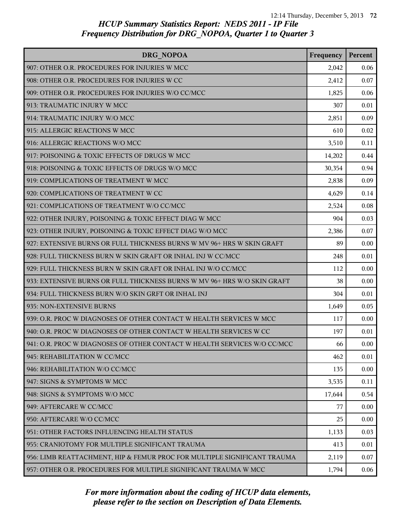| DRG NOPOA                                                                | Frequency | Percent |
|--------------------------------------------------------------------------|-----------|---------|
| 907: OTHER O.R. PROCEDURES FOR INJURIES W MCC                            | 2,042     | 0.06    |
| 908: OTHER O.R. PROCEDURES FOR INJURIES W CC                             | 2,412     | 0.07    |
| 909: OTHER O.R. PROCEDURES FOR INJURIES W/O CC/MCC                       | 1,825     | 0.06    |
| 913: TRAUMATIC INJURY W MCC                                              | 307       | 0.01    |
| 914: TRAUMATIC INJURY W/O MCC                                            | 2,851     | 0.09    |
| 915: ALLERGIC REACTIONS W MCC                                            | 610       | 0.02    |
| 916: ALLERGIC REACTIONS W/O MCC                                          | 3,510     | 0.11    |
| 917: POISONING & TOXIC EFFECTS OF DRUGS W MCC                            | 14,202    | 0.44    |
| 918: POISONING & TOXIC EFFECTS OF DRUGS W/O MCC                          | 30,354    | 0.94    |
| 919: COMPLICATIONS OF TREATMENT W MCC                                    | 2,838     | 0.09    |
| 920: COMPLICATIONS OF TREATMENT W CC                                     | 4,629     | 0.14    |
| 921: COMPLICATIONS OF TREATMENT W/O CC/MCC                               | 2,524     | 0.08    |
| 922: OTHER INJURY, POISONING & TOXIC EFFECT DIAG W MCC                   | 904       | 0.03    |
| 923: OTHER INJURY, POISONING & TOXIC EFFECT DIAG W/O MCC                 | 2,386     | 0.07    |
| 927: EXTENSIVE BURNS OR FULL THICKNESS BURNS W MV 96+ HRS W SKIN GRAFT   | 89        | 0.00    |
| 928: FULL THICKNESS BURN W SKIN GRAFT OR INHAL INJ W CC/MCC              | 248       | 0.01    |
| 929: FULL THICKNESS BURN W SKIN GRAFT OR INHAL INJ W/O CC/MCC            | 112       | 0.00    |
| 933: EXTENSIVE BURNS OR FULL THICKNESS BURNS W MV 96+ HRS W/O SKIN GRAFT | 38        | 0.00    |
| 934: FULL THICKNESS BURN W/O SKIN GRFT OR INHAL INJ                      | 304       | 0.01    |
| 935: NON-EXTENSIVE BURNS                                                 | 1,649     | 0.05    |
| 939: O.R. PROC W DIAGNOSES OF OTHER CONTACT W HEALTH SERVICES W MCC      | 117       | 0.00    |
| 940: O.R. PROC W DIAGNOSES OF OTHER CONTACT W HEALTH SERVICES W CC       | 197       | 0.01    |
| 941: O.R. PROC W DIAGNOSES OF OTHER CONTACT W HEALTH SERVICES W/O CC/MCC | 66        | 0.00    |
| 945: REHABILITATION W CC/MCC                                             | 462       | 0.01    |
| 946: REHABILITATION W/O CC/MCC                                           | 135       | 0.00    |
| 947: SIGNS & SYMPTOMS W MCC                                              | 3,535     | 0.11    |
| 948: SIGNS & SYMPTOMS W/O MCC                                            | 17,644    | 0.54    |
| 949: AFTERCARE W CC/MCC                                                  | 77        | 0.00    |
| 950: AFTERCARE W/O CC/MCC                                                | 25        | 0.00    |
| 951: OTHER FACTORS INFLUENCING HEALTH STATUS                             | 1,133     | 0.03    |
| 955: CRANIOTOMY FOR MULTIPLE SIGNIFICANT TRAUMA                          | 413       | 0.01    |
| 956: LIMB REATTACHMENT, HIP & FEMUR PROC FOR MULTIPLE SIGNIFICANT TRAUMA | 2,119     | 0.07    |
| 957: OTHER O.R. PROCEDURES FOR MULTIPLE SIGNIFICANT TRAUMA W MCC         | 1,794     | 0.06    |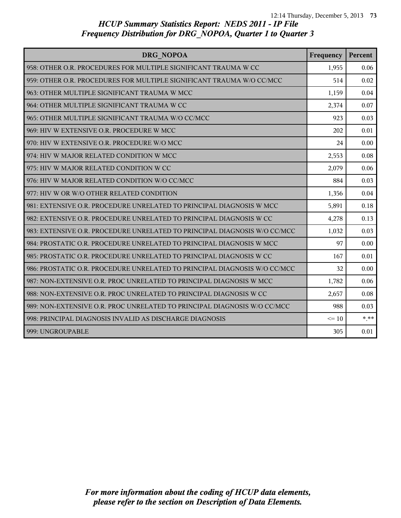| DRG NOPOA                                                                 | Frequency | Percent |
|---------------------------------------------------------------------------|-----------|---------|
| 958: OTHER O.R. PROCEDURES FOR MULTIPLE SIGNIFICANT TRAUMA W CC           | 1,955     | 0.06    |
| 959: OTHER O.R. PROCEDURES FOR MULTIPLE SIGNIFICANT TRAUMA W/O CC/MCC     | 514       | 0.02    |
| 963: OTHER MULTIPLE SIGNIFICANT TRAUMA W MCC                              | 1,159     | 0.04    |
| 964: OTHER MULTIPLE SIGNIFICANT TRAUMA W CC                               | 2,374     | 0.07    |
| 965: OTHER MULTIPLE SIGNIFICANT TRAUMA W/O CC/MCC                         | 923       | 0.03    |
| 969: HIV W EXTENSIVE O.R. PROCEDURE W MCC                                 | 202       | 0.01    |
| 970: HIV W EXTENSIVE O.R. PROCEDURE W/O MCC                               | 24        | 0.00    |
| 974: HIV W MAJOR RELATED CONDITION W MCC                                  | 2,553     | 0.08    |
| 975: HIV W MAJOR RELATED CONDITION W CC                                   | 2,079     | 0.06    |
| 976: HIV W MAJOR RELATED CONDITION W/O CC/MCC                             | 884       | 0.03    |
| 977: HIV W OR W/O OTHER RELATED CONDITION                                 | 1,356     | 0.04    |
| 981: EXTENSIVE O.R. PROCEDURE UNRELATED TO PRINCIPAL DIAGNOSIS W MCC      | 5,891     | 0.18    |
| 982: EXTENSIVE O.R. PROCEDURE UNRELATED TO PRINCIPAL DIAGNOSIS W CC       | 4,278     | 0.13    |
| 983: EXTENSIVE O.R. PROCEDURE UNRELATED TO PRINCIPAL DIAGNOSIS W/O CC/MCC | 1,032     | 0.03    |
| 984: PROSTATIC O.R. PROCEDURE UNRELATED TO PRINCIPAL DIAGNOSIS W MCC      | 97        | 0.00    |
| 985: PROSTATIC O.R. PROCEDURE UNRELATED TO PRINCIPAL DIAGNOSIS W CC       | 167       | 0.01    |
| 986: PROSTATIC O.R. PROCEDURE UNRELATED TO PRINCIPAL DIAGNOSIS W/O CC/MCC | 32        | 0.00    |
| 987: NON-EXTENSIVE O.R. PROC UNRELATED TO PRINCIPAL DIAGNOSIS W MCC       | 1,782     | 0.06    |
| 988: NON-EXTENSIVE O.R. PROC UNRELATED TO PRINCIPAL DIAGNOSIS W CC        | 2,657     | 0.08    |
| 989: NON-EXTENSIVE O.R. PROC UNRELATED TO PRINCIPAL DIAGNOSIS W/O CC/MCC  | 988       | 0.03    |
| 998: PRINCIPAL DIAGNOSIS INVALID AS DISCHARGE DIAGNOSIS                   | $\leq 10$ | $***$   |
| 999: UNGROUPABLE                                                          | 305       | 0.01    |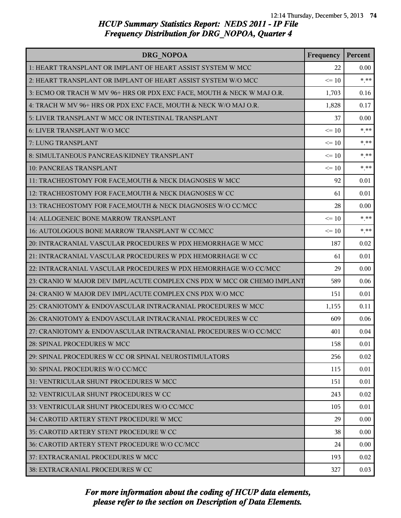| DRG NOPOA                                                                | Frequency | Percent |
|--------------------------------------------------------------------------|-----------|---------|
| 1: HEART TRANSPLANT OR IMPLANT OF HEART ASSIST SYSTEM W MCC              | 22        | 0.00    |
| 2: HEART TRANSPLANT OR IMPLANT OF HEART ASSIST SYSTEM W/O MCC            | $\leq 10$ | $***$   |
| 3: ECMO OR TRACH W MV 96+ HRS OR PDX EXC FACE, MOUTH & NECK W MAJ O.R.   | 1,703     | 0.16    |
| 4: TRACH W MV 96+ HRS OR PDX EXC FACE, MOUTH & NECK W/O MAJ O.R.         | 1,828     | 0.17    |
| 5: LIVER TRANSPLANT W MCC OR INTESTINAL TRANSPLANT                       | 37        | 0.00    |
| 6: LIVER TRANSPLANT W/O MCC                                              | $\leq 10$ | $***$   |
| 7: LUNG TRANSPLANT                                                       | $\leq 10$ | $* * *$ |
| 8: SIMULTANEOUS PANCREAS/KIDNEY TRANSPLANT                               | $\leq 10$ | $***$   |
| 10: PANCREAS TRANSPLANT                                                  | $\leq 10$ | $* * *$ |
| 11: TRACHEOSTOMY FOR FACE, MOUTH & NECK DIAGNOSES W MCC                  | 92        | 0.01    |
| 12: TRACHEOSTOMY FOR FACE, MOUTH & NECK DIAGNOSES W CC                   | 61        | 0.01    |
| 13: TRACHEOSTOMY FOR FACE, MOUTH & NECK DIAGNOSES W/O CC/MCC             | 28        | 0.00    |
| 14: ALLOGENEIC BONE MARROW TRANSPLANT                                    | $\leq 10$ | $* * *$ |
| 16: AUTOLOGOUS BONE MARROW TRANSPLANT W CC/MCC                           | $\leq 10$ | $* * *$ |
| 20: INTRACRANIAL VASCULAR PROCEDURES W PDX HEMORRHAGE W MCC              | 187       | 0.02    |
| 21: INTRACRANIAL VASCULAR PROCEDURES W PDX HEMORRHAGE W CC               | 61        | 0.01    |
| 22: INTRACRANIAL VASCULAR PROCEDURES W PDX HEMORRHAGE W/O CC/MCC         | 29        | 0.00    |
| 23: CRANIO W MAJOR DEV IMPL/ACUTE COMPLEX CNS PDX W MCC OR CHEMO IMPLANT | 589       | 0.06    |
| 24: CRANIO W MAJOR DEV IMPL/ACUTE COMPLEX CNS PDX W/O MCC                | 151       | 0.01    |
| 25: CRANIOTOMY & ENDOVASCULAR INTRACRANIAL PROCEDURES W MCC              | 1,155     | 0.11    |
| 26: CRANIOTOMY & ENDOVASCULAR INTRACRANIAL PROCEDURES W CC               | 609       | 0.06    |
| 27: CRANIOTOMY & ENDOVASCULAR INTRACRANIAL PROCEDURES W/O CC/MCC         | 401       | 0.04    |
| 28: SPINAL PROCEDURES W MCC                                              | 158       | 0.01    |
| 29: SPINAL PROCEDURES W CC OR SPINAL NEUROSTIMULATORS                    | 256       | 0.02    |
| 30: SPINAL PROCEDURES W/O CC/MCC                                         | 115       | 0.01    |
| 31: VENTRICULAR SHUNT PROCEDURES W MCC                                   | 151       | 0.01    |
| 32: VENTRICULAR SHUNT PROCEDURES W CC                                    | 243       | 0.02    |
| 33: VENTRICULAR SHUNT PROCEDURES W/O CC/MCC                              | 105       | 0.01    |
| 34: CAROTID ARTERY STENT PROCEDURE W MCC                                 | 29        | 0.00    |
| 35: CAROTID ARTERY STENT PROCEDURE W CC                                  | 38        | 0.00    |
| 36: CAROTID ARTERY STENT PROCEDURE W/O CC/MCC                            | 24        | 0.00    |
| 37: EXTRACRANIAL PROCEDURES W MCC                                        | 193       | 0.02    |
| 38: EXTRACRANIAL PROCEDURES W CC                                         | 327       | 0.03    |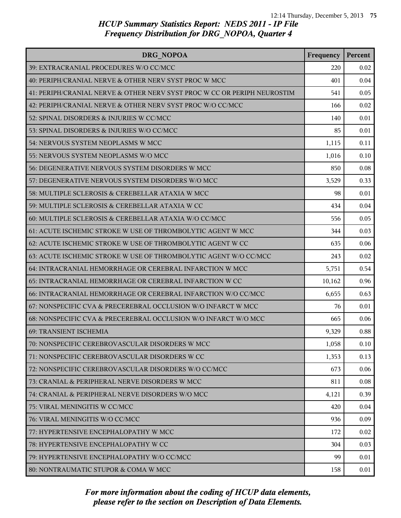| DRG NOPOA                                                                | Frequency | Percent |
|--------------------------------------------------------------------------|-----------|---------|
| 39: EXTRACRANIAL PROCEDURES W/O CC/MCC                                   | 220       | 0.02    |
| 40: PERIPH/CRANIAL NERVE & OTHER NERV SYST PROC W MCC                    | 401       | 0.04    |
| 41: PERIPH/CRANIAL NERVE & OTHER NERV SYST PROC W CC OR PERIPH NEUROSTIM | 541       | 0.05    |
| 42: PERIPH/CRANIAL NERVE & OTHER NERV SYST PROC W/O CC/MCC               | 166       | 0.02    |
| 52: SPINAL DISORDERS & INJURIES W CC/MCC                                 | 140       | 0.01    |
| 53: SPINAL DISORDERS & INJURIES W/O CC/MCC                               | 85        | 0.01    |
| 54: NERVOUS SYSTEM NEOPLASMS W MCC                                       | 1,115     | 0.11    |
| 55: NERVOUS SYSTEM NEOPLASMS W/O MCC                                     | 1,016     | 0.10    |
| 56: DEGENERATIVE NERVOUS SYSTEM DISORDERS W MCC                          | 850       | 0.08    |
| 57: DEGENERATIVE NERVOUS SYSTEM DISORDERS W/O MCC                        | 3,529     | 0.33    |
| 58: MULTIPLE SCLEROSIS & CEREBELLAR ATAXIA W MCC                         | 98        | 0.01    |
| 59: MULTIPLE SCLEROSIS & CEREBELLAR ATAXIA W CC                          | 434       | 0.04    |
| 60: MULTIPLE SCLEROSIS & CEREBELLAR ATAXIA W/O CC/MCC                    | 556       | 0.05    |
| 61: ACUTE ISCHEMIC STROKE W USE OF THROMBOLYTIC AGENT W MCC              | 344       | 0.03    |
| 62: ACUTE ISCHEMIC STROKE W USE OF THROMBOLYTIC AGENT W CC               | 635       | 0.06    |
| 63: ACUTE ISCHEMIC STROKE W USE OF THROMBOLYTIC AGENT W/O CC/MCC         | 243       | 0.02    |
| 64: INTRACRANIAL HEMORRHAGE OR CEREBRAL INFARCTION W MCC                 | 5,751     | 0.54    |
| 65: INTRACRANIAL HEMORRHAGE OR CEREBRAL INFARCTION W CC                  | 10,162    | 0.96    |
| 66: INTRACRANIAL HEMORRHAGE OR CEREBRAL INFARCTION W/O CC/MCC            | 6,655     | 0.63    |
| 67: NONSPECIFIC CVA & PRECEREBRAL OCCLUSION W/O INFARCT W MCC            | 76        | 0.01    |
| 68: NONSPECIFIC CVA & PRECEREBRAL OCCLUSION W/O INFARCT W/O MCC          | 665       | 0.06    |
| 69: TRANSIENT ISCHEMIA                                                   | 9,329     | 0.88    |
| 70: NONSPECIFIC CEREBROVASCULAR DISORDERS W MCC                          | 1,058     | 0.10    |
| 71: NONSPECIFIC CEREBROVASCULAR DISORDERS W CC                           | 1,353     | 0.13    |
| 72: NONSPECIFIC CEREBROVASCULAR DISORDERS W/O CC/MCC                     | 673       | 0.06    |
| 73: CRANIAL & PERIPHERAL NERVE DISORDERS W MCC                           | 811       | 0.08    |
| 74: CRANIAL & PERIPHERAL NERVE DISORDERS W/O MCC                         | 4,121     | 0.39    |
| 75: VIRAL MENINGITIS W CC/MCC                                            | 420       | 0.04    |
| 76: VIRAL MENINGITIS W/O CC/MCC                                          | 936       | 0.09    |
| 77: HYPERTENSIVE ENCEPHALOPATHY W MCC                                    | 172       | 0.02    |
| 78: HYPERTENSIVE ENCEPHALOPATHY W CC                                     | 304       | 0.03    |
| 79: HYPERTENSIVE ENCEPHALOPATHY W/O CC/MCC                               | 99        | 0.01    |
| 80: NONTRAUMATIC STUPOR & COMA W MCC                                     | 158       | 0.01    |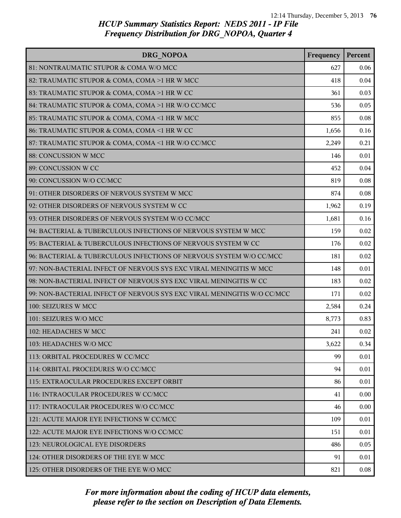| DRG NOPOA                                                               | Frequency | Percent |
|-------------------------------------------------------------------------|-----------|---------|
| 81: NONTRAUMATIC STUPOR & COMA W/O MCC                                  | 627       | 0.06    |
| 82: TRAUMATIC STUPOR & COMA, COMA >1 HR W MCC                           | 418       | 0.04    |
| 83: TRAUMATIC STUPOR & COMA, COMA >1 HR W CC                            | 361       | 0.03    |
| 84: TRAUMATIC STUPOR & COMA, COMA >1 HR W/O CC/MCC                      | 536       | 0.05    |
| 85: TRAUMATIC STUPOR & COMA, COMA <1 HR W MCC                           | 855       | 0.08    |
| 86: TRAUMATIC STUPOR & COMA, COMA <1 HR W CC                            | 1,656     | 0.16    |
| 87: TRAUMATIC STUPOR & COMA, COMA <1 HR W/O CC/MCC                      | 2,249     | 0.21    |
| 88: CONCUSSION W MCC                                                    | 146       | 0.01    |
| 89: CONCUSSION W CC                                                     | 452       | 0.04    |
| 90: CONCUSSION W/O CC/MCC                                               | 819       | 0.08    |
| 91: OTHER DISORDERS OF NERVOUS SYSTEM W MCC                             | 874       | 0.08    |
| 92: OTHER DISORDERS OF NERVOUS SYSTEM W CC                              | 1,962     | 0.19    |
| 93: OTHER DISORDERS OF NERVOUS SYSTEM W/O CC/MCC                        | 1,681     | 0.16    |
| 94: BACTERIAL & TUBERCULOUS INFECTIONS OF NERVOUS SYSTEM W MCC          | 159       | 0.02    |
| 95: BACTERIAL & TUBERCULOUS INFECTIONS OF NERVOUS SYSTEM W CC           | 176       | 0.02    |
| 96: BACTERIAL & TUBERCULOUS INFECTIONS OF NERVOUS SYSTEM W/O CC/MCC     | 181       | 0.02    |
| 97: NON-BACTERIAL INFECT OF NERVOUS SYS EXC VIRAL MENINGITIS W MCC      | 148       | 0.01    |
| 98: NON-BACTERIAL INFECT OF NERVOUS SYS EXC VIRAL MENINGITIS W CC       | 183       | 0.02    |
| 99: NON-BACTERIAL INFECT OF NERVOUS SYS EXC VIRAL MENINGITIS W/O CC/MCC | 171       | 0.02    |
| 100: SEIZURES W MCC                                                     | 2,584     | 0.24    |
| 101: SEIZURES W/O MCC                                                   | 8,773     | 0.83    |
| 102: HEADACHES W MCC                                                    | 241       | 0.02    |
| 103: HEADACHES W/O MCC                                                  | 3,622     | 0.34    |
| 113: ORBITAL PROCEDURES W CC/MCC                                        | 99        | 0.01    |
| 114: ORBITAL PROCEDURES W/O CC/MCC                                      | 94        | 0.01    |
| 115: EXTRAOCULAR PROCEDURES EXCEPT ORBIT                                | 86        | 0.01    |
| 116: INTRAOCULAR PROCEDURES W CC/MCC                                    | 41        | 0.00    |
| 117: INTRAOCULAR PROCEDURES W/O CC/MCC                                  | 46        | 0.00    |
| 121: ACUTE MAJOR EYE INFECTIONS W CC/MCC                                | 109       | 0.01    |
| 122: ACUTE MAJOR EYE INFECTIONS W/O CC/MCC                              | 151       | 0.01    |
| 123: NEUROLOGICAL EYE DISORDERS                                         | 486       | 0.05    |
| 124: OTHER DISORDERS OF THE EYE W MCC                                   | 91        | 0.01    |
| 125: OTHER DISORDERS OF THE EYE W/O MCC                                 | 821       | 0.08    |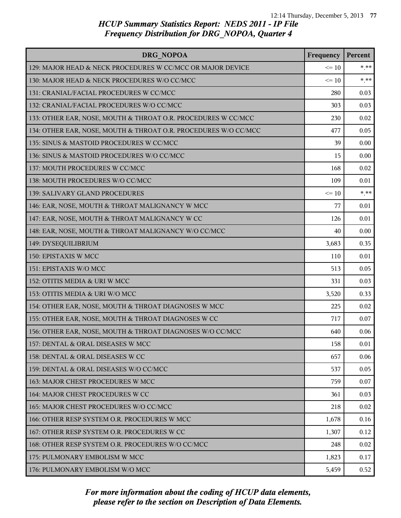| <b>DRG NOPOA</b>                                                | Frequency | Percent |
|-----------------------------------------------------------------|-----------|---------|
| 129: MAJOR HEAD & NECK PROCEDURES W CC/MCC OR MAJOR DEVICE      | $\leq 10$ | $*$ **  |
| 130: MAJOR HEAD & NECK PROCEDURES W/O CC/MCC                    | $\leq 10$ | $* * *$ |
| 131: CRANIAL/FACIAL PROCEDURES W CC/MCC                         | 280       | 0.03    |
| 132: CRANIAL/FACIAL PROCEDURES W/O CC/MCC                       | 303       | 0.03    |
| 133: OTHER EAR, NOSE, MOUTH & THROAT O.R. PROCEDURES W CC/MCC   | 230       | 0.02    |
| 134: OTHER EAR, NOSE, MOUTH & THROAT O.R. PROCEDURES W/O CC/MCC | 477       | 0.05    |
| 135: SINUS & MASTOID PROCEDURES W CC/MCC                        | 39        | 0.00    |
| 136: SINUS & MASTOID PROCEDURES W/O CC/MCC                      | 15        | 0.00    |
| 137: MOUTH PROCEDURES W CC/MCC                                  | 168       | 0.02    |
| 138: MOUTH PROCEDURES W/O CC/MCC                                | 109       | 0.01    |
| 139: SALIVARY GLAND PROCEDURES                                  | $\leq 10$ | $*$ **  |
| 146: EAR, NOSE, MOUTH & THROAT MALIGNANCY W MCC                 | 77        | 0.01    |
| 147: EAR, NOSE, MOUTH & THROAT MALIGNANCY W CC                  | 126       | 0.01    |
| 148: EAR, NOSE, MOUTH & THROAT MALIGNANCY W/O CC/MCC            | 40        | 0.00    |
| 149: DYSEQUILIBRIUM                                             | 3,683     | 0.35    |
| 150: EPISTAXIS W MCC                                            | 110       | 0.01    |
| 151: EPISTAXIS W/O MCC                                          | 513       | 0.05    |
| 152: OTITIS MEDIA & URI W MCC                                   | 331       | 0.03    |
| 153: OTITIS MEDIA & URI W/O MCC                                 | 3,520     | 0.33    |
| 154: OTHER EAR, NOSE, MOUTH & THROAT DIAGNOSES W MCC            | 225       | 0.02    |
| 155: OTHER EAR, NOSE, MOUTH & THROAT DIAGNOSES W CC             | 717       | 0.07    |
| 156: OTHER EAR, NOSE, MOUTH & THROAT DIAGNOSES W/O CC/MCC       | 640       | 0.06    |
| 157: DENTAL & ORAL DISEASES W MCC                               | 158       | 0.01    |
| 158: DENTAL & ORAL DISEASES W CC                                | 657       | 0.06    |
| 159: DENTAL & ORAL DISEASES W/O CC/MCC                          | 537       | 0.05    |
| 163: MAJOR CHEST PROCEDURES W MCC                               | 759       | 0.07    |
| 164: MAJOR CHEST PROCEDURES W CC                                | 361       | 0.03    |
| 165: MAJOR CHEST PROCEDURES W/O CC/MCC                          | 218       | 0.02    |
| 166: OTHER RESP SYSTEM O.R. PROCEDURES W MCC                    | 1,678     | 0.16    |
| 167: OTHER RESP SYSTEM O.R. PROCEDURES W CC                     | 1,307     | 0.12    |
| 168: OTHER RESP SYSTEM O.R. PROCEDURES W/O CC/MCC               | 248       | 0.02    |
| 175: PULMONARY EMBOLISM W MCC                                   | 1,823     | 0.17    |
| 176: PULMONARY EMBOLISM W/O MCC                                 | 5,459     | 0.52    |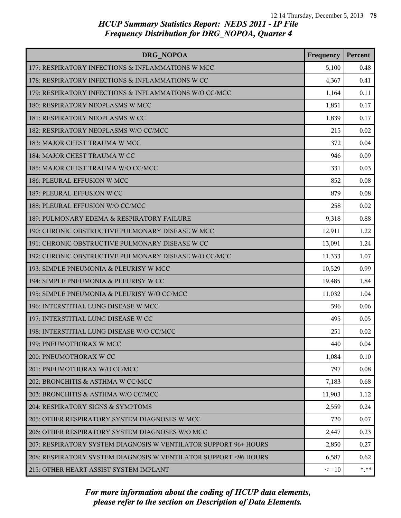| DRG NOPOA                                                         | Frequency | Percent |
|-------------------------------------------------------------------|-----------|---------|
| 177: RESPIRATORY INFECTIONS & INFLAMMATIONS W MCC                 | 5,100     | 0.48    |
| 178: RESPIRATORY INFECTIONS & INFLAMMATIONS W CC                  | 4,367     | 0.41    |
| 179: RESPIRATORY INFECTIONS & INFLAMMATIONS W/O CC/MCC            | 1,164     | 0.11    |
| 180: RESPIRATORY NEOPLASMS W MCC                                  | 1,851     | 0.17    |
| 181: RESPIRATORY NEOPLASMS W CC                                   | 1,839     | 0.17    |
| 182: RESPIRATORY NEOPLASMS W/O CC/MCC                             | 215       | 0.02    |
| 183: MAJOR CHEST TRAUMA W MCC                                     | 372       | 0.04    |
| 184: MAJOR CHEST TRAUMA W CC                                      | 946       | 0.09    |
| 185: MAJOR CHEST TRAUMA W/O CC/MCC                                | 331       | 0.03    |
| 186: PLEURAL EFFUSION W MCC                                       | 852       | 0.08    |
| 187: PLEURAL EFFUSION W CC                                        | 879       | 0.08    |
| 188: PLEURAL EFFUSION W/O CC/MCC                                  | 258       | 0.02    |
| 189: PULMONARY EDEMA & RESPIRATORY FAILURE                        | 9,318     | 0.88    |
| 190: CHRONIC OBSTRUCTIVE PULMONARY DISEASE W MCC                  | 12,911    | 1.22    |
| 191: CHRONIC OBSTRUCTIVE PULMONARY DISEASE W CC                   | 13,091    | 1.24    |
| 192: CHRONIC OBSTRUCTIVE PULMONARY DISEASE W/O CC/MCC             | 11,333    | 1.07    |
| 193: SIMPLE PNEUMONIA & PLEURISY W MCC                            | 10,529    | 0.99    |
| 194: SIMPLE PNEUMONIA & PLEURISY W CC                             | 19,485    | 1.84    |
| 195: SIMPLE PNEUMONIA & PLEURISY W/O CC/MCC                       | 11,032    | 1.04    |
| 196: INTERSTITIAL LUNG DISEASE W MCC                              | 596       | 0.06    |
| 197: INTERSTITIAL LUNG DISEASE W CC                               | 495       | 0.05    |
| 198: INTERSTITIAL LUNG DISEASE W/O CC/MCC                         | 251       | 0.02    |
| 199: PNEUMOTHORAX W MCC                                           | 440       | 0.04    |
| 200: PNEUMOTHORAX W CC                                            | 1,084     | 0.10    |
| 201: PNEUMOTHORAX W/O CC/MCC                                      | 797       | 0.08    |
| 202: BRONCHITIS & ASTHMA W CC/MCC                                 | 7,183     | 0.68    |
| 203: BRONCHITIS & ASTHMA W/O CC/MCC                               | 11,903    | 1.12    |
| 204: RESPIRATORY SIGNS & SYMPTOMS                                 | 2,559     | 0.24    |
| 205: OTHER RESPIRATORY SYSTEM DIAGNOSES W MCC                     | 720       | 0.07    |
| 206: OTHER RESPIRATORY SYSTEM DIAGNOSES W/O MCC                   | 2,447     | 0.23    |
| 207: RESPIRATORY SYSTEM DIAGNOSIS W VENTILATOR SUPPORT 96+ HOURS  | 2,850     | 0.27    |
| 208: RESPIRATORY SYSTEM DIAGNOSIS W VENTILATOR SUPPORT < 96 HOURS | 6,587     | 0.62    |
| 215: OTHER HEART ASSIST SYSTEM IMPLANT                            | $\leq 10$ | $* * *$ |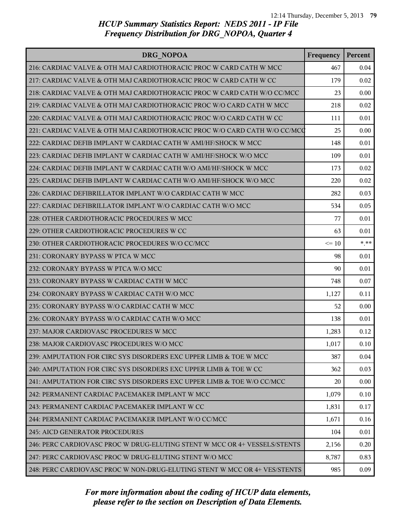| DRG NOPOA                                                                 | Frequency | Percent |
|---------------------------------------------------------------------------|-----------|---------|
| 216: CARDIAC VALVE & OTH MAJ CARDIOTHORACIC PROC W CARD CATH W MCC        | 467       | 0.04    |
| 217: CARDIAC VALVE & OTH MAJ CARDIOTHORACIC PROC W CARD CATH W CC         | 179       | 0.02    |
| 218: CARDIAC VALVE & OTH MAJ CARDIOTHORACIC PROC W CARD CATH W/O CC/MCC   | 23        | 0.00    |
| 219: CARDIAC VALVE & OTH MAJ CARDIOTHORACIC PROC W/O CARD CATH W MCC      | 218       | 0.02    |
| 220: CARDIAC VALVE & OTH MAJ CARDIOTHORACIC PROC W/O CARD CATH W CC       | 111       | 0.01    |
| 221: CARDIAC VALVE & OTH MAJ CARDIOTHORACIC PROC W/O CARD CATH W/O CC/MCQ | 25        | 0.00    |
| 222: CARDIAC DEFIB IMPLANT W CARDIAC CATH W AMI/HF/SHOCK W MCC            | 148       | 0.01    |
| 223: CARDIAC DEFIB IMPLANT W CARDIAC CATH W AMI/HF/SHOCK W/O MCC          | 109       | 0.01    |
| 224: CARDIAC DEFIB IMPLANT W CARDIAC CATH W/O AMI/HF/SHOCK W MCC          | 173       | 0.02    |
| 225: CARDIAC DEFIB IMPLANT W CARDIAC CATH W/O AMI/HF/SHOCK W/O MCC        | 220       | 0.02    |
| 226: CARDIAC DEFIBRILLATOR IMPLANT W/O CARDIAC CATH W MCC                 | 282       | 0.03    |
| 227: CARDIAC DEFIBRILLATOR IMPLANT W/O CARDIAC CATH W/O MCC               | 534       | 0.05    |
| 228: OTHER CARDIOTHORACIC PROCEDURES W MCC                                | 77        | 0.01    |
| 229: OTHER CARDIOTHORACIC PROCEDURES W CC                                 | 63        | 0.01    |
| 230: OTHER CARDIOTHORACIC PROCEDURES W/O CC/MCC                           | $\leq 10$ | $* * *$ |
| 231: CORONARY BYPASS W PTCA W MCC                                         | 98        | 0.01    |
| 232: CORONARY BYPASS W PTCA W/O MCC                                       | 90        | 0.01    |
| 233: CORONARY BYPASS W CARDIAC CATH W MCC                                 | 748       | 0.07    |
| 234: CORONARY BYPASS W CARDIAC CATH W/O MCC                               | 1,127     | 0.11    |
| 235: CORONARY BYPASS W/O CARDIAC CATH W MCC                               | 52        | 0.00    |
| 236: CORONARY BYPASS W/O CARDIAC CATH W/O MCC                             | 138       | 0.01    |
| 237: MAJOR CARDIOVASC PROCEDURES W MCC                                    | 1,283     | 0.12    |
| 238: MAJOR CARDIOVASC PROCEDURES W/O MCC                                  | 1,017     | 0.10    |
| 239: AMPUTATION FOR CIRC SYS DISORDERS EXC UPPER LIMB & TOE W MCC         | 387       | 0.04    |
| 240: AMPUTATION FOR CIRC SYS DISORDERS EXC UPPER LIMB & TOE W CC          | 362       | 0.03    |
| 241: AMPUTATION FOR CIRC SYS DISORDERS EXC UPPER LIMB & TOE W/O CC/MCC    | 20        | 0.00    |
| 242: PERMANENT CARDIAC PACEMAKER IMPLANT W MCC                            | 1,079     | 0.10    |
| 243: PERMANENT CARDIAC PACEMAKER IMPLANT W CC                             | 1,831     | 0.17    |
| 244: PERMANENT CARDIAC PACEMAKER IMPLANT W/O CC/MCC                       | 1,671     | 0.16    |
| <b>245: AICD GENERATOR PROCEDURES</b>                                     | 104       | 0.01    |
| 246: PERC CARDIOVASC PROC W DRUG-ELUTING STENT W MCC OR 4+ VESSELS/STENTS | 2,156     | 0.20    |
| 247: PERC CARDIOVASC PROC W DRUG-ELUTING STENT W/O MCC                    | 8,787     | 0.83    |
| 248: PERC CARDIOVASC PROC W NON-DRUG-ELUTING STENT W MCC OR 4+ VES/STENTS | 985       | 0.09    |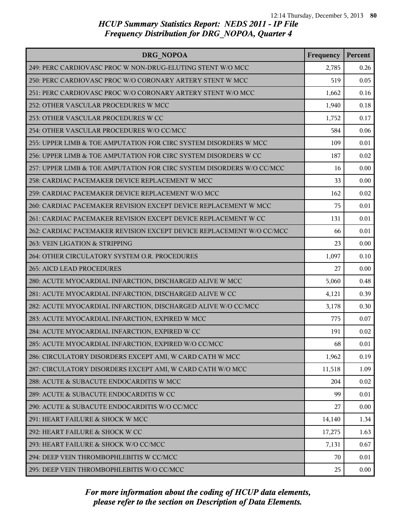| DRG NOPOA                                                             | Frequency | Percent |
|-----------------------------------------------------------------------|-----------|---------|
| 249: PERC CARDIOVASC PROC W NON-DRUG-ELUTING STENT W/O MCC            | 2,785     | 0.26    |
| 250: PERC CARDIOVASC PROC W/O CORONARY ARTERY STENT W MCC             | 519       | 0.05    |
| 251: PERC CARDIOVASC PROC W/O CORONARY ARTERY STENT W/O MCC           | 1,662     | 0.16    |
| 252: OTHER VASCULAR PROCEDURES W MCC                                  | 1,940     | 0.18    |
| 253: OTHER VASCULAR PROCEDURES W CC                                   | 1,752     | 0.17    |
| 254: OTHER VASCULAR PROCEDURES W/O CC/MCC                             | 584       | 0.06    |
| 255: UPPER LIMB & TOE AMPUTATION FOR CIRC SYSTEM DISORDERS W MCC      | 109       | 0.01    |
| 256: UPPER LIMB & TOE AMPUTATION FOR CIRC SYSTEM DISORDERS W CC       | 187       | 0.02    |
| 257: UPPER LIMB & TOE AMPUTATION FOR CIRC SYSTEM DISORDERS W/O CC/MCC | 16        | 0.00    |
| 258: CARDIAC PACEMAKER DEVICE REPLACEMENT W MCC                       | 33        | 0.00    |
| 259: CARDIAC PACEMAKER DEVICE REPLACEMENT W/O MCC                     | 162       | 0.02    |
| 260: CARDIAC PACEMAKER REVISION EXCEPT DEVICE REPLACEMENT W MCC       | 75        | 0.01    |
| 261: CARDIAC PACEMAKER REVISION EXCEPT DEVICE REPLACEMENT W CC        | 131       | 0.01    |
| 262: CARDIAC PACEMAKER REVISION EXCEPT DEVICE REPLACEMENT W/O CC/MCC  | 66        | 0.01    |
| 263: VEIN LIGATION & STRIPPING                                        | 23        | 0.00    |
| 264: OTHER CIRCULATORY SYSTEM O.R. PROCEDURES                         | 1,097     | 0.10    |
| 265: AICD LEAD PROCEDURES                                             | 27        | 0.00    |
| 280: ACUTE MYOCARDIAL INFARCTION, DISCHARGED ALIVE W MCC              | 5,060     | 0.48    |
| 281: ACUTE MYOCARDIAL INFARCTION, DISCHARGED ALIVE W CC               | 4,121     | 0.39    |
| 282: ACUTE MYOCARDIAL INFARCTION, DISCHARGED ALIVE W/O CC/MCC         | 3,178     | 0.30    |
| 283: ACUTE MYOCARDIAL INFARCTION, EXPIRED W MCC                       | 775       | 0.07    |
| 284: ACUTE MYOCARDIAL INFARCTION, EXPIRED W CC                        | 191       | 0.02    |
| 285: ACUTE MYOCARDIAL INFARCTION, EXPIRED W/O CC/MCC                  | 68        | 0.01    |
| 286: CIRCULATORY DISORDERS EXCEPT AMI, W CARD CATH W MCC              | 1,962     | 0.19    |
| 287: CIRCULATORY DISORDERS EXCEPT AMI, W CARD CATH W/O MCC            | 11,518    | 1.09    |
| 288: ACUTE & SUBACUTE ENDOCARDITIS W MCC                              | 204       | 0.02    |
| 289: ACUTE & SUBACUTE ENDOCARDITIS W CC                               | 99        | 0.01    |
| 290: ACUTE & SUBACUTE ENDOCARDITIS W/O CC/MCC                         | 27        | 0.00    |
| 291: HEART FAILURE & SHOCK W MCC                                      | 14,140    | 1.34    |
| 292: HEART FAILURE & SHOCK W CC                                       | 17,275    | 1.63    |
| 293: HEART FAILURE & SHOCK W/O CC/MCC                                 | 7,131     | 0.67    |
| 294: DEEP VEIN THROMBOPHLEBITIS W CC/MCC                              | 70        | 0.01    |
| 295: DEEP VEIN THROMBOPHLEBITIS W/O CC/MCC                            | 25        | 0.00    |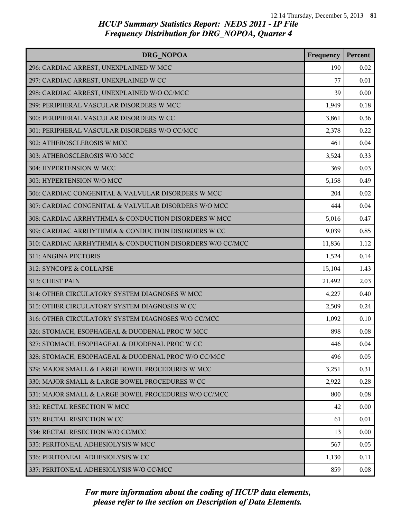| DRG NOPOA                                                 | Frequency | Percent |
|-----------------------------------------------------------|-----------|---------|
| 296: CARDIAC ARREST, UNEXPLAINED W MCC                    | 190       | 0.02    |
| 297: CARDIAC ARREST, UNEXPLAINED W CC                     | 77        | 0.01    |
| 298: CARDIAC ARREST, UNEXPLAINED W/O CC/MCC               | 39        | 0.00    |
| 299: PERIPHERAL VASCULAR DISORDERS W MCC                  | 1,949     | 0.18    |
| 300: PERIPHERAL VASCULAR DISORDERS W CC                   | 3,861     | 0.36    |
| 301: PERIPHERAL VASCULAR DISORDERS W/O CC/MCC             | 2,378     | 0.22    |
| 302: ATHEROSCLEROSIS W MCC                                | 461       | 0.04    |
| 303: ATHEROSCLEROSIS W/O MCC                              | 3,524     | 0.33    |
| 304: HYPERTENSION W MCC                                   | 369       | 0.03    |
| 305: HYPERTENSION W/O MCC                                 | 5,158     | 0.49    |
| 306: CARDIAC CONGENITAL & VALVULAR DISORDERS W MCC        | 204       | 0.02    |
| 307: CARDIAC CONGENITAL & VALVULAR DISORDERS W/O MCC      | 444       | 0.04    |
| 308: CARDIAC ARRHYTHMIA & CONDUCTION DISORDERS W MCC      | 5,016     | 0.47    |
| 309: CARDIAC ARRHYTHMIA & CONDUCTION DISORDERS W CC       | 9,039     | 0.85    |
| 310: CARDIAC ARRHYTHMIA & CONDUCTION DISORDERS W/O CC/MCC | 11,836    | 1.12    |
| 311: ANGINA PECTORIS                                      | 1,524     | 0.14    |
| 312: SYNCOPE & COLLAPSE                                   | 15,104    | 1.43    |
| 313: CHEST PAIN                                           | 21,492    | 2.03    |
| 314: OTHER CIRCULATORY SYSTEM DIAGNOSES W MCC             | 4,227     | 0.40    |
| 315: OTHER CIRCULATORY SYSTEM DIAGNOSES W CC              | 2,509     | 0.24    |
| 316: OTHER CIRCULATORY SYSTEM DIAGNOSES W/O CC/MCC        | 1,092     | 0.10    |
| 326: STOMACH, ESOPHAGEAL & DUODENAL PROC W MCC            | 898       | 0.08    |
| 327: STOMACH, ESOPHAGEAL & DUODENAL PROC W CC             | 446       | 0.04    |
| 328: STOMACH, ESOPHAGEAL & DUODENAL PROC W/O CC/MCC       | 496       | 0.05    |
| 329: MAJOR SMALL & LARGE BOWEL PROCEDURES W MCC           | 3,251     | 0.31    |
| 330: MAJOR SMALL & LARGE BOWEL PROCEDURES W CC            | 2,922     | 0.28    |
| 331: MAJOR SMALL & LARGE BOWEL PROCEDURES W/O CC/MCC      | 800       | 0.08    |
| 332: RECTAL RESECTION W MCC                               | 42        | 0.00    |
| 333: RECTAL RESECTION W CC                                | 61        | 0.01    |
| 334: RECTAL RESECTION W/O CC/MCC                          | 13        | 0.00    |
| 335: PERITONEAL ADHESIOLYSIS W MCC                        | 567       | 0.05    |
| 336: PERITONEAL ADHESIOLYSIS W CC                         | 1,130     | 0.11    |
| 337: PERITONEAL ADHESIOLYSIS W/O CC/MCC                   | 859       | 0.08    |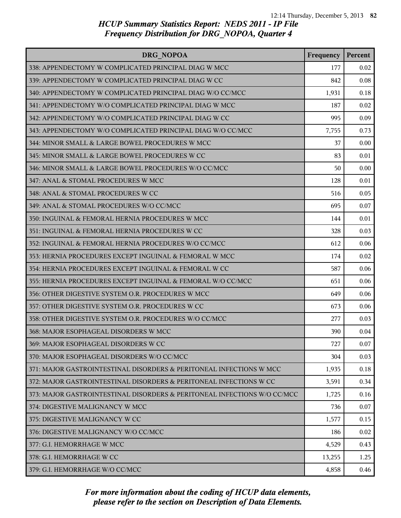| DRG NOPOA                                                                | Frequency | Percent |
|--------------------------------------------------------------------------|-----------|---------|
| 338: APPENDECTOMY W COMPLICATED PRINCIPAL DIAG W MCC                     | 177       | 0.02    |
| 339: APPENDECTOMY W COMPLICATED PRINCIPAL DIAG W CC                      | 842       | 0.08    |
| 340: APPENDECTOMY W COMPLICATED PRINCIPAL DIAG W/O CC/MCC                | 1,931     | 0.18    |
| 341: APPENDECTOMY W/O COMPLICATED PRINCIPAL DIAG W MCC                   | 187       | 0.02    |
| 342: APPENDECTOMY W/O COMPLICATED PRINCIPAL DIAG W CC                    | 995       | 0.09    |
| 343: APPENDECTOMY W/O COMPLICATED PRINCIPAL DIAG W/O CC/MCC              | 7,755     | 0.73    |
| 344: MINOR SMALL & LARGE BOWEL PROCEDURES W MCC                          | 37        | 0.00    |
| 345: MINOR SMALL & LARGE BOWEL PROCEDURES W CC                           | 83        | 0.01    |
| 346: MINOR SMALL & LARGE BOWEL PROCEDURES W/O CC/MCC                     | 50        | 0.00    |
| 347: ANAL & STOMAL PROCEDURES W MCC                                      | 128       | 0.01    |
| 348: ANAL & STOMAL PROCEDURES W CC                                       | 516       | 0.05    |
| 349: ANAL & STOMAL PROCEDURES W/O CC/MCC                                 | 695       | 0.07    |
| 350: INGUINAL & FEMORAL HERNIA PROCEDURES W MCC                          | 144       | 0.01    |
| 351: INGUINAL & FEMORAL HERNIA PROCEDURES W CC                           | 328       | 0.03    |
| 352: INGUINAL & FEMORAL HERNIA PROCEDURES W/O CC/MCC                     | 612       | 0.06    |
| 353: HERNIA PROCEDURES EXCEPT INGUINAL & FEMORAL W MCC                   | 174       | 0.02    |
| 354: HERNIA PROCEDURES EXCEPT INGUINAL & FEMORAL W CC                    | 587       | 0.06    |
| 355: HERNIA PROCEDURES EXCEPT INGUINAL & FEMORAL W/O CC/MCC              | 651       | 0.06    |
| 356: OTHER DIGESTIVE SYSTEM O.R. PROCEDURES W MCC                        | 649       | 0.06    |
| 357: OTHER DIGESTIVE SYSTEM O.R. PROCEDURES W CC                         | 673       | 0.06    |
| 358: OTHER DIGESTIVE SYSTEM O.R. PROCEDURES W/O CC/MCC                   | 277       | 0.03    |
| 368: MAJOR ESOPHAGEAL DISORDERS W MCC                                    | 390       | 0.04    |
| 369: MAJOR ESOPHAGEAL DISORDERS W CC                                     | 727       | 0.07    |
| 370: MAJOR ESOPHAGEAL DISORDERS W/O CC/MCC                               | 304       | 0.03    |
| 371: MAJOR GASTROINTESTINAL DISORDERS & PERITONEAL INFECTIONS W MCC      | 1,935     | 0.18    |
| 372: MAJOR GASTROINTESTINAL DISORDERS & PERITONEAL INFECTIONS W CC       | 3,591     | 0.34    |
| 373: MAJOR GASTROINTESTINAL DISORDERS & PERITONEAL INFECTIONS W/O CC/MCC | 1,725     | 0.16    |
| 374: DIGESTIVE MALIGNANCY W MCC                                          | 736       | 0.07    |
| 375: DIGESTIVE MALIGNANCY W CC                                           | 1,577     | 0.15    |
| 376: DIGESTIVE MALIGNANCY W/O CC/MCC                                     | 186       | 0.02    |
| 377: G.I. HEMORRHAGE W MCC                                               | 4,529     | 0.43    |
| 378: G.I. HEMORRHAGE W CC                                                | 13,255    | 1.25    |
| 379: G.I. HEMORRHAGE W/O CC/MCC                                          | 4,858     | 0.46    |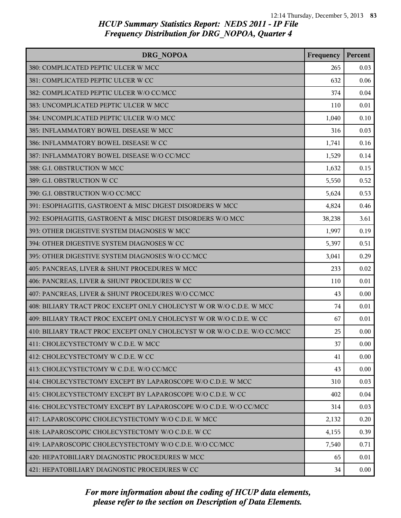| DRG NOPOA                                                                | Frequency | Percent |
|--------------------------------------------------------------------------|-----------|---------|
| 380: COMPLICATED PEPTIC ULCER W MCC                                      | 265       | 0.03    |
| 381: COMPLICATED PEPTIC ULCER W CC                                       | 632       | 0.06    |
| 382: COMPLICATED PEPTIC ULCER W/O CC/MCC                                 | 374       | 0.04    |
| 383: UNCOMPLICATED PEPTIC ULCER W MCC                                    | 110       | 0.01    |
| 384: UNCOMPLICATED PEPTIC ULCER W/O MCC                                  | 1,040     | 0.10    |
| 385: INFLAMMATORY BOWEL DISEASE W MCC                                    | 316       | 0.03    |
| 386: INFLAMMATORY BOWEL DISEASE W CC                                     | 1,741     | 0.16    |
| 387: INFLAMMATORY BOWEL DISEASE W/O CC/MCC                               | 1,529     | 0.14    |
| 388: G.I. OBSTRUCTION W MCC                                              | 1,632     | 0.15    |
| 389: G.I. OBSTRUCTION W CC                                               | 5,550     | 0.52    |
| 390: G.I. OBSTRUCTION W/O CC/MCC                                         | 5,624     | 0.53    |
| 391: ESOPHAGITIS, GASTROENT & MISC DIGEST DISORDERS W MCC                | 4,824     | 0.46    |
| 392: ESOPHAGITIS, GASTROENT & MISC DIGEST DISORDERS W/O MCC              | 38,238    | 3.61    |
| 393: OTHER DIGESTIVE SYSTEM DIAGNOSES W MCC                              | 1,997     | 0.19    |
| 394: OTHER DIGESTIVE SYSTEM DIAGNOSES W CC                               | 5,397     | 0.51    |
| 395: OTHER DIGESTIVE SYSTEM DIAGNOSES W/O CC/MCC                         | 3,041     | 0.29    |
| 405: PANCREAS, LIVER & SHUNT PROCEDURES W MCC                            | 233       | 0.02    |
| 406: PANCREAS, LIVER & SHUNT PROCEDURES W CC                             | 110       | 0.01    |
| 407: PANCREAS, LIVER & SHUNT PROCEDURES W/O CC/MCC                       | 43        | 0.00    |
| 408: BILIARY TRACT PROC EXCEPT ONLY CHOLECYST W OR W/O C.D.E. W MCC      | 74        | 0.01    |
| 409: BILIARY TRACT PROC EXCEPT ONLY CHOLECYST W OR W/O C.D.E. W CC       | 67        | 0.01    |
| 410: BILIARY TRACT PROC EXCEPT ONLY CHOLECYST W OR W/O C.D.E. W/O CC/MCC | 25        | 0.00    |
| 411: CHOLECYSTECTOMY W C.D.E. W MCC                                      | 37        | 0.00    |
| 412: CHOLECYSTECTOMY W C.D.E. W CC                                       | 41        | 0.00    |
| 413: CHOLECYSTECTOMY W C.D.E. W/O CC/MCC                                 | 43        | 0.00    |
| 414: CHOLECYSTECTOMY EXCEPT BY LAPAROSCOPE W/O C.D.E. W MCC              | 310       | 0.03    |
| 415: CHOLECYSTECTOMY EXCEPT BY LAPAROSCOPE W/O C.D.E. W CC               | 402       | 0.04    |
| 416: CHOLECYSTECTOMY EXCEPT BY LAPAROSCOPE W/O C.D.E. W/O CC/MCC         | 314       | 0.03    |
| 417: LAPAROSCOPIC CHOLECYSTECTOMY W/O C.D.E. W MCC                       | 2,132     | 0.20    |
| 418: LAPAROSCOPIC CHOLECYSTECTOMY W/O C.D.E. W CC                        | 4,155     | 0.39    |
| 419: LAPAROSCOPIC CHOLECYSTECTOMY W/O C.D.E. W/O CC/MCC                  | 7,540     | 0.71    |
| 420: HEPATOBILIARY DIAGNOSTIC PROCEDURES W MCC                           | 65        | 0.01    |
| 421: HEPATOBILIARY DIAGNOSTIC PROCEDURES W CC                            | 34        | 0.00    |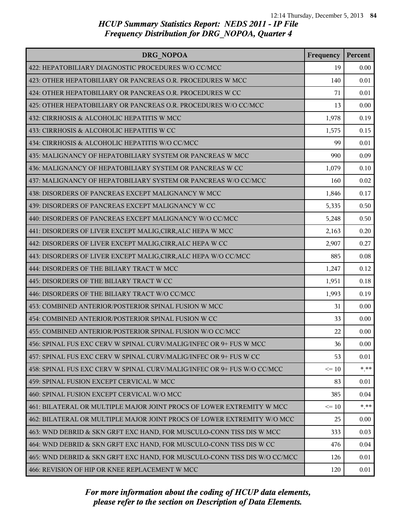| DRG NOPOA                                                                 | Frequency | Percent |
|---------------------------------------------------------------------------|-----------|---------|
| 422: HEPATOBILIARY DIAGNOSTIC PROCEDURES W/O CC/MCC                       | 19        | 0.00    |
| 423: OTHER HEPATOBILIARY OR PANCREAS O.R. PROCEDURES W MCC                | 140       | 0.01    |
| 424: OTHER HEPATOBILIARY OR PANCREAS O.R. PROCEDURES W CC                 | 71        | 0.01    |
| 425: OTHER HEPATOBILIARY OR PANCREAS O.R. PROCEDURES W/O CC/MCC           | 13        | 0.00    |
| 432: CIRRHOSIS & ALCOHOLIC HEPATITIS W MCC                                | 1,978     | 0.19    |
| 433: CIRRHOSIS & ALCOHOLIC HEPATITIS W CC                                 | 1,575     | 0.15    |
| 434: CIRRHOSIS & ALCOHOLIC HEPATITIS W/O CC/MCC                           | 99        | 0.01    |
| 435: MALIGNANCY OF HEPATOBILIARY SYSTEM OR PANCREAS W MCC                 | 990       | 0.09    |
| 436: MALIGNANCY OF HEPATOBILIARY SYSTEM OR PANCREAS W CC                  | 1,079     | 0.10    |
| 437: MALIGNANCY OF HEPATOBILIARY SYSTEM OR PANCREAS W/O CC/MCC            | 160       | 0.02    |
| 438: DISORDERS OF PANCREAS EXCEPT MALIGNANCY W MCC                        | 1,846     | 0.17    |
| 439: DISORDERS OF PANCREAS EXCEPT MALIGNANCY W CC                         | 5,335     | 0.50    |
| 440: DISORDERS OF PANCREAS EXCEPT MALIGNANCY W/O CC/MCC                   | 5,248     | 0.50    |
| 441: DISORDERS OF LIVER EXCEPT MALIG, CIRR, ALC HEPA W MCC                | 2,163     | 0.20    |
| 442: DISORDERS OF LIVER EXCEPT MALIG, CIRR, ALC HEPA W CC                 | 2,907     | 0.27    |
| 443: DISORDERS OF LIVER EXCEPT MALIG, CIRR, ALC HEPA W/O CC/MCC           | 885       | 0.08    |
| 444: DISORDERS OF THE BILIARY TRACT W MCC                                 | 1,247     | 0.12    |
| 445: DISORDERS OF THE BILIARY TRACT W CC                                  | 1,951     | 0.18    |
| 446: DISORDERS OF THE BILIARY TRACT W/O CC/MCC                            | 1,993     | 0.19    |
| 453: COMBINED ANTERIOR/POSTERIOR SPINAL FUSION W MCC                      | 31        | 0.00    |
| 454: COMBINED ANTERIOR/POSTERIOR SPINAL FUSION W CC                       | 33        | 0.00    |
| 455: COMBINED ANTERIOR/POSTERIOR SPINAL FUSION W/O CC/MCC                 | 22        | 0.00    |
| 456: SPINAL FUS EXC CERV W SPINAL CURV/MALIG/INFEC OR 9+ FUS W MCC        | 36        | 0.00    |
| 457: SPINAL FUS EXC CERV W SPINAL CURV/MALIG/INFEC OR 9+ FUS W CC         | 53        | 0.01    |
| 458: SPINAL FUS EXC CERV W SPINAL CURV/MALIG/INFEC OR 9+ FUS W/O CC/MCC   | $\leq 10$ | * **    |
| 459: SPINAL FUSION EXCEPT CERVICAL W MCC                                  | 83        | 0.01    |
| 460: SPINAL FUSION EXCEPT CERVICAL W/O MCC                                | 385       | 0.04    |
| 461: BILATERAL OR MULTIPLE MAJOR JOINT PROCS OF LOWER EXTREMITY W MCC     | $\leq$ 10 | $*$ **  |
| 462: BILATERAL OR MULTIPLE MAJOR JOINT PROCS OF LOWER EXTREMITY W/O MCC   | 25        | 0.00    |
| 463: WND DEBRID & SKN GRFT EXC HAND, FOR MUSCULO-CONN TISS DIS W MCC      | 333       | 0.03    |
| 464: WND DEBRID & SKN GRFT EXC HAND, FOR MUSCULO-CONN TISS DIS W CC       | 476       | 0.04    |
| 465: WND DEBRID & SKN GRFT EXC HAND, FOR MUSCULO-CONN TISS DIS W/O CC/MCC | 126       | 0.01    |
| 466: REVISION OF HIP OR KNEE REPLACEMENT W MCC                            | 120       | 0.01    |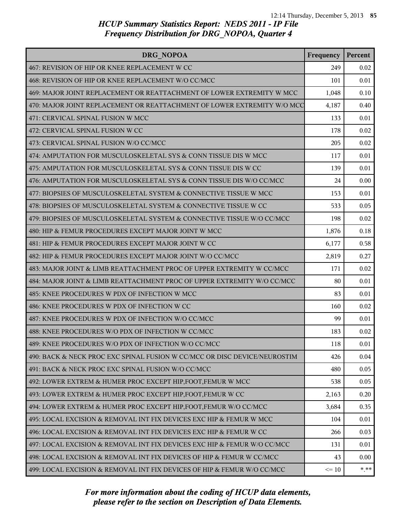| <b>DRG NOPOA</b>                                                          | Frequency | Percent |
|---------------------------------------------------------------------------|-----------|---------|
| 467: REVISION OF HIP OR KNEE REPLACEMENT W CC                             | 249       | 0.02    |
| 468: REVISION OF HIP OR KNEE REPLACEMENT W/O CC/MCC                       | 101       | 0.01    |
| 469: MAJOR JOINT REPLACEMENT OR REATTACHMENT OF LOWER EXTREMITY W MCC     | 1,048     | 0.10    |
| 470: MAJOR JOINT REPLACEMENT OR REATTACHMENT OF LOWER EXTREMITY W/O MCC   | 4,187     | 0.40    |
| 471: CERVICAL SPINAL FUSION W MCC                                         | 133       | 0.01    |
| 472: CERVICAL SPINAL FUSION W CC                                          | 178       | 0.02    |
| 473: CERVICAL SPINAL FUSION W/O CC/MCC                                    | 205       | 0.02    |
| 474: AMPUTATION FOR MUSCULOSKELETAL SYS & CONN TISSUE DIS W MCC           | 117       | 0.01    |
| 475: AMPUTATION FOR MUSCULOSKELETAL SYS & CONN TISSUE DIS W CC            | 139       | 0.01    |
| 476: AMPUTATION FOR MUSCULOSKELETAL SYS & CONN TISSUE DIS W/O CC/MCC      | 24        | 0.00    |
| 477: BIOPSIES OF MUSCULOSKELETAL SYSTEM & CONNECTIVE TISSUE W MCC         | 153       | 0.01    |
| 478: BIOPSIES OF MUSCULOSKELETAL SYSTEM & CONNECTIVE TISSUE W CC          | 533       | 0.05    |
| 479: BIOPSIES OF MUSCULOSKELETAL SYSTEM & CONNECTIVE TISSUE W/O CC/MCC    | 198       | 0.02    |
| 480: HIP & FEMUR PROCEDURES EXCEPT MAJOR JOINT W MCC                      | 1,876     | 0.18    |
| 481: HIP & FEMUR PROCEDURES EXCEPT MAJOR JOINT W CC                       | 6,177     | 0.58    |
| 482: HIP & FEMUR PROCEDURES EXCEPT MAJOR JOINT W/O CC/MCC                 | 2,819     | 0.27    |
| 483: MAJOR JOINT & LIMB REATTACHMENT PROC OF UPPER EXTREMITY W CC/MCC     | 171       | 0.02    |
| 484: MAJOR JOINT & LIMB REATTACHMENT PROC OF UPPER EXTREMITY W/O CC/MCC   | 80        | 0.01    |
| 485: KNEE PROCEDURES W PDX OF INFECTION W MCC                             | 83        | 0.01    |
| 486: KNEE PROCEDURES W PDX OF INFECTION W CC                              | 160       | 0.02    |
| 487: KNEE PROCEDURES W PDX OF INFECTION W/O CC/MCC                        | 99        | 0.01    |
| 488: KNEE PROCEDURES W/O PDX OF INFECTION W CC/MCC                        | 183       | 0.02    |
| 489: KNEE PROCEDURES W/O PDX OF INFECTION W/O CC/MCC                      | 118       | 0.01    |
| 490: BACK & NECK PROC EXC SPINAL FUSION W CC/MCC OR DISC DEVICE/NEUROSTIM | 426       | 0.04    |
| 491: BACK & NECK PROC EXC SPINAL FUSION W/O CC/MCC                        | 480       | 0.05    |
| 492: LOWER EXTREM & HUMER PROC EXCEPT HIP, FOOT, FEMUR W MCC              | 538       | 0.05    |
| 493: LOWER EXTREM & HUMER PROC EXCEPT HIP, FOOT, FEMUR W CC               | 2,163     | 0.20    |
| 494: LOWER EXTREM & HUMER PROC EXCEPT HIP, FOOT, FEMUR W/O CC/MCC         | 3,684     | 0.35    |
| 495: LOCAL EXCISION & REMOVAL INT FIX DEVICES EXC HIP & FEMUR W MCC       | 104       | 0.01    |
| 496: LOCAL EXCISION & REMOVAL INT FIX DEVICES EXC HIP & FEMUR W CC        | 266       | 0.03    |
| 497: LOCAL EXCISION & REMOVAL INT FIX DEVICES EXC HIP & FEMUR W/O CC/MCC  | 131       | 0.01    |
| 498: LOCAL EXCISION & REMOVAL INT FIX DEVICES OF HIP & FEMUR W CC/MCC     | 43        | 0.00    |
| 499: LOCAL EXCISION & REMOVAL INT FIX DEVICES OF HIP & FEMUR W/O CC/MCC   | $\leq 10$ | $* * *$ |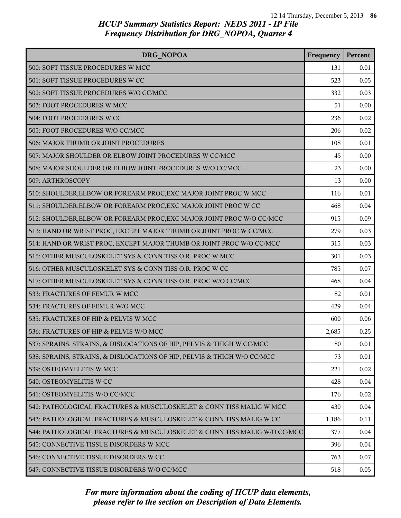| DRG NOPOA                                                                | Frequency | Percent |
|--------------------------------------------------------------------------|-----------|---------|
| 500: SOFT TISSUE PROCEDURES W MCC                                        | 131       | 0.01    |
| 501: SOFT TISSUE PROCEDURES W CC                                         | 523       | 0.05    |
| 502: SOFT TISSUE PROCEDURES W/O CC/MCC                                   | 332       | 0.03    |
| 503: FOOT PROCEDURES W MCC                                               | 51        | 0.00    |
| 504: FOOT PROCEDURES W CC                                                | 236       | 0.02    |
| 505: FOOT PROCEDURES W/O CC/MCC                                          | 206       | 0.02    |
| 506: MAJOR THUMB OR JOINT PROCEDURES                                     | 108       | 0.01    |
| 507: MAJOR SHOULDER OR ELBOW JOINT PROCEDURES W CC/MCC                   | 45        | 0.00    |
| 508: MAJOR SHOULDER OR ELBOW JOINT PROCEDURES W/O CC/MCC                 | 23        | 0.00    |
| 509: ARTHROSCOPY                                                         | 13        | 0.00    |
| 510: SHOULDER, ELBOW OR FOREARM PROC, EXC MAJOR JOINT PROC W MCC         | 116       | 0.01    |
| 511: SHOULDER, ELBOW OR FOREARM PROC, EXC MAJOR JOINT PROC W CC          | 468       | 0.04    |
| 512: SHOULDER, ELBOW OR FOREARM PROC, EXC MAJOR JOINT PROC W/O CC/MCC    | 915       | 0.09    |
| 513: HAND OR WRIST PROC, EXCEPT MAJOR THUMB OR JOINT PROC W CC/MCC       | 279       | 0.03    |
| 514: HAND OR WRIST PROC, EXCEPT MAJOR THUMB OR JOINT PROC W/O CC/MCC     | 315       | 0.03    |
| 515: OTHER MUSCULOSKELET SYS & CONN TISS O.R. PROC W MCC                 | 301       | 0.03    |
| 516: OTHER MUSCULOSKELET SYS & CONN TISS O.R. PROC W CC                  | 785       | 0.07    |
| 517: OTHER MUSCULOSKELET SYS & CONN TISS O.R. PROC W/O CC/MCC            | 468       | 0.04    |
| 533: FRACTURES OF FEMUR W MCC                                            | 82        | 0.01    |
| 534: FRACTURES OF FEMUR W/O MCC                                          | 429       | 0.04    |
| 535: FRACTURES OF HIP & PELVIS W MCC                                     | 600       | 0.06    |
| 536: FRACTURES OF HIP & PELVIS W/O MCC                                   | 2,685     | 0.25    |
| 537: SPRAINS, STRAINS, & DISLOCATIONS OF HIP, PELVIS & THIGH W CC/MCC    | 80        | 0.01    |
| 538: SPRAINS, STRAINS, & DISLOCATIONS OF HIP, PELVIS & THIGH W/O CC/MCC  | 73        | 0.01    |
| 539: OSTEOMYELITIS W MCC                                                 | 221       | 0.02    |
| 540: OSTEOMYELITIS W CC                                                  | 428       | 0.04    |
| 541: OSTEOMYELITIS W/O CC/MCC                                            | 176       | 0.02    |
| 542: PATHOLOGICAL FRACTURES & MUSCULOSKELET & CONN TISS MALIG W MCC      | 430       | 0.04    |
| 543: PATHOLOGICAL FRACTURES & MUSCULOSKELET & CONN TISS MALIG W CC       | 1,186     | 0.11    |
| 544: PATHOLOGICAL FRACTURES & MUSCULOSKELET & CONN TISS MALIG W/O CC/MCC | 377       | 0.04    |
| 545: CONNECTIVE TISSUE DISORDERS W MCC                                   | 396       | 0.04    |
| 546: CONNECTIVE TISSUE DISORDERS W CC                                    | 763       | 0.07    |
| 547: CONNECTIVE TISSUE DISORDERS W/O CC/MCC                              | 518       | 0.05    |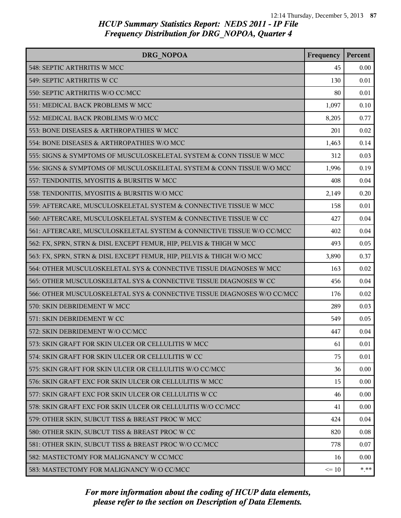| <b>DRG NOPOA</b>                                                        | Frequency | Percent |
|-------------------------------------------------------------------------|-----------|---------|
| 548: SEPTIC ARTHRITIS W MCC                                             | 45        | 0.00    |
| 549: SEPTIC ARTHRITIS W CC                                              | 130       | 0.01    |
| 550: SEPTIC ARTHRITIS W/O CC/MCC                                        | 80        | 0.01    |
| 551: MEDICAL BACK PROBLEMS W MCC                                        | 1,097     | 0.10    |
| 552: MEDICAL BACK PROBLEMS W/O MCC                                      | 8,205     | 0.77    |
| 553: BONE DISEASES & ARTHROPATHIES W MCC                                | 201       | 0.02    |
| 554: BONE DISEASES & ARTHROPATHIES W/O MCC                              | 1,463     | 0.14    |
| 555: SIGNS & SYMPTOMS OF MUSCULOSKELETAL SYSTEM & CONN TISSUE W MCC     | 312       | 0.03    |
| 556: SIGNS & SYMPTOMS OF MUSCULOSKELETAL SYSTEM & CONN TISSUE W/O MCC   | 1,996     | 0.19    |
| 557: TENDONITIS, MYOSITIS & BURSITIS W MCC                              | 408       | 0.04    |
| 558: TENDONITIS, MYOSITIS & BURSITIS W/O MCC                            | 2,149     | 0.20    |
| 559: AFTERCARE, MUSCULOSKELETAL SYSTEM & CONNECTIVE TISSUE W MCC        | 158       | 0.01    |
| 560: AFTERCARE, MUSCULOSKELETAL SYSTEM & CONNECTIVE TISSUE W CC         | 427       | 0.04    |
| 561: AFTERCARE, MUSCULOSKELETAL SYSTEM & CONNECTIVE TISSUE W/O CC/MCC   | 402       | 0.04    |
| 562: FX, SPRN, STRN & DISL EXCEPT FEMUR, HIP, PELVIS & THIGH W MCC      | 493       | 0.05    |
| 563: FX, SPRN, STRN & DISL EXCEPT FEMUR, HIP, PELVIS & THIGH W/O MCC    | 3,890     | 0.37    |
| 564: OTHER MUSCULOSKELETAL SYS & CONNECTIVE TISSUE DIAGNOSES W MCC      | 163       | 0.02    |
| 565: OTHER MUSCULOSKELETAL SYS & CONNECTIVE TISSUE DIAGNOSES W CC       | 456       | 0.04    |
| 566: OTHER MUSCULOSKELETAL SYS & CONNECTIVE TISSUE DIAGNOSES W/O CC/MCC | 176       | 0.02    |
| 570: SKIN DEBRIDEMENT W MCC                                             | 289       | 0.03    |
| 571: SKIN DEBRIDEMENT W CC                                              | 549       | 0.05    |
| 572: SKIN DEBRIDEMENT W/O CC/MCC                                        | 447       | 0.04    |
| 573: SKIN GRAFT FOR SKIN ULCER OR CELLULITIS W MCC                      | 61        | 0.01    |
| 574: SKIN GRAFT FOR SKIN ULCER OR CELLULITIS W CC                       | 75        | 0.01    |
| 575: SKIN GRAFT FOR SKIN ULCER OR CELLULITIS W/O CC/MCC                 | 36        | 0.00    |
| 576: SKIN GRAFT EXC FOR SKIN ULCER OR CELLULITIS W MCC                  | 15        | 0.00    |
| 577: SKIN GRAFT EXC FOR SKIN ULCER OR CELLULITIS W CC                   | 46        | 0.00    |
| 578: SKIN GRAFT EXC FOR SKIN ULCER OR CELLULITIS W/O CC/MCC             | 41        | 0.00    |
| 579: OTHER SKIN, SUBCUT TISS & BREAST PROC W MCC                        | 424       | 0.04    |
| 580: OTHER SKIN, SUBCUT TISS & BREAST PROC W CC                         | 820       | 0.08    |
| 581: OTHER SKIN, SUBCUT TISS & BREAST PROC W/O CC/MCC                   | 778       | 0.07    |
| 582: MASTECTOMY FOR MALIGNANCY W CC/MCC                                 | 16        | 0.00    |
| 583: MASTECTOMY FOR MALIGNANCY W/O CC/MCC                               | $\leq 10$ | $***$   |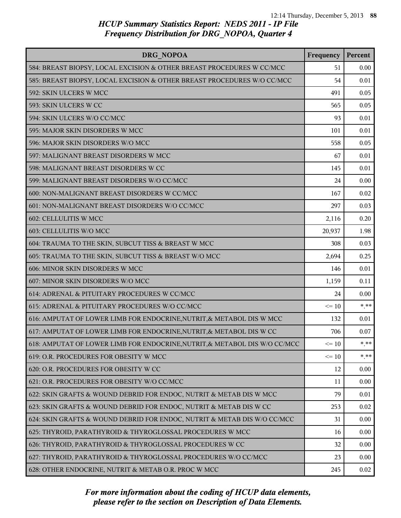| <b>DRG NOPOA</b>                                                           | Frequency | Percent |
|----------------------------------------------------------------------------|-----------|---------|
| 584: BREAST BIOPSY, LOCAL EXCISION & OTHER BREAST PROCEDURES W CC/MCC      | 51        | 0.00    |
| 585: BREAST BIOPSY, LOCAL EXCISION & OTHER BREAST PROCEDURES W/O CC/MCC    | 54        | 0.01    |
| 592: SKIN ULCERS W MCC                                                     | 491       | 0.05    |
| 593: SKIN ULCERS W CC                                                      | 565       | 0.05    |
| 594: SKIN ULCERS W/O CC/MCC                                                | 93        | 0.01    |
| 595: MAJOR SKIN DISORDERS W MCC                                            | 101       | 0.01    |
| 596: MAJOR SKIN DISORDERS W/O MCC                                          | 558       | 0.05    |
| 597: MALIGNANT BREAST DISORDERS W MCC                                      | 67        | 0.01    |
| 598: MALIGNANT BREAST DISORDERS W CC                                       | 145       | 0.01    |
| 599: MALIGNANT BREAST DISORDERS W/O CC/MCC                                 | 24        | 0.00    |
| 600: NON-MALIGNANT BREAST DISORDERS W CC/MCC                               | 167       | 0.02    |
| 601: NON-MALIGNANT BREAST DISORDERS W/O CC/MCC                             | 297       | 0.03    |
| 602: CELLULITIS W MCC                                                      | 2,116     | 0.20    |
| 603: CELLULITIS W/O MCC                                                    | 20,937    | 1.98    |
| 604: TRAUMA TO THE SKIN, SUBCUT TISS & BREAST W MCC                        | 308       | 0.03    |
| 605: TRAUMA TO THE SKIN, SUBCUT TISS & BREAST W/O MCC                      | 2,694     | 0.25    |
| 606: MINOR SKIN DISORDERS W MCC                                            | 146       | 0.01    |
| 607: MINOR SKIN DISORDERS W/O MCC                                          | 1,159     | 0.11    |
| 614: ADRENAL & PITUITARY PROCEDURES W CC/MCC                               | 24        | 0.00    |
| 615: ADRENAL & PITUITARY PROCEDURES W/O CC/MCC                             | $\leq 10$ | $* * *$ |
| 616: AMPUTAT OF LOWER LIMB FOR ENDOCRINE, NUTRIT, & METABOL DIS W MCC      | 132       | 0.01    |
| 617: AMPUTAT OF LOWER LIMB FOR ENDOCRINE, NUTRIT, & METABOL DIS W CC       | 706       | 0.07    |
| 618: AMPUTAT OF LOWER LIMB FOR ENDOCRINE, NUTRIT, & METABOL DIS W/O CC/MCC | $\leq 10$ | * **    |
| 619: O.R. PROCEDURES FOR OBESITY W MCC                                     | $\leq 10$ | $* * *$ |
| 620: O.R. PROCEDURES FOR OBESITY W CC                                      | 12        | 0.00    |
| 621: O.R. PROCEDURES FOR OBESITY W/O CC/MCC                                | 11        | 0.00    |
| 622: SKIN GRAFTS & WOUND DEBRID FOR ENDOC, NUTRIT & METAB DIS W MCC        | 79        | 0.01    |
| 623: SKIN GRAFTS & WOUND DEBRID FOR ENDOC, NUTRIT & METAB DIS W CC         | 253       | 0.02    |
| 624: SKIN GRAFTS & WOUND DEBRID FOR ENDOC, NUTRIT & METAB DIS W/O CC/MCC   | 31        | 0.00    |
| 625: THYROID, PARATHYROID & THYROGLOSSAL PROCEDURES W MCC                  | 16        | 0.00    |
| 626: THYROID, PARATHYROID & THYROGLOSSAL PROCEDURES W CC                   | 32        | 0.00    |
| 627: THYROID, PARATHYROID & THYROGLOSSAL PROCEDURES W/O CC/MCC             | 23        | 0.00    |
| 628: OTHER ENDOCRINE, NUTRIT & METAB O.R. PROC W MCC                       | 245       | 0.02    |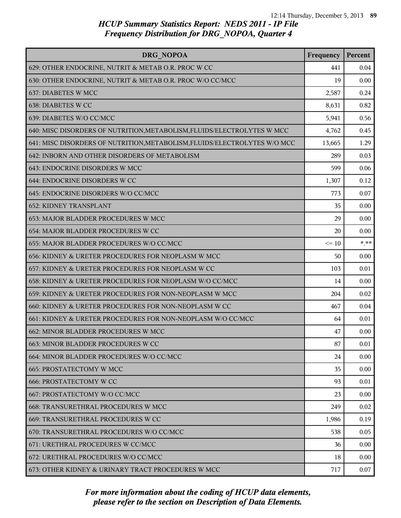| DRG NOPOA                                                                 | Frequency | Percent |
|---------------------------------------------------------------------------|-----------|---------|
| 629: OTHER ENDOCRINE, NUTRIT & METAB O.R. PROC W CC                       | 441       | 0.04    |
| 630: OTHER ENDOCRINE, NUTRIT & METAB O.R. PROC W/O CC/MCC                 | 19        | 0.00    |
| 637: DIABETES W MCC                                                       | 2,587     | 0.24    |
| 638: DIABETES W CC                                                        | 8,631     | 0.82    |
| 639: DIABETES W/O CC/MCC                                                  | 5,941     | 0.56    |
| 640: MISC DISORDERS OF NUTRITION, METABOLISM, FLUIDS/ELECTROLYTES W MCC   | 4,762     | 0.45    |
| 641: MISC DISORDERS OF NUTRITION, METABOLISM, FLUIDS/ELECTROLYTES W/O MCC | 13,665    | 1.29    |
| 642: INBORN AND OTHER DISORDERS OF METABOLISM                             | 289       | 0.03    |
| 643: ENDOCRINE DISORDERS W MCC                                            | 599       | 0.06    |
| 644: ENDOCRINE DISORDERS W CC                                             | 1,307     | 0.12    |
| 645: ENDOCRINE DISORDERS W/O CC/MCC                                       | 773       | 0.07    |
| <b>652: KIDNEY TRANSPLANT</b>                                             | 35        | 0.00    |
| 653: MAJOR BLADDER PROCEDURES W MCC                                       | 29        | 0.00    |
| 654: MAJOR BLADDER PROCEDURES W CC                                        | 20        | 0.00    |
| 655: MAJOR BLADDER PROCEDURES W/O CC/MCC                                  | $\leq 10$ | $*$ **  |
| 656: KIDNEY & URETER PROCEDURES FOR NEOPLASM W MCC                        | 50        | 0.00    |
| 657: KIDNEY & URETER PROCEDURES FOR NEOPLASM W CC                         | 103       | 0.01    |
| 658: KIDNEY & URETER PROCEDURES FOR NEOPLASM W/O CC/MCC                   | 14        | 0.00    |
| 659: KIDNEY & URETER PROCEDURES FOR NON-NEOPLASM W MCC                    | 204       | 0.02    |
| 660: KIDNEY & URETER PROCEDURES FOR NON-NEOPLASM W CC                     | 467       | 0.04    |
| 661: KIDNEY & URETER PROCEDURES FOR NON-NEOPLASM W/O CC/MCC               | 64        | 0.01    |
| 662: MINOR BLADDER PROCEDURES W MCC                                       | 47        | 0.00    |
| 663: MINOR BLADDER PROCEDURES W CC                                        | 87        | 0.01    |
| 664: MINOR BLADDER PROCEDURES W/O CC/MCC                                  | 24        | 0.00    |
| <b>665: PROSTATECTOMY W MCC</b>                                           | 35        | 0.00    |
| <b>666: PROSTATECTOMY W CC</b>                                            | 93        | 0.01    |
| 667: PROSTATECTOMY W/O CC/MCC                                             | 23        | 0.00    |
| 668: TRANSURETHRAL PROCEDURES W MCC                                       | 249       | 0.02    |
| 669: TRANSURETHRAL PROCEDURES W CC                                        | 1,986     | 0.19    |
| 670: TRANSURETHRAL PROCEDURES W/O CC/MCC                                  | 538       | 0.05    |
| 671: URETHRAL PROCEDURES W CC/MCC                                         | 36        | 0.00    |
| 672: URETHRAL PROCEDURES W/O CC/MCC                                       | 18        | 0.00    |
| 673: OTHER KIDNEY & URINARY TRACT PROCEDURES W MCC                        | 717       | 0.07    |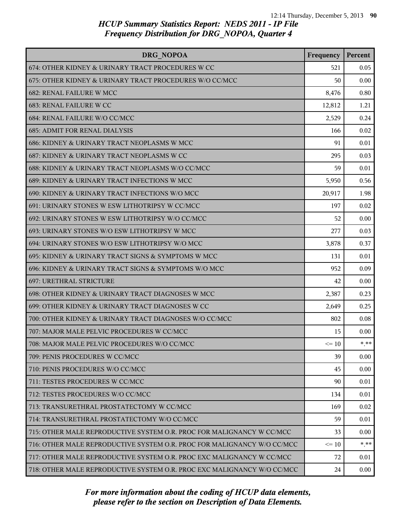| DRG NOPOA                                                               | Frequency | Percent  |
|-------------------------------------------------------------------------|-----------|----------|
| 674: OTHER KIDNEY & URINARY TRACT PROCEDURES W CC                       | 521       | 0.05     |
| 675: OTHER KIDNEY & URINARY TRACT PROCEDURES W/O CC/MCC                 | 50        | 0.00     |
| 682: RENAL FAILURE W MCC                                                | 8,476     | 0.80     |
| 683: RENAL FAILURE W CC                                                 | 12,812    | 1.21     |
| 684: RENAL FAILURE W/O CC/MCC                                           | 2,529     | 0.24     |
| <b>685: ADMIT FOR RENAL DIALYSIS</b>                                    | 166       | 0.02     |
| 686: KIDNEY & URINARY TRACT NEOPLASMS W MCC                             | 91        | 0.01     |
| 687: KIDNEY & URINARY TRACT NEOPLASMS W CC                              | 295       | 0.03     |
| 688: KIDNEY & URINARY TRACT NEOPLASMS W/O CC/MCC                        | 59        | 0.01     |
| 689: KIDNEY & URINARY TRACT INFECTIONS W MCC                            | 5,950     | 0.56     |
| 690: KIDNEY & URINARY TRACT INFECTIONS W/O MCC                          | 20,917    | 1.98     |
| 691: URINARY STONES W ESW LITHOTRIPSY W CC/MCC                          | 197       | 0.02     |
| 692: URINARY STONES W ESW LITHOTRIPSY W/O CC/MCC                        | 52        | 0.00     |
| 693: URINARY STONES W/O ESW LITHOTRIPSY W MCC                           | 277       | 0.03     |
| 694: URINARY STONES W/O ESW LITHOTRIPSY W/O MCC                         | 3,878     | 0.37     |
| 695: KIDNEY & URINARY TRACT SIGNS & SYMPTOMS W MCC                      | 131       | 0.01     |
| 696: KIDNEY & URINARY TRACT SIGNS & SYMPTOMS W/O MCC                    | 952       | 0.09     |
| 697: URETHRAL STRICTURE                                                 | 42        | 0.00     |
| 698: OTHER KIDNEY & URINARY TRACT DIAGNOSES W MCC                       | 2,387     | 0.23     |
| 699: OTHER KIDNEY & URINARY TRACT DIAGNOSES W CC                        | 2,649     | 0.25     |
| 700: OTHER KIDNEY & URINARY TRACT DIAGNOSES W/O CC/MCC                  | 802       | 0.08     |
| 707: MAJOR MALE PELVIC PROCEDURES W CC/MCC                              | 15        | 0.00     |
| 708: MAJOR MALE PELVIC PROCEDURES W/O CC/MCC                            | $\leq 10$ | * **     |
| 709: PENIS PROCEDURES W CC/MCC                                          | 39        | $0.00\,$ |
| 710: PENIS PROCEDURES W/O CC/MCC                                        | 45        | 0.00     |
| 711: TESTES PROCEDURES W CC/MCC                                         | 90        | 0.01     |
| 712: TESTES PROCEDURES W/O CC/MCC                                       | 134       | 0.01     |
| 713: TRANSURETHRAL PROSTATECTOMY W CC/MCC                               | 169       | 0.02     |
| 714: TRANSURETHRAL PROSTATECTOMY W/O CC/MCC                             | 59        | 0.01     |
| 715: OTHER MALE REPRODUCTIVE SYSTEM O.R. PROC FOR MALIGNANCY W CC/MCC   | 33        | 0.00     |
| 716: OTHER MALE REPRODUCTIVE SYSTEM O.R. PROC FOR MALIGNANCY W/O CC/MCC | $\leq 10$ | * **     |
| 717: OTHER MALE REPRODUCTIVE SYSTEM O.R. PROC EXC MALIGNANCY W CC/MCC   | 72        | 0.01     |
| 718: OTHER MALE REPRODUCTIVE SYSTEM O.R. PROC EXC MALIGNANCY W/O CC/MCC | 24        | 0.00     |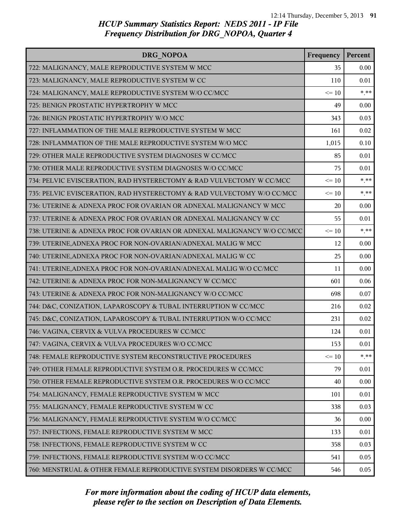| DRG NOPOA                                                               | Frequency | Percent |
|-------------------------------------------------------------------------|-----------|---------|
| 722: MALIGNANCY, MALE REPRODUCTIVE SYSTEM W MCC                         | 35        | 0.00    |
| 723: MALIGNANCY, MALE REPRODUCTIVE SYSTEM W CC                          | 110       | 0.01    |
| 724: MALIGNANCY, MALE REPRODUCTIVE SYSTEM W/O CC/MCC                    | $\leq 10$ | $* * *$ |
| 725: BENIGN PROSTATIC HYPERTROPHY W MCC                                 | 49        | 0.00    |
| 726: BENIGN PROSTATIC HYPERTROPHY W/O MCC                               | 343       | 0.03    |
| 727: INFLAMMATION OF THE MALE REPRODUCTIVE SYSTEM W MCC                 | 161       | 0.02    |
| 728: INFLAMMATION OF THE MALE REPRODUCTIVE SYSTEM W/O MCC               | 1,015     | 0.10    |
| 729: OTHER MALE REPRODUCTIVE SYSTEM DIAGNOSES W CC/MCC                  | 85        | 0.01    |
| 730: OTHER MALE REPRODUCTIVE SYSTEM DIAGNOSES W/O CC/MCC                | 75        | 0.01    |
| 734: PELVIC EVISCERATION, RAD HYSTERECTOMY & RAD VULVECTOMY W CC/MCC    | $\leq 10$ | $* * *$ |
| 735: PELVIC EVISCERATION, RAD HYSTERECTOMY & RAD VULVECTOMY W/O CC/MCC  | $\leq 10$ | $***$   |
| 736: UTERINE & ADNEXA PROC FOR OVARIAN OR ADNEXAL MALIGNANCY W MCC      | 20        | 0.00    |
| 737: UTERINE & ADNEXA PROC FOR OVARIAN OR ADNEXAL MALIGNANCY W CC       | 55        | 0.01    |
| 738: UTERINE & ADNEXA PROC FOR OVARIAN OR ADNEXAL MALIGNANCY W/O CC/MCC | $\leq 10$ | $* * *$ |
| 739: UTERINE, ADNEXA PROC FOR NON-OVARIAN/ADNEXAL MALIG W MCC           | 12        | 0.00    |
| 740: UTERINE, ADNEXA PROC FOR NON-OVARIAN/ADNEXAL MALIG W CC            | 25        | 0.00    |
| 741: UTERINE, ADNEXA PROC FOR NON-OVARIAN/ADNEXAL MALIG W/O CC/MCC      | 11        | 0.00    |
| 742: UTERINE & ADNEXA PROC FOR NON-MALIGNANCY W CC/MCC                  | 601       | 0.06    |
| 743: UTERINE & ADNEXA PROC FOR NON-MALIGNANCY W/O CC/MCC                | 698       | 0.07    |
| 744: D&C, CONIZATION, LAPAROSCOPY & TUBAL INTERRUPTION W CC/MCC         | 216       | 0.02    |
| 745: D&C, CONIZATION, LAPAROSCOPY & TUBAL INTERRUPTION W/O CC/MCC       | 231       | 0.02    |
| 746: VAGINA, CERVIX & VULVA PROCEDURES W CC/MCC                         | 124       | 0.01    |
| 747: VAGINA, CERVIX & VULVA PROCEDURES W/O CC/MCC                       | 153       | 0.01    |
| 748: FEMALE REPRODUCTIVE SYSTEM RECONSTRUCTIVE PROCEDURES               | $\leq 10$ | $*$ **  |
| 749: OTHER FEMALE REPRODUCTIVE SYSTEM O.R. PROCEDURES W CC/MCC          | 79        | 0.01    |
| 750: OTHER FEMALE REPRODUCTIVE SYSTEM O.R. PROCEDURES W/O CC/MCC        | 40        | 0.00    |
| 754: MALIGNANCY, FEMALE REPRODUCTIVE SYSTEM W MCC                       | 101       | 0.01    |
| 755: MALIGNANCY, FEMALE REPRODUCTIVE SYSTEM W CC                        | 338       | 0.03    |
| 756: MALIGNANCY, FEMALE REPRODUCTIVE SYSTEM W/O CC/MCC                  | 36        | 0.00    |
| 757: INFECTIONS, FEMALE REPRODUCTIVE SYSTEM W MCC                       | 133       | 0.01    |
| 758: INFECTIONS, FEMALE REPRODUCTIVE SYSTEM W CC                        | 358       | 0.03    |
| 759: INFECTIONS, FEMALE REPRODUCTIVE SYSTEM W/O CC/MCC                  | 541       | 0.05    |
| 760: MENSTRUAL & OTHER FEMALE REPRODUCTIVE SYSTEM DISORDERS W CC/MCC    | 546       | 0.05    |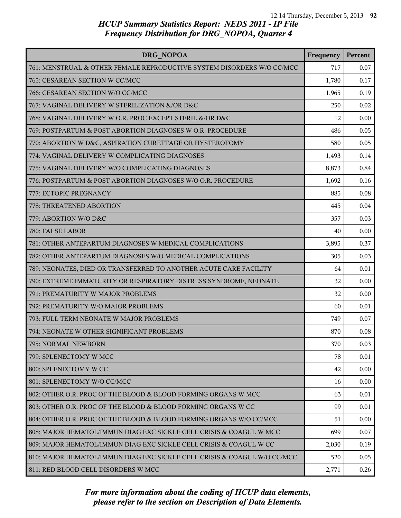| DRG NOPOA                                                                | Frequency | Percent |
|--------------------------------------------------------------------------|-----------|---------|
| 761: MENSTRUAL & OTHER FEMALE REPRODUCTIVE SYSTEM DISORDERS W/O CC/MCC   | 717       | 0.07    |
| 765: CESAREAN SECTION W CC/MCC                                           | 1,780     | 0.17    |
| 766: CESAREAN SECTION W/O CC/MCC                                         | 1,965     | 0.19    |
| 767: VAGINAL DELIVERY W STERILIZATION &/OR D&C                           | 250       | 0.02    |
| 768: VAGINAL DELIVERY W O.R. PROC EXCEPT STERIL &/OR D&C                 | 12        | 0.00    |
| 769: POSTPARTUM & POST ABORTION DIAGNOSES W O.R. PROCEDURE               | 486       | 0.05    |
| 770: ABORTION W D&C, ASPIRATION CURETTAGE OR HYSTEROTOMY                 | 580       | 0.05    |
| 774: VAGINAL DELIVERY W COMPLICATING DIAGNOSES                           | 1,493     | 0.14    |
| 775: VAGINAL DELIVERY W/O COMPLICATING DIAGNOSES                         | 8,873     | 0.84    |
| 776: POSTPARTUM & POST ABORTION DIAGNOSES W/O O.R. PROCEDURE             | 1,692     | 0.16    |
| 777: ECTOPIC PREGNANCY                                                   | 885       | 0.08    |
| 778: THREATENED ABORTION                                                 | 445       | 0.04    |
| 779: ABORTION W/O D&C                                                    | 357       | 0.03    |
| 780: FALSE LABOR                                                         | 40        | 0.00    |
| 781: OTHER ANTEPARTUM DIAGNOSES W MEDICAL COMPLICATIONS                  | 3,895     | 0.37    |
| 782: OTHER ANTEPARTUM DIAGNOSES W/O MEDICAL COMPLICATIONS                | 305       | 0.03    |
| 789: NEONATES, DIED OR TRANSFERRED TO ANOTHER ACUTE CARE FACILITY        | 64        | 0.01    |
| 790: EXTREME IMMATURITY OR RESPIRATORY DISTRESS SYNDROME, NEONATE        | 32        | 0.00    |
| 791: PREMATURITY W MAJOR PROBLEMS                                        | 32        | 0.00    |
| 792: PREMATURITY W/O MAJOR PROBLEMS                                      | 60        | 0.01    |
| 793: FULL TERM NEONATE W MAJOR PROBLEMS                                  | 749       | 0.07    |
| 794: NEONATE W OTHER SIGNIFICANT PROBLEMS                                | 870       | 0.08    |
| 795: NORMAL NEWBORN                                                      | 370       | 0.03    |
| 799: SPLENECTOMY W MCC                                                   | 78        | 0.01    |
| 800: SPLENECTOMY W CC                                                    | 42        | 0.00    |
| 801: SPLENECTOMY W/O CC/MCC                                              | 16        | 0.00    |
| 802: OTHER O.R. PROC OF THE BLOOD & BLOOD FORMING ORGANS W MCC           | 63        | 0.01    |
| 803: OTHER O.R. PROC OF THE BLOOD & BLOOD FORMING ORGANS W CC            | 99        | 0.01    |
| 804: OTHER O.R. PROC OF THE BLOOD & BLOOD FORMING ORGANS W/O CC/MCC      | 51        | 0.00    |
| 808: MAJOR HEMATOL/IMMUN DIAG EXC SICKLE CELL CRISIS & COAGUL W MCC      | 699       | 0.07    |
| 809: MAJOR HEMATOL/IMMUN DIAG EXC SICKLE CELL CRISIS & COAGUL W CC       | 2,030     | 0.19    |
| 810: MAJOR HEMATOL/IMMUN DIAG EXC SICKLE CELL CRISIS & COAGUL W/O CC/MCC | 520       | 0.05    |
| 811: RED BLOOD CELL DISORDERS W MCC                                      | 2,771     | 0.26    |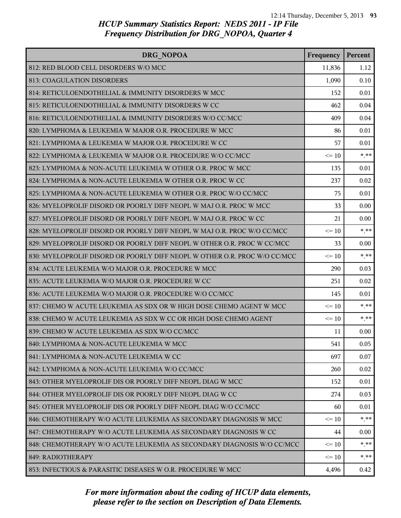| <b>DRG NOPOA</b>                                                          | Frequency | Percent |
|---------------------------------------------------------------------------|-----------|---------|
| 812: RED BLOOD CELL DISORDERS W/O MCC                                     | 11,836    | 1.12    |
| 813: COAGULATION DISORDERS                                                | 1,090     | 0.10    |
| 814: RETICULOENDOTHELIAL & IMMUNITY DISORDERS W MCC                       | 152       | 0.01    |
| 815: RETICULOENDOTHELIAL & IMMUNITY DISORDERS W CC                        | 462       | 0.04    |
| 816: RETICULOENDOTHELIAL & IMMUNITY DISORDERS W/O CC/MCC                  | 409       | 0.04    |
| 820: LYMPHOMA & LEUKEMIA W MAJOR O.R. PROCEDURE W MCC                     | 86        | 0.01    |
| 821: LYMPHOMA & LEUKEMIA W MAJOR O.R. PROCEDURE W CC                      | 57        | 0.01    |
| 822: LYMPHOMA & LEUKEMIA W MAJOR O.R. PROCEDURE W/O CC/MCC                | $\leq 10$ | $***$   |
| 823: LYMPHOMA & NON-ACUTE LEUKEMIA W OTHER O.R. PROC W MCC                | 135       | 0.01    |
| 824: LYMPHOMA & NON-ACUTE LEUKEMIA W OTHER O.R. PROC W CC                 | 237       | 0.02    |
| 825: LYMPHOMA & NON-ACUTE LEUKEMIA W OTHER O.R. PROC W/O CC/MCC           | 75        | 0.01    |
| 826: MYELOPROLIF DISORD OR POORLY DIFF NEOPL W MAJ O.R. PROC W MCC        | 33        | 0.00    |
| 827: MYELOPROLIF DISORD OR POORLY DIFF NEOPL W MAJ O.R. PROC W CC         | 21        | 0.00    |
| 828: MYELOPROLIF DISORD OR POORLY DIFF NEOPL W MAJ O.R. PROC W/O CC/MCC   | $\leq 10$ | $*$ **  |
| 829: MYELOPROLIF DISORD OR POORLY DIFF NEOPL W OTHER O.R. PROC W CC/MCC   | 33        | 0.00    |
| 830: MYELOPROLIF DISORD OR POORLY DIFF NEOPL W OTHER O.R. PROC W/O CC/MCC | $\leq 10$ | $* * *$ |
| 834: ACUTE LEUKEMIA W/O MAJOR O.R. PROCEDURE W MCC                        | 290       | 0.03    |
| 835: ACUTE LEUKEMIA W/O MAJOR O.R. PROCEDURE W CC                         | 251       | 0.02    |
| 836: ACUTE LEUKEMIA W/O MAJOR O.R. PROCEDURE W/O CC/MCC                   | 145       | 0.01    |
| 837: CHEMO W ACUTE LEUKEMIA AS SDX OR W HIGH DOSE CHEMO AGENT W MCC       | $\leq$ 10 | $***$   |
| 838: CHEMO W ACUTE LEUKEMIA AS SDX W CC OR HIGH DOSE CHEMO AGENT          | $\leq 10$ | $***$   |
| 839: CHEMO W ACUTE LEUKEMIA AS SDX W/O CC/MCC                             | 11        | 0.00    |
| 840: LYMPHOMA & NON-ACUTE LEUKEMIA W MCC                                  | 541       | 0.05    |
| 841: LYMPHOMA & NON-ACUTE LEUKEMIA W CC                                   | 697       | 0.07    |
| 842: LYMPHOMA & NON-ACUTE LEUKEMIA W/O CC/MCC                             | 260       | 0.02    |
| 843: OTHER MYELOPROLIF DIS OR POORLY DIFF NEOPL DIAG W MCC                | 152       | 0.01    |
| 844: OTHER MYELOPROLIF DIS OR POORLY DIFF NEOPL DIAG W CC                 | 274       | 0.03    |
| 845: OTHER MYELOPROLIF DIS OR POORLY DIFF NEOPL DIAG W/O CC/MCC           | 60        | 0.01    |
| 846: CHEMOTHERAPY W/O ACUTE LEUKEMIA AS SECONDARY DIAGNOSIS W MCC         | $\leq 10$ | $*$ **  |
| 847: CHEMOTHERAPY W/O ACUTE LEUKEMIA AS SECONDARY DIAGNOSIS W CC          | 44        | 0.00    |
| 848: CHEMOTHERAPY W/O ACUTE LEUKEMIA AS SECONDARY DIAGNOSIS W/O CC/MCC    | $\leq$ 10 | * **    |
| 849: RADIOTHERAPY                                                         | $\leq 10$ | * **    |
| 853: INFECTIOUS & PARASITIC DISEASES W O.R. PROCEDURE W MCC               | 4,496     | 0.42    |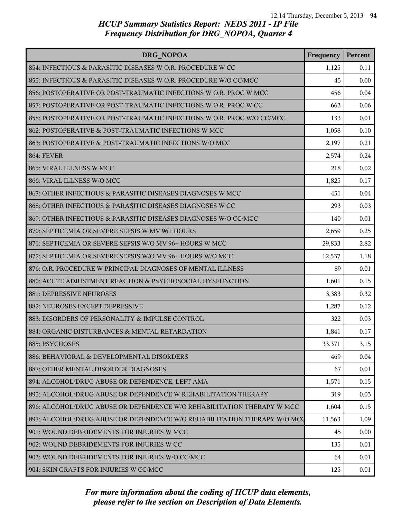| <b>DRG NOPOA</b>                                                         | Frequency | Percent |
|--------------------------------------------------------------------------|-----------|---------|
| 854: INFECTIOUS & PARASITIC DISEASES W O.R. PROCEDURE W CC               | 1,125     | 0.11    |
| 855: INFECTIOUS & PARASITIC DISEASES W O.R. PROCEDURE W/O CC/MCC         | 45        | 0.00    |
| 856: POSTOPERATIVE OR POST-TRAUMATIC INFECTIONS W O.R. PROC W MCC        | 456       | 0.04    |
| 857: POSTOPERATIVE OR POST-TRAUMATIC INFECTIONS W O.R. PROC W CC         | 663       | 0.06    |
| 858: POSTOPERATIVE OR POST-TRAUMATIC INFECTIONS W O.R. PROC W/O CC/MCC   | 133       | 0.01    |
| 862: POSTOPERATIVE & POST-TRAUMATIC INFECTIONS W MCC                     | 1,058     | 0.10    |
| 863: POSTOPERATIVE & POST-TRAUMATIC INFECTIONS W/O MCC                   | 2,197     | 0.21    |
| <b>864: FEVER</b>                                                        | 2,574     | 0.24    |
| 865: VIRAL ILLNESS W MCC                                                 | 218       | 0.02    |
| 866: VIRAL ILLNESS W/O MCC                                               | 1,825     | 0.17    |
| 867: OTHER INFECTIOUS & PARASITIC DISEASES DIAGNOSES W MCC               | 451       | 0.04    |
| 868: OTHER INFECTIOUS & PARASITIC DISEASES DIAGNOSES W CC                | 293       | 0.03    |
| 869: OTHER INFECTIOUS & PARASITIC DISEASES DIAGNOSES W/O CC/MCC          | 140       | 0.01    |
| 870: SEPTICEMIA OR SEVERE SEPSIS W MV 96+ HOURS                          | 2,659     | 0.25    |
| 871: SEPTICEMIA OR SEVERE SEPSIS W/O MV 96+ HOURS W MCC                  | 29,833    | 2.82    |
| 872: SEPTICEMIA OR SEVERE SEPSIS W/O MV 96+ HOURS W/O MCC                | 12,537    | 1.18    |
| 876: O.R. PROCEDURE W PRINCIPAL DIAGNOSES OF MENTAL ILLNESS              | 89        | 0.01    |
| 880: ACUTE ADJUSTMENT REACTION & PSYCHOSOCIAL DYSFUNCTION                | 1,601     | 0.15    |
| 881: DEPRESSIVE NEUROSES                                                 | 3,383     | 0.32    |
| 882: NEUROSES EXCEPT DEPRESSIVE                                          | 1,287     | 0.12    |
| 883: DISORDERS OF PERSONALITY & IMPULSE CONTROL                          | 322       | 0.03    |
| 884: ORGANIC DISTURBANCES & MENTAL RETARDATION                           | 1,841     | 0.17    |
| 885: PSYCHOSES                                                           | 33,371    | 3.15    |
| 886: BEHAVIORAL & DEVELOPMENTAL DISORDERS                                | 469       | 0.04    |
| 887: OTHER MENTAL DISORDER DIAGNOSES                                     | 67        | 0.01    |
| 894: ALCOHOL/DRUG ABUSE OR DEPENDENCE, LEFT AMA                          | 1,571     | 0.15    |
| 895: ALCOHOL/DRUG ABUSE OR DEPENDENCE W REHABILITATION THERAPY           | 319       | 0.03    |
| 896: ALCOHOL/DRUG ABUSE OR DEPENDENCE W/O REHABILITATION THERAPY W MCC   | 1,604     | 0.15    |
| 897: ALCOHOL/DRUG ABUSE OR DEPENDENCE W/O REHABILITATION THERAPY W/O MCC | 11,563    | 1.09    |
| 901: WOUND DEBRIDEMENTS FOR INJURIES W MCC                               | 45        | 0.00    |
| 902: WOUND DEBRIDEMENTS FOR INJURIES W CC                                | 135       | 0.01    |
| 903: WOUND DEBRIDEMENTS FOR INJURIES W/O CC/MCC                          | 64        | 0.01    |
| 904: SKIN GRAFTS FOR INJURIES W CC/MCC                                   | 125       | 0.01    |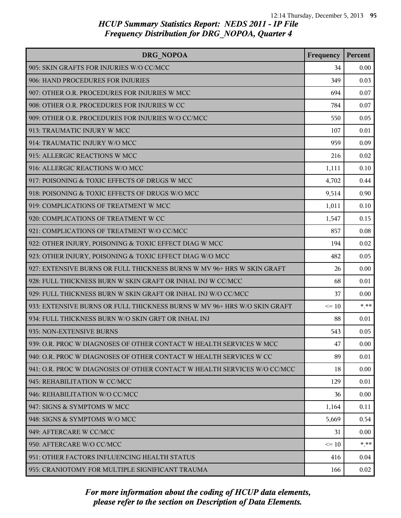| DRG NOPOA                                                                | Frequency | Percent |
|--------------------------------------------------------------------------|-----------|---------|
| 905: SKIN GRAFTS FOR INJURIES W/O CC/MCC                                 | 34        | 0.00    |
| 906: HAND PROCEDURES FOR INJURIES                                        | 349       | 0.03    |
| 907: OTHER O.R. PROCEDURES FOR INJURIES W MCC                            | 694       | 0.07    |
| 908: OTHER O.R. PROCEDURES FOR INJURIES W CC                             | 784       | 0.07    |
| 909: OTHER O.R. PROCEDURES FOR INJURIES W/O CC/MCC                       | 550       | 0.05    |
| 913: TRAUMATIC INJURY W MCC                                              | 107       | 0.01    |
| 914: TRAUMATIC INJURY W/O MCC                                            | 959       | 0.09    |
| 915: ALLERGIC REACTIONS W MCC                                            | 216       | 0.02    |
| 916: ALLERGIC REACTIONS W/O MCC                                          | 1,111     | 0.10    |
| 917: POISONING & TOXIC EFFECTS OF DRUGS W MCC                            | 4,702     | 0.44    |
| 918: POISONING & TOXIC EFFECTS OF DRUGS W/O MCC                          | 9,514     | 0.90    |
| 919: COMPLICATIONS OF TREATMENT W MCC                                    | 1,011     | 0.10    |
| 920: COMPLICATIONS OF TREATMENT W CC                                     | 1,547     | 0.15    |
| 921: COMPLICATIONS OF TREATMENT W/O CC/MCC                               | 857       | 0.08    |
| 922: OTHER INJURY, POISONING & TOXIC EFFECT DIAG W MCC                   | 194       | 0.02    |
| 923: OTHER INJURY, POISONING & TOXIC EFFECT DIAG W/O MCC                 | 482       | 0.05    |
| 927: EXTENSIVE BURNS OR FULL THICKNESS BURNS W MV 96+ HRS W SKIN GRAFT   | 26        | 0.00    |
| 928: FULL THICKNESS BURN W SKIN GRAFT OR INHAL INJ W CC/MCC              | 68        | 0.01    |
| 929: FULL THICKNESS BURN W SKIN GRAFT OR INHAL INJ W/O CC/MCC            | 37        | 0.00    |
| 933: EXTENSIVE BURNS OR FULL THICKNESS BURNS W MV 96+ HRS W/O SKIN GRAFT | $\leq 10$ | $***$   |
| 934: FULL THICKNESS BURN W/O SKIN GRFT OR INHAL INJ                      | 88        | 0.01    |
| 935: NON-EXTENSIVE BURNS                                                 | 543       | 0.05    |
| 939: O.R. PROC W DIAGNOSES OF OTHER CONTACT W HEALTH SERVICES W MCC      | 47        | 0.00    |
| 940: O.R. PROC W DIAGNOSES OF OTHER CONTACT W HEALTH SERVICES W CC       | 89        | 0.01    |
| 941: O.R. PROC W DIAGNOSES OF OTHER CONTACT W HEALTH SERVICES W/O CC/MCC | 18        | 0.00    |
| 945: REHABILITATION W CC/MCC                                             | 129       | 0.01    |
| 946: REHABILITATION W/O CC/MCC                                           | 36        | 0.00    |
| 947: SIGNS & SYMPTOMS W MCC                                              | 1,164     | 0.11    |
| 948: SIGNS & SYMPTOMS W/O MCC                                            | 5,669     | 0.54    |
| 949: AFTERCARE W CC/MCC                                                  | 31        | 0.00    |
| 950: AFTERCARE W/O CC/MCC                                                | $\leq$ 10 | $* * *$ |
| 951: OTHER FACTORS INFLUENCING HEALTH STATUS                             | 416       | 0.04    |
| 955: CRANIOTOMY FOR MULTIPLE SIGNIFICANT TRAUMA                          | 166       | 0.02    |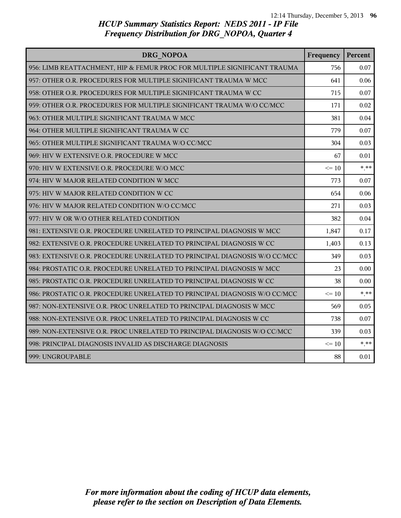| DRG NOPOA                                                                 | Frequency | Percent  |
|---------------------------------------------------------------------------|-----------|----------|
| 956: LIMB REATTACHMENT, HIP & FEMUR PROC FOR MULTIPLE SIGNIFICANT TRAUMA  | 756       | 0.07     |
| 957: OTHER O.R. PROCEDURES FOR MULTIPLE SIGNIFICANT TRAUMA W MCC          | 641       | 0.06     |
| 958: OTHER O.R. PROCEDURES FOR MULTIPLE SIGNIFICANT TRAUMA W CC           | 715       | 0.07     |
| 959: OTHER O.R. PROCEDURES FOR MULTIPLE SIGNIFICANT TRAUMA W/O CC/MCC     | 171       | 0.02     |
| 963: OTHER MULTIPLE SIGNIFICANT TRAUMA W MCC                              | 381       | 0.04     |
| 964: OTHER MULTIPLE SIGNIFICANT TRAUMA W CC                               | 779       | 0.07     |
| 965: OTHER MULTIPLE SIGNIFICANT TRAUMA W/O CC/MCC                         | 304       | 0.03     |
| 969: HIV W EXTENSIVE O.R. PROCEDURE W MCC                                 | 67        | 0.01     |
| 970: HIV W EXTENSIVE O.R. PROCEDURE W/O MCC                               | $\leq 10$ | $*$ $**$ |
| 974: HIV W MAJOR RELATED CONDITION W MCC                                  | 773       | 0.07     |
| 975: HIV W MAJOR RELATED CONDITION W CC                                   | 654       | 0.06     |
| 976: HIV W MAJOR RELATED CONDITION W/O CC/MCC                             | 271       | 0.03     |
| 977: HIV W OR W/O OTHER RELATED CONDITION                                 | 382       | 0.04     |
| 981: EXTENSIVE O.R. PROCEDURE UNRELATED TO PRINCIPAL DIAGNOSIS W MCC      | 1,847     | 0.17     |
| 982: EXTENSIVE O.R. PROCEDURE UNRELATED TO PRINCIPAL DIAGNOSIS W CC       | 1,403     | 0.13     |
| 983: EXTENSIVE O.R. PROCEDURE UNRELATED TO PRINCIPAL DIAGNOSIS W/O CC/MCC | 349       | 0.03     |
| 984: PROSTATIC O.R. PROCEDURE UNRELATED TO PRINCIPAL DIAGNOSIS W MCC      | 23        | 0.00     |
| 985: PROSTATIC O.R. PROCEDURE UNRELATED TO PRINCIPAL DIAGNOSIS W CC       | 38        | 0.00     |
| 986: PROSTATIC O.R. PROCEDURE UNRELATED TO PRINCIPAL DIAGNOSIS W/O CC/MCC | $\leq 10$ | $* * *$  |
| 987: NON-EXTENSIVE O.R. PROC UNRELATED TO PRINCIPAL DIAGNOSIS W MCC       | 569       | 0.05     |
| 988: NON-EXTENSIVE O.R. PROC UNRELATED TO PRINCIPAL DIAGNOSIS W CC        | 738       | 0.07     |
| 989: NON-EXTENSIVE O.R. PROC UNRELATED TO PRINCIPAL DIAGNOSIS W/O CC/MCC  | 339       | 0.03     |
| 998: PRINCIPAL DIAGNOSIS INVALID AS DISCHARGE DIAGNOSIS                   | $\leq 10$ | $***$    |
| 999: UNGROUPABLE                                                          | 88        | 0.01     |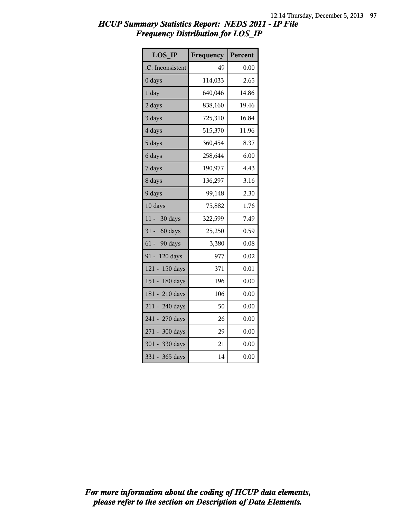| <b>LOS IP</b>       | Frequency | Percent |
|---------------------|-----------|---------|
| .C: Inconsistent    | 49        | 0.00    |
| 0 days              | 114,033   | 2.65    |
| $1$ day             | 640,046   | 14.86   |
| 2 days              | 838,160   | 19.46   |
| 3 days              | 725,310   | 16.84   |
| 4 days              | 515,370   | 11.96   |
| 5 days              | 360,454   | 8.37    |
| 6 days              | 258,644   | 6.00    |
| 7 days              | 190,977   | 4.43    |
| 8 days              | 136,297   | 3.16    |
| 9 days              | 99,148    | 2.30    |
| 10 days             | 75,882    | 1.76    |
| $11 -$<br>30 days   | 322,599   | 7.49    |
| $31 -$<br>60 days   | 25,250    | 0.59    |
| $61 -$<br>90 days   | 3,380     | 0.08    |
| $91 -$<br>120 days  | 977       | 0.02    |
| $121 -$<br>150 days | 371       | 0.01    |
| $151 -$<br>180 days | 196       | 0.00    |
| 181 - 210 days      | 106       | 0.00    |
| 211 - 240 days      | 50        | 0.00    |
| 241 - 270 days      | 26        | 0.00    |
| 271 - 300 days      | 29        | 0.00    |
| $301 -$<br>330 days | 21        | 0.00    |
| $331 -$<br>365 days | 14        | 0.00    |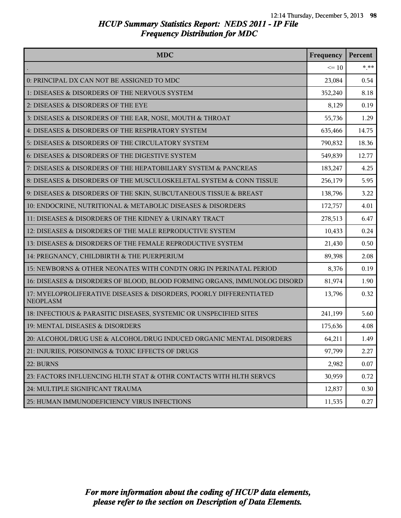| <b>MDC</b>                                                                            | Frequency | Percent |
|---------------------------------------------------------------------------------------|-----------|---------|
|                                                                                       | $\leq 10$ | $* * *$ |
| 0: PRINCIPAL DX CAN NOT BE ASSIGNED TO MDC                                            | 23,084    | 0.54    |
| 1: DISEASES & DISORDERS OF THE NERVOUS SYSTEM                                         | 352,240   | 8.18    |
| 2: DISEASES & DISORDERS OF THE EYE                                                    | 8,129     | 0.19    |
| 3: DISEASES & DISORDERS OF THE EAR, NOSE, MOUTH & THROAT                              | 55,736    | 1.29    |
| 4: DISEASES & DISORDERS OF THE RESPIRATORY SYSTEM                                     | 635,466   | 14.75   |
| 5: DISEASES & DISORDERS OF THE CIRCULATORY SYSTEM                                     | 790,832   | 18.36   |
| 6: DISEASES & DISORDERS OF THE DIGESTIVE SYSTEM                                       | 549,839   | 12.77   |
| 7: DISEASES & DISORDERS OF THE HEPATOBILIARY SYSTEM & PANCREAS                        | 183,247   | 4.25    |
| 8: DISEASES & DISORDERS OF THE MUSCULOSKELETAL SYSTEM & CONN TISSUE                   | 256,179   | 5.95    |
| 9: DISEASES & DISORDERS OF THE SKIN, SUBCUTANEOUS TISSUE & BREAST                     | 138,796   | 3.22    |
| 10: ENDOCRINE, NUTRITIONAL & METABOLIC DISEASES & DISORDERS                           | 172,757   | 4.01    |
| 11: DISEASES & DISORDERS OF THE KIDNEY & URINARY TRACT                                | 278,513   | 6.47    |
| 12: DISEASES & DISORDERS OF THE MALE REPRODUCTIVE SYSTEM                              | 10,433    | 0.24    |
| 13: DISEASES & DISORDERS OF THE FEMALE REPRODUCTIVE SYSTEM                            | 21,430    | 0.50    |
| 14: PREGNANCY, CHILDBIRTH & THE PUERPERIUM                                            | 89,398    | 2.08    |
| 15: NEWBORNS & OTHER NEONATES WITH CONDTN ORIG IN PERINATAL PERIOD                    | 8,376     | 0.19    |
| 16: DISEASES & DISORDERS OF BLOOD, BLOOD FORMING ORGANS, IMMUNOLOG DISORD             | 81,974    | 1.90    |
| 17: MYELOPROLIFERATIVE DISEASES & DISORDERS, POORLY DIFFERENTIATED<br><b>NEOPLASM</b> | 13,796    | 0.32    |
| 18: INFECTIOUS & PARASITIC DISEASES, SYSTEMIC OR UNSPECIFIED SITES                    | 241,199   | 5.60    |
| 19: MENTAL DISEASES & DISORDERS                                                       | 175,636   | 4.08    |
| 20: ALCOHOL/DRUG USE & ALCOHOL/DRUG INDUCED ORGANIC MENTAL DISORDERS                  | 64,211    | 1.49    |
| 21: INJURIES, POISONINGS & TOXIC EFFECTS OF DRUGS                                     | 97,799    | 2.27    |
| 22: BURNS                                                                             | 2,982     | 0.07    |
| 23: FACTORS INFLUENCING HLTH STAT & OTHR CONTACTS WITH HLTH SERVCS                    | 30,959    | 0.72    |
| 24: MULTIPLE SIGNIFICANT TRAUMA                                                       | 12,837    | 0.30    |
| 25: HUMAN IMMUNODEFICIENCY VIRUS INFECTIONS                                           | 11,535    | 0.27    |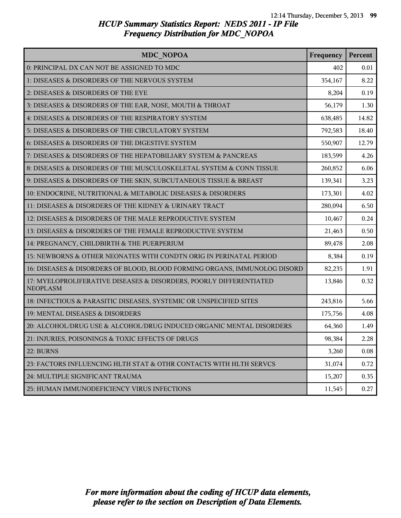| <b>MDC NOPOA</b>                                                                      | Frequency | Percent |
|---------------------------------------------------------------------------------------|-----------|---------|
| 0: PRINCIPAL DX CAN NOT BE ASSIGNED TO MDC                                            | 402       | 0.01    |
| 1: DISEASES & DISORDERS OF THE NERVOUS SYSTEM                                         | 354,167   | 8.22    |
| 2: DISEASES & DISORDERS OF THE EYE                                                    | 8,204     | 0.19    |
| 3: DISEASES & DISORDERS OF THE EAR, NOSE, MOUTH & THROAT                              | 56,179    | 1.30    |
| 4: DISEASES & DISORDERS OF THE RESPIRATORY SYSTEM                                     | 638,485   | 14.82   |
| 5: DISEASES & DISORDERS OF THE CIRCULATORY SYSTEM                                     | 792,583   | 18.40   |
| 6: DISEASES & DISORDERS OF THE DIGESTIVE SYSTEM                                       | 550,907   | 12.79   |
| 7: DISEASES & DISORDERS OF THE HEPATOBILIARY SYSTEM & PANCREAS                        | 183,599   | 4.26    |
| 8: DISEASES & DISORDERS OF THE MUSCULOSKELETAL SYSTEM & CONN TISSUE                   | 260,852   | 6.06    |
| 9: DISEASES & DISORDERS OF THE SKIN, SUBCUTANEOUS TISSUE & BREAST                     | 139,341   | 3.23    |
| 10: ENDOCRINE, NUTRITIONAL & METABOLIC DISEASES & DISORDERS                           | 173,301   | 4.02    |
| 11: DISEASES & DISORDERS OF THE KIDNEY & URINARY TRACT                                | 280,094   | 6.50    |
| 12: DISEASES & DISORDERS OF THE MALE REPRODUCTIVE SYSTEM                              | 10,467    | 0.24    |
| 13: DISEASES & DISORDERS OF THE FEMALE REPRODUCTIVE SYSTEM                            | 21,463    | 0.50    |
| 14: PREGNANCY, CHILDBIRTH & THE PUERPERIUM                                            | 89,478    | 2.08    |
| 15: NEWBORNS & OTHER NEONATES WITH CONDTN ORIG IN PERINATAL PERIOD                    | 8,384     | 0.19    |
| 16: DISEASES & DISORDERS OF BLOOD, BLOOD FORMING ORGANS, IMMUNOLOG DISORD             | 82,235    | 1.91    |
| 17: MYELOPROLIFERATIVE DISEASES & DISORDERS, POORLY DIFFERENTIATED<br><b>NEOPLASM</b> | 13,846    | 0.32    |
| 18: INFECTIOUS & PARASITIC DISEASES, SYSTEMIC OR UNSPECIFIED SITES                    | 243,816   | 5.66    |
| 19: MENTAL DISEASES & DISORDERS                                                       | 175,756   | 4.08    |
| 20: ALCOHOL/DRUG USE & ALCOHOL/DRUG INDUCED ORGANIC MENTAL DISORDERS                  | 64,360    | 1.49    |
| 21: INJURIES, POISONINGS & TOXIC EFFECTS OF DRUGS                                     | 98,384    | 2.28    |
| 22: BURNS                                                                             | 3,260     | 0.08    |
| 23: FACTORS INFLUENCING HLTH STAT & OTHR CONTACTS WITH HLTH SERVCS                    | 31,074    | 0.72    |
| 24: MULTIPLE SIGNIFICANT TRAUMA                                                       | 15,207    | 0.35    |
| 25: HUMAN IMMUNODEFICIENCY VIRUS INFECTIONS                                           | 11,545    | 0.27    |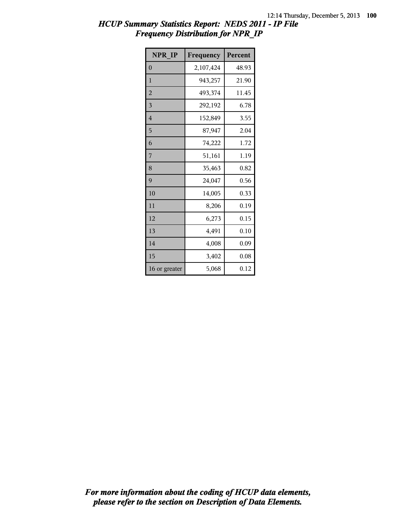| NPR IP         | Frequency | Percent |
|----------------|-----------|---------|
| $\overline{0}$ | 2,107,424 | 48.93   |
| 1              | 943,257   | 21.90   |
| $\overline{2}$ | 493,374   | 11.45   |
| 3              | 292,192   | 6.78    |
| $\overline{4}$ | 152,849   | 3.55    |
| 5              | 87,947    | 2.04    |
| 6              | 74,222    | 1.72    |
| 7              | 51,161    | 1.19    |
| 8              | 35,463    | 0.82    |
| 9              | 24,047    | 0.56    |
| 10             | 14,005    | 0.33    |
| 11             | 8,206     | 0.19    |
| 12             | 6,273     | 0.15    |
| 13             | 4,491     | 0.10    |
| 14             | 4,008     | 0.09    |
| 15             | 3,402     | 0.08    |
| 16 or greater  | 5,068     | 0.12    |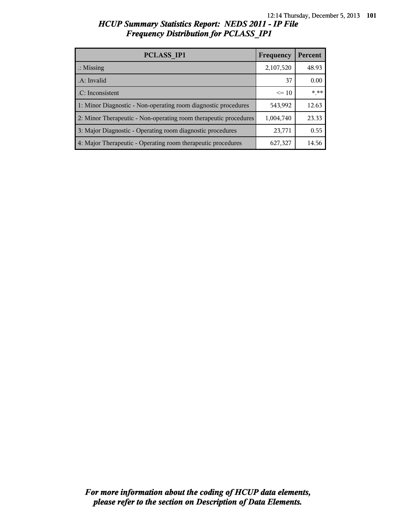| PCLASS IP1                                                       | Frequency | Percent |
|------------------------------------------------------------------|-----------|---------|
| $\therefore$ Missing                                             | 2,107,520 | 48.93   |
| .A: Invalid                                                      | 37        | 0.00    |
| .C: Inconsistent                                                 | $\leq 10$ | $***$   |
| 1: Minor Diagnostic - Non-operating room diagnostic procedures   | 543,992   | 12.63   |
| 2: Minor Therapeutic - Non-operating room therapeutic procedures | 1,004,740 | 23.33   |
| 3: Major Diagnostic - Operating room diagnostic procedures       | 23,771    | 0.55    |
| 4: Major Therapeutic - Operating room therapeutic procedures     | 627,327   | 14.56   |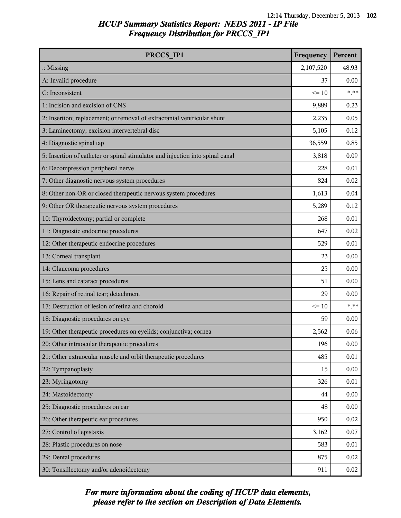| PRCCS IP1                                                                     | Frequency | Percent |
|-------------------------------------------------------------------------------|-----------|---------|
| $\therefore$ Missing                                                          | 2,107,520 | 48.93   |
| A: Invalid procedure                                                          | 37        | 0.00    |
| C: Inconsistent                                                               | $\leq 10$ | $***$   |
| 1: Incision and excision of CNS                                               | 9,889     | 0.23    |
| 2: Insertion; replacement; or removal of extracranial ventricular shunt       | 2,235     | 0.05    |
| 3: Laminectomy; excision intervertebral disc                                  | 5,105     | 0.12    |
| 4: Diagnostic spinal tap                                                      | 36,559    | 0.85    |
| 5: Insertion of catheter or spinal stimulator and injection into spinal canal | 3,818     | 0.09    |
| 6: Decompression peripheral nerve                                             | 228       | 0.01    |
| 7: Other diagnostic nervous system procedures                                 | 824       | 0.02    |
| 8: Other non-OR or closed therapeutic nervous system procedures               | 1,613     | 0.04    |
| 9: Other OR therapeutic nervous system procedures                             | 5,289     | 0.12    |
| 10: Thyroidectomy; partial or complete                                        | 268       | 0.01    |
| 11: Diagnostic endocrine procedures                                           | 647       | 0.02    |
| 12: Other therapeutic endocrine procedures                                    | 529       | 0.01    |
| 13: Corneal transplant                                                        | 23        | 0.00    |
| 14: Glaucoma procedures                                                       | 25        | 0.00    |
| 15: Lens and cataract procedures                                              | 51        | 0.00    |
| 16: Repair of retinal tear; detachment                                        | 29        | 0.00    |
| 17: Destruction of lesion of retina and choroid                               | $\leq 10$ | $***$   |
| 18: Diagnostic procedures on eye                                              | 59        | 0.00    |
| 19: Other therapeutic procedures on eyelids; conjunctiva; cornea              | 2,562     | 0.06    |
| 20: Other intraocular therapeutic procedures                                  | 196       | 0.00    |
| 21: Other extraocular muscle and orbit therapeutic procedures                 | 485       | 0.01    |
| 22: Tympanoplasty                                                             | 15        | 0.00    |
| 23: Myringotomy                                                               | 326       | 0.01    |
| 24: Mastoidectomy                                                             | 44        | 0.00    |
| 25: Diagnostic procedures on ear                                              | 48        | 0.00    |
| 26: Other therapeutic ear procedures                                          | 950       | 0.02    |
| 27: Control of epistaxis                                                      | 3,162     | 0.07    |
| 28: Plastic procedures on nose                                                | 583       | 0.01    |
| 29: Dental procedures                                                         | 875       | 0.02    |
| 30: Tonsillectomy and/or adenoidectomy                                        | 911       | 0.02    |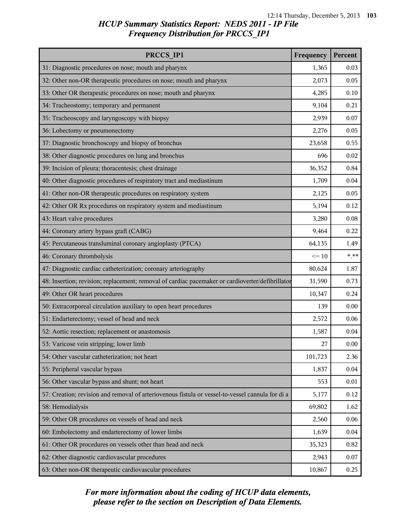| PRCCS IP1                                                                                        | Frequency | Percent |
|--------------------------------------------------------------------------------------------------|-----------|---------|
| 31: Diagnostic procedures on nose; mouth and pharynx                                             | 1,365     | 0.03    |
| 32: Other non-OR therapeutic procedures on nose; mouth and pharynx                               | 2,073     | 0.05    |
| 33: Other OR therapeutic procedures on nose; mouth and pharynx                                   | 4,285     | 0.10    |
| 34: Tracheostomy; temporary and permanent                                                        | 9,104     | 0.21    |
| 35: Tracheoscopy and laryngoscopy with biopsy                                                    | 2,939     | 0.07    |
| 36: Lobectomy or pneumonectomy                                                                   | 2,276     | 0.05    |
| 37: Diagnostic bronchoscopy and biopsy of bronchus                                               | 23,658    | 0.55    |
| 38: Other diagnostic procedures on lung and bronchus                                             | 696       | 0.02    |
| 39: Incision of pleura; thoracentesis; chest drainage                                            | 36,352    | 0.84    |
| 40: Other diagnostic procedures of respiratory tract and mediastinum                             | 1,709     | 0.04    |
| 41: Other non-OR therapeutic procedures on respiratory system                                    | 2,125     | 0.05    |
| 42: Other OR Rx procedures on respiratory system and mediastinum                                 | 5,194     | 0.12    |
| 43: Heart valve procedures                                                                       | 3,280     | 0.08    |
| 44: Coronary artery bypass graft (CABG)                                                          | 9,464     | 0.22    |
| 45: Percutaneous transluminal coronary angioplasty (PTCA)                                        | 64,135    | 1.49    |
| 46: Coronary thrombolysis                                                                        | $\leq 10$ | $***$   |
| 47: Diagnostic cardiac catheterization; coronary arteriography                                   | 80,624    | 1.87    |
| 48: Insertion; revision; replacement; removal of cardiac pacemaker or cardioverter/defibrillator | 31,590    | 0.73    |
| 49: Other OR heart procedures                                                                    | 10,347    | 0.24    |
| 50: Extracorporeal circulation auxiliary to open heart procedures                                | 139       | 0.00    |
| 51: Endarterectomy; vessel of head and neck                                                      | 2,572     | 0.06    |
| 52: Aortic resection; replacement or anastomosis                                                 | 1,587     | 0.04    |
| 53: Varicose vein stripping; lower limb                                                          | 27        | 0.00    |
| 54: Other vascular catheterization; not heart                                                    | 101,723   | 2.36    |
| 55: Peripheral vascular bypass                                                                   | 1,837     | 0.04    |
| 56: Other vascular bypass and shunt; not heart                                                   | 553       | 0.01    |
| 57: Creation; revision and removal of arteriovenous fistula or vessel-to-vessel cannula for di a | 5,177     | 0.12    |
| 58: Hemodialysis                                                                                 | 69,802    | 1.62    |
| 59: Other OR procedures on vessels of head and neck                                              | 2,560     | 0.06    |
| 60: Embolectomy and endarterectomy of lower limbs                                                | 1,639     | 0.04    |
| 61: Other OR procedures on vessels other than head and neck                                      | 35,323    | 0.82    |
| 62: Other diagnostic cardiovascular procedures                                                   | 2,943     | 0.07    |
| 63: Other non-OR therapeutic cardiovascular procedures                                           | 10,867    | 0.25    |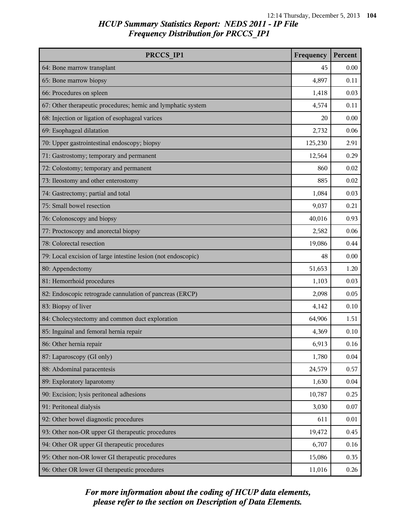| PRCCS IP1                                                     | Frequency | Percent |
|---------------------------------------------------------------|-----------|---------|
| 64: Bone marrow transplant                                    | 45        | 0.00    |
| 65: Bone marrow biopsy                                        | 4,897     | 0.11    |
| 66: Procedures on spleen                                      | 1,418     | 0.03    |
| 67: Other therapeutic procedures; hemic and lymphatic system  | 4,574     | 0.11    |
| 68: Injection or ligation of esophageal varices               | 20        | 0.00    |
| 69: Esophageal dilatation                                     | 2,732     | 0.06    |
| 70: Upper gastrointestinal endoscopy; biopsy                  | 125,230   | 2.91    |
| 71: Gastrostomy; temporary and permanent                      | 12,564    | 0.29    |
| 72: Colostomy; temporary and permanent                        | 860       | 0.02    |
| 73: Ileostomy and other enterostomy                           | 885       | 0.02    |
| 74: Gastrectomy; partial and total                            | 1,084     | 0.03    |
| 75: Small bowel resection                                     | 9,037     | 0.21    |
| 76: Colonoscopy and biopsy                                    | 40,016    | 0.93    |
| 77: Proctoscopy and anorectal biopsy                          | 2,582     | 0.06    |
| 78: Colorectal resection                                      | 19,086    | 0.44    |
| 79: Local excision of large intestine lesion (not endoscopic) | 48        | 0.00    |
| 80: Appendectomy                                              | 51,653    | 1.20    |
| 81: Hemorrhoid procedures                                     | 1,103     | 0.03    |
| 82: Endoscopic retrograde cannulation of pancreas (ERCP)      | 2,098     | 0.05    |
| 83: Biopsy of liver                                           | 4,142     | 0.10    |
| 84: Cholecystectomy and common duct exploration               | 64,906    | 1.51    |
| 85: Inguinal and femoral hernia repair                        | 4,369     | 0.10    |
| 86: Other hernia repair                                       | 6,913     | 0.16    |
| 87: Laparoscopy (GI only)                                     | 1,780     | 0.04    |
| 88: Abdominal paracentesis                                    | 24,579    | 0.57    |
| 89: Exploratory laparotomy                                    | 1,630     | 0.04    |
| 90: Excision; lysis peritoneal adhesions                      | 10,787    | 0.25    |
| 91: Peritoneal dialysis                                       | 3,030     | 0.07    |
| 92: Other bowel diagnostic procedures                         | 611       | 0.01    |
| 93: Other non-OR upper GI therapeutic procedures              | 19,472    | 0.45    |
| 94: Other OR upper GI therapeutic procedures                  | 6,707     | 0.16    |
| 95: Other non-OR lower GI therapeutic procedures              | 15,086    | 0.35    |
| 96: Other OR lower GI therapeutic procedures                  | 11,016    | 0.26    |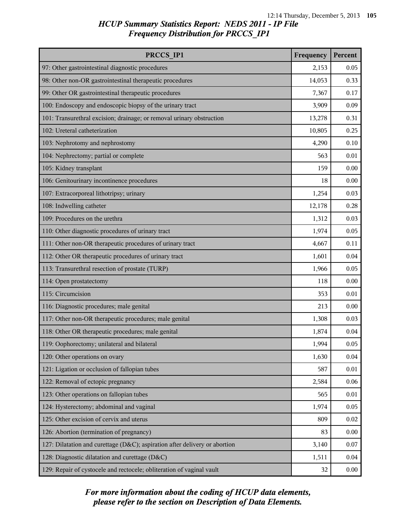| PRCCS IP1                                                                  | Frequency | Percent |
|----------------------------------------------------------------------------|-----------|---------|
| 97: Other gastrointestinal diagnostic procedures                           | 2,153     | 0.05    |
| 98: Other non-OR gastrointestinal therapeutic procedures                   | 14,053    | 0.33    |
| 99: Other OR gastrointestinal therapeutic procedures                       | 7,367     | 0.17    |
| 100: Endoscopy and endoscopic biopsy of the urinary tract                  | 3,909     | 0.09    |
| 101: Transurethral excision; drainage; or removal urinary obstruction      | 13,278    | 0.31    |
| 102: Ureteral catheterization                                              | 10,805    | 0.25    |
| 103: Nephrotomy and nephrostomy                                            | 4,290     | 0.10    |
| 104: Nephrectomy; partial or complete                                      | 563       | 0.01    |
| 105: Kidney transplant                                                     | 159       | 0.00    |
| 106: Genitourinary incontinence procedures                                 | 18        | 0.00    |
| 107: Extracorporeal lithotripsy; urinary                                   | 1,254     | 0.03    |
| 108: Indwelling catheter                                                   | 12,178    | 0.28    |
| 109: Procedures on the urethra                                             | 1,312     | 0.03    |
| 110: Other diagnostic procedures of urinary tract                          | 1,974     | 0.05    |
| 111: Other non-OR therapeutic procedures of urinary tract                  | 4,667     | 0.11    |
| 112: Other OR therapeutic procedures of urinary tract                      | 1,601     | 0.04    |
| 113: Transurethral resection of prostate (TURP)                            | 1,966     | 0.05    |
| 114: Open prostatectomy                                                    | 118       | 0.00    |
| 115: Circumcision                                                          | 353       | 0.01    |
| 116: Diagnostic procedures; male genital                                   | 213       | 0.00    |
| 117: Other non-OR therapeutic procedures; male genital                     | 1,308     | 0.03    |
| 118: Other OR therapeutic procedures; male genital                         | 1,874     | 0.04    |
| 119: Oophorectomy; unilateral and bilateral                                | 1,994     | 0.05    |
| 120: Other operations on ovary                                             | 1,630     | 0.04    |
| 121: Ligation or occlusion of fallopian tubes                              | 587       | 0.01    |
| 122: Removal of ectopic pregnancy                                          | 2,584     | 0.06    |
| 123: Other operations on fallopian tubes                                   | 565       | 0.01    |
| 124: Hysterectomy; abdominal and vaginal                                   | 1,974     | 0.05    |
| 125: Other excision of cervix and uterus                                   | 809       | 0.02    |
| 126: Abortion (termination of pregnancy)                                   | 83        | 0.00    |
| 127: Dilatation and curettage (D&C); aspiration after delivery or abortion | 3,140     | 0.07    |
| 128: Diagnostic dilatation and curettage (D&C)                             | 1,511     | 0.04    |
| 129: Repair of cystocele and rectocele; obliteration of vaginal vault      | 32        | 0.00    |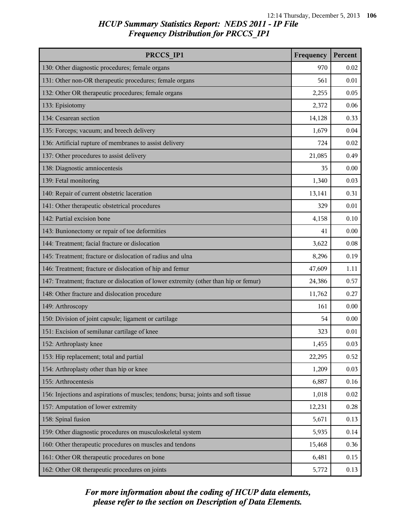| PRCCS IP1                                                                            | Frequency | Percent |
|--------------------------------------------------------------------------------------|-----------|---------|
| 130: Other diagnostic procedures; female organs                                      | 970       | 0.02    |
| 131: Other non-OR therapeutic procedures; female organs                              | 561       | 0.01    |
| 132: Other OR therapeutic procedures; female organs                                  | 2,255     | 0.05    |
| 133: Episiotomy                                                                      | 2,372     | 0.06    |
| 134: Cesarean section                                                                | 14,128    | 0.33    |
| 135: Forceps; vacuum; and breech delivery                                            | 1,679     | 0.04    |
| 136: Artificial rupture of membranes to assist delivery                              | 724       | 0.02    |
| 137: Other procedures to assist delivery                                             | 21,085    | 0.49    |
| 138: Diagnostic amniocentesis                                                        | 35        | 0.00    |
| 139: Fetal monitoring                                                                | 1,340     | 0.03    |
| 140: Repair of current obstetric laceration                                          | 13,141    | 0.31    |
| 141: Other therapeutic obstetrical procedures                                        | 329       | 0.01    |
| 142: Partial excision bone                                                           | 4,158     | 0.10    |
| 143: Bunionectomy or repair of toe deformities                                       | 41        | 0.00    |
| 144: Treatment; facial fracture or dislocation                                       | 3,622     | 0.08    |
| 145: Treatment; fracture or dislocation of radius and ulna                           | 8,296     | 0.19    |
| 146: Treatment; fracture or dislocation of hip and femur                             | 47,609    | 1.11    |
| 147: Treatment; fracture or dislocation of lower extremity (other than hip or femur) | 24,386    | 0.57    |
| 148: Other fracture and dislocation procedure                                        | 11,762    | 0.27    |
| 149: Arthroscopy                                                                     | 161       | 0.00    |
| 150: Division of joint capsule; ligament or cartilage                                | 54        | 0.00    |
| 151: Excision of semilunar cartilage of knee                                         | 323       | 0.01    |
| 152: Arthroplasty knee                                                               | 1,455     | 0.03    |
| 153: Hip replacement; total and partial                                              | 22,295    | 0.52    |
| 154: Arthroplasty other than hip or knee                                             | 1,209     | 0.03    |
| 155: Arthrocentesis                                                                  | 6,887     | 0.16    |
| 156: Injections and aspirations of muscles; tendons; bursa; joints and soft tissue   | 1,018     | 0.02    |
| 157: Amputation of lower extremity                                                   | 12,231    | 0.28    |
| 158: Spinal fusion                                                                   | 5,671     | 0.13    |
| 159: Other diagnostic procedures on musculoskeletal system                           | 5,935     | 0.14    |
| 160: Other therapeutic procedures on muscles and tendons                             | 15,468    | 0.36    |
| 161: Other OR therapeutic procedures on bone                                         | 6,481     | 0.15    |
| 162: Other OR therapeutic procedures on joints                                       | 5,772     | 0.13    |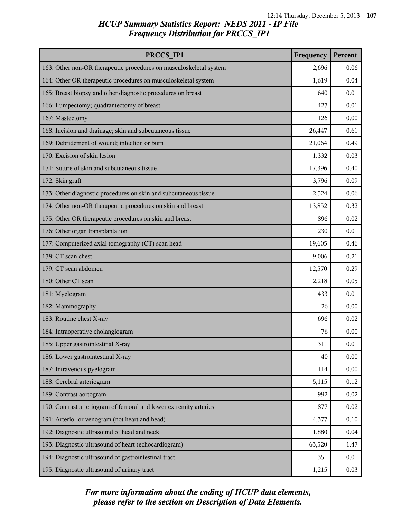| PRCCS IP1                                                          | Frequency | Percent |
|--------------------------------------------------------------------|-----------|---------|
| 163: Other non-OR therapeutic procedures on musculoskeletal system | 2,696     | 0.06    |
| 164: Other OR therapeutic procedures on musculoskeletal system     | 1,619     | 0.04    |
| 165: Breast biopsy and other diagnostic procedures on breast       | 640       | 0.01    |
| 166: Lumpectomy; quadrantectomy of breast                          | 427       | 0.01    |
| 167: Mastectomy                                                    | 126       | 0.00    |
| 168: Incision and drainage; skin and subcutaneous tissue           | 26,447    | 0.61    |
| 169: Debridement of wound; infection or burn                       | 21,064    | 0.49    |
| 170: Excision of skin lesion                                       | 1,332     | 0.03    |
| 171: Suture of skin and subcutaneous tissue                        | 17,396    | 0.40    |
| 172: Skin graft                                                    | 3,796     | 0.09    |
| 173: Other diagnostic procedures on skin and subcutaneous tissue   | 2,524     | 0.06    |
| 174: Other non-OR therapeutic procedures on skin and breast        | 13,852    | 0.32    |
| 175: Other OR therapeutic procedures on skin and breast            | 896       | 0.02    |
| 176: Other organ transplantation                                   | 230       | 0.01    |
| 177: Computerized axial tomography (CT) scan head                  | 19,605    | 0.46    |
| 178: CT scan chest                                                 | 9,006     | 0.21    |
| 179: CT scan abdomen                                               | 12,570    | 0.29    |
| 180: Other CT scan                                                 | 2,218     | 0.05    |
| 181: Myelogram                                                     | 433       | 0.01    |
| 182: Mammography                                                   | 26        | 0.00    |
| 183: Routine chest X-ray                                           | 696       | 0.02    |
| 184: Intraoperative cholangiogram                                  | 76        | 0.00    |
| 185: Upper gastrointestinal X-ray                                  | 311       | 0.01    |
| 186: Lower gastrointestinal X-ray                                  | 40        | 0.00    |
| 187: Intravenous pyelogram                                         | 114       | 0.00    |
| 188: Cerebral arteriogram                                          | 5,115     | 0.12    |
| 189: Contrast aortogram                                            | 992       | 0.02    |
| 190: Contrast arteriogram of femoral and lower extremity arteries  | 877       | 0.02    |
| 191: Arterio- or venogram (not heart and head)                     | 4,377     | 0.10    |
| 192: Diagnostic ultrasound of head and neck                        | 1,880     | 0.04    |
| 193: Diagnostic ultrasound of heart (echocardiogram)               | 63,520    | 1.47    |
| 194: Diagnostic ultrasound of gastrointestinal tract               | 351       | 0.01    |
| 195: Diagnostic ultrasound of urinary tract                        | 1,215     | 0.03    |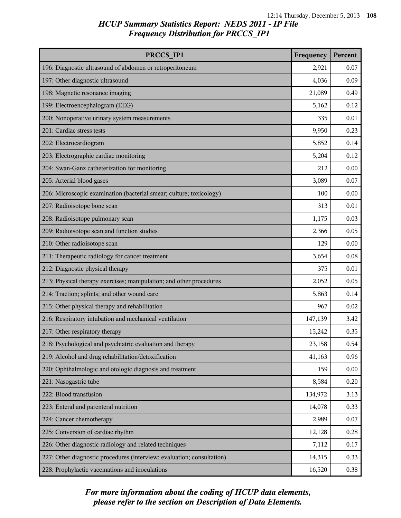| PRCCS IP1                                                              | Frequency | Percent |
|------------------------------------------------------------------------|-----------|---------|
| 196: Diagnostic ultrasound of abdomen or retroperitoneum               | 2,921     | 0.07    |
| 197: Other diagnostic ultrasound                                       | 4,036     | 0.09    |
| 198: Magnetic resonance imaging                                        | 21,089    | 0.49    |
| 199: Electroencephalogram (EEG)                                        | 5,162     | 0.12    |
| 200: Nonoperative urinary system measurements                          | 335       | 0.01    |
| 201: Cardiac stress tests                                              | 9,950     | 0.23    |
| 202: Electrocardiogram                                                 | 5,852     | 0.14    |
| 203: Electrographic cardiac monitoring                                 | 5,204     | 0.12    |
| 204: Swan-Ganz catheterization for monitoring                          | 212       | 0.00    |
| 205: Arterial blood gases                                              | 3,089     | 0.07    |
| 206: Microscopic examination (bacterial smear; culture; toxicology)    | 100       | 0.00    |
| 207: Radioisotope bone scan                                            | 313       | 0.01    |
| 208: Radioisotope pulmonary scan                                       | 1,175     | 0.03    |
| 209: Radioisotope scan and function studies                            | 2,366     | 0.05    |
| 210: Other radioisotope scan                                           | 129       | 0.00    |
| 211: Therapeutic radiology for cancer treatment                        | 3,654     | 0.08    |
| 212: Diagnostic physical therapy                                       | 375       | 0.01    |
| 213: Physical therapy exercises; manipulation; and other procedures    | 2,052     | 0.05    |
| 214: Traction; splints; and other wound care                           | 5,863     | 0.14    |
| 215: Other physical therapy and rehabilitation                         | 967       | 0.02    |
| 216: Respiratory intubation and mechanical ventilation                 | 147,139   | 3.42    |
| 217: Other respiratory therapy                                         | 15,242    | 0.35    |
| 218: Psychological and psychiatric evaluation and therapy              | 23,158    | 0.54    |
| 219: Alcohol and drug rehabilitation/detoxification                    | 41,163    | 0.96    |
| 220: Ophthalmologic and otologic diagnosis and treatment               | 159       | 0.00    |
| 221: Nasogastric tube                                                  | 8,584     | 0.20    |
| 222: Blood transfusion                                                 | 134,972   | 3.13    |
| 223: Enteral and parenteral nutrition                                  | 14,078    | 0.33    |
| 224: Cancer chemotherapy                                               | 2,989     | 0.07    |
| 225: Conversion of cardiac rhythm                                      | 12,128    | 0.28    |
| 226: Other diagnostic radiology and related techniques                 | 7,112     | 0.17    |
| 227: Other diagnostic procedures (interview; evaluation; consultation) | 14,315    | 0.33    |
| 228: Prophylactic vaccinations and inoculations                        | 16,520    | 0.38    |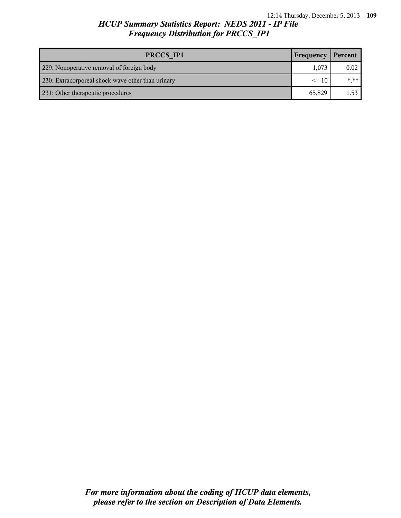# *HCUP Summary Statistics Report: NEDS 2011 - IP File Frequency Distribution for PRCCS\_IP1*

| PRCCS IP1<br>Frequency                            |           | Percent  |
|---------------------------------------------------|-----------|----------|
| 229: Nonoperative removal of foreign body         | 1,073     | 0.02     |
| 230: Extracorporeal shock wave other than urinary | $\leq$ 10 | $* * * $ |
| 231: Other therapeutic procedures                 | 65,829    | 1.53     |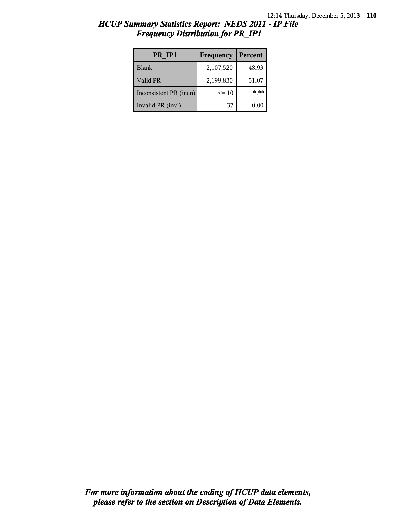| HCUP Summary Statistics Report: NEDS 2011 - IP File |  |  |
|-----------------------------------------------------|--|--|
| <b>Frequency Distribution for PR IP1</b>            |  |  |

| PR IP1                 | Frequency | Percent |
|------------------------|-----------|---------|
| <b>Blank</b>           | 2,107,520 | 48.93   |
| Valid PR               | 2,199,830 | 51.07   |
| Inconsistent PR (incn) | $\leq 10$ | * **    |
| Invalid PR (invl)      | 37        | 0.00    |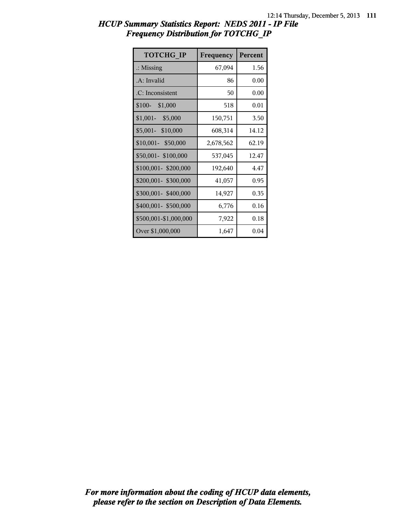| HCUP Summary Statistics Report: NEDS 2011 - IP File |  |
|-----------------------------------------------------|--|
| <b>Frequency Distribution for TOTCHG IP</b>         |  |

| <b>TOTCHG IP</b>      | Frequency | Percent |
|-----------------------|-----------|---------|
| $\therefore$ Missing  | 67,094    | 1.56    |
| $A:$ Invalid          | 86        | 0.00    |
| .C: Inconsistent      | 50        | 0.00    |
| $$100-$<br>\$1,000    | 518       | 0.01    |
| $$1,001-$<br>\$5,000  | 150,751   | 3.50    |
| \$5,001- \$10,000     | 608,314   | 14.12   |
| \$10,001- \$50,000    | 2,678,562 | 62.19   |
| \$50,001-\$100,000    | 537,045   | 12.47   |
| \$100,001-\$200,000   | 192,640   | 4.47    |
| \$200,001- \$300,000  | 41,057    | 0.95    |
| \$300,001-\$400,000   | 14,927    | 0.35    |
| \$400,001- \$500,000  | 6,776     | 0.16    |
| \$500,001-\$1,000,000 | 7,922     | 0.18    |
| Over \$1,000,000      | 1,647     | 0.04    |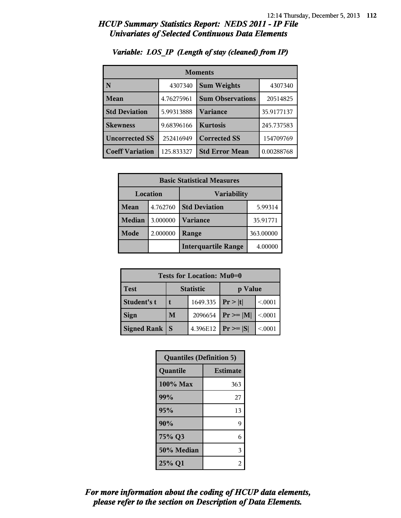| <b>Moments</b>         |            |                         |            |
|------------------------|------------|-------------------------|------------|
| N                      | 4307340    | <b>Sum Weights</b>      | 4307340    |
| Mean                   | 4.76275961 | <b>Sum Observations</b> | 20514825   |
| <b>Std Deviation</b>   | 5.99313888 | Variance                | 35.9177137 |
| <b>Skewness</b>        | 9.68396166 | <b>Kurtosis</b>         | 245.737583 |
| <b>Uncorrected SS</b>  | 252416949  | <b>Corrected SS</b>     | 154709769  |
| <b>Coeff Variation</b> | 125.833327 | <b>Std Error Mean</b>   | 0.00288768 |

### *Variable: LOS\_IP (Length of stay (cleaned) from IP)*

| <b>Basic Statistical Measures</b> |          |                            |           |
|-----------------------------------|----------|----------------------------|-----------|
| Location<br><b>Variability</b>    |          |                            |           |
| Mean                              | 4.762760 | <b>Std Deviation</b>       | 5.99314   |
| <b>Median</b>                     | 3.000000 | <b>Variance</b>            | 35.91771  |
| Mode                              | 2.000000 | Range                      | 363.00000 |
|                                   |          | <b>Interquartile Range</b> | 4.00000   |

| Tests for Location: Mu0=0 |                             |          |                 |         |  |
|---------------------------|-----------------------------|----------|-----------------|---------|--|
| <b>Test</b>               | <b>Statistic</b><br>p Value |          |                 |         |  |
| Student's t               | 1649.335   $Pr >  t $       |          |                 | < 0.001 |  |
| <b>Sign</b>               | 2096654<br>M                |          | $Pr \geq  M $   | < 0001  |  |
| <b>Signed Rank</b>        | S                           | 4.396E12 | $ Pr \ge =  S $ | < 0.001 |  |

| <b>Quantiles (Definition 5)</b> |                 |  |
|---------------------------------|-----------------|--|
| Quantile                        | <b>Estimate</b> |  |
| 100% Max                        | 363             |  |
| 99%                             | 27              |  |
| 95%                             | 13              |  |
| 90%                             | 9               |  |
| 75% Q3<br>6                     |                 |  |
| 50% Median                      | 3               |  |
| 25% Q1                          | 2               |  |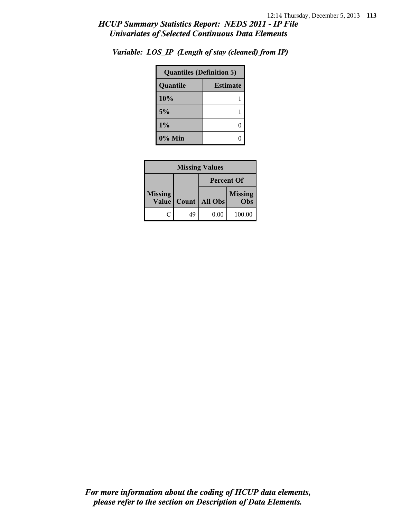| <b>Quantiles (Definition 5)</b> |   |  |
|---------------------------------|---|--|
| <b>Estimate</b><br>Quantile     |   |  |
| 10%                             |   |  |
| 5%                              |   |  |
| $1\%$                           | 0 |  |
| $0\%$ Min                       |   |  |

*Variable: LOS\_IP (Length of stay (cleaned) from IP)*

| <b>Missing Values</b>   |                   |                |                       |
|-------------------------|-------------------|----------------|-----------------------|
|                         | <b>Percent Of</b> |                |                       |
| <b>Missing</b><br>Value | Count             | <b>All Obs</b> | <b>Missing</b><br>Obs |
|                         | 49                | 0.00           | 100.00                |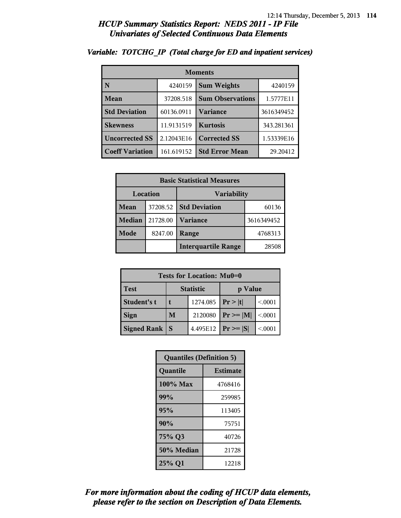| <b>Moments</b>         |            |                         |            |  |
|------------------------|------------|-------------------------|------------|--|
| N                      | 4240159    | <b>Sum Weights</b>      | 4240159    |  |
| Mean                   | 37208.518  | <b>Sum Observations</b> | 1.5777E11  |  |
| <b>Std Deviation</b>   | 60136.0911 | Variance                | 3616349452 |  |
| <b>Skewness</b>        | 11.9131519 | <b>Kurtosis</b>         | 343.281361 |  |
| <b>Uncorrected SS</b>  | 2.12043E16 | <b>Corrected SS</b>     | 1.53339E16 |  |
| <b>Coeff Variation</b> | 161.619152 | <b>Std Error Mean</b>   | 29.20412   |  |

#### *Variable: TOTCHG\_IP (Total charge for ED and inpatient services)*

| <b>Basic Statistical Measures</b> |          |                            |            |  |  |  |
|-----------------------------------|----------|----------------------------|------------|--|--|--|
| Location                          |          | <b>Variability</b>         |            |  |  |  |
| Mean                              | 37208.52 | <b>Std Deviation</b>       | 60136      |  |  |  |
| <b>Median</b>                     | 21728.00 | <b>Variance</b>            | 3616349452 |  |  |  |
| Mode                              | 8247.00  | Range                      | 4768313    |  |  |  |
|                                   |          | <b>Interquartile Range</b> | 28508      |  |  |  |

| Tests for Location: Mu0=0 |                  |          |                 |         |  |  |  |
|---------------------------|------------------|----------|-----------------|---------|--|--|--|
| <b>Test</b>               | <b>Statistic</b> |          | p Value         |         |  |  |  |
| Student's t               |                  | 1274.085 | Pr> t           | < 0.001 |  |  |  |
| <b>Sign</b>               | M                | 2120080  | $ Pr \ge =  M $ | < 0001  |  |  |  |
| <b>Signed Rank</b>        | S                | 4.495E12 | $ Pr \ge =  S $ | < 0.001 |  |  |  |

| <b>Quantiles (Definition 5)</b> |                 |  |  |  |
|---------------------------------|-----------------|--|--|--|
| Quantile                        | <b>Estimate</b> |  |  |  |
| 100% Max                        | 4768416         |  |  |  |
| 99%                             | 259985          |  |  |  |
| 95%                             | 113405          |  |  |  |
| 90%                             | 75751           |  |  |  |
| 75% Q3                          | 40726           |  |  |  |
| 50% Median                      | 21728           |  |  |  |
| 25% Q1                          | 12218           |  |  |  |